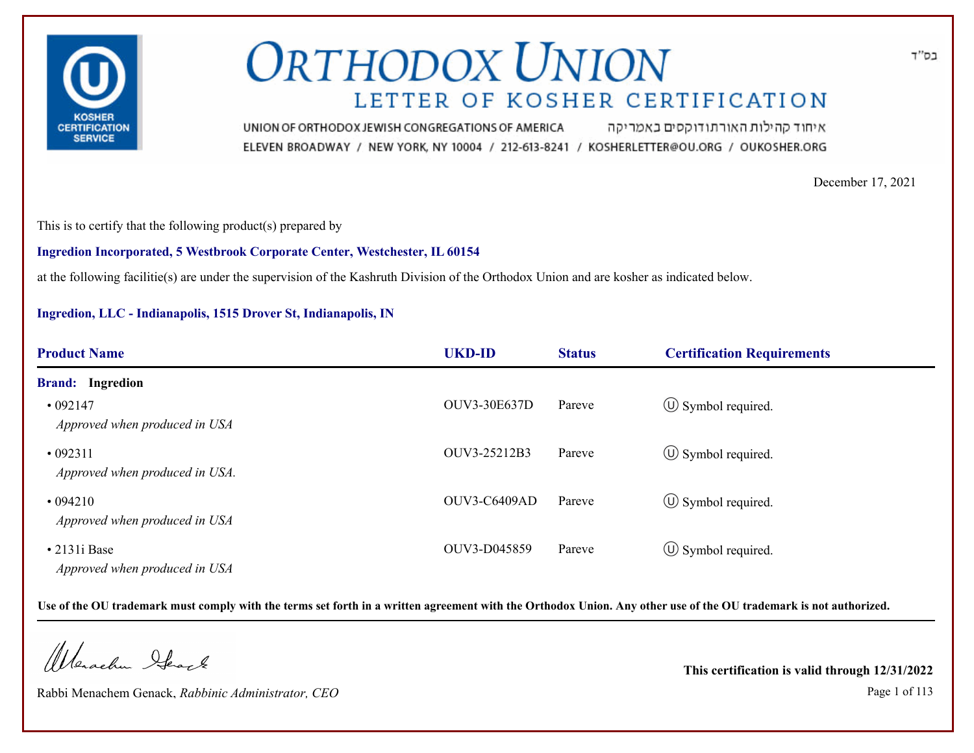

איחוד קהילות האורתודוקסים באמריקה UNION OF ORTHODOX JEWISH CONGREGATIONS OF AMERICA ELEVEN BROADWAY / NEW YORK, NY 10004 / 212-613-8241 / KOSHERLETTER@OU.ORG / OUKOSHER.ORG

December 17, 2021

This is to certify that the following product(s) prepared by

**Ingredion Incorporated, 5 Westbrook Corporate Center, Westchester, IL 60154**

at the following facilitie(s) are under the supervision of the Kashruth Division of the Orthodox Union and are kosher as indicated below.

### **Ingredion, LLC - Indianapolis, 1515 Drover St, Indianapolis, IN**

| <b>Product Name</b>                                 | <b>UKD-ID</b> | <b>Status</b> | <b>Certification Requirements</b> |  |
|-----------------------------------------------------|---------------|---------------|-----------------------------------|--|
| <b>Brand:</b> Ingredion                             |               |               |                                   |  |
| $\cdot$ 092147<br>Approved when produced in USA     | OUV3-30E637D  | Pareve        | $\circled{1}$ Symbol required.    |  |
| $\cdot$ 092311<br>Approved when produced in USA.    | OUV3-25212B3  | Pareve        | $\circled{1}$ Symbol required.    |  |
| $\cdot$ 094210<br>Approved when produced in USA     | OUV3-C6409AD  | Pareve        | $\circled{1}$ Symbol required.    |  |
| $\cdot$ 2131i Base<br>Approved when produced in USA | OUV3-D045859  | Pareve        | $\circ$ Symbol required.          |  |

**Use of the OU trademark must comply with the terms set forth in a written agreement with the Orthodox Union. Any other use of the OU trademark is not authorized.**

Warachen Ifearle

Rabbi Menachem Genack, *Rabbinic Administrator, CEO* Page 1 of 113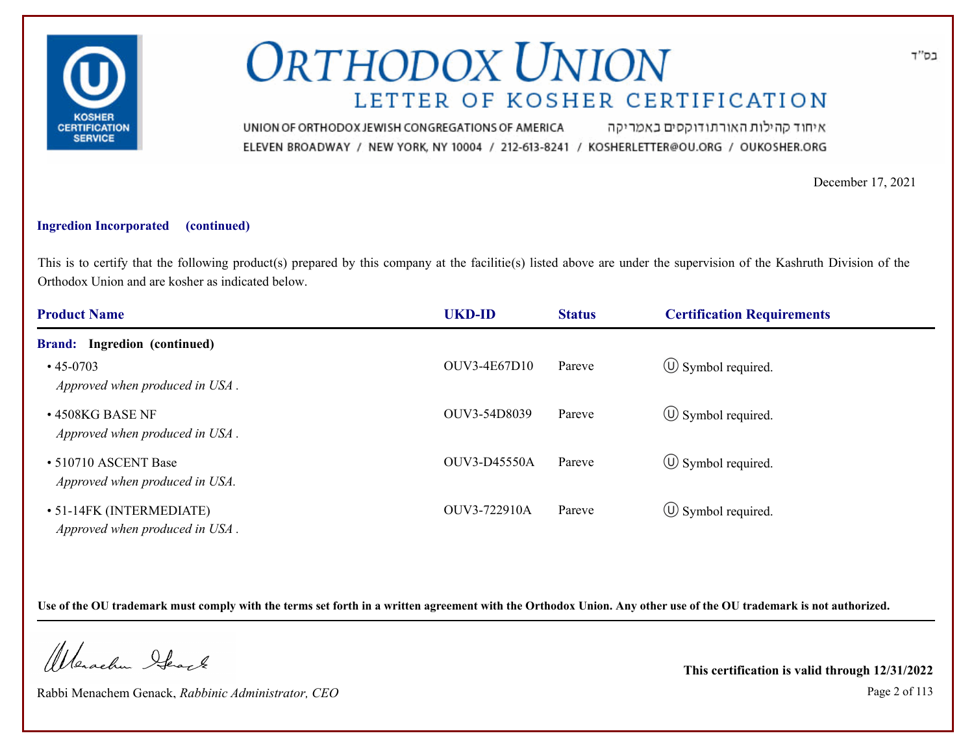

איחוד קהילות האורתודוקסים באמריקה UNION OF ORTHODOX JEWISH CONGREGATIONS OF AMERICA ELEVEN BROADWAY / NEW YORK, NY 10004 / 212-613-8241 / KOSHERLETTER@OU.ORG / OUKOSHER.ORG

December 17, 2021

#### **Ingredion Incorporated (continued)**

This is to certify that the following product(s) prepared by this company at the facilitie(s) listed above are under the supervision of the Kashruth Division of the Orthodox Union and are kosher as indicated below.

| <b>Product Name</b>                                        | <b>UKD-ID</b> | <b>Status</b> | <b>Certification Requirements</b> |  |
|------------------------------------------------------------|---------------|---------------|-----------------------------------|--|
| <b>Brand:</b> Ingredion (continued)                        |               |               |                                   |  |
| $\cdot$ 45-0703<br>Approved when produced in USA.          | OUV3-4E67D10  | Pareve        | $\circ$ Symbol required.          |  |
| • 4508KG BASE NF<br>Approved when produced in USA.         | OUV3-54D8039  | Pareve        | $\circled{1}$ Symbol required.    |  |
| • 510710 ASCENT Base<br>Approved when produced in USA.     | OUV3-D45550A  | Pareve        | $\circled{0}$ Symbol required.    |  |
| • 51-14FK (INTERMEDIATE)<br>Approved when produced in USA. | OUV3-722910A  | Pareve        | $\circled{1}$ Symbol required.    |  |

**Use of the OU trademark must comply with the terms set forth in a written agreement with the Orthodox Union. Any other use of the OU trademark is not authorized.**

Werachen Stack

Rabbi Menachem Genack, *Rabbinic Administrator, CEO* Page 2 of 113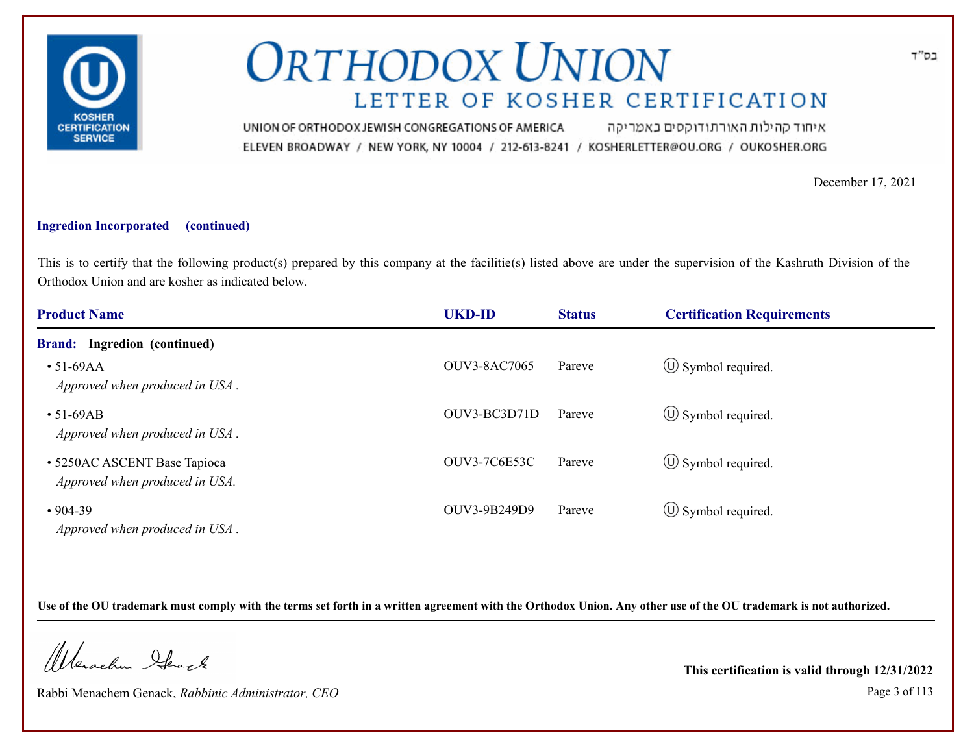

איחוד קהילות האורתודוקסים באמריקה UNION OF ORTHODOX JEWISH CONGREGATIONS OF AMERICA ELEVEN BROADWAY / NEW YORK, NY 10004 / 212-613-8241 / KOSHERLETTER@OU.ORG / OUKOSHER.ORG

December 17, 2021

#### **Ingredion Incorporated (continued)**

This is to certify that the following product(s) prepared by this company at the facilitie(s) listed above are under the supervision of the Kashruth Division of the Orthodox Union and are kosher as indicated below.

| <b>Product Name</b>                                            | <b>UKD-ID</b>       | <b>Status</b> | <b>Certification Requirements</b> |  |
|----------------------------------------------------------------|---------------------|---------------|-----------------------------------|--|
| <b>Brand:</b> Ingredion (continued)                            |                     |               |                                   |  |
| $\cdot$ 51-69AA<br>Approved when produced in USA.              | <b>OUV3-8AC7065</b> | Pareve        | $\circled{1}$ Symbol required.    |  |
| $\cdot$ 51-69AB<br>Approved when produced in USA.              | OUV3-BC3D71D        | Pareve        | $\circled{1}$ Symbol required.    |  |
| • 5250AC ASCENT Base Tapioca<br>Approved when produced in USA. | <b>OUV3-7C6E53C</b> | Pareve        | $\circled{1}$ Symbol required.    |  |
| $•904-39$<br>Approved when produced in USA.                    | OUV3-9B249D9        | Pareve        | $\circled{1}$ Symbol required.    |  |

**Use of the OU trademark must comply with the terms set forth in a written agreement with the Orthodox Union. Any other use of the OU trademark is not authorized.**

Werachen Stack

Rabbi Menachem Genack, *Rabbinic Administrator, CEO* Page 3 of 113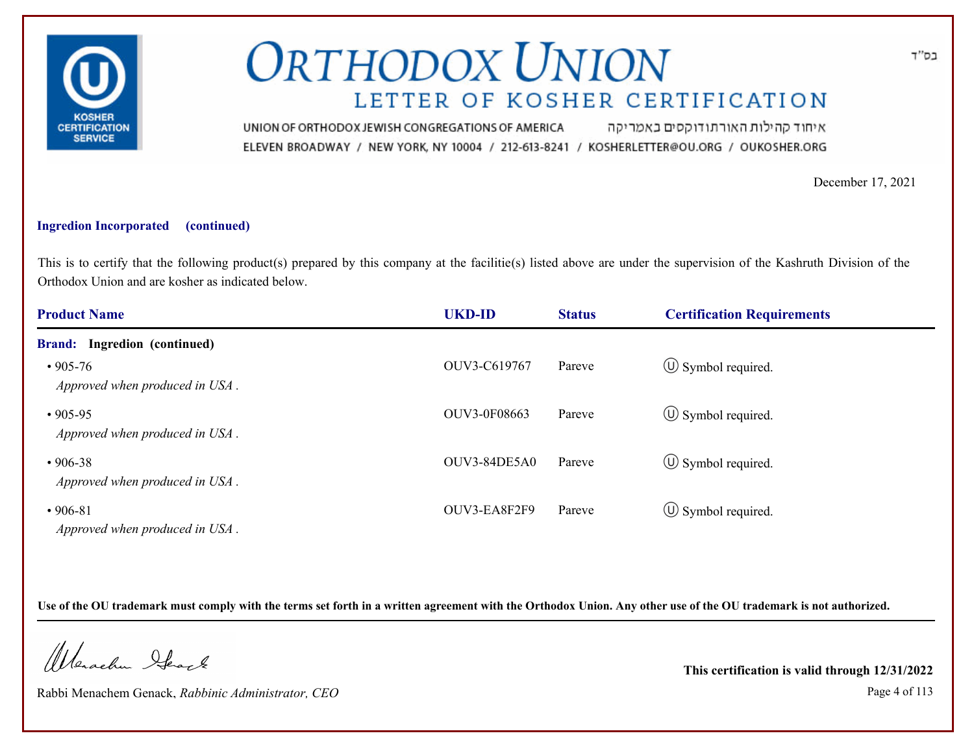

איחוד קהילות האורתודוקסים באמריקה UNION OF ORTHODOX JEWISH CONGREGATIONS OF AMERICA ELEVEN BROADWAY / NEW YORK, NY 10004 / 212-613-8241 / KOSHERLETTER@OU.ORG / OUKOSHER.ORG

December 17, 2021

#### **Ingredion Incorporated (continued)**

This is to certify that the following product(s) prepared by this company at the facilitie(s) listed above are under the supervision of the Kashruth Division of the Orthodox Union and are kosher as indicated below.

| <b>Product Name</b>                         | <b>UKD-ID</b> | <b>Status</b> | <b>Certification Requirements</b> |  |
|---------------------------------------------|---------------|---------------|-----------------------------------|--|
| <b>Brand:</b> Ingredion (continued)         |               |               |                                   |  |
| $•905-76$<br>Approved when produced in USA. | OUV3-C619767  | Pareve        | $\circ$ Symbol required.          |  |
| $•905-95$<br>Approved when produced in USA. | OUV3-0F08663  | Pareve        | $\circled{1}$ Symbol required.    |  |
| $•906-38$<br>Approved when produced in USA. | OUV3-84DE5A0  | Pareve        | $\circled{1}$ Symbol required.    |  |
| $•906-81$<br>Approved when produced in USA. | OUV3-EA8F2F9  | Pareve        | $\circled{1}$ Symbol required.    |  |

**Use of the OU trademark must comply with the terms set forth in a written agreement with the Orthodox Union. Any other use of the OU trademark is not authorized.**

Werachen Stack

Rabbi Menachem Genack, *Rabbinic Administrator, CEO* Page 4 of 113

**This certification is valid through 12/31/2022**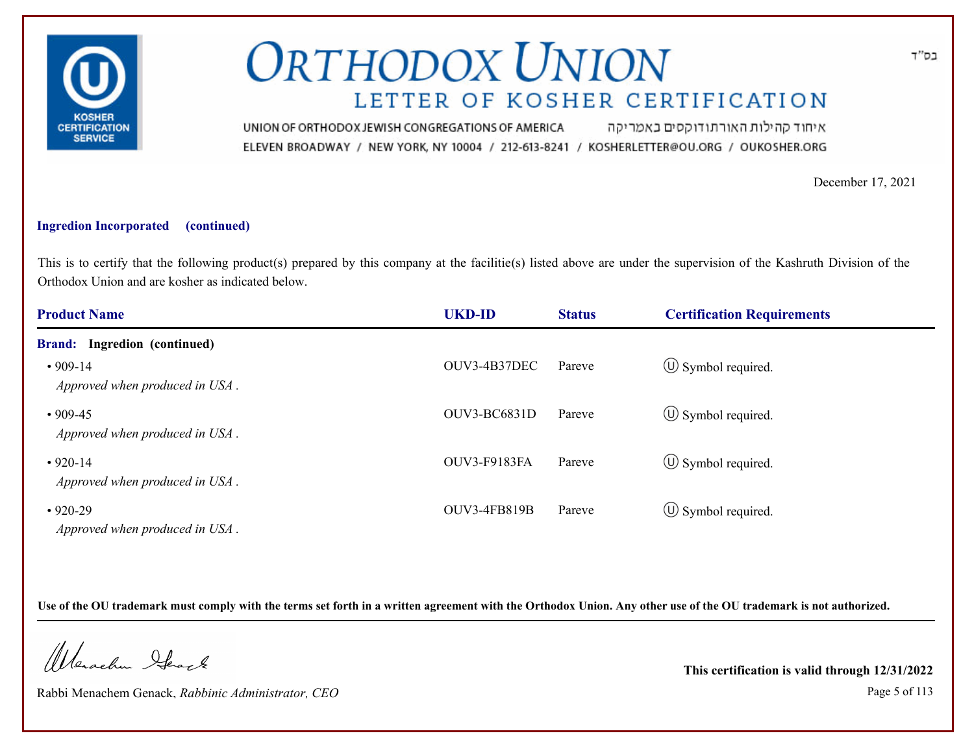

איחוד קהילות האורתודוקסים באמריקה UNION OF ORTHODOX JEWISH CONGREGATIONS OF AMERICA ELEVEN BROADWAY / NEW YORK, NY 10004 / 212-613-8241 / KOSHERLETTER@OU.ORG / OUKOSHER.ORG

December 17, 2021

#### **Ingredion Incorporated (continued)**

This is to certify that the following product(s) prepared by this company at the facilitie(s) listed above are under the supervision of the Kashruth Division of the Orthodox Union and are kosher as indicated below.

| <b>Product Name</b>                              | <b>UKD-ID</b>       | <b>Status</b> | <b>Certification Requirements</b> |  |
|--------------------------------------------------|---------------------|---------------|-----------------------------------|--|
| <b>Brand:</b> Ingredion (continued)              |                     |               |                                   |  |
| $\cdot$ 909-14<br>Approved when produced in USA. | OUV3-4B37DEC        | Pareve        | $\circ$ Symbol required.          |  |
| $\cdot$ 909-45<br>Approved when produced in USA. | OUV3-BC6831D        | Pareve        | $\circled{1}$ Symbol required.    |  |
| $• 920 - 14$<br>Approved when produced in USA.   | <b>OUV3-F9183FA</b> | Pareve        | $\circled{0}$ Symbol required.    |  |
| $•920-29$<br>Approved when produced in USA.      | <b>OUV3-4FB819B</b> | Pareve        | $\circled{1}$ Symbol required.    |  |

**Use of the OU trademark must comply with the terms set forth in a written agreement with the Orthodox Union. Any other use of the OU trademark is not authorized.**

Werachen Stack

Rabbi Menachem Genack, *Rabbinic Administrator, CEO* Page 5 of 113

**This certification is valid through 12/31/2022**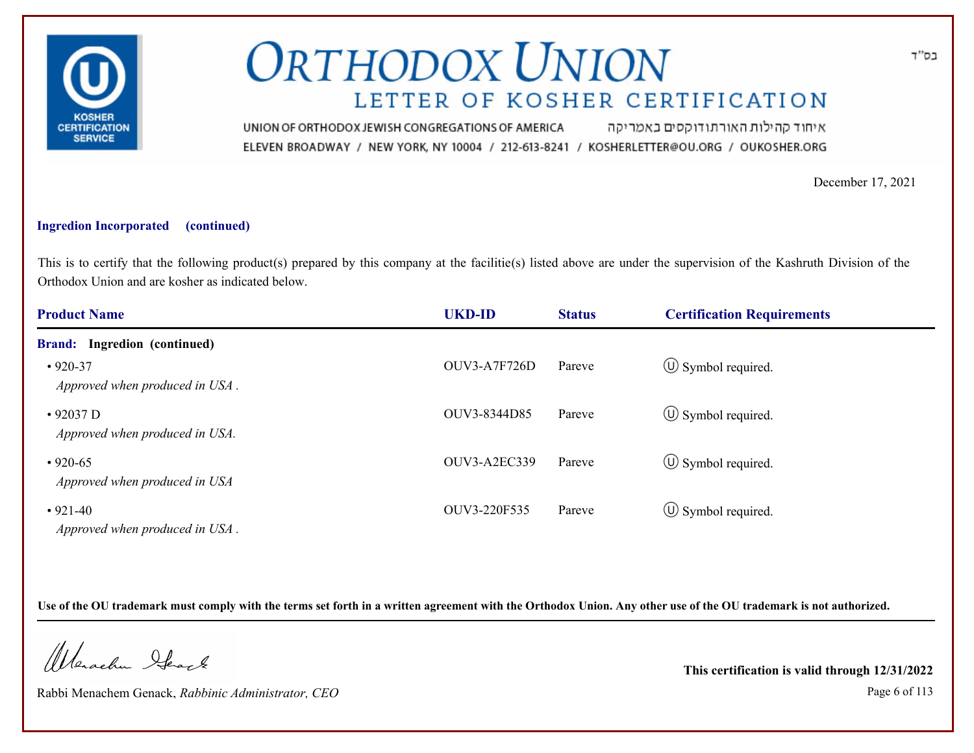

איחוד קהילות האורתודוקסים באמריקה UNION OF ORTHODOX JEWISH CONGREGATIONS OF AMERICA ELEVEN BROADWAY / NEW YORK, NY 10004 / 212-613-8241 / KOSHERLETTER@OU.ORG / OUKOSHER.ORG

December 17, 2021

### **Ingredion Incorporated (continued)**

This is to certify that the following product(s) prepared by this company at the facilitie(s) listed above are under the supervision of the Kashruth Division of the Orthodox Union and are kosher as indicated below.

| <b>Product Name</b>                               | <b>UKD-ID</b> | <b>Status</b> | <b>Certification Requirements</b> |
|---------------------------------------------------|---------------|---------------|-----------------------------------|
| <b>Brand:</b> Ingredion (continued)               |               |               |                                   |
| $•920-37$<br>Approved when produced in USA.       | OUV3-A7F726D  | Pareve        | $\circled{1}$ Symbol required.    |
| $\cdot$ 92037 D<br>Approved when produced in USA. | OUV3-8344D85  | Pareve        | $\circled{1}$ Symbol required.    |
| $•920-65$<br>Approved when produced in USA        | OUV3-A2EC339  | Pareve        | $\circled{1}$ Symbol required.    |
| $• 921 - 40$<br>Approved when produced in USA.    | OUV3-220F535  | Pareve        | $\circled{1}$ Symbol required.    |

**Use of the OU trademark must comply with the terms set forth in a written agreement with the Orthodox Union. Any other use of the OU trademark is not authorized.**

Werachen Stack

Rabbi Menachem Genack, *Rabbinic Administrator, CEO* Page 6 of 113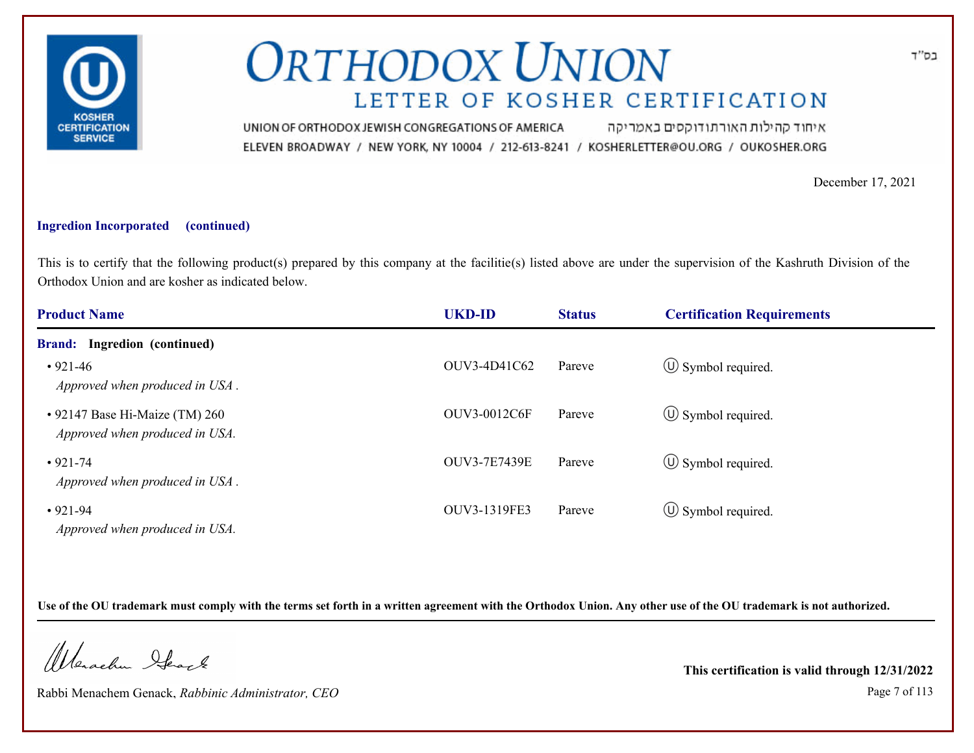

איחוד קהילות האורתודוקסים באמריקה UNION OF ORTHODOX JEWISH CONGREGATIONS OF AMERICA ELEVEN BROADWAY / NEW YORK, NY 10004 / 212-613-8241 / KOSHERLETTER@OU.ORG / OUKOSHER.ORG

December 17, 2021

#### **Ingredion Incorporated (continued)**

This is to certify that the following product(s) prepared by this company at the facilitie(s) listed above are under the supervision of the Kashruth Division of the Orthodox Union and are kosher as indicated below.

| <b>Product Name</b>                                              | <b>UKD-ID</b>       | <b>Status</b> | <b>Certification Requirements</b> |  |
|------------------------------------------------------------------|---------------------|---------------|-----------------------------------|--|
| <b>Brand:</b> Ingredion (continued)                              |                     |               |                                   |  |
| $• 921 - 46$<br>Approved when produced in USA.                   | OUV3-4D41C62        | Pareve        | $\circ$ Symbol required.          |  |
| • 92147 Base Hi-Maize (TM) 260<br>Approved when produced in USA. | OUV3-0012C6F        | Pareve        | $\circled{1}$ Symbol required.    |  |
| $• 921 - 74$<br>Approved when produced in USA.                   | <b>OUV3-7E7439E</b> | Pareve        | $\circled{0}$ Symbol required.    |  |
| $•921-94$<br>Approved when produced in USA.                      | OUV3-1319FE3        | Pareve        | $\circled{1}$ Symbol required.    |  |

**Use of the OU trademark must comply with the terms set forth in a written agreement with the Orthodox Union. Any other use of the OU trademark is not authorized.**

Werachen Stack

Rabbi Menachem Genack, *Rabbinic Administrator, CEO* Page 7 of 113

**This certification is valid through 12/31/2022**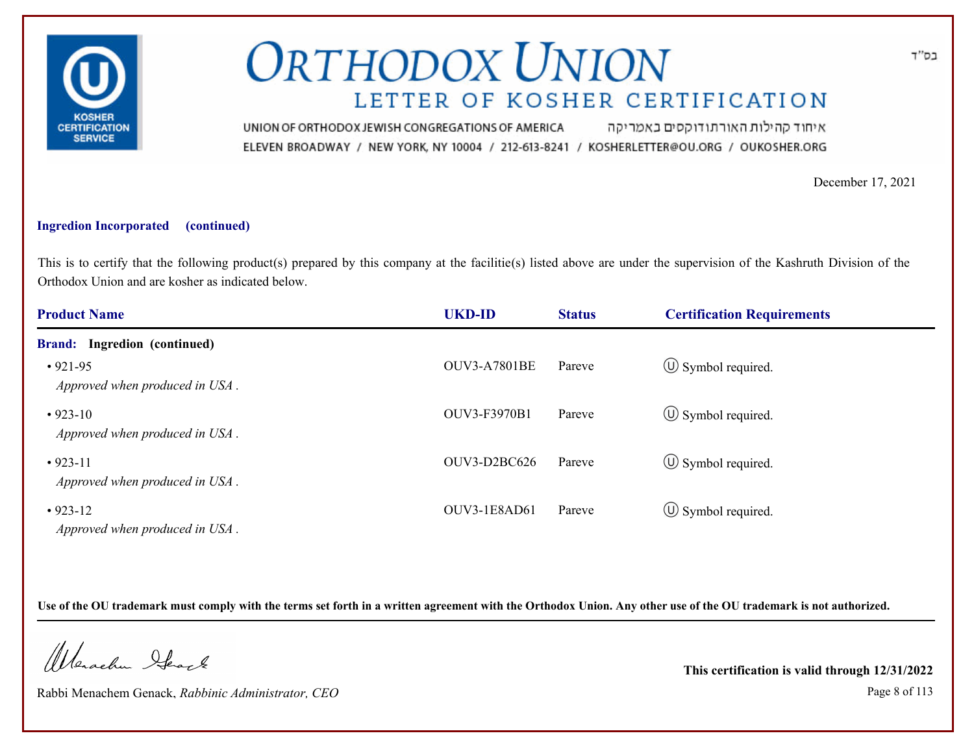

איחוד קהילות האורתודוקסים באמריקה UNION OF ORTHODOX JEWISH CONGREGATIONS OF AMERICA ELEVEN BROADWAY / NEW YORK, NY 10004 / 212-613-8241 / KOSHERLETTER@OU.ORG / OUKOSHER.ORG

December 17, 2021

#### **Ingredion Incorporated (continued)**

This is to certify that the following product(s) prepared by this company at the facilitie(s) listed above are under the supervision of the Kashruth Division of the Orthodox Union and are kosher as indicated below.

| <b>Product Name</b>                            | <b>UKD-ID</b>       | <b>Status</b> | <b>Certification Requirements</b> |  |
|------------------------------------------------|---------------------|---------------|-----------------------------------|--|
| <b>Brand:</b> Ingredion (continued)            |                     |               |                                   |  |
| $•921-95$<br>Approved when produced in USA.    | <b>OUV3-A7801BE</b> | Pareve        | $\circ$ Symbol required.          |  |
| $• 923 - 10$<br>Approved when produced in USA. | OUV3-F3970B1        | Pareve        | $\circled{1}$ Symbol required.    |  |
| $• 923 - 11$<br>Approved when produced in USA. | OUV3-D2BC626        | Pareve        | $\circled{1}$ Symbol required.    |  |
| $• 923 - 12$<br>Approved when produced in USA. | OUV3-1E8AD61        | Pareve        | $\circled{1}$ Symbol required.    |  |

**Use of the OU trademark must comply with the terms set forth in a written agreement with the Orthodox Union. Any other use of the OU trademark is not authorized.**

Werachen Ifeart

Rabbi Menachem Genack, *Rabbinic Administrator, CEO* Page 8 of 113

**This certification is valid through 12/31/2022**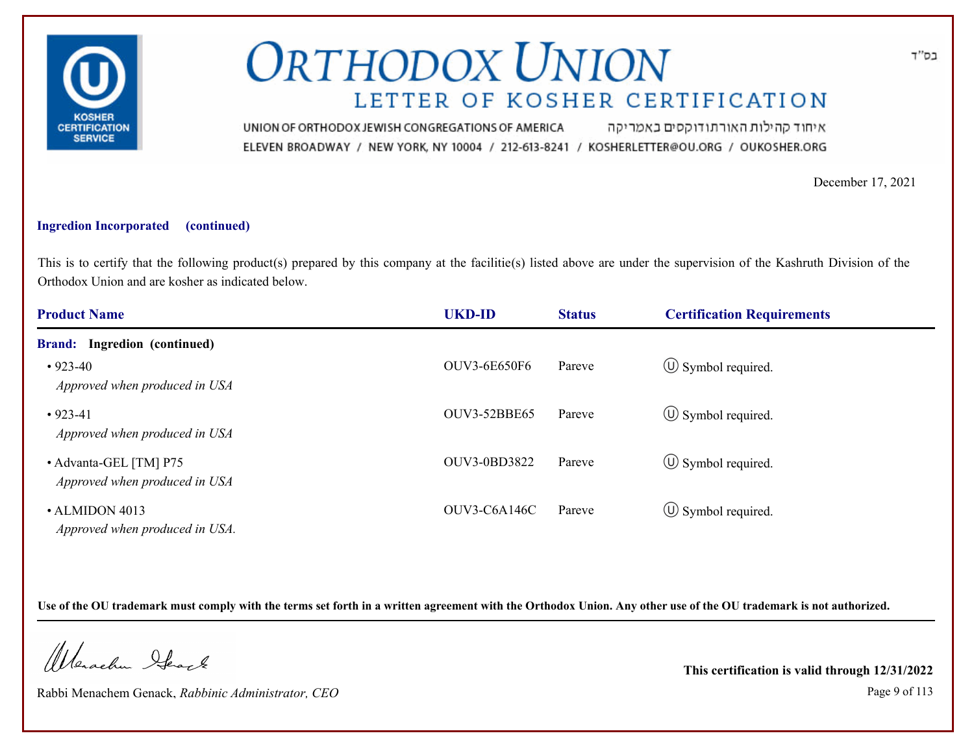

איחוד קהילות האורתודוקסים באמריקה UNION OF ORTHODOX JEWISH CONGREGATIONS OF AMERICA ELEVEN BROADWAY / NEW YORK, NY 10004 / 212-613-8241 / KOSHERLETTER@OU.ORG / OUKOSHER.ORG

December 17, 2021

#### **Ingredion Incorporated (continued)**

This is to certify that the following product(s) prepared by this company at the facilitie(s) listed above are under the supervision of the Kashruth Division of the Orthodox Union and are kosher as indicated below.

| <b>Product Name</b>                                     | <b>UKD-ID</b>       | <b>Status</b> | <b>Certification Requirements</b> |
|---------------------------------------------------------|---------------------|---------------|-----------------------------------|
| <b>Brand:</b> Ingredion (continued)                     |                     |               |                                   |
| $•923-40$<br>Approved when produced in USA              | <b>OUV3-6E650F6</b> | Pareve        | $\circ$ Symbol required.          |
| $•923-41$<br>Approved when produced in USA              | OUV3-52BBE65        | Pareve        | $\circled{1}$ Symbol required.    |
| • Advanta-GEL [TM] P75<br>Approved when produced in USA | OUV3-0BD3822        | Pareve        | $\circled{0}$ Symbol required.    |
| • ALMIDON 4013<br>Approved when produced in USA.        | OUV3-C6A146C        | Pareve        | $\circled{1}$ Symbol required.    |

**Use of the OU trademark must comply with the terms set forth in a written agreement with the Orthodox Union. Any other use of the OU trademark is not authorized.**

Werachen Stack

Rabbi Menachem Genack, *Rabbinic Administrator, CEO* Page 9 of 113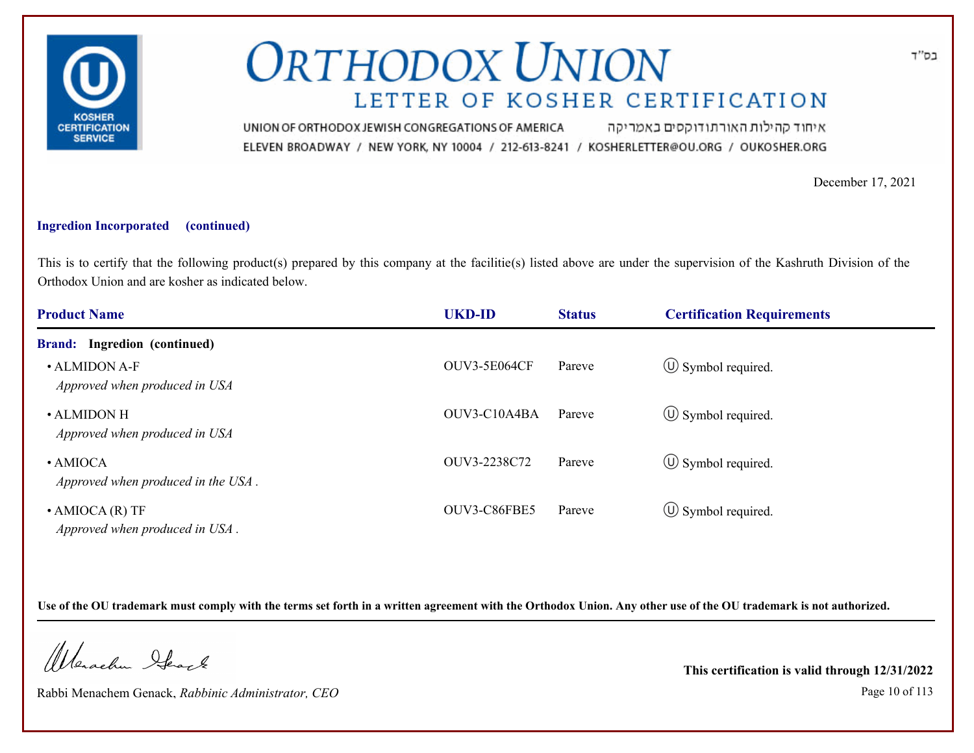

איחוד קהילות האורתודוקסים באמריקה UNION OF ORTHODOX JEWISH CONGREGATIONS OF AMERICA ELEVEN BROADWAY / NEW YORK, NY 10004 / 212-613-8241 / KOSHERLETTER@OU.ORG / OUKOSHER.ORG

December 17, 2021

#### **Ingredion Incorporated (continued)**

This is to certify that the following product(s) prepared by this company at the facilitie(s) listed above are under the supervision of the Kashruth Division of the Orthodox Union and are kosher as indicated below.

| <b>Product Name</b>                                       | <b>UKD-ID</b> | <b>Status</b> | <b>Certification Requirements</b> |  |
|-----------------------------------------------------------|---------------|---------------|-----------------------------------|--|
| <b>Brand:</b> Ingredion (continued)                       |               |               |                                   |  |
| • ALMIDON A-F<br>Approved when produced in USA            | OUV3-5E064CF  | Pareve        | $\circled{1}$ Symbol required.    |  |
| $\cdot$ ALMIDON H<br>Approved when produced in USA        | OUV3-C10A4BA  | Pareve        | $\circled{1}$ Symbol required.    |  |
| $\cdot$ AMIOCA<br>Approved when produced in the USA.      | OUV3-2238C72  | Pareve        | $\circled{1}$ Symbol required.    |  |
| $\bullet$ AMIOCA (R) TF<br>Approved when produced in USA. | OUV3-C86FBE5  | Pareve        | $\circled{1}$ Symbol required.    |  |

**Use of the OU trademark must comply with the terms set forth in a written agreement with the Orthodox Union. Any other use of the OU trademark is not authorized.**

Werachen Stack

Rabbi Menachem Genack, *Rabbinic Administrator, CEO* Page 10 of 113

**This certification is valid through 12/31/2022**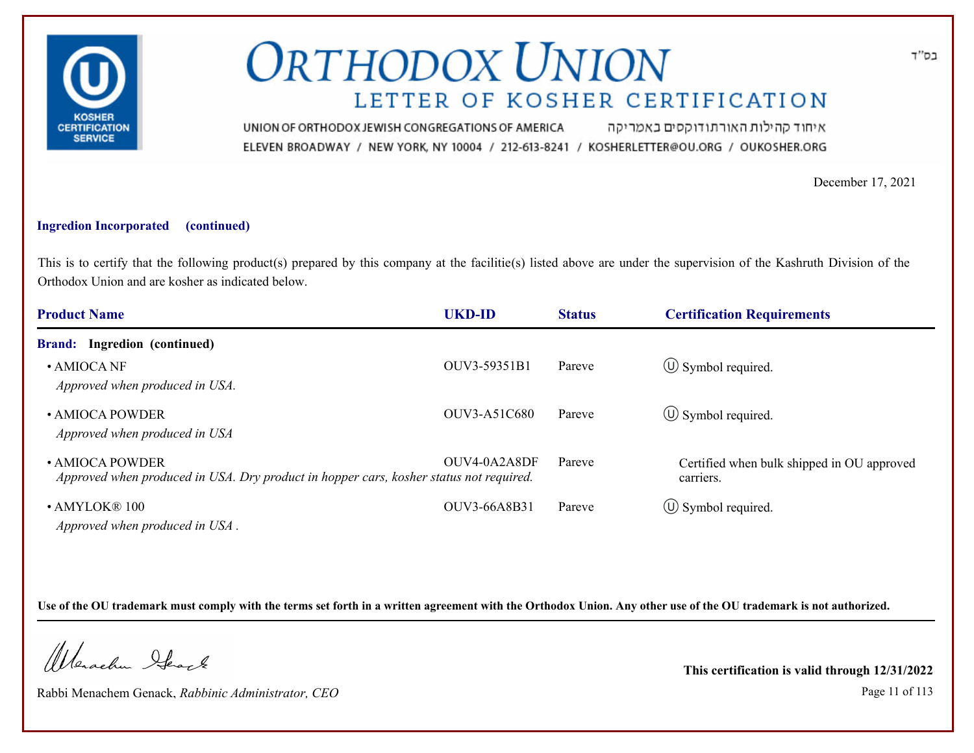

איחוד קהילות האורתודוקסים באמריקה UNION OF ORTHODOX JEWISH CONGREGATIONS OF AMERICA ELEVEN BROADWAY / NEW YORK, NY 10004 / 212-613-8241 / KOSHERLETTER@OU.ORG / OUKOSHER.ORG

December 17, 2021

### **Ingredion Incorporated (continued)**

This is to certify that the following product(s) prepared by this company at the facilitie(s) listed above are under the supervision of the Kashruth Division of the Orthodox Union and are kosher as indicated below.

| <b>Product Name</b>                                                                                       | <b>UKD-ID</b> | <b>Status</b> | <b>Certification Requirements</b>                       |
|-----------------------------------------------------------------------------------------------------------|---------------|---------------|---------------------------------------------------------|
| <b>Brand:</b> Ingredion (continued)                                                                       |               |               |                                                         |
| $\bullet$ AMIOCA NF<br>Approved when produced in USA.                                                     | OUV3-59351B1  | Pareve        | $\circ$ Symbol required.                                |
| • AMIOCA POWDER<br>Approved when produced in USA                                                          | OUV3-A51C680  | Pareve        | $\circ$ Symbol required.                                |
| • AMIOCA POWDER<br>Approved when produced in USA. Dry product in hopper cars, kosher status not required. | OUV4-0A2A8DF  | Pareve        | Certified when bulk shipped in OU approved<br>carriers. |
| $\cdot$ AMYLOK® 100<br>Approved when produced in USA.                                                     | OUV3-66A8B31  | Pareve        | $\circ$ Symbol required.                                |

**Use of the OU trademark must comply with the terms set forth in a written agreement with the Orthodox Union. Any other use of the OU trademark is not authorized.**

Werschn Stack

Rabbi Menachem Genack, *Rabbinic Administrator, CEO* Page 11 of 113

**This certification is valid through 12/31/2022**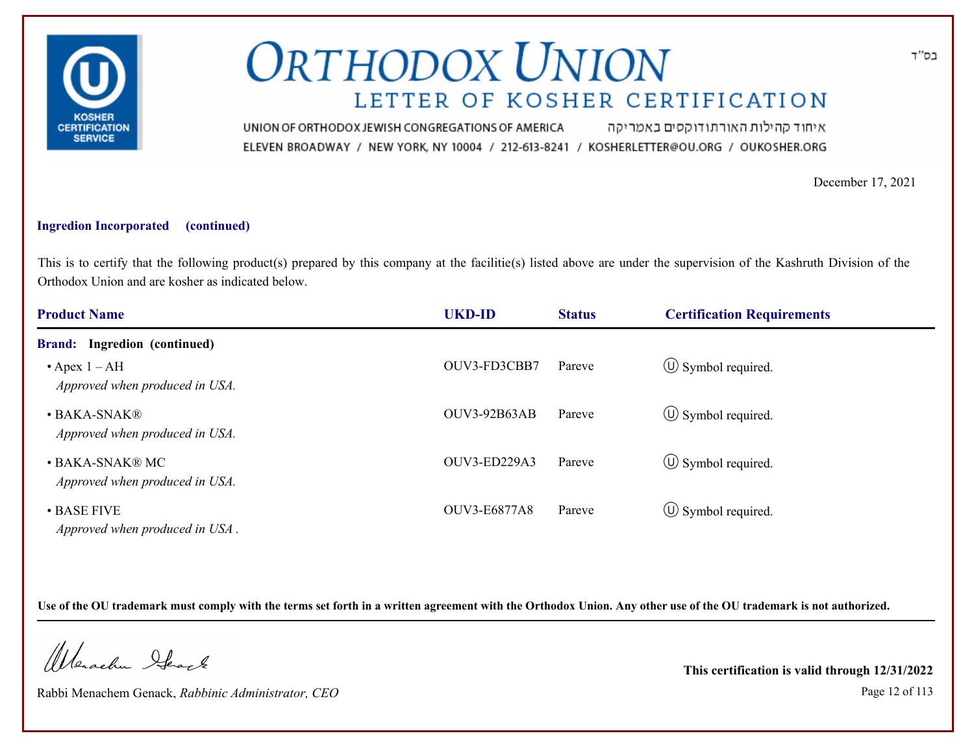

איחוד קהילות האורתודוקסים באמריקה UNION OF ORTHODOX JEWISH CONGREGATIONS OF AMERICA ELEVEN BROADWAY / NEW YORK, NY 10004 / 212-613-8241 / KOSHERLETTER@OU.ORG / OUKOSHER.ORG

December 17, 2021

#### **Ingredion Incorporated (continued)**

This is to certify that the following product(s) prepared by this company at the facilitie(s) listed above are under the supervision of the Kashruth Division of the Orthodox Union and are kosher as indicated below.

| <b>Product Name</b>                               | <b>UKD-ID</b>       | <b>Status</b> | <b>Certification Requirements</b> |  |
|---------------------------------------------------|---------------------|---------------|-----------------------------------|--|
| <b>Brand:</b> Ingredion (continued)               |                     |               |                                   |  |
| • Apex $1 - AH$<br>Approved when produced in USA. | OUV3-FD3CBB7        | Pareve        | $\circ$ Symbol required.          |  |
| • BAKA-SNAK®<br>Approved when produced in USA.    | <b>OUV3-92B63AB</b> | Pareve        | $\circled{1}$ Symbol required.    |  |
| • BAKA-SNAK® MC<br>Approved when produced in USA. | OUV3-ED229A3        | Pareve        | $\circled{0}$ Symbol required.    |  |
| • BASE FIVE<br>Approved when produced in USA.     | OUV3-E6877A8        | Pareve        | $\circled{1}$ Symbol required.    |  |

**Use of the OU trademark must comply with the terms set forth in a written agreement with the Orthodox Union. Any other use of the OU trademark is not authorized.**

Werachen Stack

Rabbi Menachem Genack, *Rabbinic Administrator, CEO* Page 12 of 113

**This certification is valid through 12/31/2022**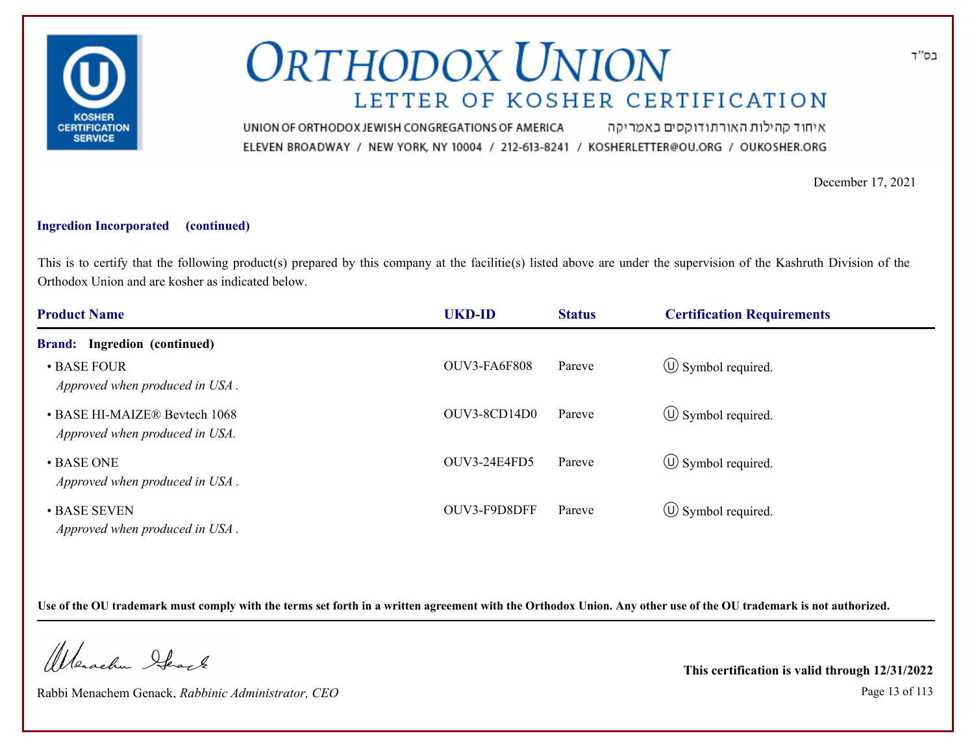

איחוד קהילות האורתודוקסים באמריקה UNION OF ORTHODOX JEWISH CONGREGATIONS OF AMERICA ELEVEN BROADWAY / NEW YORK, NY 10004 / 212-613-8241 / KOSHERLETTER@OU.ORG / OUKOSHER.ORG

December 17, 2021

### **Ingredion Incorporated (continued)**

This is to certify that the following product(s) prepared by this company at the facilitie(s) listed above are under the supervision of the Kashruth Division of the Orthodox Union and are kosher as indicated below.

| <b>Product Name</b>                                             | <b>UKD-ID</b> | <b>Status</b> | <b>Certification Requirements</b> |  |
|-----------------------------------------------------------------|---------------|---------------|-----------------------------------|--|
| <b>Brand:</b> Ingredion (continued)                             |               |               |                                   |  |
| <b>• BASE FOUR</b><br>Approved when produced in USA.            | OUV3-FA6F808  | Pareve        | $\circled{1}$ Symbol required.    |  |
| • BASE HI-MAIZE® Bevtech 1068<br>Approved when produced in USA. | OUV3-8CD14D0  | Pareve        | $\circled{1}$ Symbol required.    |  |
| • BASE ONE<br>Approved when produced in USA.                    | OUV3-24E4FD5  | Pareve        | $\circled{1}$ Symbol required.    |  |
| <b>• BASE SEVEN</b><br>Approved when produced in USA.           | OUV3-F9D8DFF  | Pareve        | $\circled{1}$ Symbol required.    |  |

**Use of the OU trademark must comply with the terms set forth in a written agreement with the Orthodox Union. Any other use of the OU trademark is not authorized.**

Werachen Stack

Rabbi Menachem Genack, *Rabbinic Administrator, CEO* Page 13 of 113

**This certification is valid through 12/31/2022**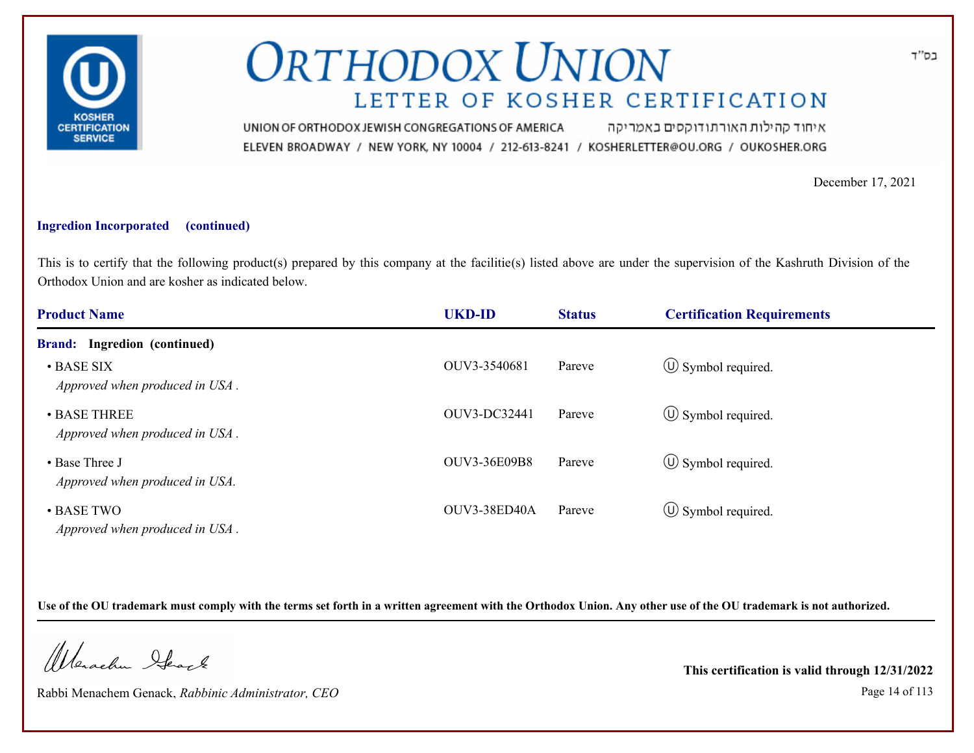

איחוד קהילות האורתודוקסים באמריקה UNION OF ORTHODOX JEWISH CONGREGATIONS OF AMERICA ELEVEN BROADWAY / NEW YORK, NY 10004 / 212-613-8241 / KOSHERLETTER@OU.ORG / OUKOSHER.ORG

December 17, 2021

#### **Ingredion Incorporated (continued)**

This is to certify that the following product(s) prepared by this company at the facilitie(s) listed above are under the supervision of the Kashruth Division of the Orthodox Union and are kosher as indicated below.

| <b>Product Name</b>                                   | <b>UKD-ID</b>       | <b>Status</b> | <b>Certification Requirements</b> |
|-------------------------------------------------------|---------------------|---------------|-----------------------------------|
| <b>Brand:</b> Ingredion (continued)                   |                     |               |                                   |
| <b>• BASE SIX</b><br>Approved when produced in USA.   | OUV3-3540681        | Pareve        | $\circled{1}$ Symbol required.    |
| <b>• BASE THREE</b><br>Approved when produced in USA. | OUV3-DC32441        | Pareve        | $\circled{1}$ Symbol required.    |
| • Base Three J<br>Approved when produced in USA.      | <b>OUV3-36E09B8</b> | Pareve        | $\circled{1}$ Symbol required.    |
| • BASE TWO<br>Approved when produced in USA.          | OUV3-38ED40A        | Pareve        | $\circled{1}$ Symbol required.    |

**Use of the OU trademark must comply with the terms set forth in a written agreement with the Orthodox Union. Any other use of the OU trademark is not authorized.**

Werachen Stack

Rabbi Menachem Genack, *Rabbinic Administrator, CEO* Page 14 of 113

**This certification is valid through 12/31/2022**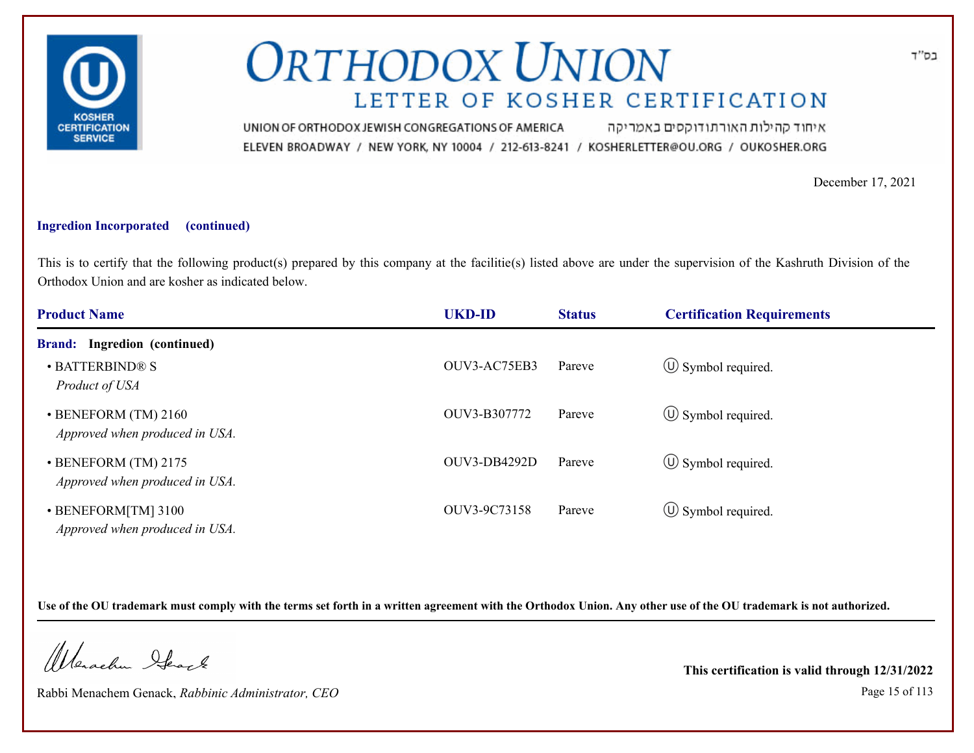

איחוד קהילות האורתודוקסים באמריקה UNION OF ORTHODOX JEWISH CONGREGATIONS OF AMERICA ELEVEN BROADWAY / NEW YORK, NY 10004 / 212-613-8241 / KOSHERLETTER@OU.ORG / OUKOSHER.ORG

December 17, 2021

### **Ingredion Incorporated (continued)**

This is to certify that the following product(s) prepared by this company at the facilitie(s) listed above are under the supervision of the Kashruth Division of the Orthodox Union and are kosher as indicated below.

| <b>Product Name</b>                                    | <b>UKD-ID</b> | <b>Status</b> | <b>Certification Requirements</b> |  |
|--------------------------------------------------------|---------------|---------------|-----------------------------------|--|
| <b>Brand:</b> Ingredion (continued)                    |               |               |                                   |  |
| <b>• BATTERBIND® S</b><br>Product of USA               | OUV3-AC75EB3  | Pareve        | $\circled{1}$ Symbol required.    |  |
| • BENEFORM (TM) 2160<br>Approved when produced in USA. | OUV3-B307772  | Pareve        | $\circled{1}$ Symbol required.    |  |
| • BENEFORM (TM) 2175<br>Approved when produced in USA. | OUV3-DB4292D  | Pareve        | $\circled{1}$ Symbol required.    |  |
| • BENEFORM[TM] 3100<br>Approved when produced in USA.  | OUV3-9C73158  | Pareve        | $\circled{1}$ Symbol required.    |  |

**Use of the OU trademark must comply with the terms set forth in a written agreement with the Orthodox Union. Any other use of the OU trademark is not authorized.**

Werachen Stack

Rabbi Menachem Genack, *Rabbinic Administrator, CEO* Page 15 of 113

**This certification is valid through 12/31/2022**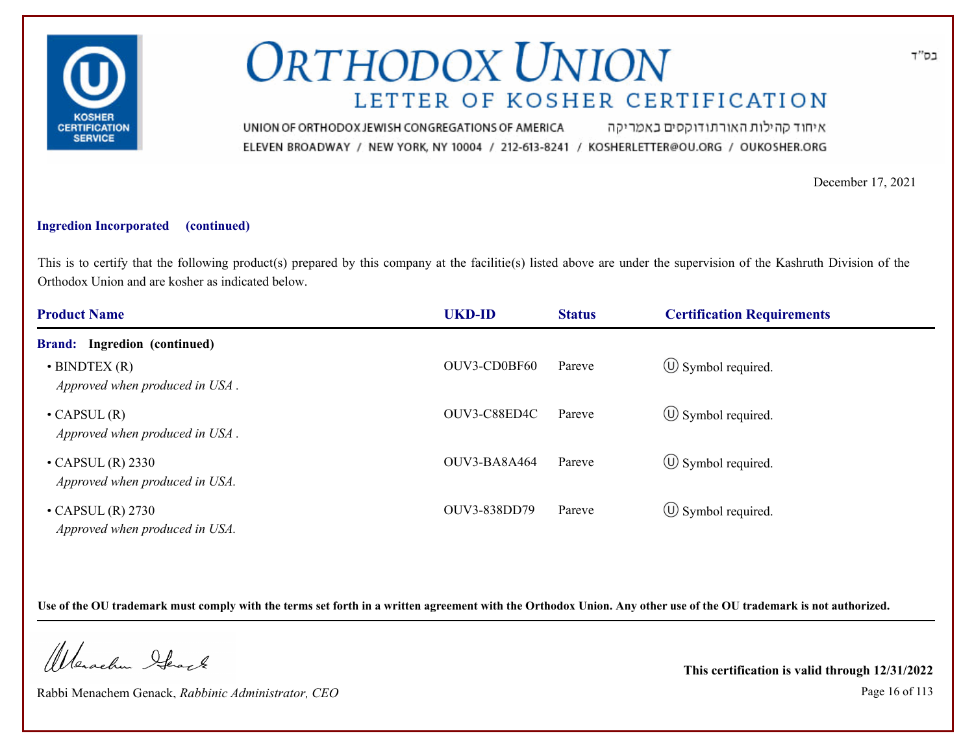

איחוד קהילות האורתודוקסים באמריקה UNION OF ORTHODOX JEWISH CONGREGATIONS OF AMERICA ELEVEN BROADWAY / NEW YORK, NY 10004 / 212-613-8241 / KOSHERLETTER@OU.ORG / OUKOSHER.ORG

December 17, 2021

#### **Ingredion Incorporated (continued)**

This is to certify that the following product(s) prepared by this company at the facilitie(s) listed above are under the supervision of the Kashruth Division of the Orthodox Union and are kosher as indicated below.

| <b>Product Name</b>                                       | <b>UKD-ID</b> | <b>Status</b> | <b>Certification Requirements</b> |  |
|-----------------------------------------------------------|---------------|---------------|-----------------------------------|--|
| <b>Brand:</b> Ingredion (continued)                       |               |               |                                   |  |
| $\cdot$ BINDTEX $(R)$<br>Approved when produced in USA.   | OUV3-CD0BF60  | Pareve        | $\circ$ Symbol required.          |  |
| $\cdot$ CAPSUL(R)<br>Approved when produced in USA.       | OUV3-C88ED4C  | Pareve        | $\circled{1}$ Symbol required.    |  |
| $\cdot$ CAPSUL (R) 2330<br>Approved when produced in USA. | OUV3-BA8A464  | Pareve        | $\circled{0}$ Symbol required.    |  |
| $\cdot$ CAPSUL (R) 2730<br>Approved when produced in USA. | OUV3-838DD79  | Pareve        | $\circled{1}$ Symbol required.    |  |

**Use of the OU trademark must comply with the terms set forth in a written agreement with the Orthodox Union. Any other use of the OU trademark is not authorized.**

Werachen Stack

Rabbi Menachem Genack, *Rabbinic Administrator, CEO* Page 16 of 113

**This certification is valid through 12/31/2022**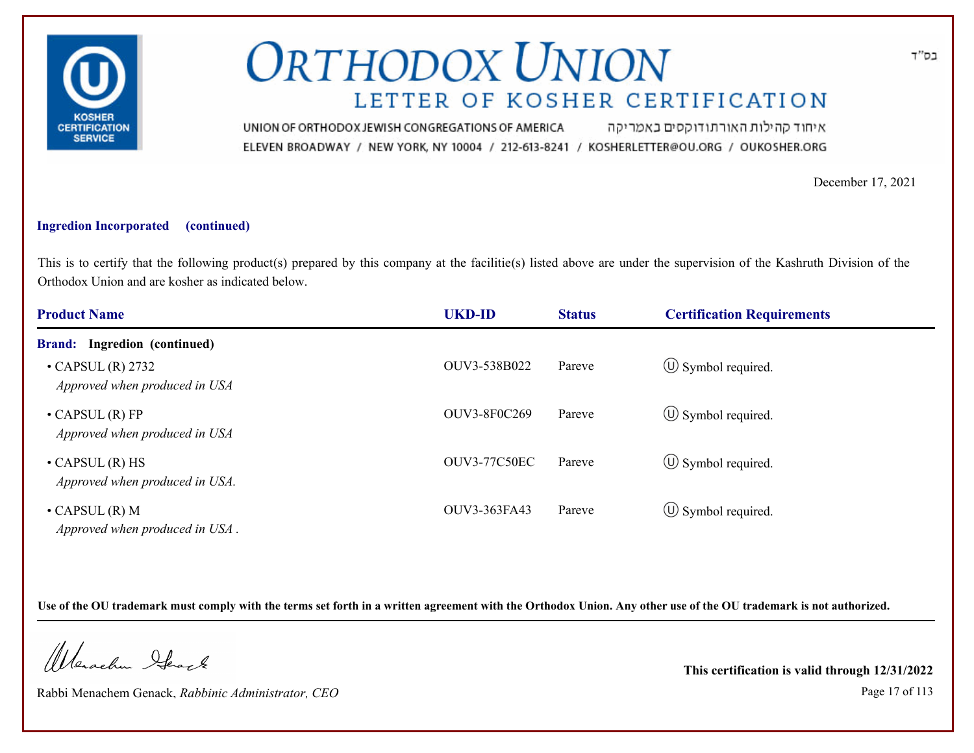

איחוד קהילות האורתודוקסים באמריקה UNION OF ORTHODOX JEWISH CONGREGATIONS OF AMERICA ELEVEN BROADWAY / NEW YORK, NY 10004 / 212-613-8241 / KOSHERLETTER@OU.ORG / OUKOSHER.ORG

December 17, 2021

#### **Ingredion Incorporated (continued)**

This is to certify that the following product(s) prepared by this company at the facilitie(s) listed above are under the supervision of the Kashruth Division of the Orthodox Union and are kosher as indicated below.

| <b>Product Name</b>                                       | <b>UKD-ID</b>       | <b>Status</b> | <b>Certification Requirements</b> |  |
|-----------------------------------------------------------|---------------------|---------------|-----------------------------------|--|
| <b>Brand:</b> Ingredion (continued)                       |                     |               |                                   |  |
| $\cdot$ CAPSUL (R) 2732<br>Approved when produced in USA  | OUV3-538B022        | Pareve        | $\circled{1}$ Symbol required.    |  |
| $\bullet$ CAPSUL (R) FP<br>Approved when produced in USA  | OUV3-8F0C269        | Pareve        | $\circled{0}$ Symbol required.    |  |
| $\bullet$ CAPSUL (R) HS<br>Approved when produced in USA. | <b>OUV3-77C50EC</b> | Pareve        | $\circled{1}$ Symbol required.    |  |
| $\bullet$ CAPSUL (R) M<br>Approved when produced in USA.  | OUV3-363FA43        | Pareve        | $\circled{1}$ Symbol required.    |  |

**Use of the OU trademark must comply with the terms set forth in a written agreement with the Orthodox Union. Any other use of the OU trademark is not authorized.**

Werachen Stack

Rabbi Menachem Genack, *Rabbinic Administrator, CEO* Page 17 of 113

**This certification is valid through 12/31/2022**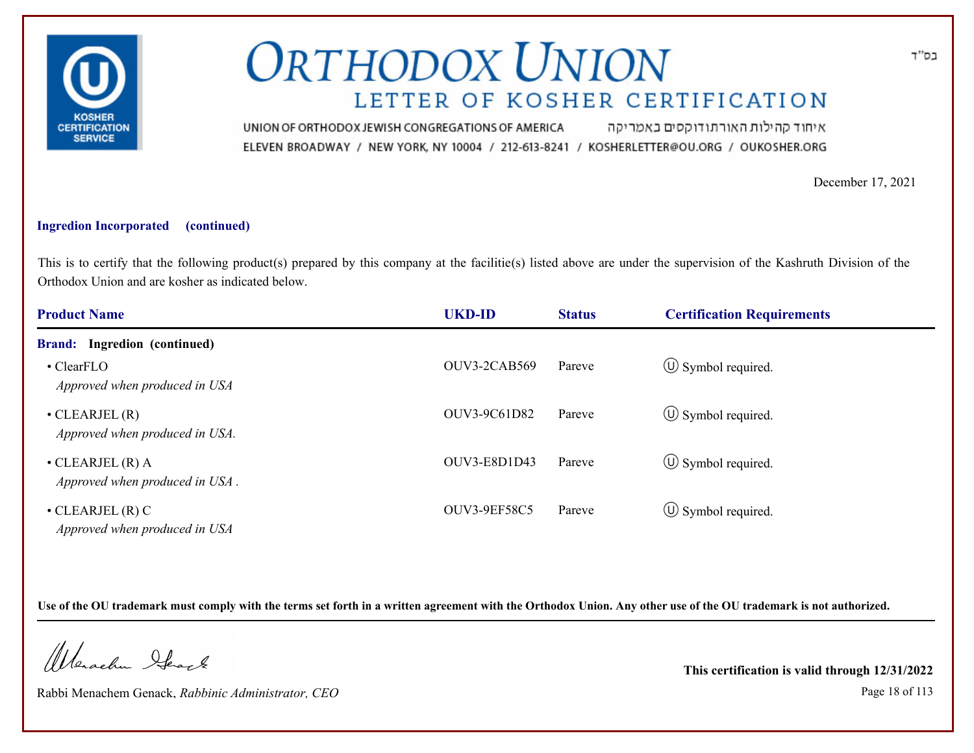

איחוד קהילות האורתודוקסים באמריקה UNION OF ORTHODOX JEWISH CONGREGATIONS OF AMERICA ELEVEN BROADWAY / NEW YORK, NY 10004 / 212-613-8241 / KOSHERLETTER@OU.ORG / OUKOSHER.ORG

December 17, 2021

### **Ingredion Incorporated (continued)**

This is to certify that the following product(s) prepared by this company at the facilitie(s) listed above are under the supervision of the Kashruth Division of the Orthodox Union and are kosher as indicated below.

| <b>Product Name</b>                                        | <b>UKD-ID</b>       | <b>Status</b> | <b>Certification Requirements</b> |  |
|------------------------------------------------------------|---------------------|---------------|-----------------------------------|--|
| <b>Brand:</b> Ingredion (continued)                        |                     |               |                                   |  |
| • ClearFLO<br>Approved when produced in USA                | OUV3-2CAB569        | Pareve        | $\circled{1}$ Symbol required.    |  |
| $\cdot$ CLEARJEL (R)<br>Approved when produced in USA.     | OUV3-9C61D82        | Pareve        | $\circled{1}$ Symbol required.    |  |
| $\bullet$ CLEARJEL (R) A<br>Approved when produced in USA. | OUV3-E8D1D43        | Pareve        | $\circled{1}$ Symbol required.    |  |
| $\cdot$ CLEARJEL (R) C<br>Approved when produced in USA    | <b>OUV3-9EF58C5</b> | Pareve        | $\circled{1}$ Symbol required.    |  |

**Use of the OU trademark must comply with the terms set forth in a written agreement with the Orthodox Union. Any other use of the OU trademark is not authorized.**

Werachen Stack

Rabbi Menachem Genack, *Rabbinic Administrator, CEO* Page 18 of 113

**This certification is valid through 12/31/2022**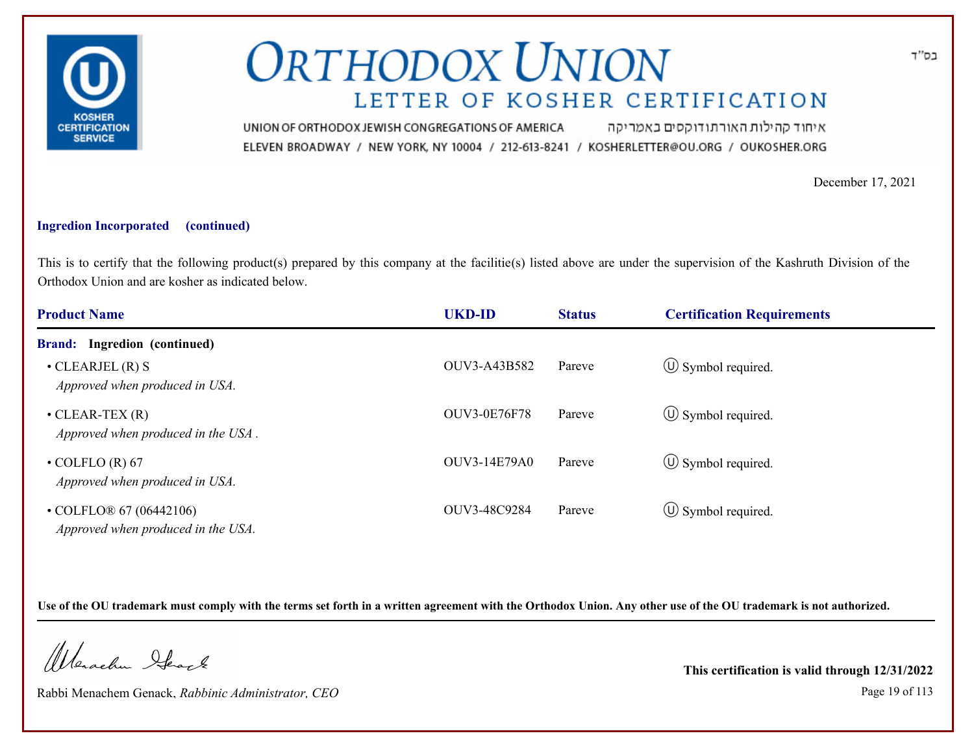

איחוד קהילות האורתודוקסים באמריקה UNION OF ORTHODOX JEWISH CONGREGATIONS OF AMERICA ELEVEN BROADWAY / NEW YORK, NY 10004 / 212-613-8241 / KOSHERLETTER@OU.ORG / OUKOSHER.ORG

December 17, 2021

#### **Ingredion Incorporated (continued)**

This is to certify that the following product(s) prepared by this company at the facilitie(s) listed above are under the supervision of the Kashruth Division of the Orthodox Union and are kosher as indicated below.

| <b>Product Name</b>                                                 | <b>UKD-ID</b>       | <b>Status</b> | <b>Certification Requirements</b> |  |
|---------------------------------------------------------------------|---------------------|---------------|-----------------------------------|--|
| <b>Brand:</b> Ingredion (continued)                                 |                     |               |                                   |  |
| $\cdot$ CLEARJEL (R) S<br>Approved when produced in USA.            | OUV3-A43B582        | Pareve        | $\circled{1}$ Symbol required.    |  |
| $\cdot$ CLEAR-TEX $(R)$<br>Approved when produced in the USA.       | <b>OUV3-0E76F78</b> | Pareve        | $\circled{0}$ Symbol required.    |  |
| $\cdot$ COLFLO (R) 67<br>Approved when produced in USA.             | OUV3-14E79A0        | Pareve        | $\circled{1}$ Symbol required.    |  |
| $\cdot$ COLFLO® 67 (06442106)<br>Approved when produced in the USA. | OUV3-48C9284        | Pareve        | $\circled{1}$ Symbol required.    |  |

**Use of the OU trademark must comply with the terms set forth in a written agreement with the Orthodox Union. Any other use of the OU trademark is not authorized.**

Werachen Stack

Rabbi Menachem Genack, *Rabbinic Administrator, CEO* Page 19 of 113

**This certification is valid through 12/31/2022**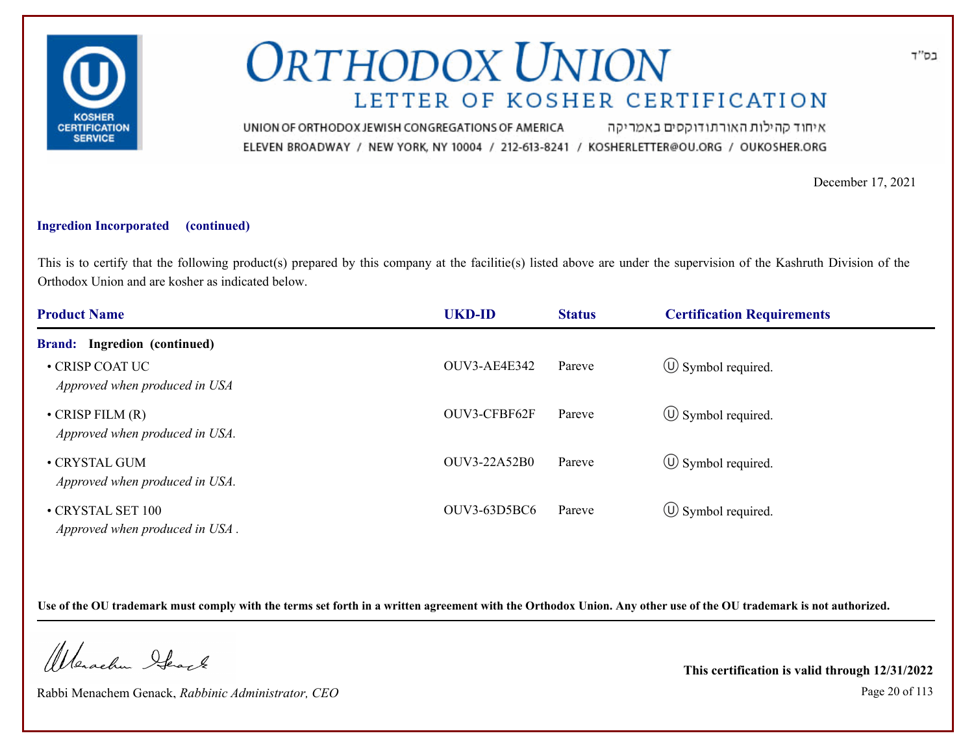

איחוד קהילות האורתודוקסים באמריקה UNION OF ORTHODOX JEWISH CONGREGATIONS OF AMERICA ELEVEN BROADWAY / NEW YORK, NY 10004 / 212-613-8241 / KOSHERLETTER@OU.ORG / OUKOSHER.ORG

December 17, 2021

#### **Ingredion Incorporated (continued)**

This is to certify that the following product(s) prepared by this company at the facilitie(s) listed above are under the supervision of the Kashruth Division of the Orthodox Union and are kosher as indicated below.

| <b>Product Name</b>                                        | <b>UKD-ID</b> | <b>Status</b> | <b>Certification Requirements</b> |  |
|------------------------------------------------------------|---------------|---------------|-----------------------------------|--|
| <b>Brand:</b> Ingredion (continued)                        |               |               |                                   |  |
| • CRISP COAT UC<br>Approved when produced in USA           | OUV3-AE4E342  | Pareve        | $\circled{1}$ Symbol required.    |  |
| $\cdot$ CRISP FILM $(R)$<br>Approved when produced in USA. | OUV3-CFBF62F  | Pareve        | $\circled{1}$ Symbol required.    |  |
| • CRYSTAL GUM<br>Approved when produced in USA.            | OUV3-22A52B0  | Pareve        | $\circled{1}$ Symbol required.    |  |
| • CRYSTAL SET 100<br>Approved when produced in USA.        | OUV3-63D5BC6  | Pareve        | $\circled{1}$ Symbol required.    |  |

**Use of the OU trademark must comply with the terms set forth in a written agreement with the Orthodox Union. Any other use of the OU trademark is not authorized.**

Werachen Stack

Rabbi Menachem Genack, *Rabbinic Administrator, CEO* Page 20 of 113

**This certification is valid through 12/31/2022**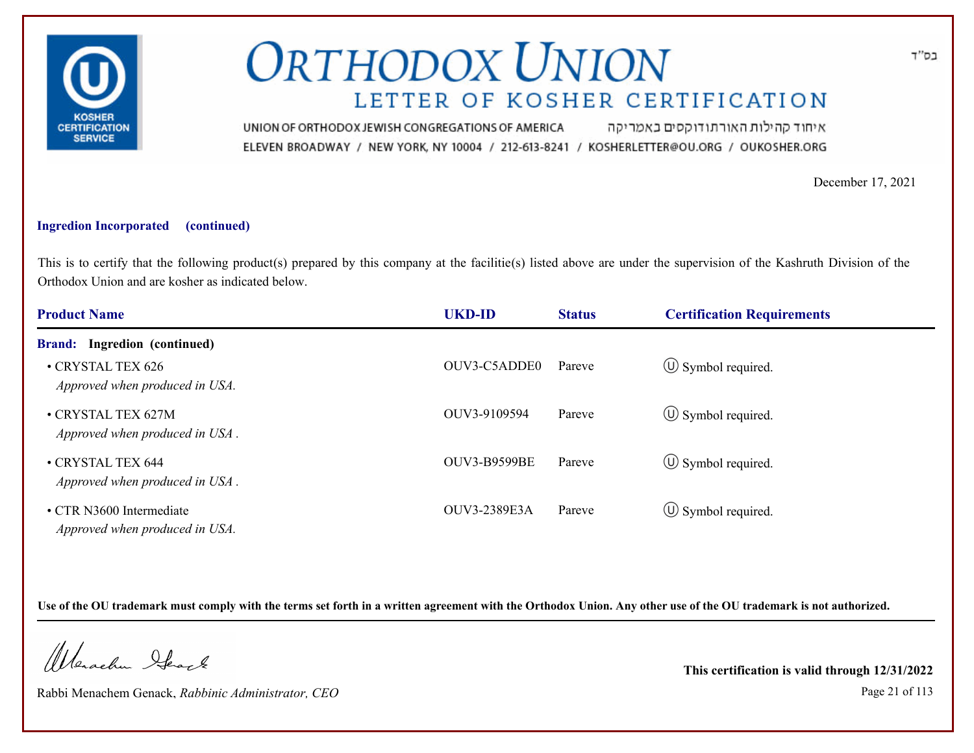

איחוד קהילות האורתודוקסים באמריקה UNION OF ORTHODOX JEWISH CONGREGATIONS OF AMERICA ELEVEN BROADWAY / NEW YORK, NY 10004 / 212-613-8241 / KOSHERLETTER@OU.ORG / OUKOSHER.ORG

December 17, 2021

### **Ingredion Incorporated (continued)**

This is to certify that the following product(s) prepared by this company at the facilitie(s) listed above are under the supervision of the Kashruth Division of the Orthodox Union and are kosher as indicated below.

| <b>Product Name</b>                                        | <b>UKD-ID</b>       | <b>Status</b> | <b>Certification Requirements</b> |  |
|------------------------------------------------------------|---------------------|---------------|-----------------------------------|--|
| <b>Brand:</b> Ingredion (continued)                        |                     |               |                                   |  |
| • CRYSTAL TEX 626<br>Approved when produced in USA.        | OUV3-C5ADDE0        | Pareve        | $\circled{1}$ Symbol required.    |  |
| • CRYSTAL TEX 627M<br>Approved when produced in USA.       | OUV3-9109594        | Pareve        | $\circled{1}$ Symbol required.    |  |
| • CRYSTAL TEX 644<br>Approved when produced in USA.        | <b>OUV3-B9599BE</b> | Pareve        | $\circled{1}$ Symbol required.    |  |
| • CTR N3600 Intermediate<br>Approved when produced in USA. | OUV3-2389E3A        | Pareve        | $\circled{1}$ Symbol required.    |  |

**Use of the OU trademark must comply with the terms set forth in a written agreement with the Orthodox Union. Any other use of the OU trademark is not authorized.**

Werachen Stack

Rabbi Menachem Genack, *Rabbinic Administrator, CEO* Page 21 of 113

**This certification is valid through 12/31/2022**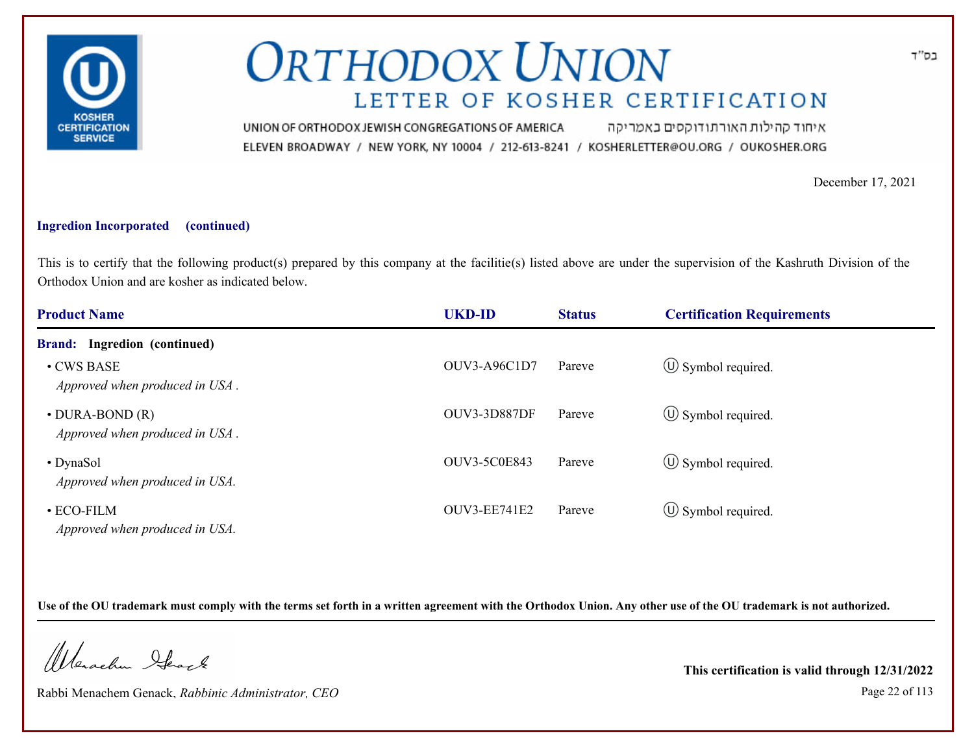

איחוד קהילות האורתודוקסים באמריקה UNION OF ORTHODOX JEWISH CONGREGATIONS OF AMERICA ELEVEN BROADWAY / NEW YORK, NY 10004 / 212-613-8241 / KOSHERLETTER@OU.ORG / OUKOSHER.ORG

December 17, 2021

### **Ingredion Incorporated (continued)**

This is to certify that the following product(s) prepared by this company at the facilitie(s) listed above are under the supervision of the Kashruth Division of the Orthodox Union and are kosher as indicated below.

| <b>Product Name</b>                                     | <b>UKD-ID</b>       | <b>Status</b> | <b>Certification Requirements</b> |
|---------------------------------------------------------|---------------------|---------------|-----------------------------------|
| <b>Brand:</b> Ingredion (continued)                     |                     |               |                                   |
| • CWS BASE<br>Approved when produced in USA.            | <b>OUV3-A96C1D7</b> | Pareve        | $\circled{1}$ Symbol required.    |
| $\cdot$ DURA-BOND (R)<br>Approved when produced in USA. | <b>OUV3-3D887DF</b> | Pareve        | $\circled{1}$ Symbol required.    |
| • DynaSol<br>Approved when produced in USA.             | OUV3-5C0E843        | Pareve        | $\circled{1}$ Symbol required.    |
| $\cdot$ ECO-FILM<br>Approved when produced in USA.      | <b>OUV3-EE741E2</b> | Pareve        | $\circled{1}$ Symbol required.    |

**Use of the OU trademark must comply with the terms set forth in a written agreement with the Orthodox Union. Any other use of the OU trademark is not authorized.**

Werachen Stack

Rabbi Menachem Genack, *Rabbinic Administrator, CEO* Page 22 of 113

**This certification is valid through 12/31/2022**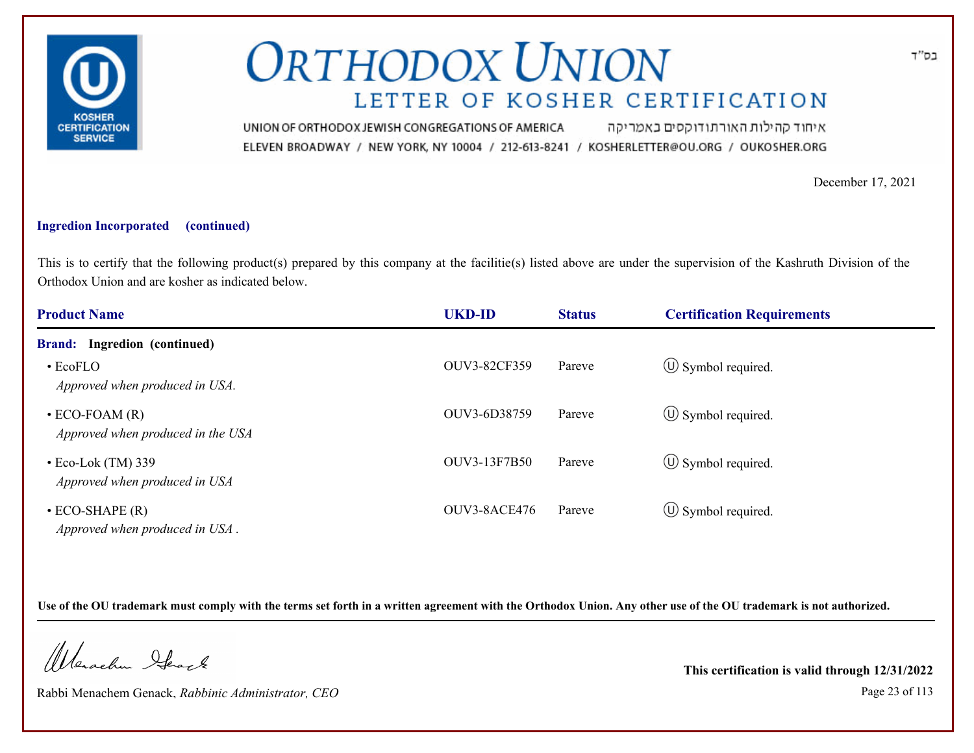

איחוד קהילות האורתודוקסים באמריקה UNION OF ORTHODOX JEWISH CONGREGATIONS OF AMERICA ELEVEN BROADWAY / NEW YORK, NY 10004 / 212-613-8241 / KOSHERLETTER@OU.ORG / OUKOSHER.ORG

December 17, 2021

#### **Ingredion Incorporated (continued)**

This is to certify that the following product(s) prepared by this company at the facilitie(s) listed above are under the supervision of the Kashruth Division of the Orthodox Union and are kosher as indicated below.

| <b>Product Name</b>                                         | <b>UKD-ID</b> | <b>Status</b> | <b>Certification Requirements</b> |  |
|-------------------------------------------------------------|---------------|---------------|-----------------------------------|--|
| <b>Brand:</b> Ingredion (continued)                         |               |               |                                   |  |
| $\cdot$ EcoFLO<br>Approved when produced in USA.            | OUV3-82CF359  | Pareve        | $\circ$ Symbol required.          |  |
| $\cdot$ ECO-FOAM $(R)$<br>Approved when produced in the USA | OUV3-6D38759  | Pareve        | $\circled{1}$ Symbol required.    |  |
| $\cdot$ Eco-Lok (TM) 339<br>Approved when produced in USA   | OUV3-13F7B50  | Pareve        | $\circled{0}$ Symbol required.    |  |
| $\cdot$ ECO-SHAPE $(R)$<br>Approved when produced in USA.   | OUV3-8ACE476  | Pareve        | $\circled{1}$ Symbol required.    |  |

**Use of the OU trademark must comply with the terms set forth in a written agreement with the Orthodox Union. Any other use of the OU trademark is not authorized.**

Werachen Stack

Rabbi Menachem Genack, *Rabbinic Administrator, CEO* Page 23 of 113

**This certification is valid through 12/31/2022**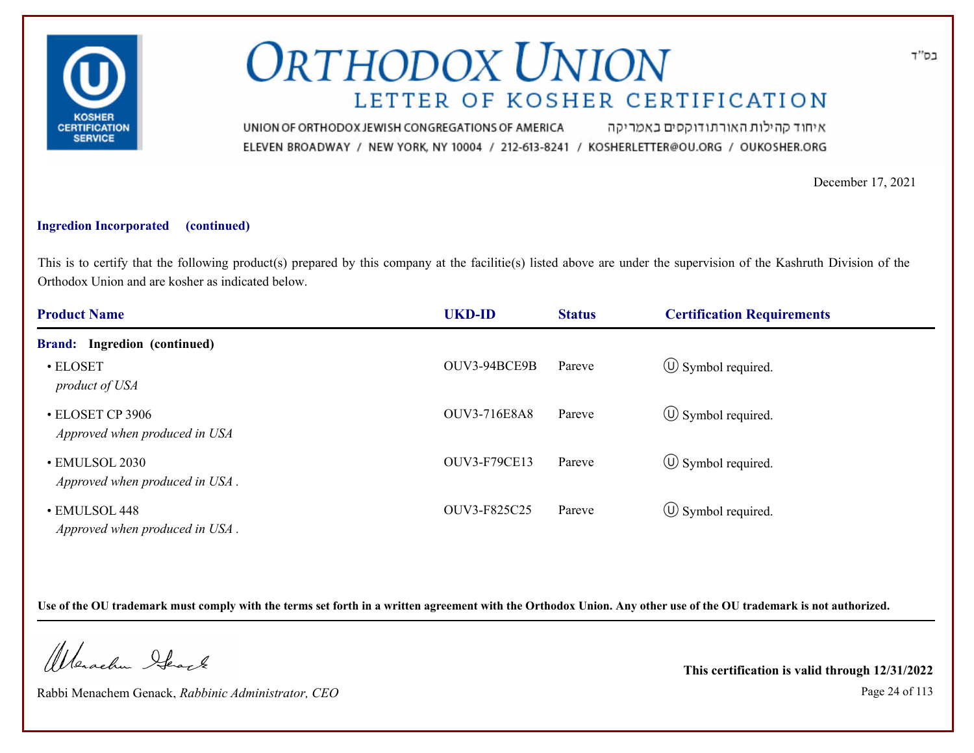

איחוד קהילות האורתודוקסים באמריקה UNION OF ORTHODOX JEWISH CONGREGATIONS OF AMERICA ELEVEN BROADWAY / NEW YORK, NY 10004 / 212-613-8241 / KOSHERLETTER@OU.ORG / OUKOSHER.ORG

December 17, 2021

#### **Ingredion Incorporated (continued)**

This is to certify that the following product(s) prepared by this company at the facilitie(s) listed above are under the supervision of the Kashruth Division of the Orthodox Union and are kosher as indicated below.

| <b>Product Name</b>                                    | <b>UKD-ID</b>       | <b>Status</b> | <b>Certification Requirements</b> |
|--------------------------------------------------------|---------------------|---------------|-----------------------------------|
| <b>Brand:</b> Ingredion (continued)                    |                     |               |                                   |
| · ELOSET<br>product of USA                             | OUV3-94BCE9B        | Pareve        | $\circled{1}$ Symbol required.    |
| • ELOSET CP 3906<br>Approved when produced in USA      | OUV3-716E8A8        | Pareve        | $\circled{1}$ Symbol required.    |
| $\cdot$ EMULSOL 2030<br>Approved when produced in USA. | <b>OUV3-F79CE13</b> | Pareve        | $\circled{1}$ Symbol required.    |
| • EMULSOL 448<br>Approved when produced in USA.        | OUV3-F825C25        | Pareve        | $\circled{1}$ Symbol required.    |

**Use of the OU trademark must comply with the terms set forth in a written agreement with the Orthodox Union. Any other use of the OU trademark is not authorized.**

Werachen Stack

Rabbi Menachem Genack, *Rabbinic Administrator, CEO* Page 24 of 113

**This certification is valid through 12/31/2022**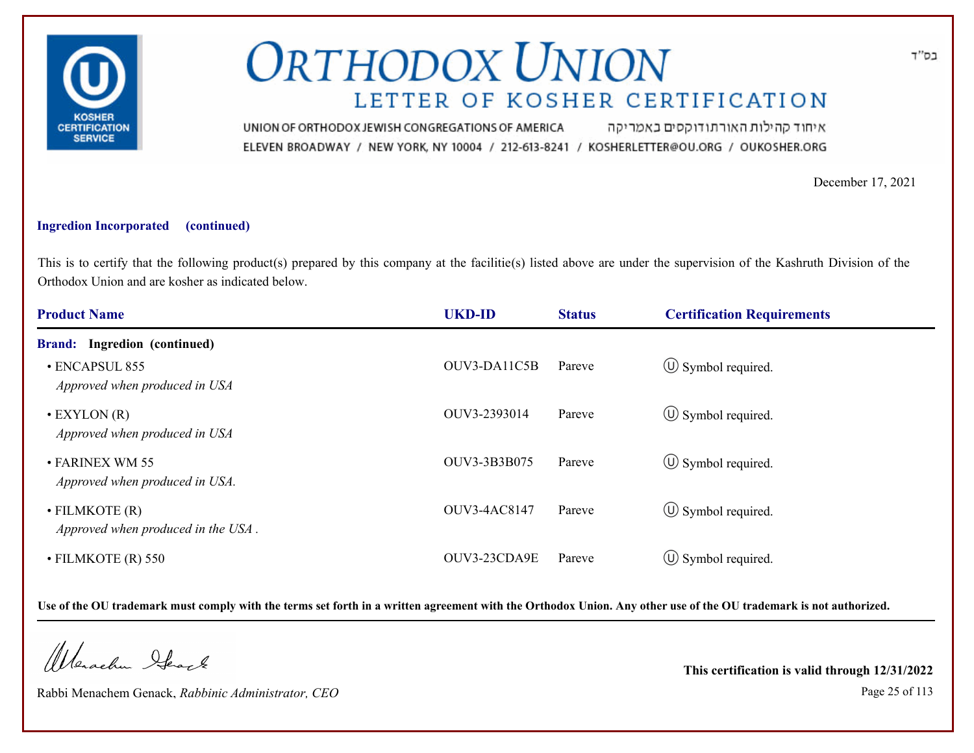

איחוד קהילות האורתודוקסים באמריקה UNION OF ORTHODOX JEWISH CONGREGATIONS OF AMERICA ELEVEN BROADWAY / NEW YORK, NY 10004 / 212-613-8241 / KOSHERLETTER@OU.ORG / OUKOSHER.ORG

December 17, 2021

#### **Ingredion Incorporated (continued)**

This is to certify that the following product(s) prepared by this company at the facilitie(s) listed above are under the supervision of the Kashruth Division of the Orthodox Union and are kosher as indicated below.

| <b>Product Name</b>                                          | <b>UKD-ID</b> | <b>Status</b> | <b>Certification Requirements</b> |  |
|--------------------------------------------------------------|---------------|---------------|-----------------------------------|--|
| <b>Brand:</b> Ingredion (continued)                          |               |               |                                   |  |
| • ENCAPSUL 855<br>Approved when produced in USA              | OUV3-DA11C5B  | Pareve        | $\circled{1}$ Symbol required.    |  |
| $\cdot$ EXYLON (R)<br>Approved when produced in USA          | OUV3-2393014  | Pareve        | $\circ$ Symbol required.          |  |
| • FARINEX WM 55<br>Approved when produced in USA.            | OUV3-3B3B075  | Pareve        | $\circled{0}$ Symbol required.    |  |
| $\cdot$ FILMKOTE $(R)$<br>Approved when produced in the USA. | OUV3-4AC8147  | Pareve        | $\circled{1}$ Symbol required.    |  |
| $\cdot$ FILMKOTE (R) 550                                     | OUV3-23CDA9E  | Pareve        | $\circ$ Symbol required.          |  |

**Use of the OU trademark must comply with the terms set forth in a written agreement with the Orthodox Union. Any other use of the OU trademark is not authorized.**

Werachen Stack

Rabbi Menachem Genack, *Rabbinic Administrator, CEO* Page 25 of 113

**This certification is valid through 12/31/2022**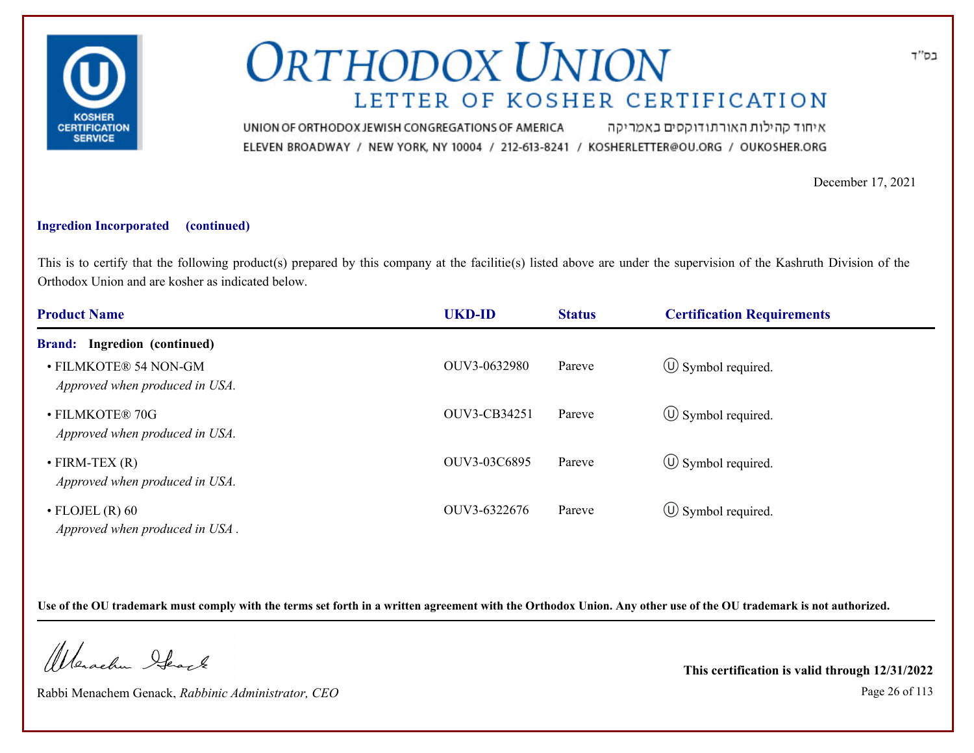

איחוד קהילות האורתודוקסים באמריקה UNION OF ORTHODOX JEWISH CONGREGATIONS OF AMERICA ELEVEN BROADWAY / NEW YORK, NY 10004 / 212-613-8241 / KOSHERLETTER@OU.ORG / OUKOSHER.ORG

December 17, 2021

#### **Ingredion Incorporated (continued)**

This is to certify that the following product(s) prepared by this company at the facilitie(s) listed above are under the supervision of the Kashruth Division of the Orthodox Union and are kosher as indicated below.

| <b>Product Name</b>                                      | <b>UKD-ID</b> | <b>Status</b> | <b>Certification Requirements</b> |  |
|----------------------------------------------------------|---------------|---------------|-----------------------------------|--|
| <b>Brand:</b> Ingredion (continued)                      |               |               |                                   |  |
| • FILMKOTE® 54 NON-GM<br>Approved when produced in USA.  | OUV3-0632980  | Pareve        | $\circled{1}$ Symbol required.    |  |
| • FILMKOTE® 70G<br>Approved when produced in USA.        | OUV3-CB34251  | Pareve        | $\circled{1}$ Symbol required.    |  |
| $\cdot$ FIRM-TEX $(R)$<br>Approved when produced in USA. | OUV3-03C6895  | Pareve        | $\circled{1}$ Symbol required.    |  |
| $\cdot$ FLOJEL (R) 60<br>Approved when produced in USA.  | OUV3-6322676  | Pareve        | $\circled{1}$ Symbol required.    |  |

**Use of the OU trademark must comply with the terms set forth in a written agreement with the Orthodox Union. Any other use of the OU trademark is not authorized.**

Werachen Stack

Rabbi Menachem Genack, *Rabbinic Administrator, CEO* Page 26 of 113

**This certification is valid through 12/31/2022**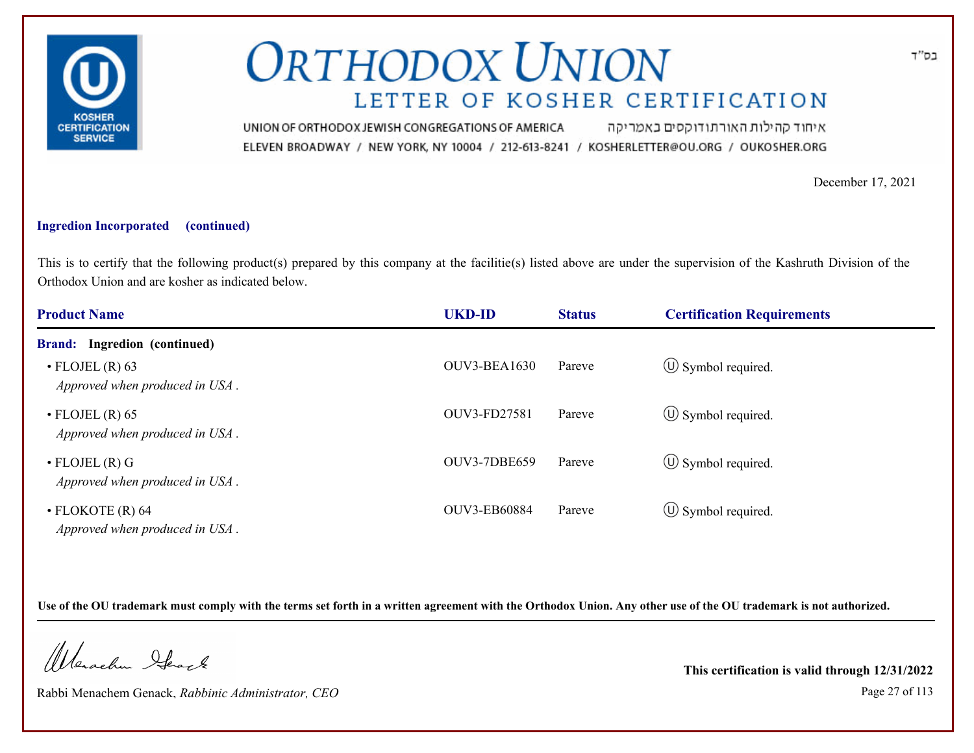

איחוד קהילות האורתודוקסים באמריקה UNION OF ORTHODOX JEWISH CONGREGATIONS OF AMERICA ELEVEN BROADWAY / NEW YORK, NY 10004 / 212-613-8241 / KOSHERLETTER@OU.ORG / OUKOSHER.ORG

December 17, 2021

### **Ingredion Incorporated (continued)**

This is to certify that the following product(s) prepared by this company at the facilitie(s) listed above are under the supervision of the Kashruth Division of the Orthodox Union and are kosher as indicated below.

| <b>Product Name</b>                                      | <b>UKD-ID</b>       | <b>Status</b> | <b>Certification Requirements</b> |  |
|----------------------------------------------------------|---------------------|---------------|-----------------------------------|--|
| <b>Brand:</b> Ingredion (continued)                      |                     |               |                                   |  |
| $\cdot$ FLOJEL (R) 63<br>Approved when produced in USA.  | <b>OUV3-BEA1630</b> | Pareve        | $\circ$ Symbol required.          |  |
| $\cdot$ FLOJEL (R) 65<br>Approved when produced in USA.  | OUV3-FD27581        | Pareve        | $\circled{1}$ Symbol required.    |  |
| $\bullet$ FLOJEL (R) G<br>Approved when produced in USA. | OUV3-7DBE659        | Pareve        | $\circled{0}$ Symbol required.    |  |
| $\cdot$ FLOKOTE (R) 64<br>Approved when produced in USA. | OUV3-EB60884        | Pareve        | $\circ$ Symbol required.          |  |

**Use of the OU trademark must comply with the terms set forth in a written agreement with the Orthodox Union. Any other use of the OU trademark is not authorized.**

Werachen Stack

Rabbi Menachem Genack, *Rabbinic Administrator, CEO* Page 27 of 113

**This certification is valid through 12/31/2022**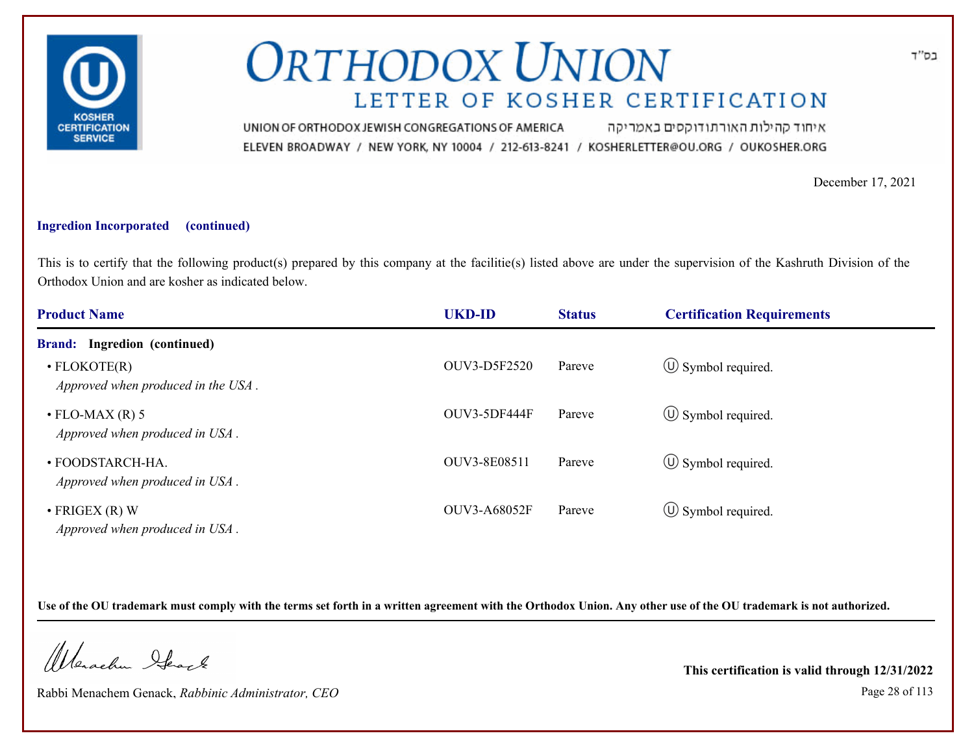

איחוד קהילות האורתודוקסים באמריקה UNION OF ORTHODOX JEWISH CONGREGATIONS OF AMERICA ELEVEN BROADWAY / NEW YORK, NY 10004 / 212-613-8241 / KOSHERLETTER@OU.ORG / OUKOSHER.ORG

December 17, 2021

### **Ingredion Incorporated (continued)**

This is to certify that the following product(s) prepared by this company at the facilitie(s) listed above are under the supervision of the Kashruth Division of the Orthodox Union and are kosher as indicated below.

| <b>Product Name</b>                                      | <b>UKD-ID</b> | <b>Status</b> | <b>Certification Requirements</b> |  |
|----------------------------------------------------------|---------------|---------------|-----------------------------------|--|
| <b>Brand:</b> Ingredion (continued)                      |               |               |                                   |  |
| $\cdot$ FLOKOTE(R)<br>Approved when produced in the USA. | OUV3-D5F2520  | Pareve        | $\circled{1}$ Symbol required.    |  |
| $\cdot$ FLO-MAX (R) 5<br>Approved when produced in USA.  | OUV3-5DF444F  | Pareve        | $\circled{1}$ Symbol required.    |  |
| • FOODSTARCH-HA.<br>Approved when produced in USA.       | OUV3-8E08511  | Pareve        | $\circled{1}$ Symbol required.    |  |
| $\cdot$ FRIGEX (R) W<br>Approved when produced in USA.   | OUV3-A68052F  | Pareve        | $\circled{1}$ Symbol required.    |  |

**Use of the OU trademark must comply with the terms set forth in a written agreement with the Orthodox Union. Any other use of the OU trademark is not authorized.**

Werachen Stack

Rabbi Menachem Genack, *Rabbinic Administrator, CEO* Page 28 of 113

**This certification is valid through 12/31/2022**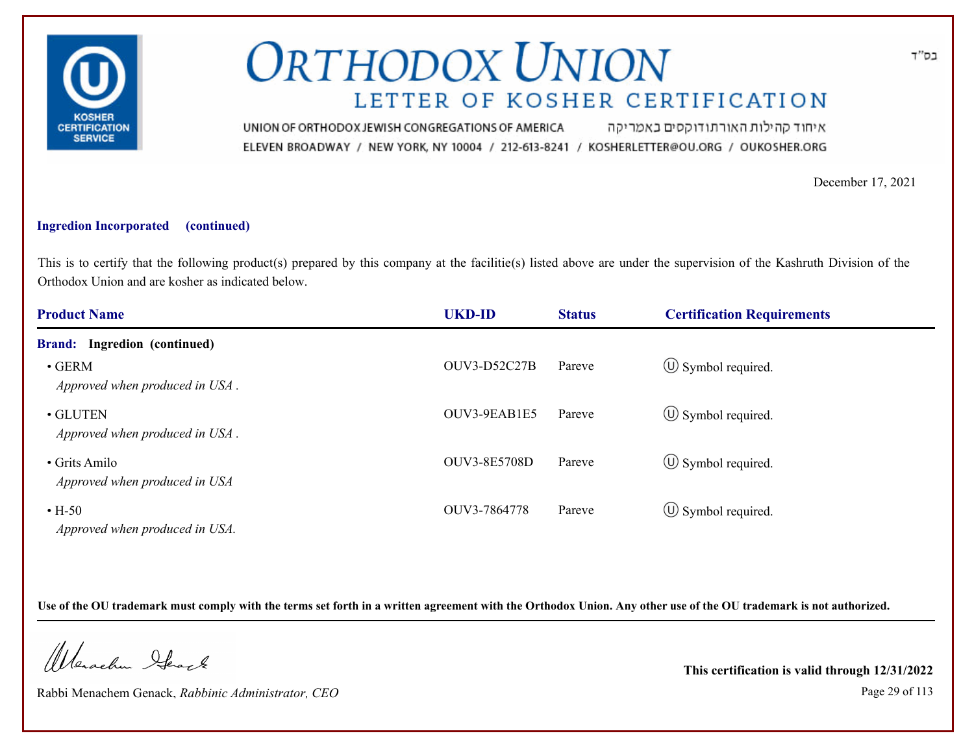

איחוד קהילות האורתודוקסים באמריקה UNION OF ORTHODOX JEWISH CONGREGATIONS OF AMERICA ELEVEN BROADWAY / NEW YORK, NY 10004 / 212-613-8241 / KOSHERLETTER@OU.ORG / OUKOSHER.ORG

December 17, 2021

#### **Ingredion Incorporated (continued)**

This is to certify that the following product(s) prepared by this company at the facilitie(s) listed above are under the supervision of the Kashruth Division of the Orthodox Union and are kosher as indicated below.

| <b>Product Name</b>                            | <b>UKD-ID</b>       | <b>Status</b> | <b>Certification Requirements</b> |  |
|------------------------------------------------|---------------------|---------------|-----------------------------------|--|
| <b>Brand:</b> Ingredion (continued)            |                     |               |                                   |  |
| $\cdot$ GERM<br>Approved when produced in USA. | OUV3-D52C27B        | Pareve        | $\circ$ Symbol required.          |  |
| · GLUTEN<br>Approved when produced in USA.     | OUV3-9EAB1E5        | Pareve        | $\circled{1}$ Symbol required.    |  |
| • Grits Amilo<br>Approved when produced in USA | <b>OUV3-8E5708D</b> | Pareve        | $\circled{0}$ Symbol required.    |  |
| $\cdot$ H-50<br>Approved when produced in USA. | OUV3-7864778        | Pareve        | $\circled{1}$ Symbol required.    |  |

**Use of the OU trademark must comply with the terms set forth in a written agreement with the Orthodox Union. Any other use of the OU trademark is not authorized.**

Werachen Stack

Rabbi Menachem Genack, *Rabbinic Administrator, CEO* Page 29 of 113

**This certification is valid through 12/31/2022**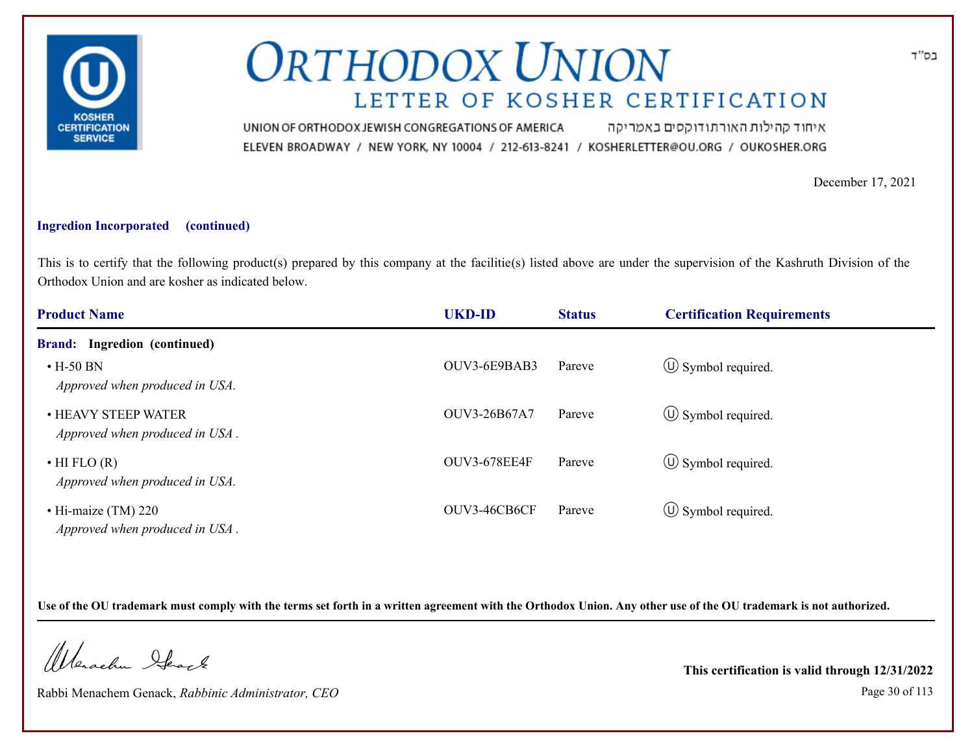

איחוד קהילות האורתודוקסים באמריקה UNION OF ORTHODOX JEWISH CONGREGATIONS OF AMERICA ELEVEN BROADWAY / NEW YORK, NY 10004 / 212-613-8241 / KOSHERLETTER@OU.ORG / OUKOSHER.ORG

December 17, 2021

#### **Ingredion Incorporated (continued)**

This is to certify that the following product(s) prepared by this company at the facilitie(s) listed above are under the supervision of the Kashruth Division of the Orthodox Union and are kosher as indicated below.

| <b>Product Name</b>                                   | <b>UKD-ID</b>       | <b>Status</b> | <b>Certification Requirements</b> |  |
|-------------------------------------------------------|---------------------|---------------|-----------------------------------|--|
| <b>Brand:</b> Ingredion (continued)                   |                     |               |                                   |  |
| $\cdot$ H-50 BN<br>Approved when produced in USA.     | OUV3-6E9BAB3        | Pareve        | $\circled{1}$ Symbol required.    |  |
| • HEAVY STEEP WATER<br>Approved when produced in USA. | OUV3-26B67A7        | Pareve        | $\circled{1}$ Symbol required.    |  |
| $\cdot$ HI FLO (R)<br>Approved when produced in USA.  | <b>OUV3-678EE4F</b> | Pareve        | $\circled{1}$ Symbol required.    |  |
| • Hi-maize (TM) 220<br>Approved when produced in USA. | OUV3-46CB6CF        | Pareve        | $\circled{1}$ Symbol required.    |  |

**Use of the OU trademark must comply with the terms set forth in a written agreement with the Orthodox Union. Any other use of the OU trademark is not authorized.**

Werachen Stack

Rabbi Menachem Genack, *Rabbinic Administrator, CEO* Page 30 of 113

**This certification is valid through 12/31/2022**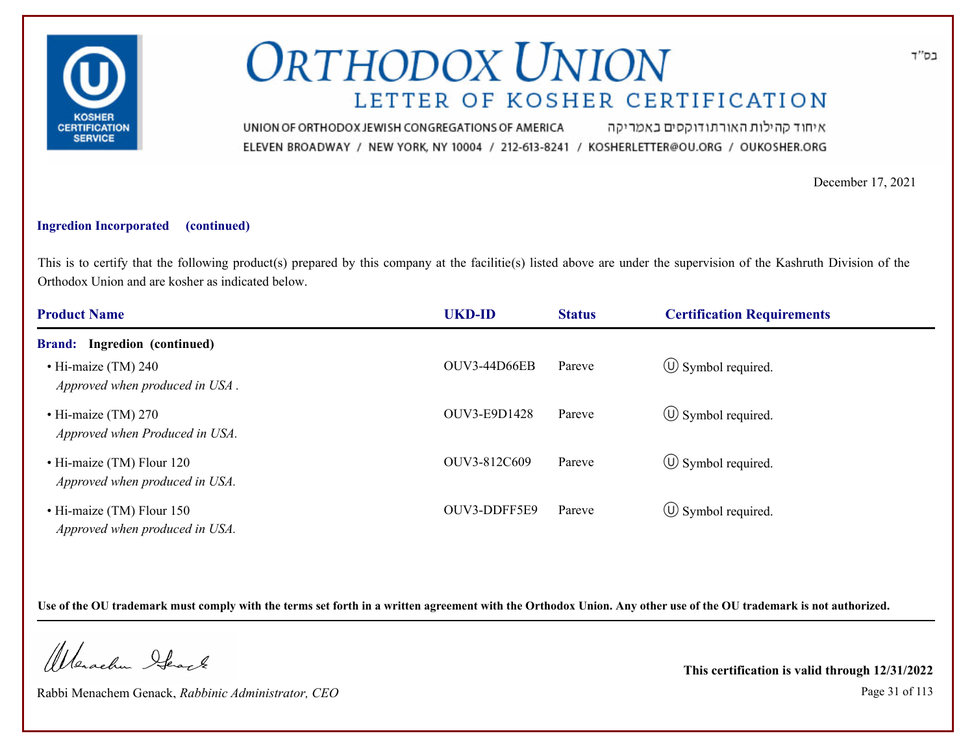

איחוד קהילות האורתודוקסים באמריקה UNION OF ORTHODOX JEWISH CONGREGATIONS OF AMERICA ELEVEN BROADWAY / NEW YORK, NY 10004 / 212-613-8241 / KOSHERLETTER@OU.ORG / OUKOSHER.ORG

December 17, 2021

#### **Ingredion Incorporated (continued)**

This is to certify that the following product(s) prepared by this company at the facilitie(s) listed above are under the supervision of the Kashruth Division of the Orthodox Union and are kosher as indicated below.

| <b>Product Name</b>                                         | <b>UKD-ID</b>       | <b>Status</b> | <b>Certification Requirements</b> |  |
|-------------------------------------------------------------|---------------------|---------------|-----------------------------------|--|
| <b>Brand:</b> Ingredion (continued)                         |                     |               |                                   |  |
| • Hi-maize (TM) 240<br>Approved when produced in USA.       | <b>OUV3-44D66EB</b> | Pareve        | $\circled{0}$ Symbol required.    |  |
| • Hi-maize (TM) 270<br>Approved when Produced in USA.       | OUV3-E9D1428        | Pareve        | $\circled{0}$ Symbol required.    |  |
| • Hi-maize (TM) Flour 120<br>Approved when produced in USA. | OUV3-812C609        | Pareve        | $\circled{1}$ Symbol required.    |  |
| • Hi-maize (TM) Flour 150<br>Approved when produced in USA. | OUV3-DDFF5E9        | Pareve        | $\circled{1}$ Symbol required.    |  |

**Use of the OU trademark must comply with the terms set forth in a written agreement with the Orthodox Union. Any other use of the OU trademark is not authorized.**

Werachen Stack

Rabbi Menachem Genack, *Rabbinic Administrator, CEO* Page 31 of 113

**This certification is valid through 12/31/2022**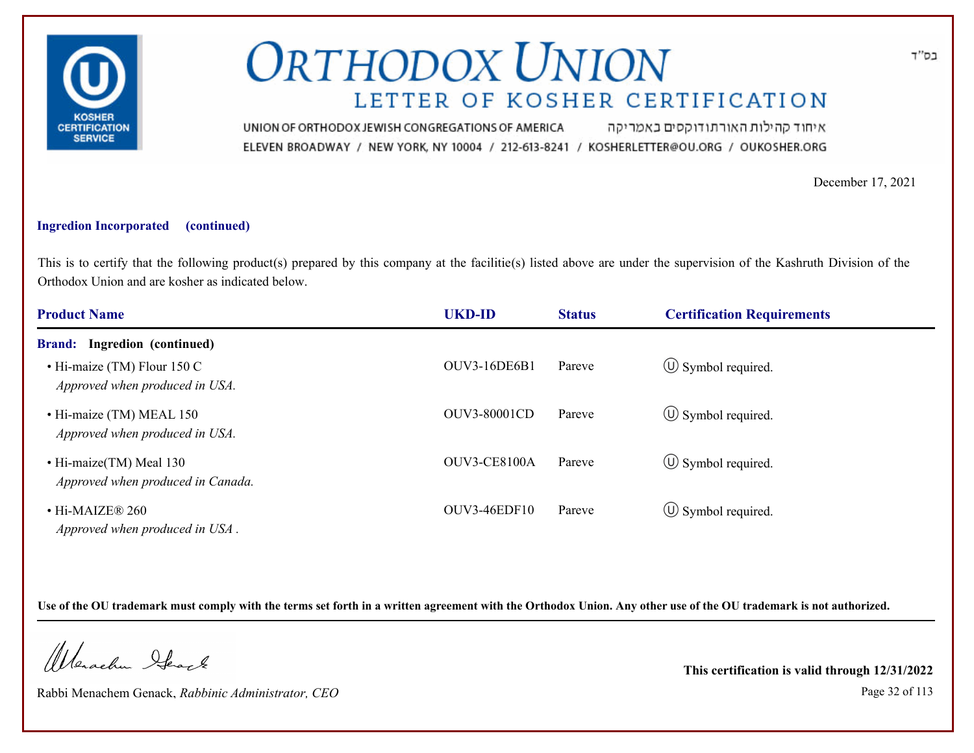

איחוד קהילות האורתודוקסים באמריקה UNION OF ORTHODOX JEWISH CONGREGATIONS OF AMERICA ELEVEN BROADWAY / NEW YORK, NY 10004 / 212-613-8241 / KOSHERLETTER@OU.ORG / OUKOSHER.ORG

December 17, 2021

#### **Ingredion Incorporated (continued)**

This is to certify that the following product(s) prepared by this company at the facilitie(s) listed above are under the supervision of the Kashruth Division of the Orthodox Union and are kosher as indicated below.

| <b>Product Name</b>                                                   | <b>UKD-ID</b>       | <b>Status</b> | <b>Certification Requirements</b> |  |
|-----------------------------------------------------------------------|---------------------|---------------|-----------------------------------|--|
| <b>Brand:</b> Ingredion (continued)                                   |                     |               |                                   |  |
| $\bullet$ Hi-maize (TM) Flour 150 C<br>Approved when produced in USA. | <b>OUV3-16DE6B1</b> | Pareve        | $\circ$ Symbol required.          |  |
| • Hi-maize (TM) MEAL 150<br>Approved when produced in USA.            | OUV3-80001CD        | Pareve        | $\circled{1}$ Symbol required.    |  |
| • Hi-maize(TM) Meal 130<br>Approved when produced in Canada.          | OUV3-CE8100A        | Pareve        | $\circled{0}$ Symbol required.    |  |
| • Hi-MAIZE® 260<br>Approved when produced in USA.                     | OUV3-46EDF10        | Pareve        | $\circled{1}$ Symbol required.    |  |

**Use of the OU trademark must comply with the terms set forth in a written agreement with the Orthodox Union. Any other use of the OU trademark is not authorized.**

Werachen Stack

Rabbi Menachem Genack, *Rabbinic Administrator, CEO* Page 32 of 113

**This certification is valid through 12/31/2022**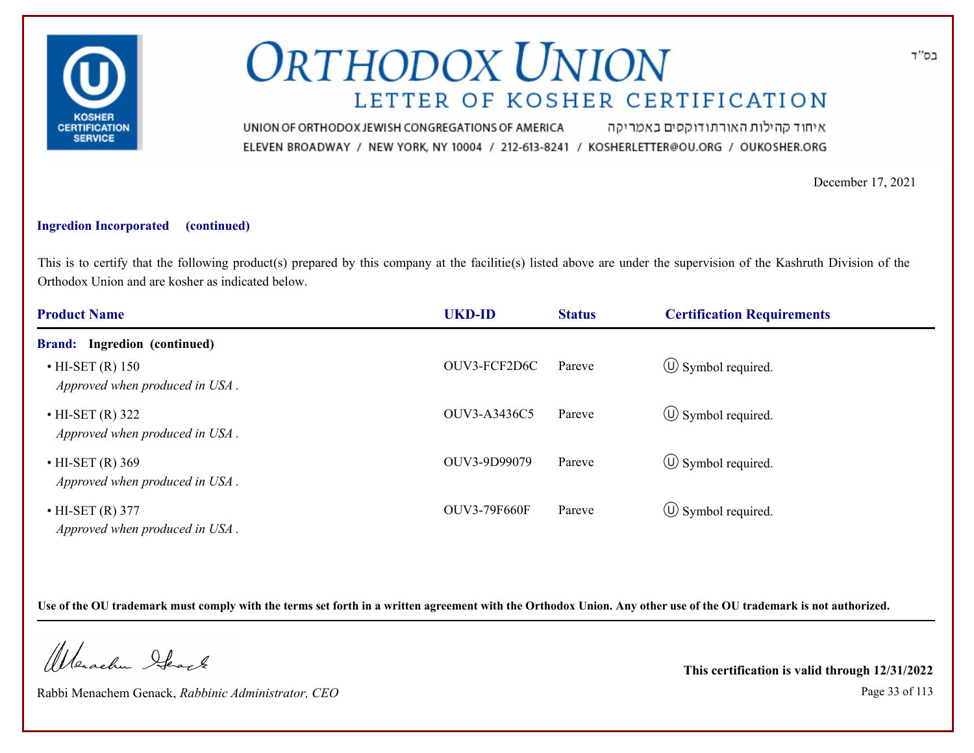

איחוד קהילות האורתודוקסים באמריקה UNION OF ORTHODOX JEWISH CONGREGATIONS OF AMERICA ELEVEN BROADWAY / NEW YORK, NY 10004 / 212-613-8241 / KOSHERLETTER@OU.ORG / OUKOSHER.ORG

December 17, 2021

### **Ingredion Incorporated (continued)**

This is to certify that the following product(s) prepared by this company at the facilitie(s) listed above are under the supervision of the Kashruth Division of the Orthodox Union and are kosher as indicated below.

| <b>Product Name</b>                                        | <b>UKD-ID</b>       | <b>Status</b> | <b>Certification Requirements</b> |
|------------------------------------------------------------|---------------------|---------------|-----------------------------------|
| <b>Brand:</b> Ingredion (continued)                        |                     |               |                                   |
| $\cdot$ HI-SET (R) 150<br>Approved when produced in USA.   | OUV3-FCF2D6C        | Pareve        | $\circled{0}$ Symbol required.    |
| $\bullet$ HI-SET (R) 322<br>Approved when produced in USA. | OUV3-A3436C5        | Pareve        | $\circled{0}$ Symbol required.    |
| $\bullet$ HI-SET (R) 369<br>Approved when produced in USA. | OUV3-9D99079        | Pareve        | $\circled{1}$ Symbol required.    |
| $\cdot$ HI-SET (R) 377<br>Approved when produced in USA.   | <b>OUV3-79F660F</b> | Pareve        | $\circled{1}$ Symbol required.    |

**Use of the OU trademark must comply with the terms set forth in a written agreement with the Orthodox Union. Any other use of the OU trademark is not authorized.**

Werachen Stack

Rabbi Menachem Genack, *Rabbinic Administrator, CEO* Page 33 of 113

**This certification is valid through 12/31/2022**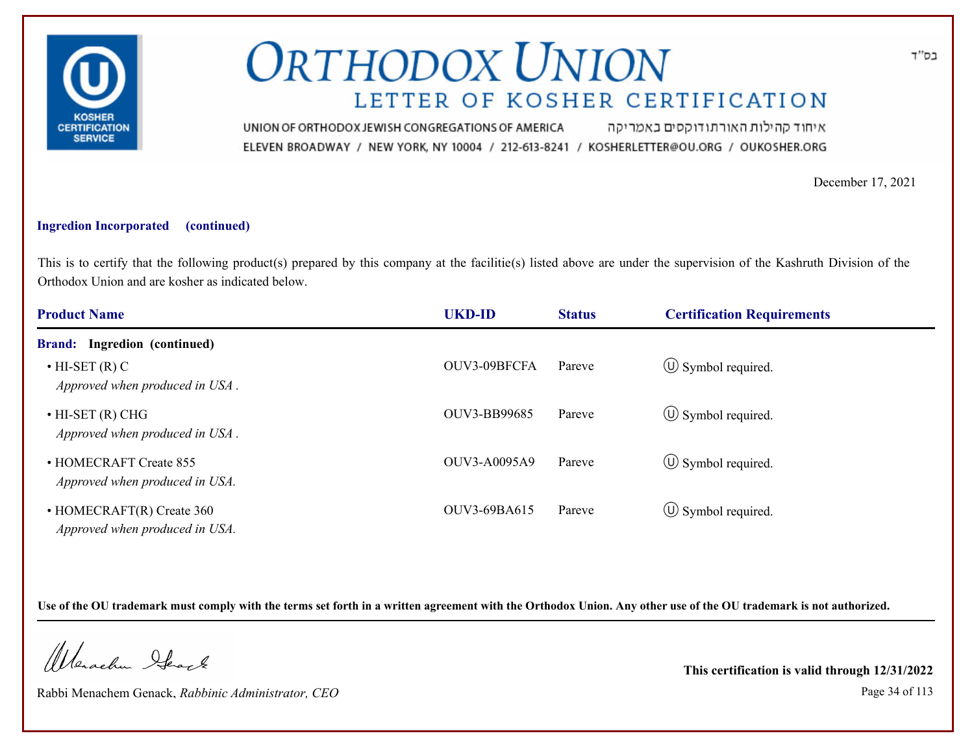

איחוד קהילות האורתודוקסים באמריקה UNION OF ORTHODOX JEWISH CONGREGATIONS OF AMERICA ELEVEN BROADWAY / NEW YORK, NY 10004 / 212-613-8241 / KOSHERLETTER@OU.ORG / OUKOSHER.ORG

December 17, 2021

#### **Ingredion Incorporated (continued)**

This is to certify that the following product(s) prepared by this company at the facilitie(s) listed above are under the supervision of the Kashruth Division of the Orthodox Union and are kosher as indicated below.

| <b>Product Name</b>                                               | <b>UKD-ID</b> | <b>Status</b> | <b>Certification Requirements</b> |  |
|-------------------------------------------------------------------|---------------|---------------|-----------------------------------|--|
| <b>Brand:</b> Ingredion (continued)                               |               |               |                                   |  |
| $\bullet$ HI-SET (R) C<br>Approved when produced in USA.          | OUV3-09BFCFA  | Pareve        | $\circled{1}$ Symbol required.    |  |
| $\bullet$ HI-SET (R) CHG<br>Approved when produced in USA.        | OUV3-BB99685  | Pareve        | $\circled{0}$ Symbol required.    |  |
| • HOMECRAFT Create 855<br>Approved when produced in USA.          | OUV3-A0095A9  | Pareve        | $\circled{1}$ Symbol required.    |  |
| $\cdot$ HOMECRAFT(R) Create 360<br>Approved when produced in USA. | OUV3-69BA615  | Pareve        | $\circled{1}$ Symbol required.    |  |

**Use of the OU trademark must comply with the terms set forth in a written agreement with the Orthodox Union. Any other use of the OU trademark is not authorized.**

Werachen Stack

Rabbi Menachem Genack, *Rabbinic Administrator, CEO* Page 34 of 113

**This certification is valid through 12/31/2022**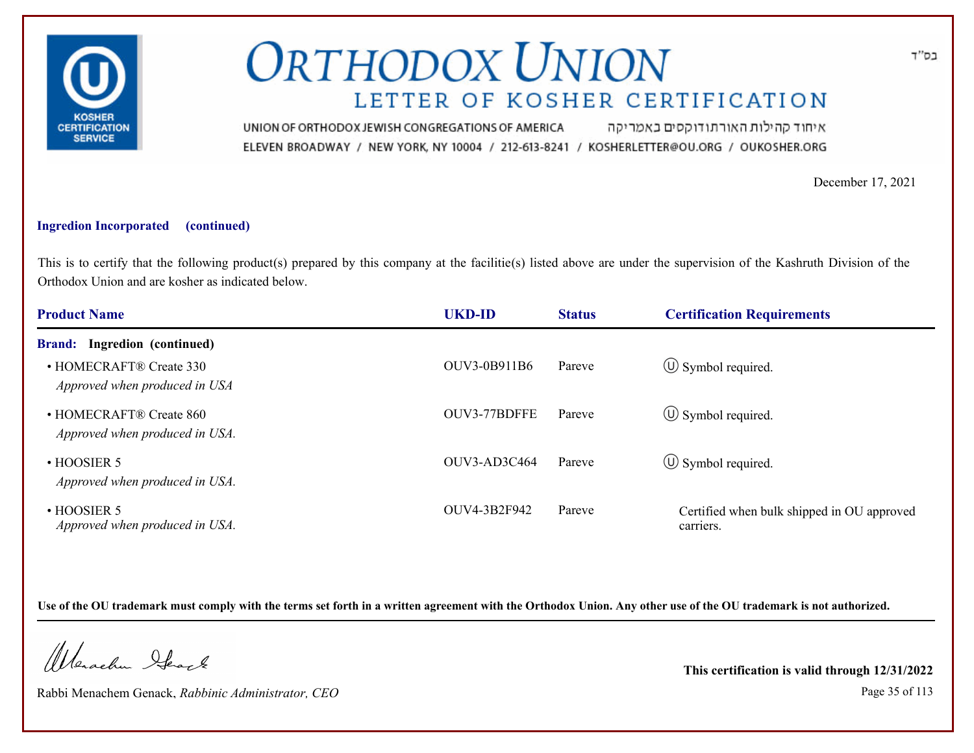

איחוד קהילות האורתודוקסים באמריקה UNION OF ORTHODOX JEWISH CONGREGATIONS OF AMERICA ELEVEN BROADWAY / NEW YORK, NY 10004 / 212-613-8241 / KOSHERLETTER@OU.ORG / OUKOSHER.ORG

December 17, 2021

#### **Ingredion Incorporated (continued)**

This is to certify that the following product(s) prepared by this company at the facilitie(s) listed above are under the supervision of the Kashruth Division of the Orthodox Union and are kosher as indicated below.

| <b>Product Name</b>                                       | <b>UKD-ID</b> | <b>Status</b> | <b>Certification Requirements</b>                       |
|-----------------------------------------------------------|---------------|---------------|---------------------------------------------------------|
| <b>Brand:</b> Ingredion (continued)                       |               |               |                                                         |
| • HOMECRAFT® Create 330<br>Approved when produced in USA  | OUV3-0B911B6  | Pareve        | $\circled{0}$ Symbol required.                          |
| • HOMECRAFT® Create 860<br>Approved when produced in USA. | OUV3-77BDFFE  | Pareve        | $\circ$ Symbol required.                                |
| $\cdot$ HOOSIER 5<br>Approved when produced in USA.       | OUV3-AD3C464  | Pareve        | $\circled{0}$ Symbol required.                          |
| • HOOSIER 5<br>Approved when produced in USA.             | OUV4-3B2F942  | Pareve        | Certified when bulk shipped in OU approved<br>carriers. |

**Use of the OU trademark must comply with the terms set forth in a written agreement with the Orthodox Union. Any other use of the OU trademark is not authorized.**

Werachen Stack

Rabbi Menachem Genack, *Rabbinic Administrator, CEO* Page 35 of 113

**This certification is valid through 12/31/2022**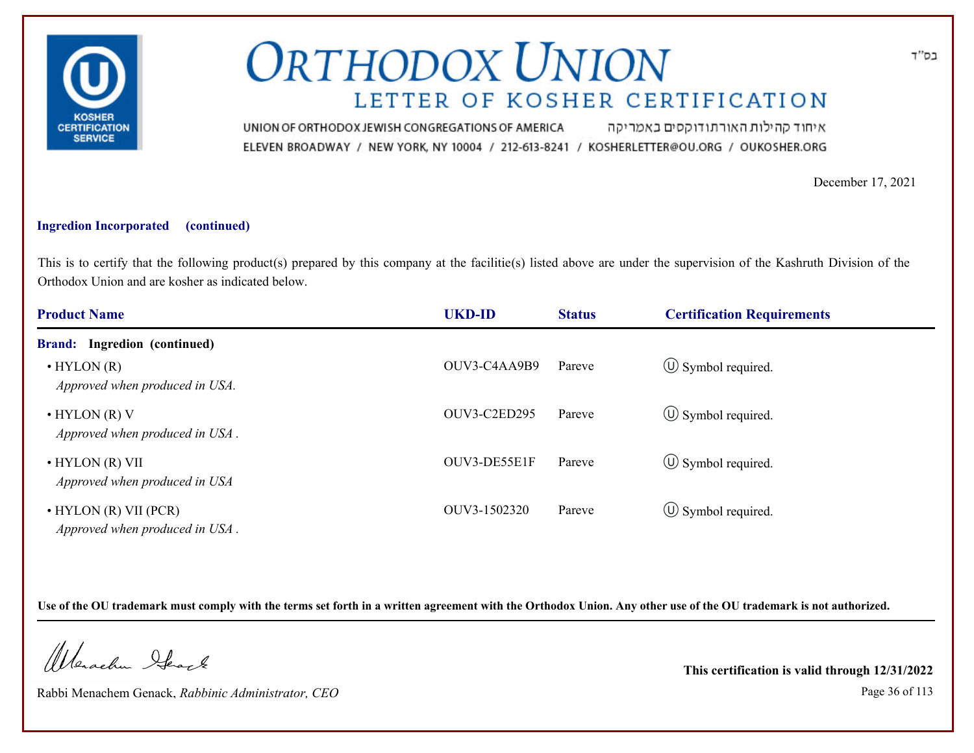

איחוד קהילות האורתודוקסים באמריקה UNION OF ORTHODOX JEWISH CONGREGATIONS OF AMERICA ELEVEN BROADWAY / NEW YORK, NY 10004 / 212-613-8241 / KOSHERLETTER@OU.ORG / OUKOSHER.ORG

December 17, 2021

#### **Ingredion Incorporated (continued)**

This is to certify that the following product(s) prepared by this company at the facilitie(s) listed above are under the supervision of the Kashruth Division of the Orthodox Union and are kosher as indicated below.

| <b>Product Name</b>                                             | <b>UKD-ID</b> | <b>Status</b> | <b>Certification Requirements</b> |  |
|-----------------------------------------------------------------|---------------|---------------|-----------------------------------|--|
| <b>Brand:</b> Ingredion (continued)                             |               |               |                                   |  |
| $\cdot$ HYLON (R)<br>Approved when produced in USA.             | OUV3-C4AA9B9  | Pareve        | $\circled{1}$ Symbol required.    |  |
| $\cdot$ HYLON (R) V<br>Approved when produced in USA.           | OUV3-C2ED295  | Pareve        | $\circled{1}$ Symbol required.    |  |
| $\bullet$ HYLON (R) VII<br>Approved when produced in USA        | OUV3-DE55E1F  | Pareve        | $\circled{1}$ Symbol required.    |  |
| $\bullet$ HYLON (R) VII (PCR)<br>Approved when produced in USA. | OUV3-1502320  | Pareve        | $\circled{1}$ Symbol required.    |  |

**Use of the OU trademark must comply with the terms set forth in a written agreement with the Orthodox Union. Any other use of the OU trademark is not authorized.**

Werachen Stack

Rabbi Menachem Genack, *Rabbinic Administrator, CEO* Page 36 of 113

**This certification is valid through 12/31/2022**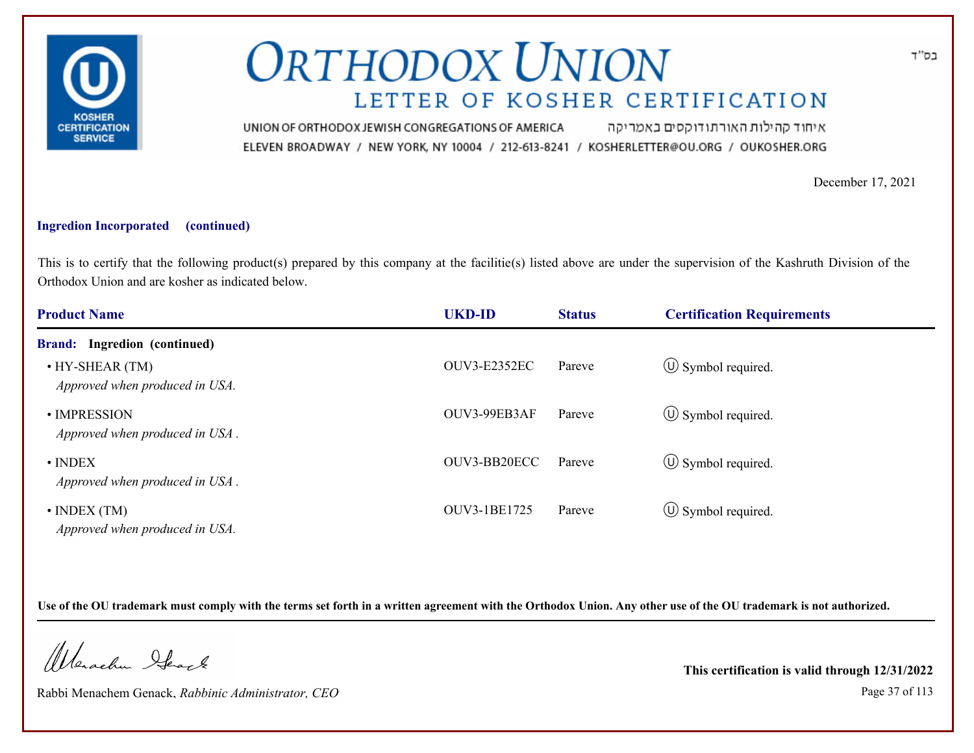

איחוד קהילות האורתודוקסים באמריקה UNION OF ORTHODOX JEWISH CONGREGATIONS OF AMERICA ELEVEN BROADWAY / NEW YORK, NY 10004 / 212-613-8241 / KOSHERLETTER@OU.ORG / OUKOSHER.ORG

December 17, 2021

#### **Ingredion Incorporated (continued)**

This is to certify that the following product(s) prepared by this company at the facilitie(s) listed above are under the supervision of the Kashruth Division of the Orthodox Union and are kosher as indicated below.

| <b>Product Name</b>                                     | <b>UKD-ID</b>       | <b>Status</b> | <b>Certification Requirements</b> |  |
|---------------------------------------------------------|---------------------|---------------|-----------------------------------|--|
| <b>Brand:</b> Ingredion (continued)                     |                     |               |                                   |  |
| $\cdot$ HY-SHEAR (TM)<br>Approved when produced in USA. | <b>OUV3-E2352EC</b> | Pareve        | $\circ$ Symbol required.          |  |
| • IMPRESSION<br>Approved when produced in USA.          | OUV3-99EB3AF        | Pareve        | $\circled{1}$ Symbol required.    |  |
| $\cdot$ INDEX<br>Approved when produced in USA.         | OUV3-BB20ECC        | Pareve        | $\circled{0}$ Symbol required.    |  |
| $\cdot$ INDEX (TM)<br>Approved when produced in USA.    | OUV3-1BE1725        | Pareve        | $\circled{1}$ Symbol required.    |  |

**Use of the OU trademark must comply with the terms set forth in a written agreement with the Orthodox Union. Any other use of the OU trademark is not authorized.**

Werachen Stack

Rabbi Menachem Genack, *Rabbinic Administrator, CEO* Page 37 of 113

**This certification is valid through 12/31/2022**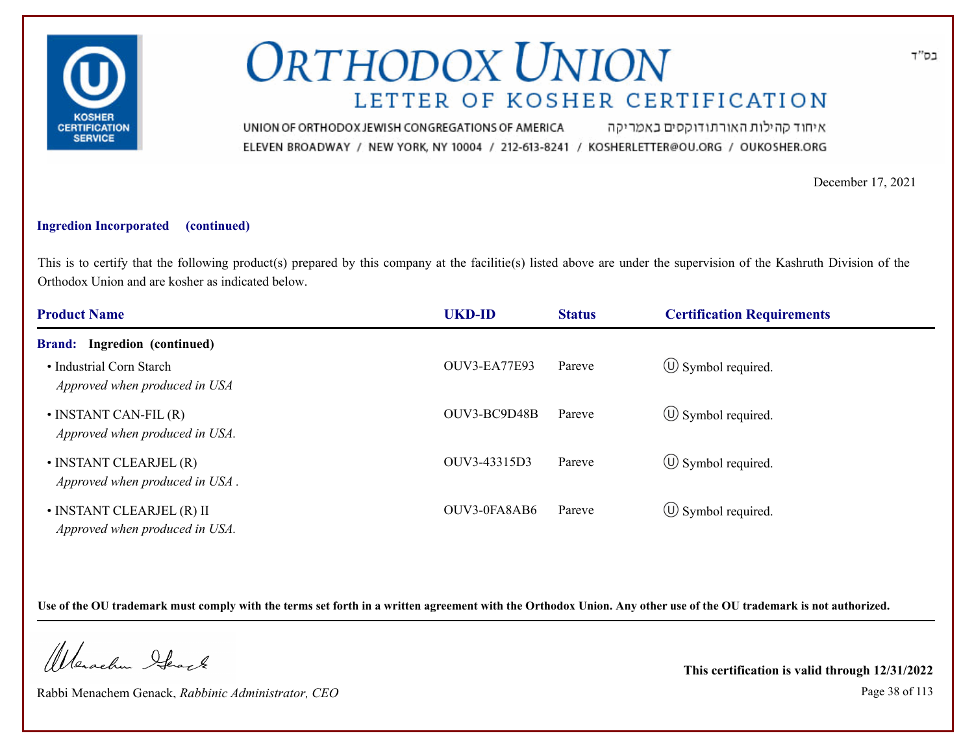

איחוד קהילות האורתודוקסים באמריקה UNION OF ORTHODOX JEWISH CONGREGATIONS OF AMERICA ELEVEN BROADWAY / NEW YORK, NY 10004 / 212-613-8241 / KOSHERLETTER@OU.ORG / OUKOSHER.ORG

December 17, 2021

### **Ingredion Incorporated (continued)**

This is to certify that the following product(s) prepared by this company at the facilitie(s) listed above are under the supervision of the Kashruth Division of the Orthodox Union and are kosher as indicated below.

| <b>Product Name</b>                                             | <b>UKD-ID</b> | <b>Status</b> | <b>Certification Requirements</b> |  |
|-----------------------------------------------------------------|---------------|---------------|-----------------------------------|--|
| <b>Brand:</b> Ingredion (continued)                             |               |               |                                   |  |
| • Industrial Corn Starch<br>Approved when produced in USA       | OUV3-EA77E93  | Pareve        | $\circled{1}$ Symbol required.    |  |
| $\bullet$ INSTANT CAN-FIL (R)<br>Approved when produced in USA. | OUV3-BC9D48B  | Pareve        | $\circled{1}$ Symbol required.    |  |
| $\cdot$ INSTANT CLEARJEL (R)<br>Approved when produced in USA.  | OUV3-43315D3  | Pareve        | $\circled{1}$ Symbol required.    |  |
| • INSTANT CLEARJEL (R) II<br>Approved when produced in USA.     | OUV3-0FA8AB6  | Pareve        | $\circled{1}$ Symbol required.    |  |

**Use of the OU trademark must comply with the terms set forth in a written agreement with the Orthodox Union. Any other use of the OU trademark is not authorized.**

Werachen Stack

Rabbi Menachem Genack, *Rabbinic Administrator, CEO* Page 38 of 113

**This certification is valid through 12/31/2022**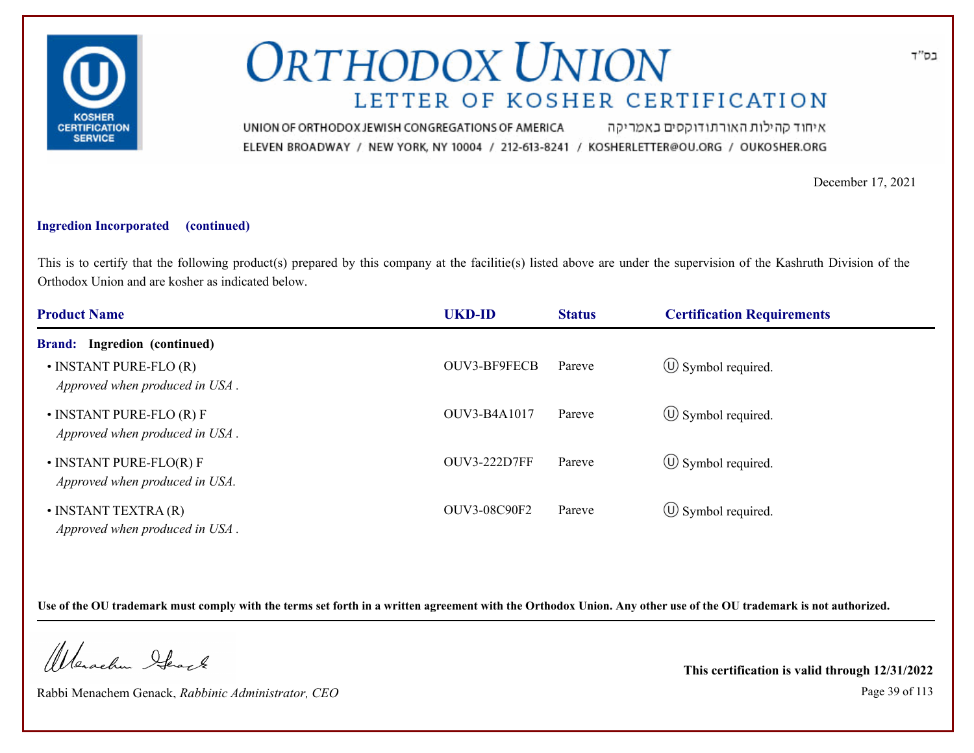

איחוד קהילות האורתודוקסים באמריקה UNION OF ORTHODOX JEWISH CONGREGATIONS OF AMERICA ELEVEN BROADWAY / NEW YORK, NY 10004 / 212-613-8241 / KOSHERLETTER@OU.ORG / OUKOSHER.ORG

December 17, 2021

#### **Ingredion Incorporated (continued)**

This is to certify that the following product(s) prepared by this company at the facilitie(s) listed above are under the supervision of the Kashruth Division of the Orthodox Union and are kosher as indicated below.

| <b>Product Name</b>                                                | <b>UKD-ID</b>       | <b>Status</b> | <b>Certification Requirements</b> |  |
|--------------------------------------------------------------------|---------------------|---------------|-----------------------------------|--|
| <b>Brand:</b> Ingredion (continued)                                |                     |               |                                   |  |
| $\cdot$ INSTANT PURE-FLO (R)<br>Approved when produced in USA.     | OUV3-BF9FECB        | Pareve        | $\circled{1}$ Symbol required.    |  |
| $\bullet$ INSTANT PURE-FLO (R) F<br>Approved when produced in USA. | OUV3-B4A1017        | Pareve        | $\circled{0}$ Symbol required.    |  |
| $\bullet$ INSTANT PURE-FLO(R) F<br>Approved when produced in USA.  | <b>OUV3-222D7FF</b> | Pareve        | $\circled{1}$ Symbol required.    |  |
| $\bullet$ INSTANT TEXTRA (R)<br>Approved when produced in USA.     | OUV3-08C90F2        | Pareve        | $\circled{1}$ Symbol required.    |  |

**Use of the OU trademark must comply with the terms set forth in a written agreement with the Orthodox Union. Any other use of the OU trademark is not authorized.**

Werachen Stack

Rabbi Menachem Genack, *Rabbinic Administrator, CEO* Page 39 of 113

**This certification is valid through 12/31/2022**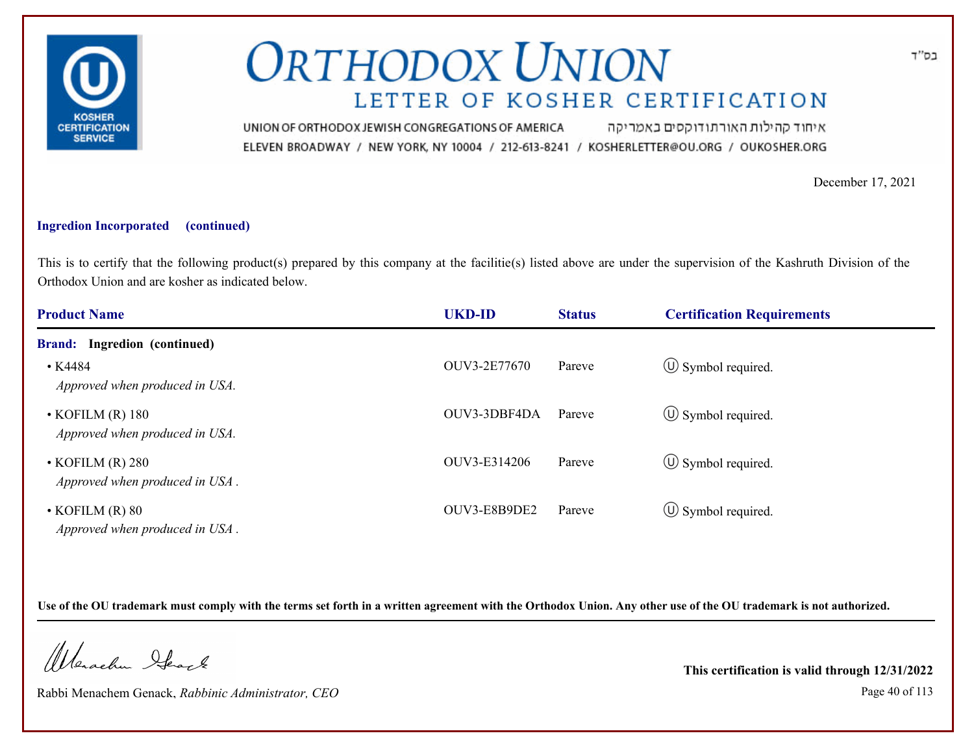

איחוד קהילות האורתודוקסים באמריקה UNION OF ORTHODOX JEWISH CONGREGATIONS OF AMERICA ELEVEN BROADWAY / NEW YORK, NY 10004 / 212-613-8241 / KOSHERLETTER@OU.ORG / OUKOSHER.ORG

December 17, 2021

#### **Ingredion Incorporated (continued)**

This is to certify that the following product(s) prepared by this company at the facilitie(s) listed above are under the supervision of the Kashruth Division of the Orthodox Union and are kosher as indicated below.

| <b>Product Name</b>                                        | <b>UKD-ID</b>       | <b>Status</b> | <b>Certification Requirements</b> |  |
|------------------------------------------------------------|---------------------|---------------|-----------------------------------|--|
| <b>Brand:</b> Ingredion (continued)                        |                     |               |                                   |  |
| $\cdot$ K4484<br>Approved when produced in USA.            | <b>OUV3-2E77670</b> | Pareve        | $\circled{1}$ Symbol required.    |  |
| $\bullet$ KOFILM (R) 180<br>Approved when produced in USA. | OUV3-3DBF4DA        | Pareve        | $\circled{1}$ Symbol required.    |  |
| $\bullet$ KOFILM (R) 280<br>Approved when produced in USA. | OUV3-E314206        | Pareve        | $\circled{1}$ Symbol required.    |  |
| $\bullet$ KOFILM (R) 80<br>Approved when produced in USA.  | OUV3-E8B9DE2        | Pareve        | $\circled{1}$ Symbol required.    |  |

**Use of the OU trademark must comply with the terms set forth in a written agreement with the Orthodox Union. Any other use of the OU trademark is not authorized.**

Werachen Stack

Rabbi Menachem Genack, *Rabbinic Administrator, CEO* Page 40 of 113

**This certification is valid through 12/31/2022**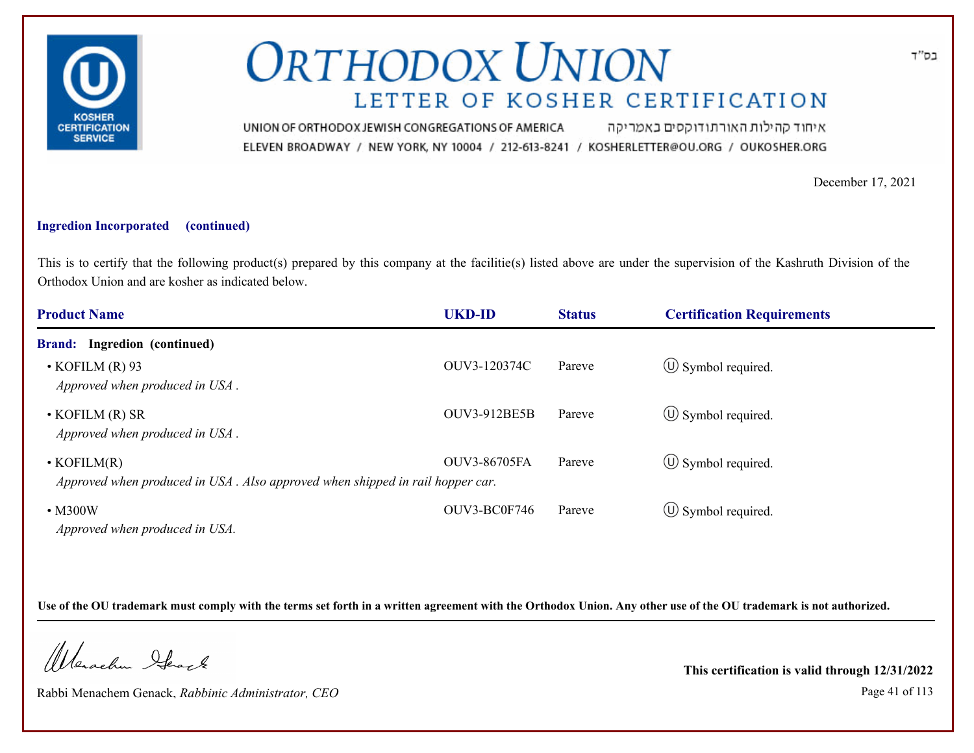

איחוד קהילות האורתודוקסים באמריקה UNION OF ORTHODOX JEWISH CONGREGATIONS OF AMERICA ELEVEN BROADWAY / NEW YORK, NY 10004 / 212-613-8241 / KOSHERLETTER@OU.ORG / OUKOSHER.ORG

December 17, 2021

#### **Ingredion Incorporated (continued)**

This is to certify that the following product(s) prepared by this company at the facilitie(s) listed above are under the supervision of the Kashruth Division of the Orthodox Union and are kosher as indicated below.

| <b>Product Name</b>                                                                                | <b>UKD-ID</b>       | <b>Status</b> | <b>Certification Requirements</b> |  |
|----------------------------------------------------------------------------------------------------|---------------------|---------------|-----------------------------------|--|
| <b>Brand:</b> Ingredion (continued)                                                                |                     |               |                                   |  |
| $\bullet$ KOFILM $(R)$ 93<br>Approved when produced in USA.                                        | OUV3-120374C        | Pareve        | $\circ$ Symbol required.          |  |
| $\bullet$ KOFILM (R) SR<br>Approved when produced in USA.                                          | <b>OUV3-912BE5B</b> | Pareve        | $\circled{1}$ Symbol required.    |  |
| $\cdot$ KOFILM(R)<br>Approved when produced in USA. Also approved when shipped in rail hopper car. | OUV3-86705FA        | Pareve        | $\circ$ Symbol required.          |  |
| $\cdot$ M300W<br>Approved when produced in USA.                                                    | OUV3-BC0F746        | Pareve        | $\circ$ Symbol required.          |  |

**Use of the OU trademark must comply with the terms set forth in a written agreement with the Orthodox Union. Any other use of the OU trademark is not authorized.**

Werachen Ifeart

Rabbi Menachem Genack, *Rabbinic Administrator, CEO* Page 41 of 113

**This certification is valid through 12/31/2022**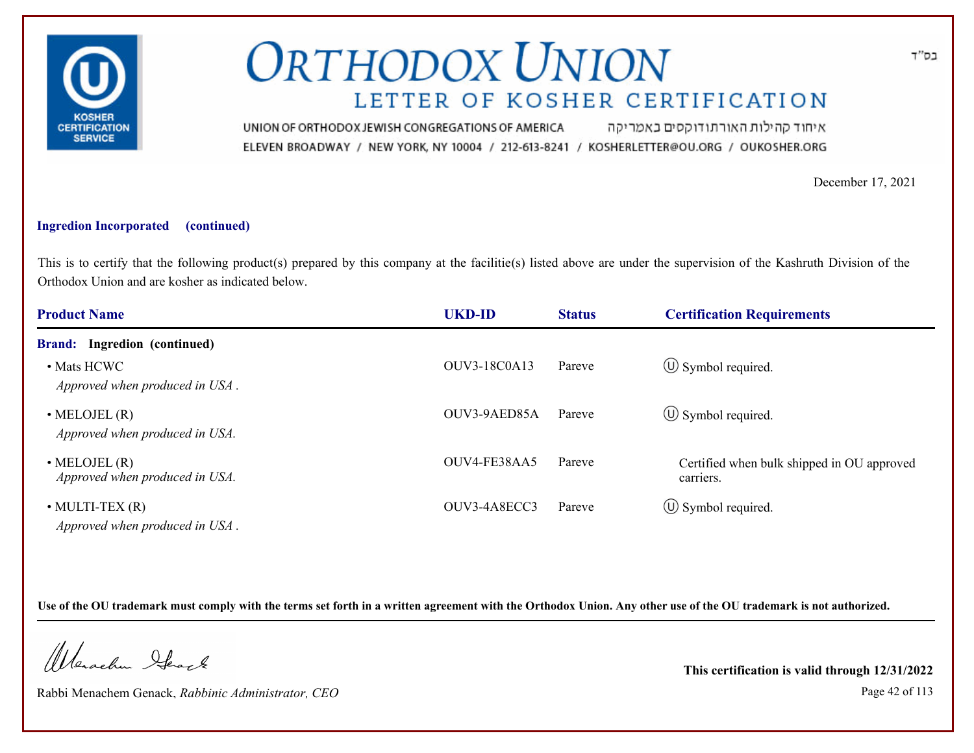

איחוד קהילות האורתודוקסים באמריקה UNION OF ORTHODOX JEWISH CONGREGATIONS OF AMERICA ELEVEN BROADWAY / NEW YORK, NY 10004 / 212-613-8241 / KOSHERLETTER@OU.ORG / OUKOSHER.ORG

December 17, 2021

#### **Ingredion Incorporated (continued)**

This is to certify that the following product(s) prepared by this company at the facilitie(s) listed above are under the supervision of the Kashruth Division of the Orthodox Union and are kosher as indicated below.

| <b>Product Name</b>                                         | <b>UKD-ID</b> | <b>Status</b> | <b>Certification Requirements</b>                       |
|-------------------------------------------------------------|---------------|---------------|---------------------------------------------------------|
| <b>Brand:</b> Ingredion (continued)                         |               |               |                                                         |
| • Mats HCWC<br>Approved when produced in USA.               | OUV3-18C0A13  | Pareve        | $\circled{0}$ Symbol required.                          |
| $\cdot$ MELOJEL (R)<br>Approved when produced in USA.       | OUV3-9AED85A  | Pareve        | $\circled{0}$ Symbol required.                          |
| $\cdot$ MELOJEL (R)<br>Approved when produced in USA.       | OUV4-FE38AA5  | Pareve        | Certified when bulk shipped in OU approved<br>carriers. |
| $\bullet$ MULTI-TEX $(R)$<br>Approved when produced in USA. | OUV3-4A8ECC3  | Pareve        | $\circ$ Symbol required.                                |

**Use of the OU trademark must comply with the terms set forth in a written agreement with the Orthodox Union. Any other use of the OU trademark is not authorized.**

Werschn Stack

Rabbi Menachem Genack, *Rabbinic Administrator, CEO* Page 42 of 113

**This certification is valid through 12/31/2022**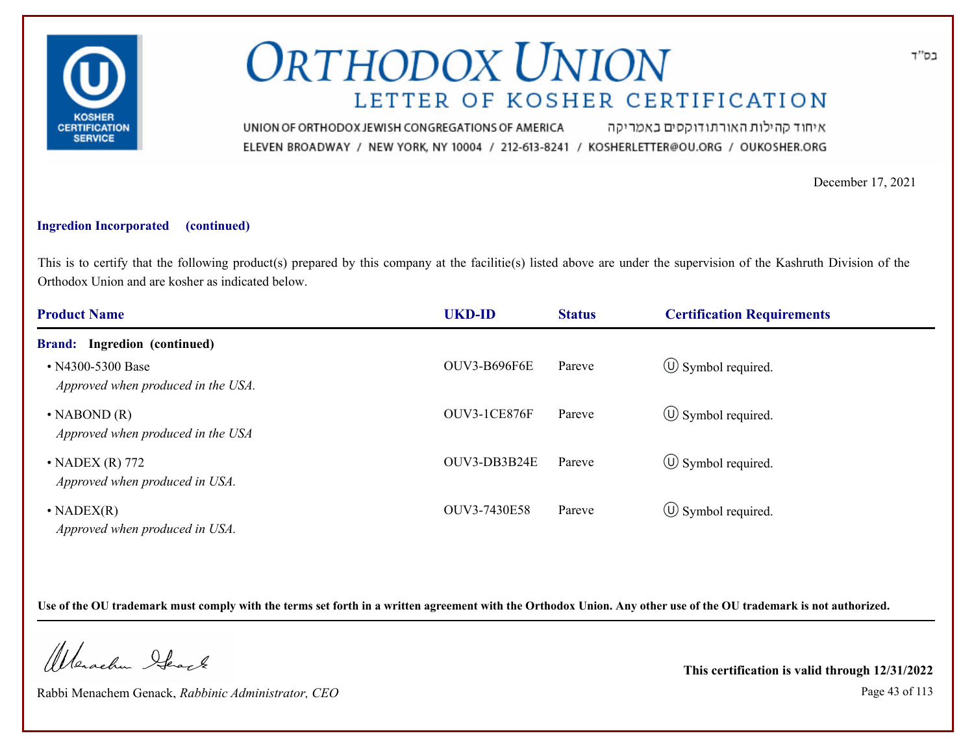

איחוד קהילות האורתודוקסים באמריקה UNION OF ORTHODOX JEWISH CONGREGATIONS OF AMERICA ELEVEN BROADWAY / NEW YORK, NY 10004 / 212-613-8241 / KOSHERLETTER@OU.ORG / OUKOSHER.ORG

December 17, 2021

#### **Ingredion Incorporated (continued)**

This is to certify that the following product(s) prepared by this company at the facilitie(s) listed above are under the supervision of the Kashruth Division of the Orthodox Union and are kosher as indicated below.

| <b>Product Name</b>                                       | <b>UKD-ID</b>       | <b>Status</b> | <b>Certification Requirements</b> |  |
|-----------------------------------------------------------|---------------------|---------------|-----------------------------------|--|
| <b>Brand:</b> Ingredion (continued)                       |                     |               |                                   |  |
| • N4300-5300 Base<br>Approved when produced in the USA.   | OUV3-B696F6E        | Pareve        | $\circled{1}$ Symbol required.    |  |
| $\cdot$ NABOND (R)<br>Approved when produced in the USA   | <b>OUV3-1CE876F</b> | Pareve        | $\circled{1}$ Symbol required.    |  |
| $\bullet$ NADEX (R) 772<br>Approved when produced in USA. | OUV3-DB3B24E        | Pareve        | $\circled{1}$ Symbol required.    |  |
| $\bullet$ NADEX(R)<br>Approved when produced in USA.      | OUV3-7430E58        | Pareve        | $\circled{1}$ Symbol required.    |  |

**Use of the OU trademark must comply with the terms set forth in a written agreement with the Orthodox Union. Any other use of the OU trademark is not authorized.**

Werachen Stack

Rabbi Menachem Genack, *Rabbinic Administrator, CEO* Page 43 of 113

**This certification is valid through 12/31/2022**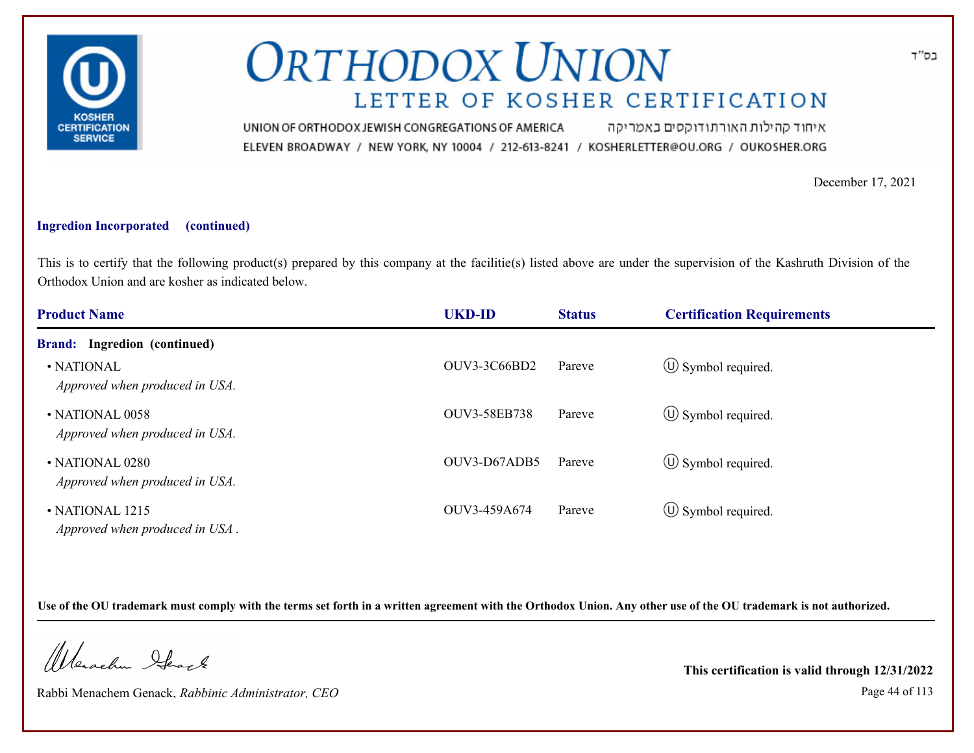

איחוד קהילות האורתודוקסים באמריקה UNION OF ORTHODOX JEWISH CONGREGATIONS OF AMERICA ELEVEN BROADWAY / NEW YORK, NY 10004 / 212-613-8241 / KOSHERLETTER@OU.ORG / OUKOSHER.ORG

December 17, 2021

#### **Ingredion Incorporated (continued)**

This is to certify that the following product(s) prepared by this company at the facilitie(s) listed above are under the supervision of the Kashruth Division of the Orthodox Union and are kosher as indicated below.

| <b>Product Name</b>                               | <b>UKD-ID</b>       | <b>Status</b> | <b>Certification Requirements</b> |  |
|---------------------------------------------------|---------------------|---------------|-----------------------------------|--|
| <b>Brand:</b> Ingredion (continued)               |                     |               |                                   |  |
| • NATIONAL<br>Approved when produced in USA.      | <b>OUV3-3C66BD2</b> | Pareve        | $\circled{1}$ Symbol required.    |  |
| • NATIONAL 0058<br>Approved when produced in USA. | OUV3-58EB738        | Pareve        | $\circled{1}$ Symbol required.    |  |
| • NATIONAL 0280<br>Approved when produced in USA. | OUV3-D67ADB5        | Pareve        | $\circled{1}$ Symbol required.    |  |
| • NATIONAL 1215<br>Approved when produced in USA. | OUV3-459A674        | Pareve        | $\circled{1}$ Symbol required.    |  |

**Use of the OU trademark must comply with the terms set forth in a written agreement with the Orthodox Union. Any other use of the OU trademark is not authorized.**

Werachen Stack

Rabbi Menachem Genack, *Rabbinic Administrator, CEO* Page 44 of 113

**This certification is valid through 12/31/2022**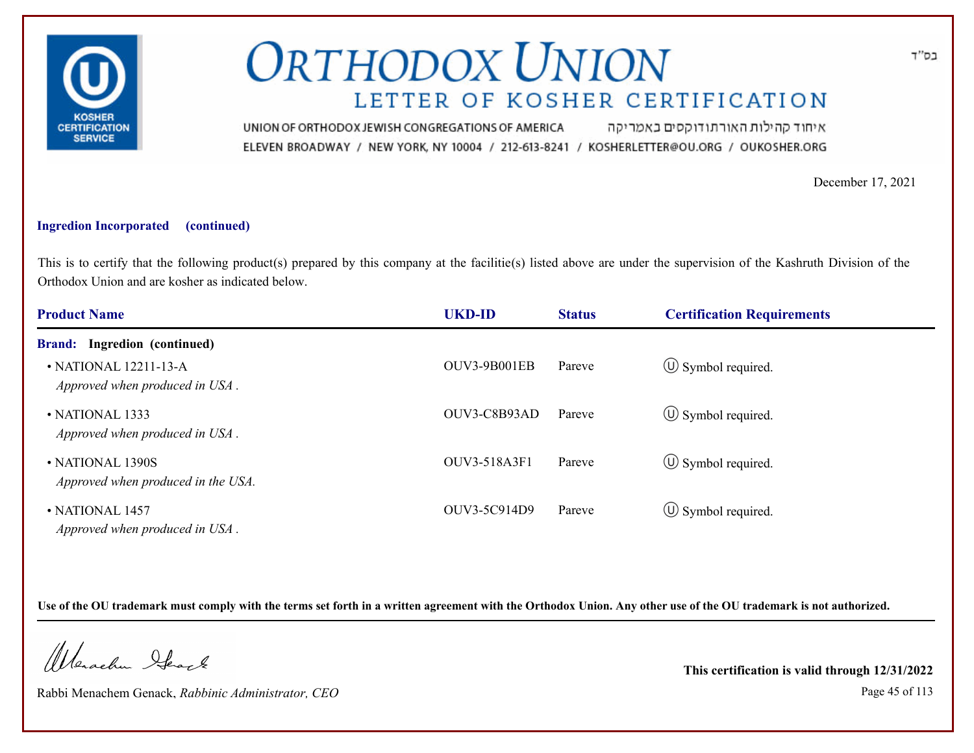

איחוד קהילות האורתודוקסים באמריקה UNION OF ORTHODOX JEWISH CONGREGATIONS OF AMERICA ELEVEN BROADWAY / NEW YORK, NY 10004 / 212-613-8241 / KOSHERLETTER@OU.ORG / OUKOSHER.ORG

December 17, 2021

#### **Ingredion Incorporated (continued)**

This is to certify that the following product(s) prepared by this company at the facilitie(s) listed above are under the supervision of the Kashruth Division of the Orthodox Union and are kosher as indicated below.

| <b>Product Name</b>                                     | <b>UKD-ID</b>       | <b>Status</b> | <b>Certification Requirements</b> |  |
|---------------------------------------------------------|---------------------|---------------|-----------------------------------|--|
| <b>Brand:</b> Ingredion (continued)                     |                     |               |                                   |  |
| • NATIONAL 12211-13-A<br>Approved when produced in USA. | <b>OUV3-9B001EB</b> | Pareve        | $\circled{1}$ Symbol required.    |  |
| • NATIONAL 1333<br>Approved when produced in USA.       | OUV3-C8B93AD        | Pareve        | $\circled{1}$ Symbol required.    |  |
| • NATIONAL 1390S<br>Approved when produced in the USA.  | OUV3-518A3F1        | Pareve        | $\circled{1}$ Symbol required.    |  |
| • NATIONAL 1457<br>Approved when produced in USA.       | OUV3-5C914D9        | Pareve        | $\circled{1}$ Symbol required.    |  |

**Use of the OU trademark must comply with the terms set forth in a written agreement with the Orthodox Union. Any other use of the OU trademark is not authorized.**

Werachen Stack

Rabbi Menachem Genack, *Rabbinic Administrator, CEO* Page 45 of 113

**This certification is valid through 12/31/2022**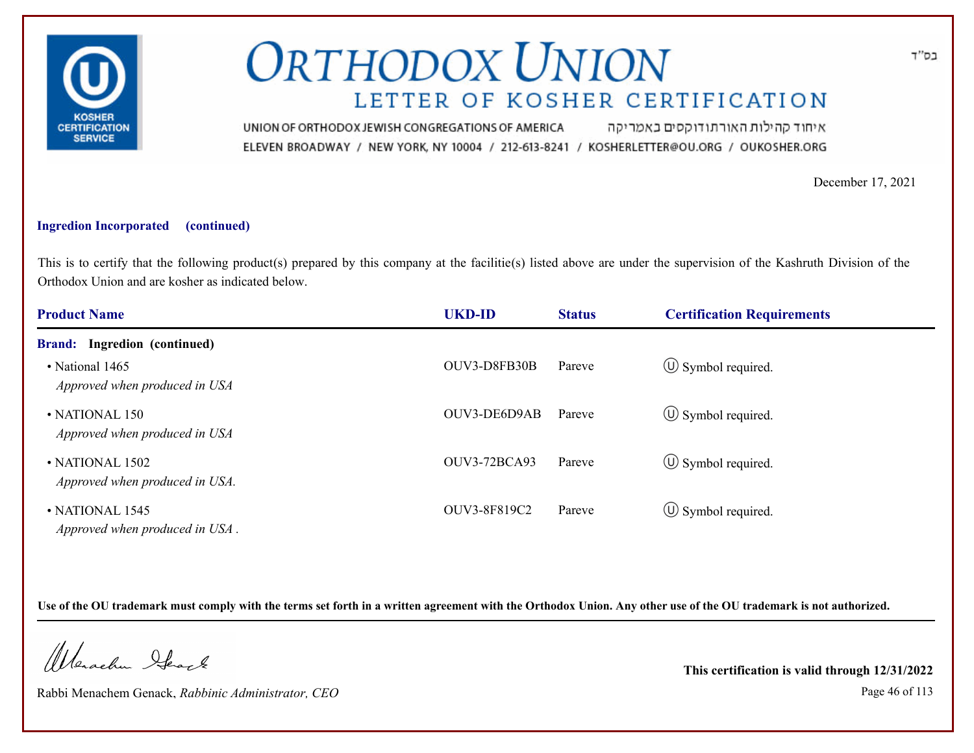

איחוד קהילות האורתודוקסים באמריקה UNION OF ORTHODOX JEWISH CONGREGATIONS OF AMERICA ELEVEN BROADWAY / NEW YORK, NY 10004 / 212-613-8241 / KOSHERLETTER@OU.ORG / OUKOSHER.ORG

December 17, 2021

#### **Ingredion Incorporated (continued)**

This is to certify that the following product(s) prepared by this company at the facilitie(s) listed above are under the supervision of the Kashruth Division of the Orthodox Union and are kosher as indicated below.

| <b>Product Name</b>                                     | <b>UKD-ID</b>       | <b>Status</b> | <b>Certification Requirements</b> |
|---------------------------------------------------------|---------------------|---------------|-----------------------------------|
| <b>Brand:</b> Ingredion (continued)                     |                     |               |                                   |
| • National 1465<br>Approved when produced in USA        | OUV3-D8FB30B        | Pareve        | $\circled{1}$ Symbol required.    |
| • NATIONAL 150<br>Approved when produced in USA         | OUV3-DE6D9AB        | Pareve        | $\circled{1}$ Symbol required.    |
| $\cdot$ NATIONAL 1502<br>Approved when produced in USA. | <b>OUV3-72BCA93</b> | Pareve        | $\circled{1}$ Symbol required.    |
| • NATIONAL 1545<br>Approved when produced in USA.       | OUV3-8F819C2        | Pareve        | $\circled{1}$ Symbol required.    |

**Use of the OU trademark must comply with the terms set forth in a written agreement with the Orthodox Union. Any other use of the OU trademark is not authorized.**

Werachen Stack

Rabbi Menachem Genack, *Rabbinic Administrator, CEO* Page 46 of 113

**This certification is valid through 12/31/2022**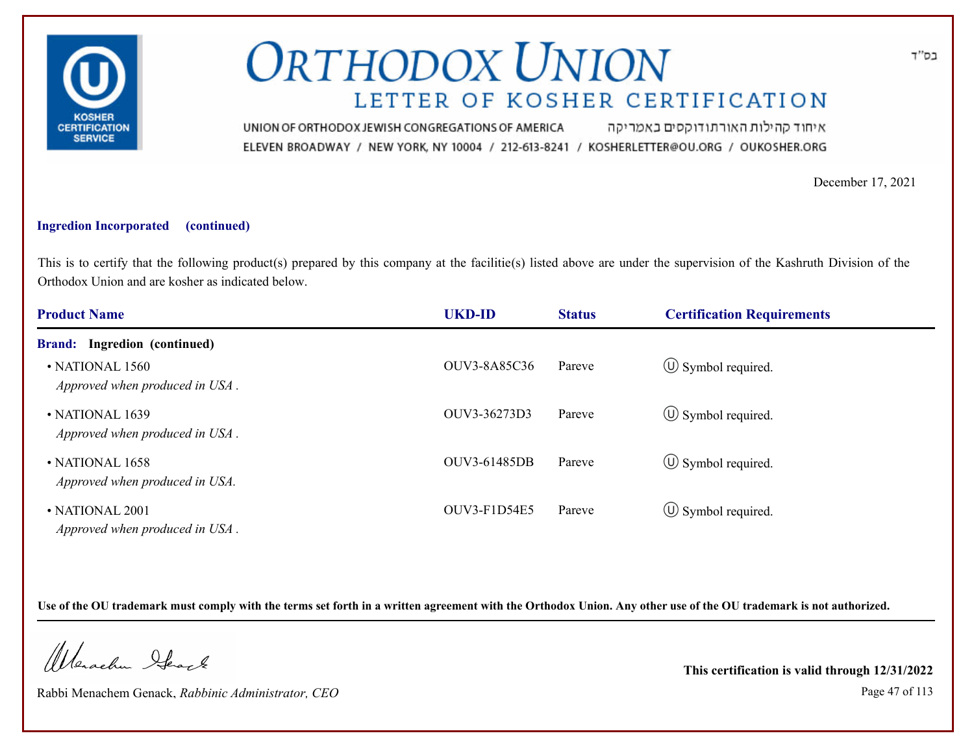

איחוד קהילות האורתודוקסים באמריקה UNION OF ORTHODOX JEWISH CONGREGATIONS OF AMERICA ELEVEN BROADWAY / NEW YORK, NY 10004 / 212-613-8241 / KOSHERLETTER@OU.ORG / OUKOSHER.ORG

December 17, 2021

#### **Ingredion Incorporated (continued)**

This is to certify that the following product(s) prepared by this company at the facilitie(s) listed above are under the supervision of the Kashruth Division of the Orthodox Union and are kosher as indicated below.

| <b>Product Name</b>                                     | <b>UKD-ID</b> | <b>Status</b> | <b>Certification Requirements</b> |  |
|---------------------------------------------------------|---------------|---------------|-----------------------------------|--|
| <b>Brand:</b> Ingredion (continued)                     |               |               |                                   |  |
| • NATIONAL 1560<br>Approved when produced in USA.       | OUV3-8A85C36  | Pareve        | $\circled{1}$ Symbol required.    |  |
| • NATIONAL 1639<br>Approved when produced in USA.       | OUV3-36273D3  | Pareve        | $\circled{1}$ Symbol required.    |  |
| $\cdot$ NATIONAL 1658<br>Approved when produced in USA. | OUV3-61485DB  | Pareve        | $\circled{1}$ Symbol required.    |  |
| • NATIONAL 2001<br>Approved when produced in USA.       | OUV3-F1D54E5  | Pareve        | $\circled{1}$ Symbol required.    |  |

**Use of the OU trademark must comply with the terms set forth in a written agreement with the Orthodox Union. Any other use of the OU trademark is not authorized.**

Werachen Stack

Rabbi Menachem Genack, *Rabbinic Administrator, CEO* Page 47 of 113

**This certification is valid through 12/31/2022**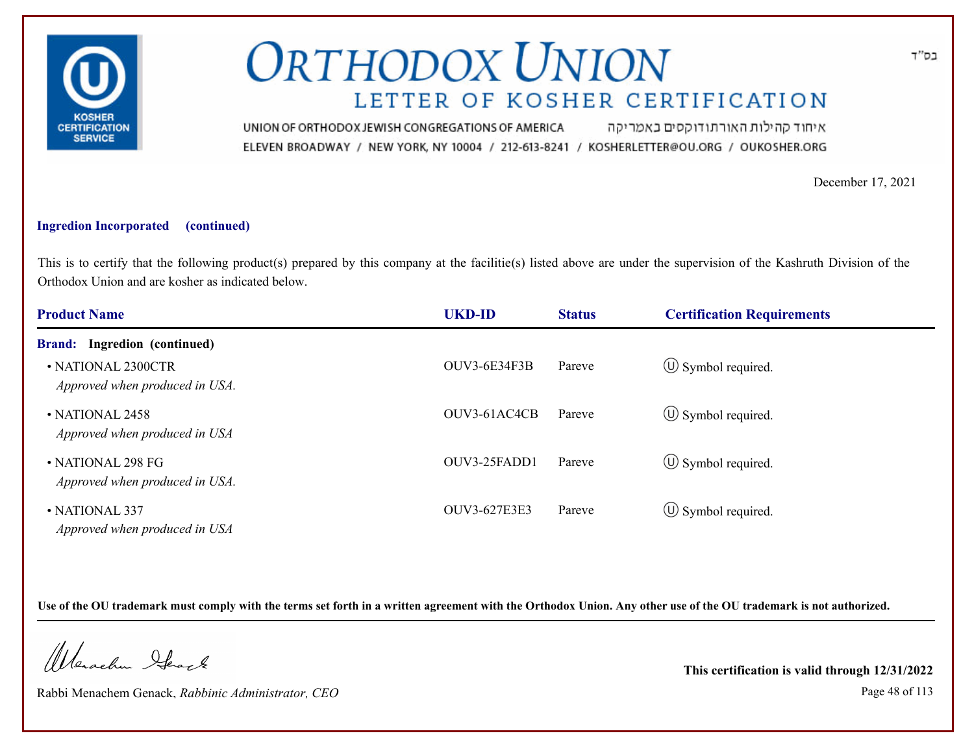

איחוד קהילות האורתודוקסים באמריקה UNION OF ORTHODOX JEWISH CONGREGATIONS OF AMERICA ELEVEN BROADWAY / NEW YORK, NY 10004 / 212-613-8241 / KOSHERLETTER@OU.ORG / OUKOSHER.ORG

December 17, 2021

#### **Ingredion Incorporated (continued)**

This is to certify that the following product(s) prepared by this company at the facilitie(s) listed above are under the supervision of the Kashruth Division of the Orthodox Union and are kosher as indicated below.

| <b>Product Name</b>                                  | <b>UKD-ID</b>       | <b>Status</b> | <b>Certification Requirements</b> |  |
|------------------------------------------------------|---------------------|---------------|-----------------------------------|--|
| <b>Brand:</b> Ingredion (continued)                  |                     |               |                                   |  |
| • NATIONAL 2300CTR<br>Approved when produced in USA. | <b>OUV3-6E34F3B</b> | Pareve        | $\circ$ Symbol required.          |  |
| • NATIONAL 2458<br>Approved when produced in USA     | OUV3-61AC4CB        | Pareve        | $\circled{1}$ Symbol required.    |  |
| • NATIONAL 298 FG<br>Approved when produced in USA.  | OUV3-25FADD1        | Pareve        | $\circled{0}$ Symbol required.    |  |
| • NATIONAL 337<br>Approved when produced in USA      | OUV3-627E3E3        | Pareve        | $\circled{1}$ Symbol required.    |  |

**Use of the OU trademark must comply with the terms set forth in a written agreement with the Orthodox Union. Any other use of the OU trademark is not authorized.**

Werachen Stack

Rabbi Menachem Genack, *Rabbinic Administrator, CEO* Page 48 of 113

**This certification is valid through 12/31/2022**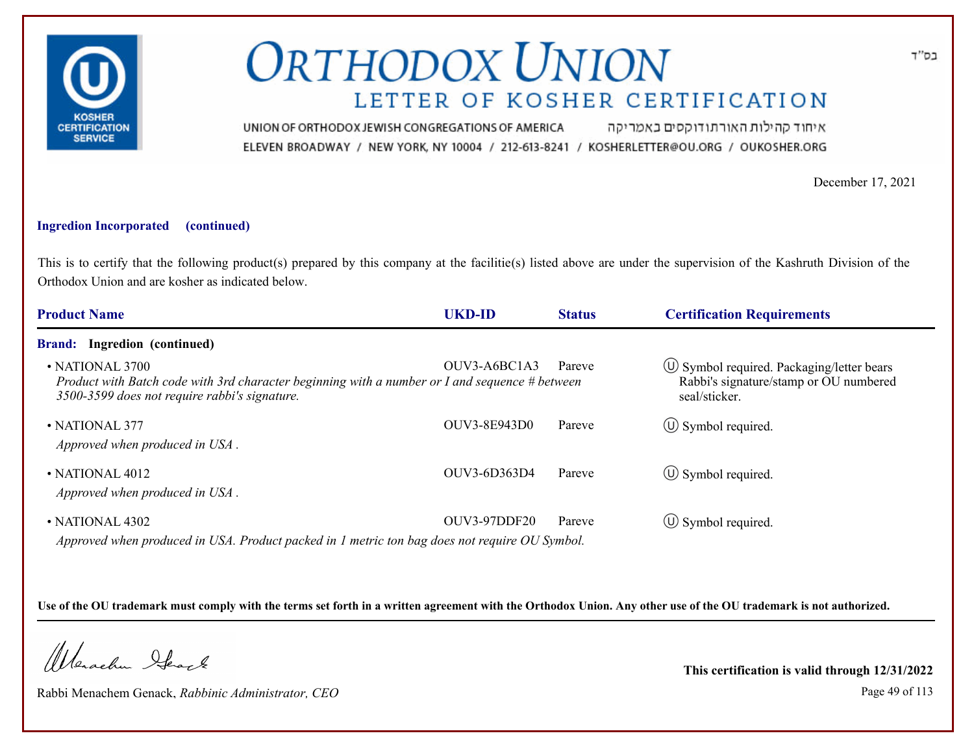

איחוד קהילות האורתודוקסים באמריקה UNION OF ORTHODOX JEWISH CONGREGATIONS OF AMERICA ELEVEN BROADWAY / NEW YORK, NY 10004 / 212-613-8241 / KOSHERLETTER@OU.ORG / OUKOSHER.ORG

December 17, 2021

### **Ingredion Incorporated (continued)**

This is to certify that the following product(s) prepared by this company at the facilitie(s) listed above are under the supervision of the Kashruth Division of the Orthodox Union and are kosher as indicated below.

| <b>Product Name</b>                                                                                                                                                | <b>UKD-ID</b>       | <b>Status</b> | <b>Certification Requirements</b>                                                                          |
|--------------------------------------------------------------------------------------------------------------------------------------------------------------------|---------------------|---------------|------------------------------------------------------------------------------------------------------------|
| <b>Brand:</b> Ingredion (continued)                                                                                                                                |                     |               |                                                                                                            |
| • NATIONAL 3700<br>Product with Batch code with 3rd character beginning with a number or I and sequence # between<br>3500-3599 does not require rabbi's signature. | OUV3-A6BC1A3        | Pareve        | $\circ$ Symbol required. Packaging/letter bears<br>Rabbi's signature/stamp or OU numbered<br>seal/sticker. |
| • NATIONAL 377<br>Approved when produced in USA.                                                                                                                   | OUV3-8E943D0        | Pareve        | $\circled{0}$ Symbol required.                                                                             |
| $\cdot$ NATIONAL 4012<br>Approved when produced in USA.                                                                                                            | OUV3-6D363D4        | Pareve        | $\circled{1}$ Symbol required.                                                                             |
| $\bullet$ NATIONAL 4302<br>Approved when produced in USA. Product packed in 1 metric ton bag does not require OU Symbol.                                           | <b>OUV3-97DDF20</b> | Pareve        | $\circled{1}$ Symbol required.                                                                             |

**Use of the OU trademark must comply with the terms set forth in a written agreement with the Orthodox Union. Any other use of the OU trademark is not authorized.**

Werachen Ifeart

Rabbi Menachem Genack, *Rabbinic Administrator, CEO* Page 49 of 113

**This certification is valid through 12/31/2022**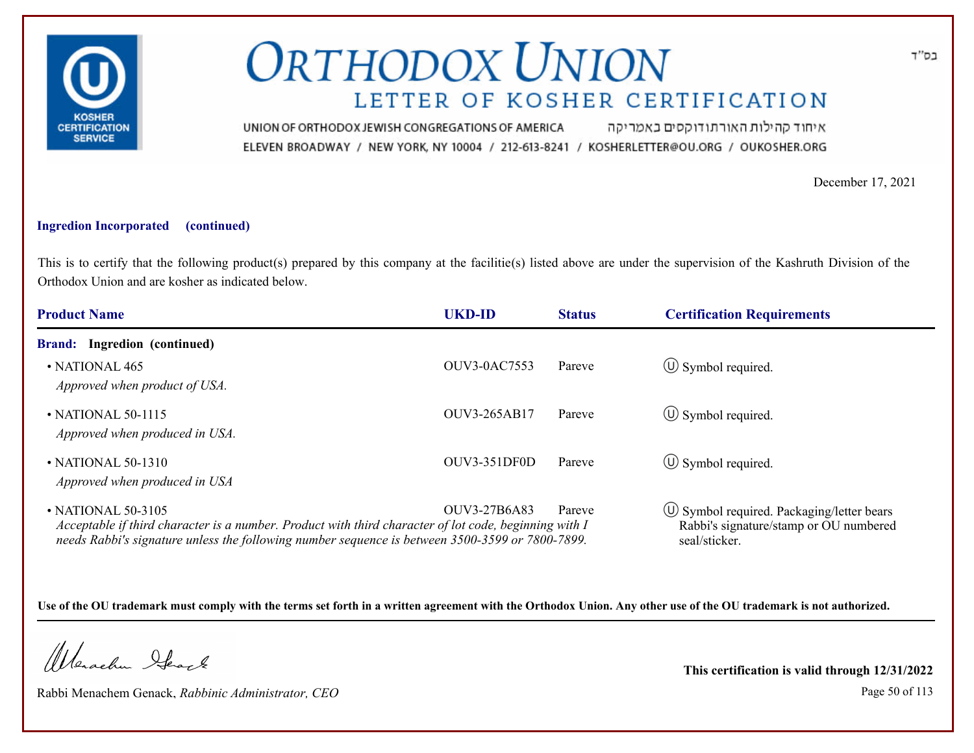

איחוד קהילות האורתודוקסים באמריקה UNION OF ORTHODOX JEWISH CONGREGATIONS OF AMERICA ELEVEN BROADWAY / NEW YORK, NY 10004 / 212-613-8241 / KOSHERLETTER@OU.ORG / OUKOSHER.ORG

December 17, 2021

#### **Ingredion Incorporated (continued)**

This is to certify that the following product(s) prepared by this company at the facilitie(s) listed above are under the supervision of the Kashruth Division of the Orthodox Union and are kosher as indicated below.

| <b>Product Name</b>                                                                                                                                                                                                                  | <b>UKD-ID</b>       | <b>Status</b> | <b>Certification Requirements</b>                                                                          |
|--------------------------------------------------------------------------------------------------------------------------------------------------------------------------------------------------------------------------------------|---------------------|---------------|------------------------------------------------------------------------------------------------------------|
| <b>Brand:</b> Ingredion (continued)                                                                                                                                                                                                  |                     |               |                                                                                                            |
| $\cdot$ NATIONAL 465<br>Approved when product of USA.                                                                                                                                                                                | <b>OUV3-0AC7553</b> | Pareve        | $\circled{1}$ Symbol required.                                                                             |
| $\cdot$ NATIONAL 50-1115<br>Approved when produced in USA.                                                                                                                                                                           | OUV3-265AB17        | Pareve        | $\circled{1}$ Symbol required.                                                                             |
| $\cdot$ NATIONAL 50-1310<br>Approved when produced in USA                                                                                                                                                                            | OUV3-351DF0D        | Pareve        | $\circled{1}$ Symbol required.                                                                             |
| $\cdot$ NATIONAL 50-3105<br>Acceptable if third character is a number. Product with third character of lot code, beginning with I<br>needs Rabbi's signature unless the following number sequence is between 3500-3599 or 7800-7899. | OUV3-27B6A83        | Pareve        | $\circ$ Symbol required. Packaging/letter bears<br>Rabbi's signature/stamp or OU numbered<br>seal/sticker. |

**Use of the OU trademark must comply with the terms set forth in a written agreement with the Orthodox Union. Any other use of the OU trademark is not authorized.**

Werachen Stack

Rabbi Menachem Genack, *Rabbinic Administrator, CEO* Page 50 of 113

**This certification is valid through 12/31/2022**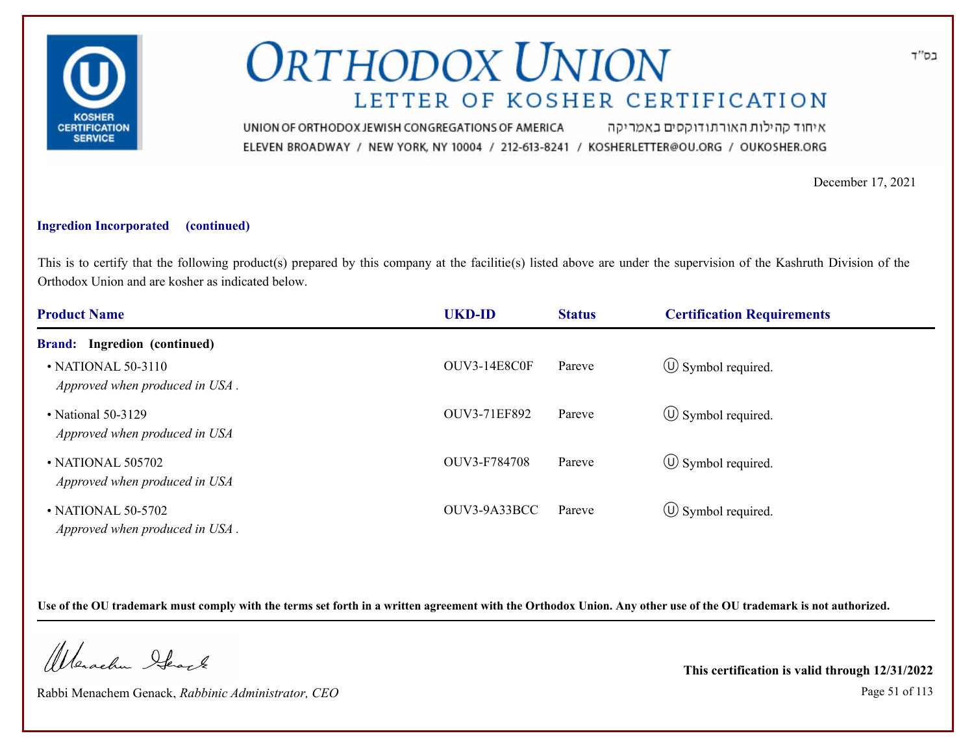

איחוד קהילות האורתודוקסים באמריקה UNION OF ORTHODOX JEWISH CONGREGATIONS OF AMERICA ELEVEN BROADWAY / NEW YORK, NY 10004 / 212-613-8241 / KOSHERLETTER@OU.ORG / OUKOSHER.ORG

December 17, 2021

#### **Ingredion Incorporated (continued)**

This is to certify that the following product(s) prepared by this company at the facilitie(s) listed above are under the supervision of the Kashruth Division of the Orthodox Union and are kosher as indicated below.

| <b>Product Name</b>                                        | <b>UKD-ID</b> | <b>Status</b> | <b>Certification Requirements</b> |  |
|------------------------------------------------------------|---------------|---------------|-----------------------------------|--|
| <b>Brand:</b> Ingredion (continued)                        |               |               |                                   |  |
| $\cdot$ NATIONAL 50-3110<br>Approved when produced in USA. | OUV3-14E8C0F  | Pareve        | $\circled{1}$ Symbol required.    |  |
| • National $50-3129$<br>Approved when produced in USA      | OUV3-71EF892  | Pareve        | $\circled{1}$ Symbol required.    |  |
| $\cdot$ NATIONAL 505702<br>Approved when produced in USA   | OUV3-F784708  | Pareve        | $\circled{1}$ Symbol required.    |  |
| • NATIONAL 50-5702<br>Approved when produced in USA.       | OUV3-9A33BCC  | Pareve        | $\circled{1}$ Symbol required.    |  |

**Use of the OU trademark must comply with the terms set forth in a written agreement with the Orthodox Union. Any other use of the OU trademark is not authorized.**

Werachen Stack

Rabbi Menachem Genack, *Rabbinic Administrator, CEO* Page 51 of 113

**This certification is valid through 12/31/2022**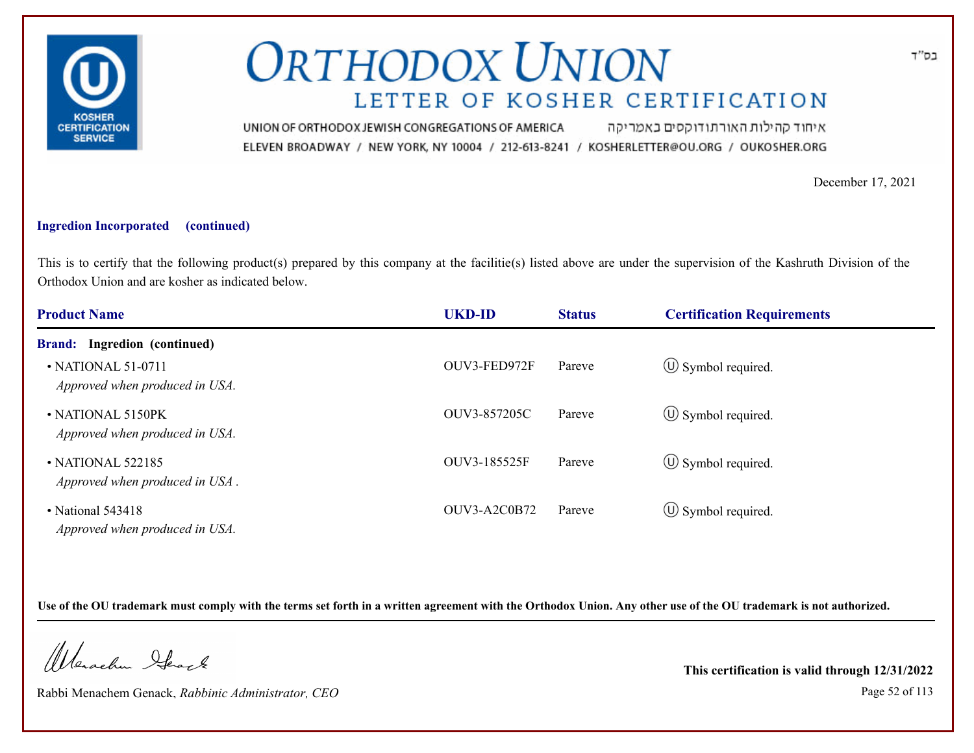

איחוד קהילות האורתודוקסים באמריקה UNION OF ORTHODOX JEWISH CONGREGATIONS OF AMERICA ELEVEN BROADWAY / NEW YORK, NY 10004 / 212-613-8241 / KOSHERLETTER@OU.ORG / OUKOSHER.ORG

December 17, 2021

#### **Ingredion Incorporated (continued)**

This is to certify that the following product(s) prepared by this company at the facilitie(s) listed above are under the supervision of the Kashruth Division of the Orthodox Union and are kosher as indicated below.

| <b>Product Name</b>                                        | <b>UKD-ID</b> | <b>Status</b> | <b>Certification Requirements</b> |
|------------------------------------------------------------|---------------|---------------|-----------------------------------|
| <b>Brand:</b> Ingredion (continued)                        |               |               |                                   |
| $\cdot$ NATIONAL 51-0711<br>Approved when produced in USA. | OUV3-FED972F  | Pareve        | $\circled{1}$ Symbol required.    |
| • NATIONAL 5150PK<br>Approved when produced in USA.        | OUV3-857205C  | Pareve        | $\circled{1}$ Symbol required.    |
| $\cdot$ NATIONAL 522185<br>Approved when produced in USA.  | OUV3-185525F  | Pareve        | $\circled{1}$ Symbol required.    |
| • National 543418<br>Approved when produced in USA.        | OUV3-A2C0B72  | Pareve        | $\circled{1}$ Symbol required.    |

**Use of the OU trademark must comply with the terms set forth in a written agreement with the Orthodox Union. Any other use of the OU trademark is not authorized.**

Werachen Stack

Rabbi Menachem Genack, *Rabbinic Administrator, CEO* Page 52 of 113

**This certification is valid through 12/31/2022**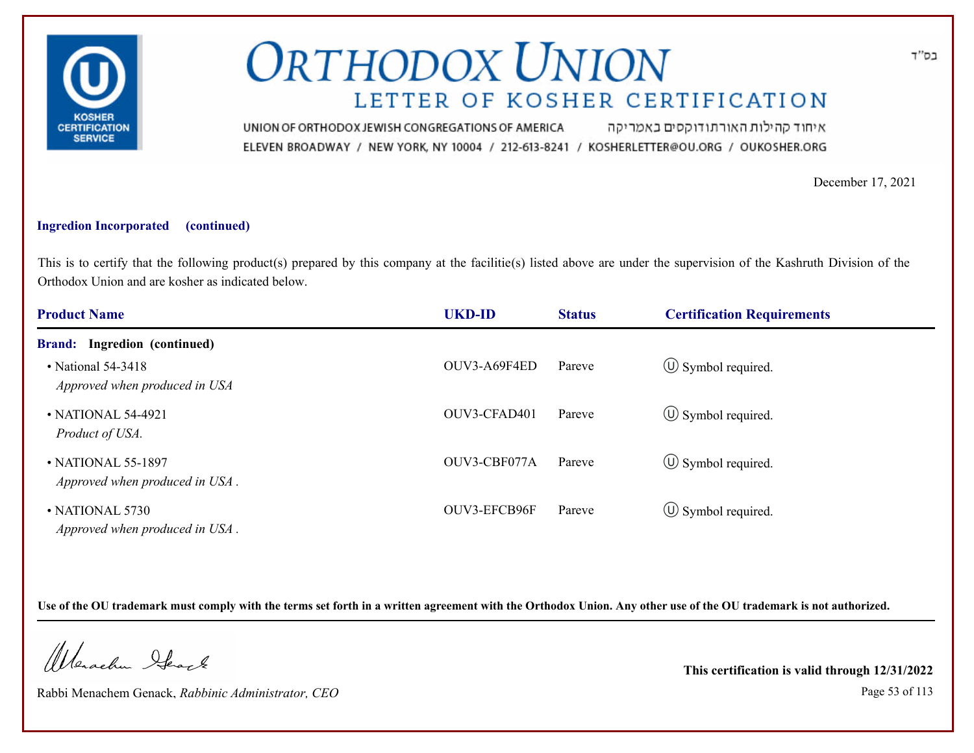

איחוד קהילות האורתודוקסים באמריקה UNION OF ORTHODOX JEWISH CONGREGATIONS OF AMERICA ELEVEN BROADWAY / NEW YORK, NY 10004 / 212-613-8241 / KOSHERLETTER@OU.ORG / OUKOSHER.ORG

December 17, 2021

#### **Ingredion Incorporated (continued)**

This is to certify that the following product(s) prepared by this company at the facilitie(s) listed above are under the supervision of the Kashruth Division of the Orthodox Union and are kosher as indicated below.

| <b>Product Name</b>                                  | <b>UKD-ID</b> | <b>Status</b> | <b>Certification Requirements</b> |  |
|------------------------------------------------------|---------------|---------------|-----------------------------------|--|
| <b>Brand:</b> Ingredion (continued)                  |               |               |                                   |  |
| • National 54-3418<br>Approved when produced in USA  | OUV3-A69F4ED  | Pareve        | $\circled{1}$ Symbol required.    |  |
| • NATIONAL 54-4921<br>Product of USA.                | OUV3-CFAD401  | Pareve        | $\circled{1}$ Symbol required.    |  |
| • NATIONAL 55-1897<br>Approved when produced in USA. | OUV3-CBF077A  | Pareve        | $\circled{1}$ Symbol required.    |  |
| • NATIONAL 5730<br>Approved when produced in USA.    | OUV3-EFCB96F  | Pareve        | $\circled{1}$ Symbol required.    |  |

**Use of the OU trademark must comply with the terms set forth in a written agreement with the Orthodox Union. Any other use of the OU trademark is not authorized.**

Werachen Stack

Rabbi Menachem Genack, *Rabbinic Administrator, CEO* Page 53 of 113

**This certification is valid through 12/31/2022**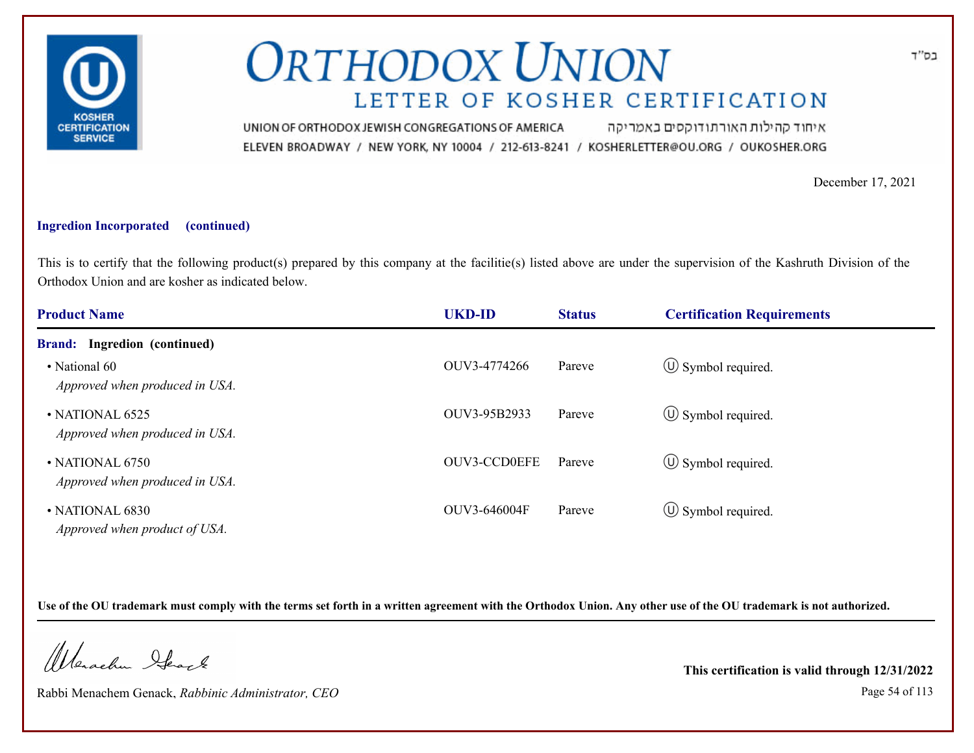

איחוד קהילות האורתודוקסים באמריקה UNION OF ORTHODOX JEWISH CONGREGATIONS OF AMERICA ELEVEN BROADWAY / NEW YORK, NY 10004 / 212-613-8241 / KOSHERLETTER@OU.ORG / OUKOSHER.ORG

December 17, 2021

#### **Ingredion Incorporated (continued)**

This is to certify that the following product(s) prepared by this company at the facilitie(s) listed above are under the supervision of the Kashruth Division of the Orthodox Union and are kosher as indicated below.

| <b>Product Name</b>                                     | <b>UKD-ID</b>       | <b>Status</b> | <b>Certification Requirements</b> |
|---------------------------------------------------------|---------------------|---------------|-----------------------------------|
| <b>Brand:</b> Ingredion (continued)                     |                     |               |                                   |
| • National 60<br>Approved when produced in USA.         | OUV3-4774266        | Pareve        | $\circled{1}$ Symbol required.    |
| • NATIONAL 6525<br>Approved when produced in USA.       | OUV3-95B2933        | Pareve        | $\circled{1}$ Symbol required.    |
| $\cdot$ NATIONAL 6750<br>Approved when produced in USA. | <b>OUV3-CCD0EFE</b> | Pareve        | $\circled{1}$ Symbol required.    |
| • NATIONAL 6830<br>Approved when product of USA.        | OUV3-646004F        | Pareve        | $\circled{1}$ Symbol required.    |

**Use of the OU trademark must comply with the terms set forth in a written agreement with the Orthodox Union. Any other use of the OU trademark is not authorized.**

Werachen Stack

Rabbi Menachem Genack, *Rabbinic Administrator, CEO* Page 54 of 113

**This certification is valid through 12/31/2022**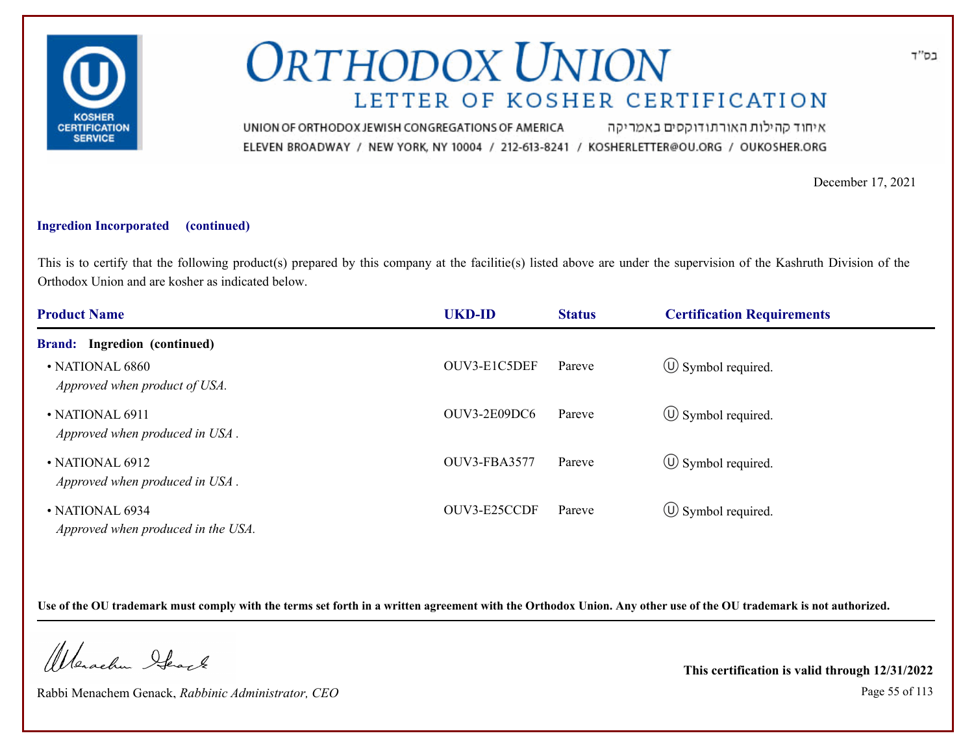

איחוד קהילות האורתודוקסים באמריקה UNION OF ORTHODOX JEWISH CONGREGATIONS OF AMERICA ELEVEN BROADWAY / NEW YORK, NY 10004 / 212-613-8241 / KOSHERLETTER@OU.ORG / OUKOSHER.ORG

December 17, 2021

#### **Ingredion Incorporated (continued)**

This is to certify that the following product(s) prepared by this company at the facilitie(s) listed above are under the supervision of the Kashruth Division of the Orthodox Union and are kosher as indicated below.

| <b>Product Name</b>                                     | <b>UKD-ID</b> | <b>Status</b> | <b>Certification Requirements</b> |  |
|---------------------------------------------------------|---------------|---------------|-----------------------------------|--|
| <b>Brand:</b> Ingredion (continued)                     |               |               |                                   |  |
| • NATIONAL 6860<br>Approved when product of USA.        | OUV3-E1C5DEF  | Pareve        | $\circled{1}$ Symbol required.    |  |
| • NATIONAL 6911<br>Approved when produced in USA.       | OUV3-2E09DC6  | Pareve        | $\circled{1}$ Symbol required.    |  |
| $\cdot$ NATIONAL 6912<br>Approved when produced in USA. | OUV3-FBA3577  | Pareve        | $\circled{1}$ Symbol required.    |  |
| • NATIONAL 6934<br>Approved when produced in the USA.   | OUV3-E25CCDF  | Pareve        | $\circled{1}$ Symbol required.    |  |

**Use of the OU trademark must comply with the terms set forth in a written agreement with the Orthodox Union. Any other use of the OU trademark is not authorized.**

Werachen Stack

Rabbi Menachem Genack, *Rabbinic Administrator, CEO* Page 55 of 113

**This certification is valid through 12/31/2022**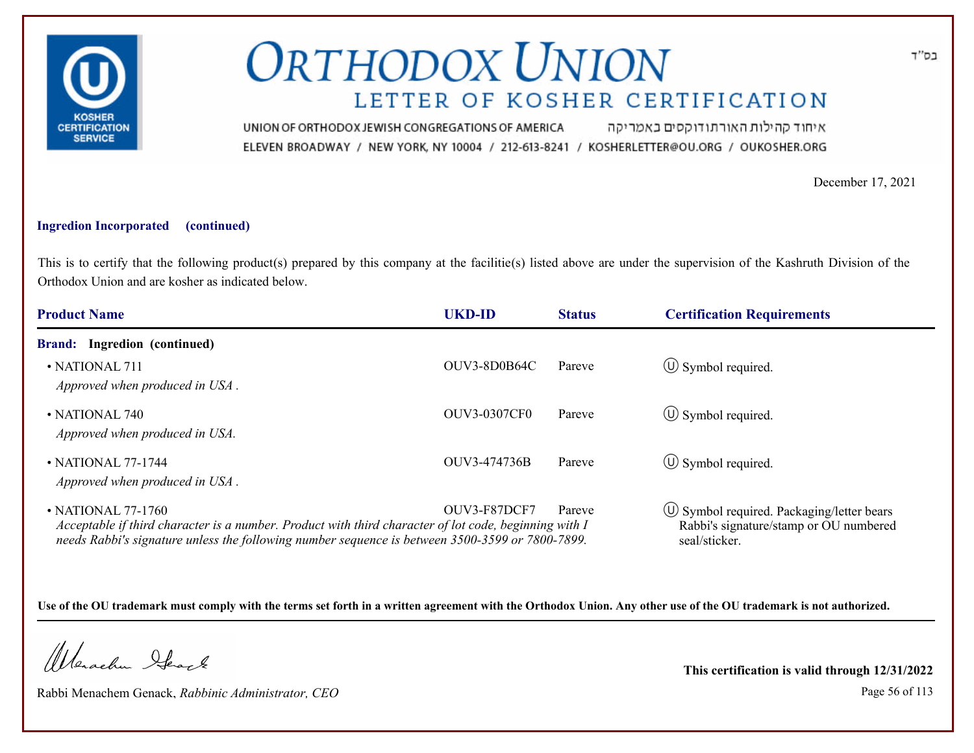

איחוד קהילות האורתודוקסים באמריקה UNION OF ORTHODOX JEWISH CONGREGATIONS OF AMERICA ELEVEN BROADWAY / NEW YORK, NY 10004 / 212-613-8241 / KOSHERLETTER@OU.ORG / OUKOSHER.ORG

December 17, 2021

#### **Ingredion Incorporated (continued)**

This is to certify that the following product(s) prepared by this company at the facilitie(s) listed above are under the supervision of the Kashruth Division of the Orthodox Union and are kosher as indicated below.

| <b>Product Name</b>                                                                                                                                                                                                            | <b>UKD-ID</b>       | <b>Status</b> | <b>Certification Requirements</b>                                                                          |
|--------------------------------------------------------------------------------------------------------------------------------------------------------------------------------------------------------------------------------|---------------------|---------------|------------------------------------------------------------------------------------------------------------|
| <b>Brand:</b> Ingredion (continued)                                                                                                                                                                                            |                     |               |                                                                                                            |
| $\cdot$ NATIONAL 711<br>Approved when produced in USA.                                                                                                                                                                         | OUV3-8D0B64C        | Pareve        | $\circled{1}$ Symbol required.                                                                             |
| • NATIONAL 740<br>Approved when produced in USA.                                                                                                                                                                               | <b>OUV3-0307CF0</b> | Pareve        | $\circled{0}$ Symbol required.                                                                             |
| • NATIONAL 77-1744<br>Approved when produced in USA.                                                                                                                                                                           | OUV3-474736B        | Pareve        | $\circled{1}$ Symbol required.                                                                             |
| • NATIONAL 77-1760<br>Acceptable if third character is a number. Product with third character of lot code, beginning with I<br>needs Rabbi's signature unless the following number sequence is between 3500-3599 or 7800-7899. | OUV3-F87DCF7        | Pareve        | $\circ$ Symbol required. Packaging/letter bears<br>Rabbi's signature/stamp or OU numbered<br>seal/sticker. |

**Use of the OU trademark must comply with the terms set forth in a written agreement with the Orthodox Union. Any other use of the OU trademark is not authorized.**

Werachen Stack

Rabbi Menachem Genack, *Rabbinic Administrator, CEO* Page 56 of 113

**This certification is valid through 12/31/2022**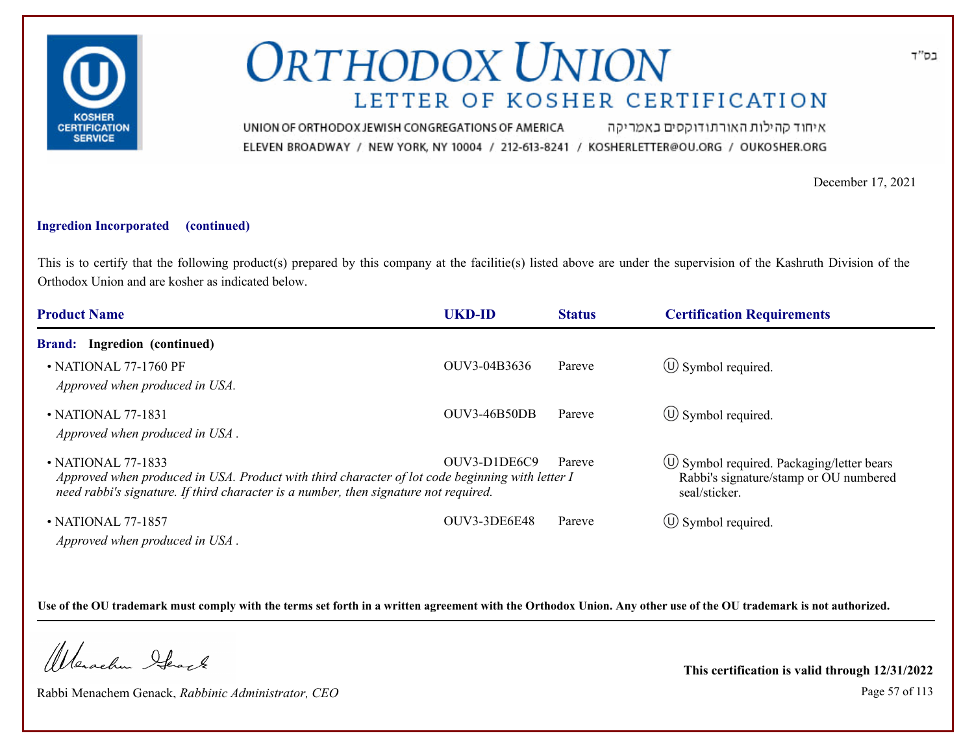

איחוד קהילות האורתודוקסים באמריקה UNION OF ORTHODOX JEWISH CONGREGATIONS OF AMERICA ELEVEN BROADWAY / NEW YORK, NY 10004 / 212-613-8241 / KOSHERLETTER@OU.ORG / OUKOSHER.ORG

December 17, 2021

#### **Ingredion Incorporated (continued)**

This is to certify that the following product(s) prepared by this company at the facilitie(s) listed above are under the supervision of the Kashruth Division of the Orthodox Union and are kosher as indicated below.

| <b>Product Name</b>                                                                                                                                                                                                 | <b>UKD-ID</b>       | <b>Status</b> | <b>Certification Requirements</b>                                                                          |
|---------------------------------------------------------------------------------------------------------------------------------------------------------------------------------------------------------------------|---------------------|---------------|------------------------------------------------------------------------------------------------------------|
| <b>Brand:</b> Ingredion (continued)                                                                                                                                                                                 |                     |               |                                                                                                            |
| • NATIONAL 77-1760 PF<br>Approved when produced in USA.                                                                                                                                                             | OUV3-04B3636        | Pareve        | $\circled{1}$ Symbol required.                                                                             |
| $\cdot$ NATIONAL 77-1831<br>Approved when produced in USA.                                                                                                                                                          | <b>OUV3-46B50DB</b> | Pareve        | $\circ$ Symbol required.                                                                                   |
| $\cdot$ NATIONAL 77-1833<br>Approved when produced in USA. Product with third character of lot code beginning with letter I<br>need rabbi's signature. If third character is a number, then signature not required. | OUV3-D1DE6C9        | Pareve        | $\circ$ Symbol required. Packaging/letter bears<br>Rabbi's signature/stamp or OU numbered<br>seal/sticker. |
| $\cdot$ NATIONAL 77-1857<br>Approved when produced in USA.                                                                                                                                                          | OUV3-3DE6E48        | Pareve        | $\circled{1}$ Symbol required.                                                                             |

**Use of the OU trademark must comply with the terms set forth in a written agreement with the Orthodox Union. Any other use of the OU trademark is not authorized.**

Werachen Stack

Rabbi Menachem Genack, *Rabbinic Administrator, CEO* Page 57 of 113

**This certification is valid through 12/31/2022**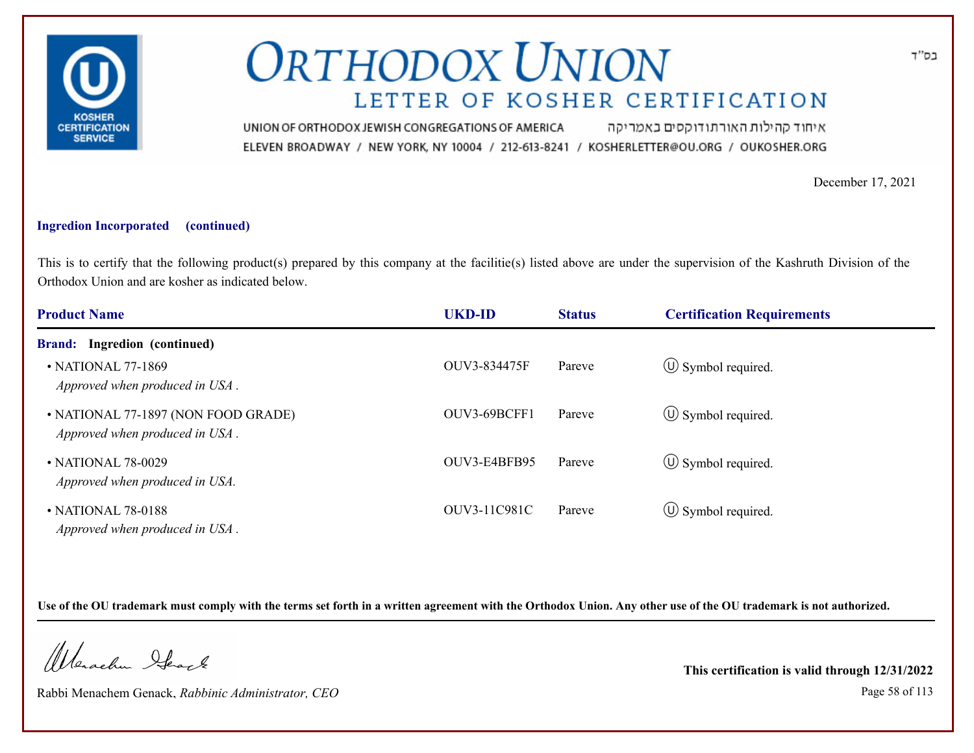

איחוד קהילות האורתודוקסים באמריקה UNION OF ORTHODOX JEWISH CONGREGATIONS OF AMERICA ELEVEN BROADWAY / NEW YORK, NY 10004 / 212-613-8241 / KOSHERLETTER@OU.ORG / OUKOSHER.ORG

December 17, 2021

#### **Ingredion Incorporated (continued)**

This is to certify that the following product(s) prepared by this company at the facilitie(s) listed above are under the supervision of the Kashruth Division of the Orthodox Union and are kosher as indicated below.

| <b>Product Name</b>                                                   | <b>UKD-ID</b> | <b>Status</b> | <b>Certification Requirements</b> |  |
|-----------------------------------------------------------------------|---------------|---------------|-----------------------------------|--|
| <b>Brand:</b> Ingredion (continued)                                   |               |               |                                   |  |
| • NATIONAL 77-1869<br>Approved when produced in USA.                  | OUV3-834475F  | Pareve        | $\circled{1}$ Symbol required.    |  |
| • NATIONAL 77-1897 (NON FOOD GRADE)<br>Approved when produced in USA. | OUV3-69BCFF1  | Pareve        | $\circled{0}$ Symbol required.    |  |
| • NATIONAL 78-0029<br>Approved when produced in USA.                  | OUV3-E4BFB95  | Pareve        | $\circled{1}$ Symbol required.    |  |
| • NATIONAL 78-0188<br>Approved when produced in USA.                  | OUV3-11C981C  | Pareve        | $\circled{1}$ Symbol required.    |  |

**Use of the OU trademark must comply with the terms set forth in a written agreement with the Orthodox Union. Any other use of the OU trademark is not authorized.**

Werachen Stack

Rabbi Menachem Genack, *Rabbinic Administrator, CEO* Page 58 of 113

**This certification is valid through 12/31/2022**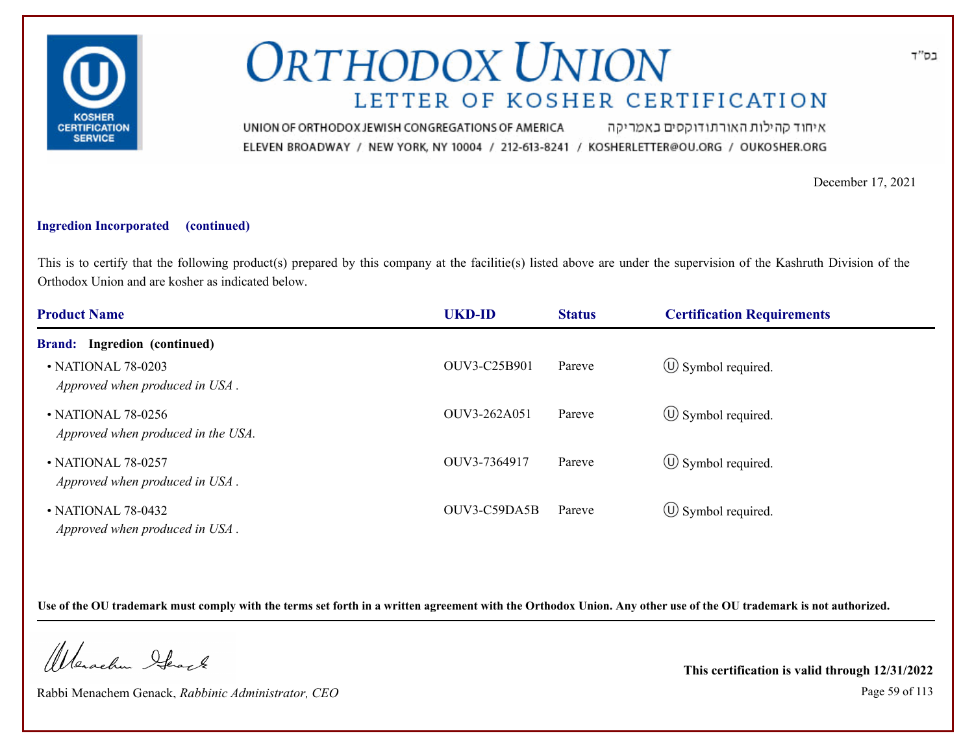

איחוד קהילות האורתודוקסים באמריקה UNION OF ORTHODOX JEWISH CONGREGATIONS OF AMERICA ELEVEN BROADWAY / NEW YORK, NY 10004 / 212-613-8241 / KOSHERLETTER@OU.ORG / OUKOSHER.ORG

December 17, 2021

#### **Ingredion Incorporated (continued)**

This is to certify that the following product(s) prepared by this company at the facilitie(s) listed above are under the supervision of the Kashruth Division of the Orthodox Union and are kosher as indicated below.

| <b>Product Name</b>                                      | <b>UKD-ID</b> | <b>Status</b> | <b>Certification Requirements</b> |  |
|----------------------------------------------------------|---------------|---------------|-----------------------------------|--|
| <b>Brand:</b> Ingredion (continued)                      |               |               |                                   |  |
| • NATIONAL 78-0203<br>Approved when produced in USA.     | OUV3-C25B901  | Pareve        | $\circled{1}$ Symbol required.    |  |
| • NATIONAL 78-0256<br>Approved when produced in the USA. | OUV3-262A051  | Pareve        | $\circled{1}$ Symbol required.    |  |
| • NATIONAL 78-0257<br>Approved when produced in USA.     | OUV3-7364917  | Pareve        | $\circled{1}$ Symbol required.    |  |
| • NATIONAL 78-0432<br>Approved when produced in USA.     | OUV3-C59DA5B  | Pareve        | $\circled{1}$ Symbol required.    |  |

**Use of the OU trademark must comply with the terms set forth in a written agreement with the Orthodox Union. Any other use of the OU trademark is not authorized.**

Werachen Stack

Rabbi Menachem Genack, *Rabbinic Administrator, CEO* Page 59 of 113

**This certification is valid through 12/31/2022**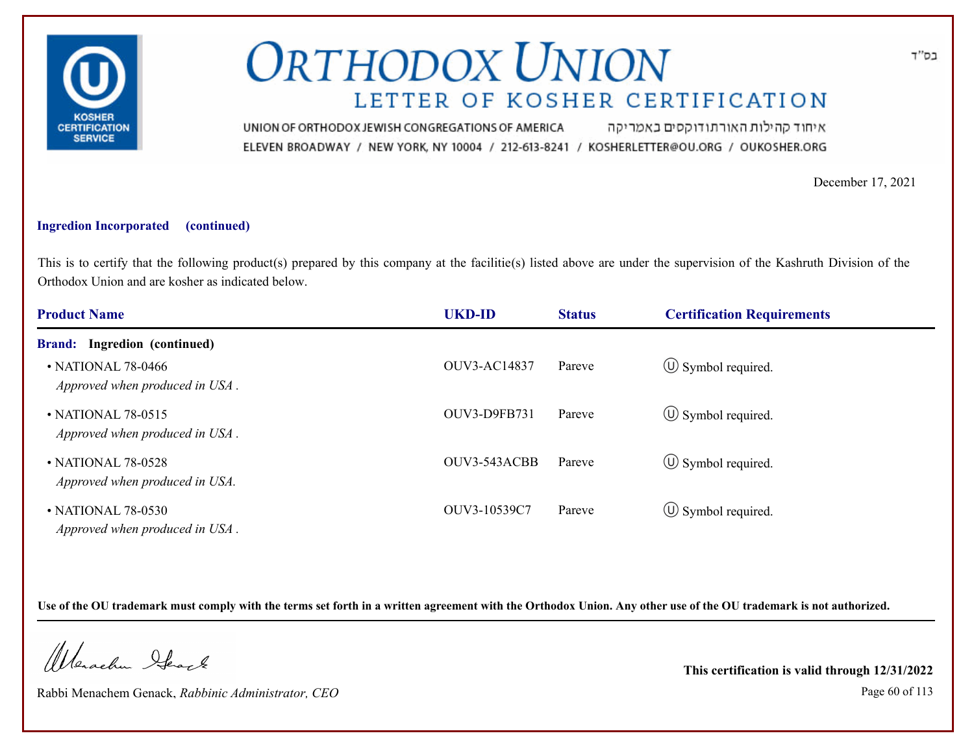

איחוד קהילות האורתודוקסים באמריקה UNION OF ORTHODOX JEWISH CONGREGATIONS OF AMERICA ELEVEN BROADWAY / NEW YORK, NY 10004 / 212-613-8241 / KOSHERLETTER@OU.ORG / OUKOSHER.ORG

December 17, 2021

#### **Ingredion Incorporated (continued)**

This is to certify that the following product(s) prepared by this company at the facilitie(s) listed above are under the supervision of the Kashruth Division of the Orthodox Union and are kosher as indicated below.

| <b>Product Name</b>                                  | <b>UKD-ID</b> | <b>Status</b> | <b>Certification Requirements</b> |  |
|------------------------------------------------------|---------------|---------------|-----------------------------------|--|
| <b>Brand:</b> Ingredion (continued)                  |               |               |                                   |  |
| • NATIONAL 78-0466<br>Approved when produced in USA. | OUV3-AC14837  | Pareve        | $\circled{1}$ Symbol required.    |  |
| • NATIONAL 78-0515<br>Approved when produced in USA. | OUV3-D9FB731  | Pareve        | $\circled{1}$ Symbol required.    |  |
| • NATIONAL 78-0528<br>Approved when produced in USA. | OUV3-543ACBB  | Pareve        | $\circled{1}$ Symbol required.    |  |
| • NATIONAL 78-0530<br>Approved when produced in USA. | OUV3-10539C7  | Pareve        | $\circled{1}$ Symbol required.    |  |

**Use of the OU trademark must comply with the terms set forth in a written agreement with the Orthodox Union. Any other use of the OU trademark is not authorized.**

Werachen Stack

Rabbi Menachem Genack, *Rabbinic Administrator, CEO* Page 60 of 113

**This certification is valid through 12/31/2022**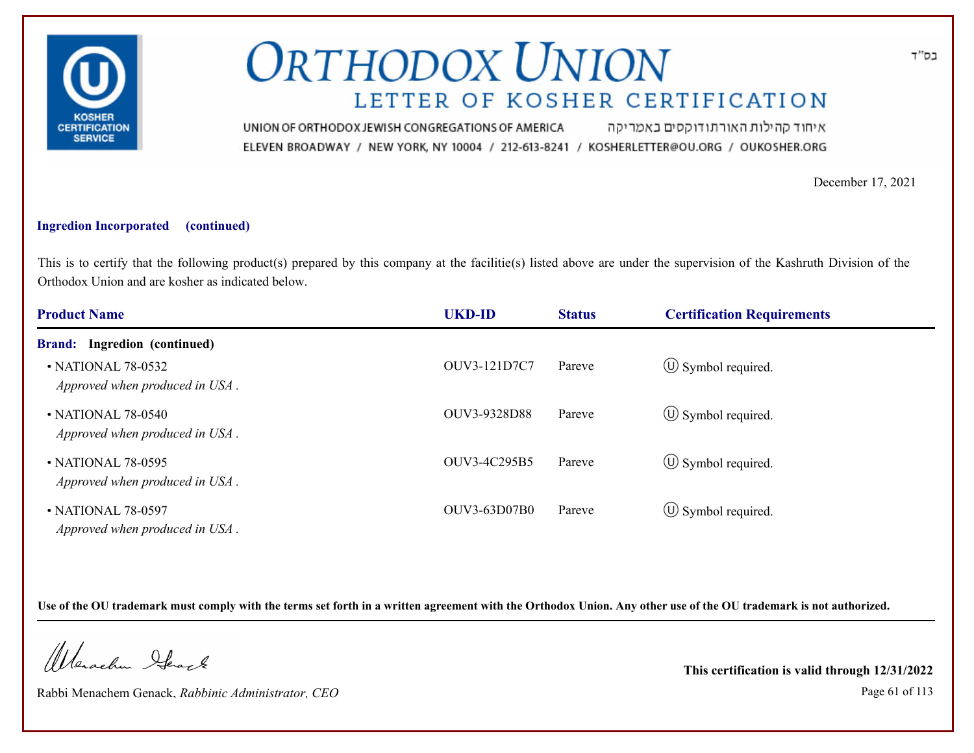

איחוד קהילות האורתודוקסים באמריקה UNION OF ORTHODOX JEWISH CONGREGATIONS OF AMERICA ELEVEN BROADWAY / NEW YORK, NY 10004 / 212-613-8241 / KOSHERLETTER@OU.ORG / OUKOSHER.ORG

December 17, 2021

#### **Ingredion Incorporated (continued)**

This is to certify that the following product(s) prepared by this company at the facilitie(s) listed above are under the supervision of the Kashruth Division of the Orthodox Union and are kosher as indicated below.

| <b>Product Name</b>                                  | <b>UKD-ID</b>       | <b>Status</b> | <b>Certification Requirements</b> |
|------------------------------------------------------|---------------------|---------------|-----------------------------------|
| <b>Brand:</b> Ingredion (continued)                  |                     |               |                                   |
| • NATIONAL 78-0532<br>Approved when produced in USA. | OUV3-121D7C7        | Pareve        | $\circled{1}$ Symbol required.    |
| • NATIONAL 78-0540<br>Approved when produced in USA. | OUV3-9328D88        | Pareve        | $\circled{1}$ Symbol required.    |
| • NATIONAL 78-0595<br>Approved when produced in USA. | OUV3-4C295B5        | Pareve        | $\circled{1}$ Symbol required.    |
| • NATIONAL 78-0597<br>Approved when produced in USA. | <b>OUV3-63D07B0</b> | Pareve        | $\circled{1}$ Symbol required.    |

**Use of the OU trademark must comply with the terms set forth in a written agreement with the Orthodox Union. Any other use of the OU trademark is not authorized.**

Werachen Stack

Rabbi Menachem Genack, *Rabbinic Administrator, CEO* Page 61 of 113

**This certification is valid through 12/31/2022**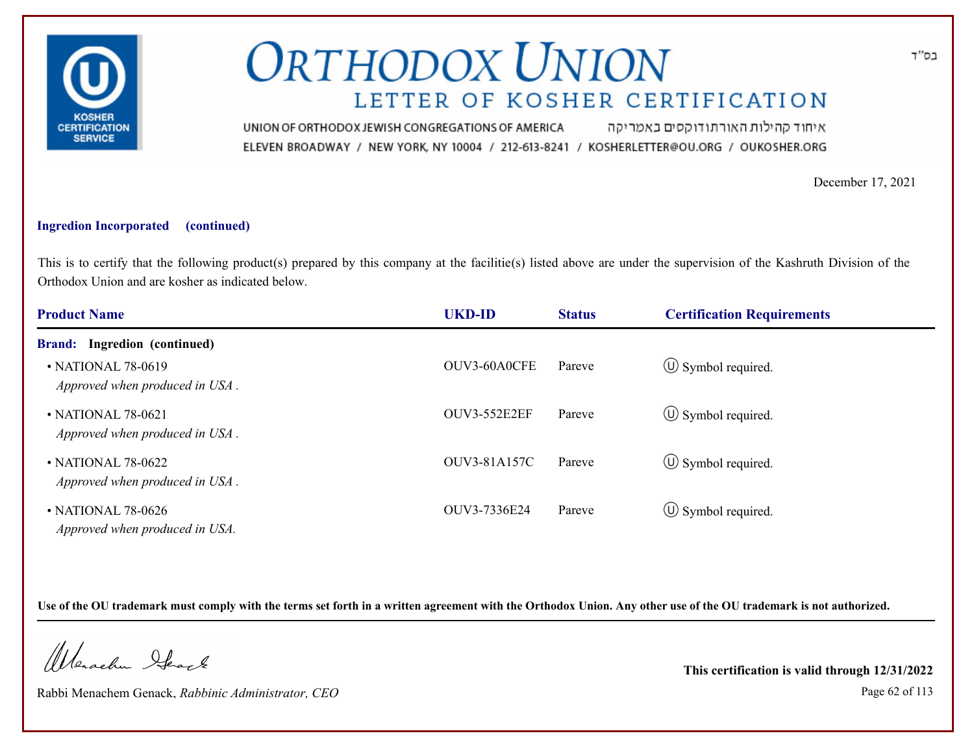

איחוד קהילות האורתודוקסים באמריקה UNION OF ORTHODOX JEWISH CONGREGATIONS OF AMERICA ELEVEN BROADWAY / NEW YORK, NY 10004 / 212-613-8241 / KOSHERLETTER@OU.ORG / OUKOSHER.ORG

December 17, 2021

### **Ingredion Incorporated (continued)**

This is to certify that the following product(s) prepared by this company at the facilitie(s) listed above are under the supervision of the Kashruth Division of the Orthodox Union and are kosher as indicated below.

| <b>Product Name</b>                                  | <b>UKD-ID</b>       | <b>Status</b> | <b>Certification Requirements</b> |
|------------------------------------------------------|---------------------|---------------|-----------------------------------|
| <b>Brand:</b> Ingredion (continued)                  |                     |               |                                   |
| • NATIONAL 78-0619<br>Approved when produced in USA. | OUV3-60A0CFE        | Pareve        | $\circled{1}$ Symbol required.    |
| • NATIONAL 78-0621<br>Approved when produced in USA. | <b>OUV3-552E2EF</b> | Pareve        | $\circled{1}$ Symbol required.    |
| • NATIONAL 78-0622<br>Approved when produced in USA. | OUV3-81A157C        | Pareve        | $\circled{1}$ Symbol required.    |
| • NATIONAL 78-0626<br>Approved when produced in USA. | OUV3-7336E24        | Pareve        | $\circled{1}$ Symbol required.    |

**Use of the OU trademark must comply with the terms set forth in a written agreement with the Orthodox Union. Any other use of the OU trademark is not authorized.**

Werachen Stack

Rabbi Menachem Genack, *Rabbinic Administrator, CEO* Page 62 of 113

**This certification is valid through 12/31/2022**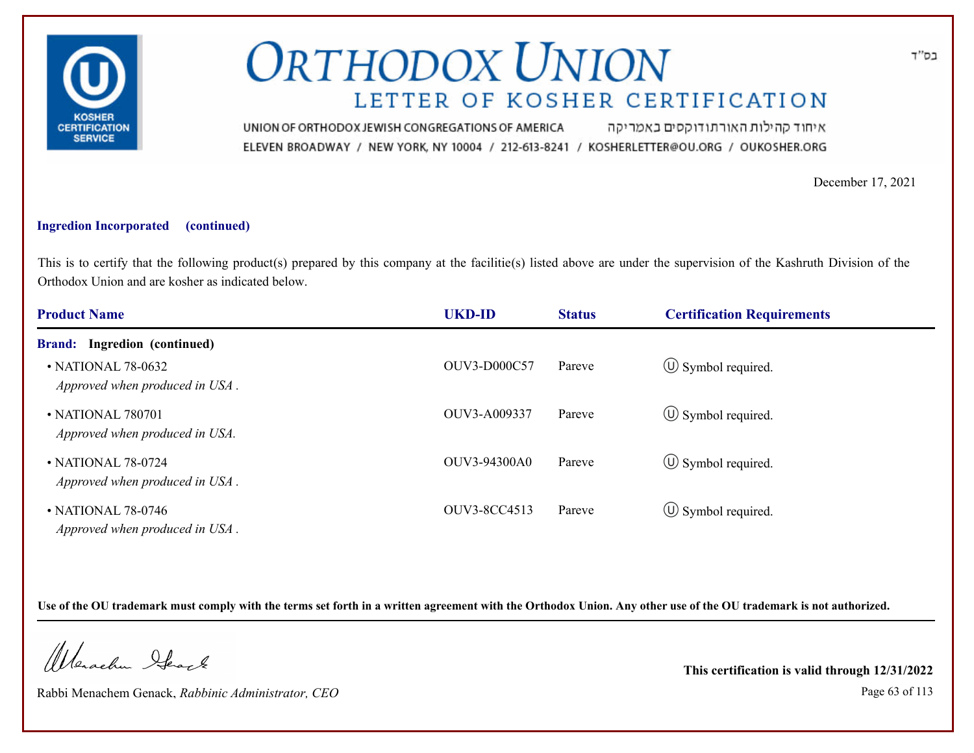

איחוד קהילות האורתודוקסים באמריקה UNION OF ORTHODOX JEWISH CONGREGATIONS OF AMERICA ELEVEN BROADWAY / NEW YORK, NY 10004 / 212-613-8241 / KOSHERLETTER@OU.ORG / OUKOSHER.ORG

December 17, 2021

#### **Ingredion Incorporated (continued)**

This is to certify that the following product(s) prepared by this company at the facilitie(s) listed above are under the supervision of the Kashruth Division of the Orthodox Union and are kosher as indicated below.

| <b>Product Name</b>                                  | <b>UKD-ID</b> | <b>Status</b> | <b>Certification Requirements</b> |  |
|------------------------------------------------------|---------------|---------------|-----------------------------------|--|
| <b>Brand:</b> Ingredion (continued)                  |               |               |                                   |  |
| • NATIONAL 78-0632<br>Approved when produced in USA. | OUV3-D000C57  | Pareve        | $\circled{1}$ Symbol required.    |  |
| • NATIONAL 780701<br>Approved when produced in USA.  | OUV3-A009337  | Pareve        | $\circled{1}$ Symbol required.    |  |
| • NATIONAL 78-0724<br>Approved when produced in USA. | OUV3-94300A0  | Pareve        | $\circled{1}$ Symbol required.    |  |
| • NATIONAL 78-0746<br>Approved when produced in USA. | OUV3-8CC4513  | Pareve        | $\circled{1}$ Symbol required.    |  |

**Use of the OU trademark must comply with the terms set forth in a written agreement with the Orthodox Union. Any other use of the OU trademark is not authorized.**

Werachen Stack

Rabbi Menachem Genack, *Rabbinic Administrator, CEO* Page 63 of 113

**This certification is valid through 12/31/2022**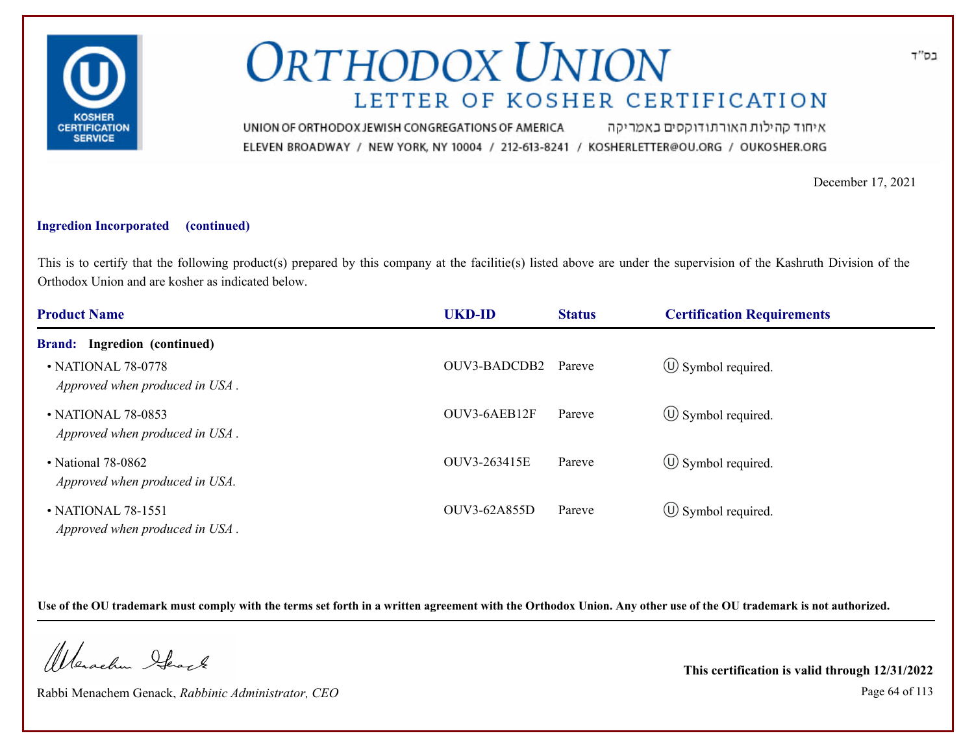

איחוד קהילות האורתודוקסים באמריקה UNION OF ORTHODOX JEWISH CONGREGATIONS OF AMERICA ELEVEN BROADWAY / NEW YORK, NY 10004 / 212-613-8241 / KOSHERLETTER@OU.ORG / OUKOSHER.ORG

December 17, 2021

### **Ingredion Incorporated (continued)**

This is to certify that the following product(s) prepared by this company at the facilitie(s) listed above are under the supervision of the Kashruth Division of the Orthodox Union and are kosher as indicated below.

| <b>Product Name</b>                                  | <b>UKD-ID</b> | <b>Status</b> | <b>Certification Requirements</b> |  |
|------------------------------------------------------|---------------|---------------|-----------------------------------|--|
| <b>Brand:</b> Ingredion (continued)                  |               |               |                                   |  |
| • NATIONAL 78-0778<br>Approved when produced in USA. | OUV3-BADCDB2  | Pareve        | $\circ$ Symbol required.          |  |
| • NATIONAL 78-0853<br>Approved when produced in USA. | OUV3-6AEB12F  | Pareve        | $\circled{1}$ Symbol required.    |  |
| • National 78-0862<br>Approved when produced in USA. | OUV3-263415E  | Pareve        | $\circled{1}$ Symbol required.    |  |
| • NATIONAL 78-1551<br>Approved when produced in USA. | OUV3-62A855D  | Pareve        | $\circled{1}$ Symbol required.    |  |

**Use of the OU trademark must comply with the terms set forth in a written agreement with the Orthodox Union. Any other use of the OU trademark is not authorized.**

Werachen Ifeart

Rabbi Menachem Genack, *Rabbinic Administrator, CEO* Page 64 of 113

**This certification is valid through 12/31/2022**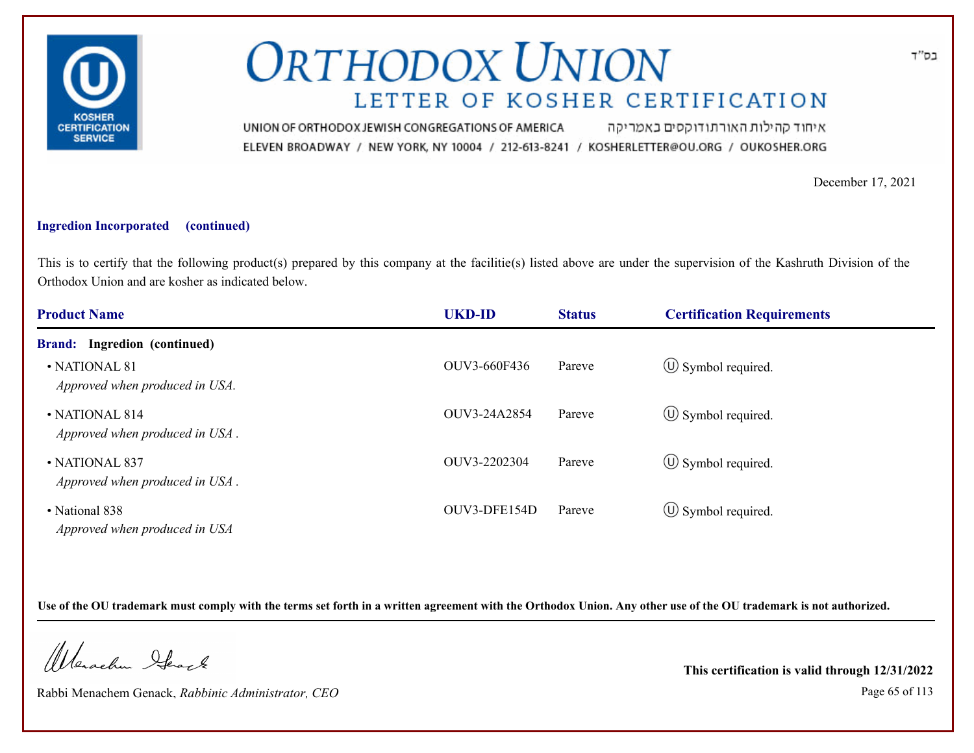

איחוד קהילות האורתודוקסים באמריקה UNION OF ORTHODOX JEWISH CONGREGATIONS OF AMERICA ELEVEN BROADWAY / NEW YORK, NY 10004 / 212-613-8241 / KOSHERLETTER@OU.ORG / OUKOSHER.ORG

December 17, 2021

#### **Ingredion Incorporated (continued)**

This is to certify that the following product(s) prepared by this company at the facilitie(s) listed above are under the supervision of the Kashruth Division of the Orthodox Union and are kosher as indicated below.

| <b>Product Name</b>                              | <b>UKD-ID</b> | <b>Status</b> | <b>Certification Requirements</b> |  |
|--------------------------------------------------|---------------|---------------|-----------------------------------|--|
| <b>Brand:</b> Ingredion (continued)              |               |               |                                   |  |
| • NATIONAL 81<br>Approved when produced in USA.  | OUV3-660F436  | Pareve        | $\circ$ Symbol required.          |  |
| • NATIONAL 814<br>Approved when produced in USA. | OUV3-24A2854  | Pareve        | $\circled{1}$ Symbol required.    |  |
| • NATIONAL 837<br>Approved when produced in USA. | OUV3-2202304  | Pareve        | $\circled{0}$ Symbol required.    |  |
| • National 838<br>Approved when produced in USA  | OUV3-DFE154D  | Pareve        | $\circled{1}$ Symbol required.    |  |

**Use of the OU trademark must comply with the terms set forth in a written agreement with the Orthodox Union. Any other use of the OU trademark is not authorized.**

Werachen Stack

Rabbi Menachem Genack, *Rabbinic Administrator, CEO* Page 65 of 113

**This certification is valid through 12/31/2022**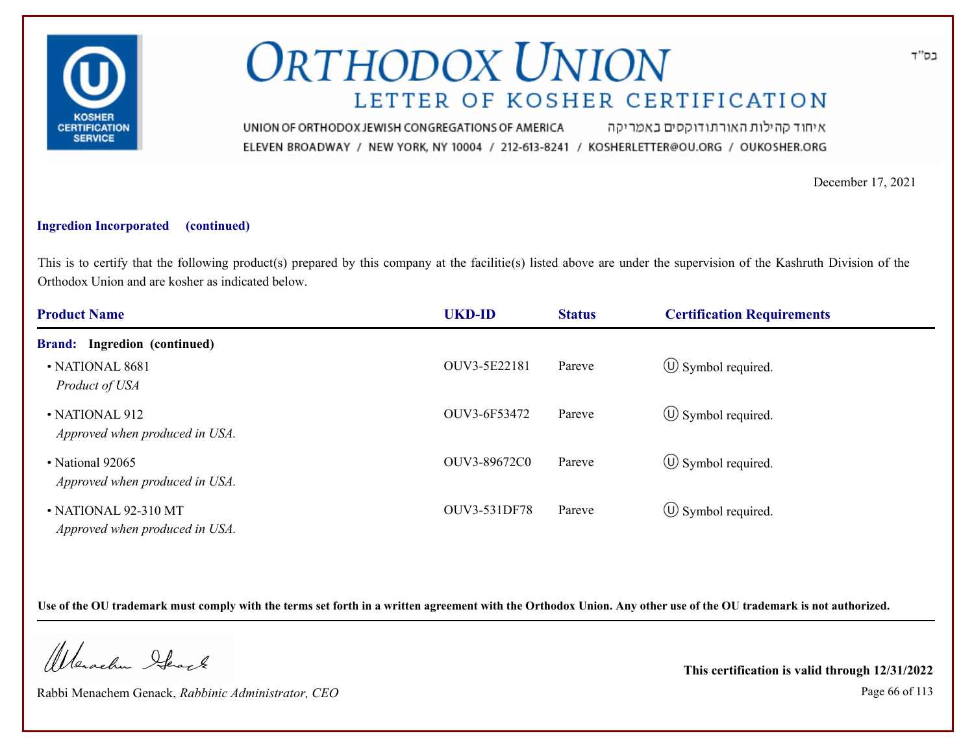

איחוד קהילות האורתודוקסים באמריקה UNION OF ORTHODOX JEWISH CONGREGATIONS OF AMERICA ELEVEN BROADWAY / NEW YORK, NY 10004 / 212-613-8241 / KOSHERLETTER@OU.ORG / OUKOSHER.ORG

December 17, 2021

#### **Ingredion Incorporated (continued)**

This is to certify that the following product(s) prepared by this company at the facilitie(s) listed above are under the supervision of the Kashruth Division of the Orthodox Union and are kosher as indicated below.

| <b>Product Name</b>                                    | <b>UKD-ID</b> | <b>Status</b> | <b>Certification Requirements</b> |  |
|--------------------------------------------------------|---------------|---------------|-----------------------------------|--|
| <b>Brand:</b> Ingredion (continued)                    |               |               |                                   |  |
| • NATIONAL 8681<br>Product of USA                      | OUV3-5E22181  | Pareve        | $\circled{1}$ Symbol required.    |  |
| • NATIONAL 912<br>Approved when produced in USA.       | OUV3-6F53472  | Pareve        | $\circled{1}$ Symbol required.    |  |
| • National 92065<br>Approved when produced in USA.     | OUV3-89672C0  | Pareve        | $\circled{1}$ Symbol required.    |  |
| • NATIONAL 92-310 MT<br>Approved when produced in USA. | OUV3-531DF78  | Pareve        | $\circled{1}$ Symbol required.    |  |

**Use of the OU trademark must comply with the terms set forth in a written agreement with the Orthodox Union. Any other use of the OU trademark is not authorized.**

Werachen Stack

Rabbi Menachem Genack, *Rabbinic Administrator, CEO* Page 66 of 113

**This certification is valid through 12/31/2022**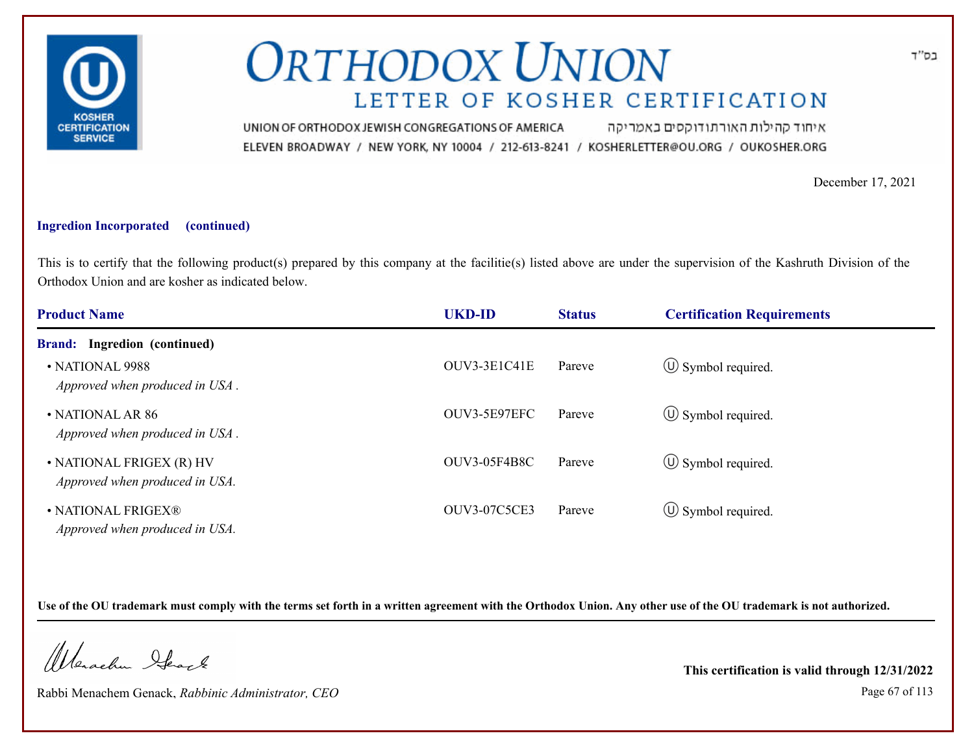

איחוד קהילות האורתודוקסים באמריקה UNION OF ORTHODOX JEWISH CONGREGATIONS OF AMERICA ELEVEN BROADWAY / NEW YORK, NY 10004 / 212-613-8241 / KOSHERLETTER@OU.ORG / OUKOSHER.ORG

December 17, 2021

#### **Ingredion Incorporated (continued)**

This is to certify that the following product(s) prepared by this company at the facilitie(s) listed above are under the supervision of the Kashruth Division of the Orthodox Union and are kosher as indicated below.

| <b>Product Name</b>                                        | <b>UKD-ID</b>       | <b>Status</b> | <b>Certification Requirements</b> |
|------------------------------------------------------------|---------------------|---------------|-----------------------------------|
| <b>Brand:</b> Ingredion (continued)                        |                     |               |                                   |
| • NATIONAL 9988<br>Approved when produced in USA.          | OUV3-3E1C41E        | Pareve        | $\circ$ Symbol required.          |
| • NATIONAL AR 86<br>Approved when produced in USA.         | OUV3-5E97EFC        | Pareve        | $\circled{1}$ Symbol required.    |
| • NATIONAL FRIGEX (R) HV<br>Approved when produced in USA. | <b>OUV3-05F4B8C</b> | Pareve        | $\circled{0}$ Symbol required.    |
| • NATIONAL FRIGEX®<br>Approved when produced in USA.       | <b>OUV3-07C5CE3</b> | Pareve        | $\circled{1}$ Symbol required.    |

**Use of the OU trademark must comply with the terms set forth in a written agreement with the Orthodox Union. Any other use of the OU trademark is not authorized.**

Werachen Stack

Rabbi Menachem Genack, *Rabbinic Administrator, CEO* Page 67 of 113

**This certification is valid through 12/31/2022**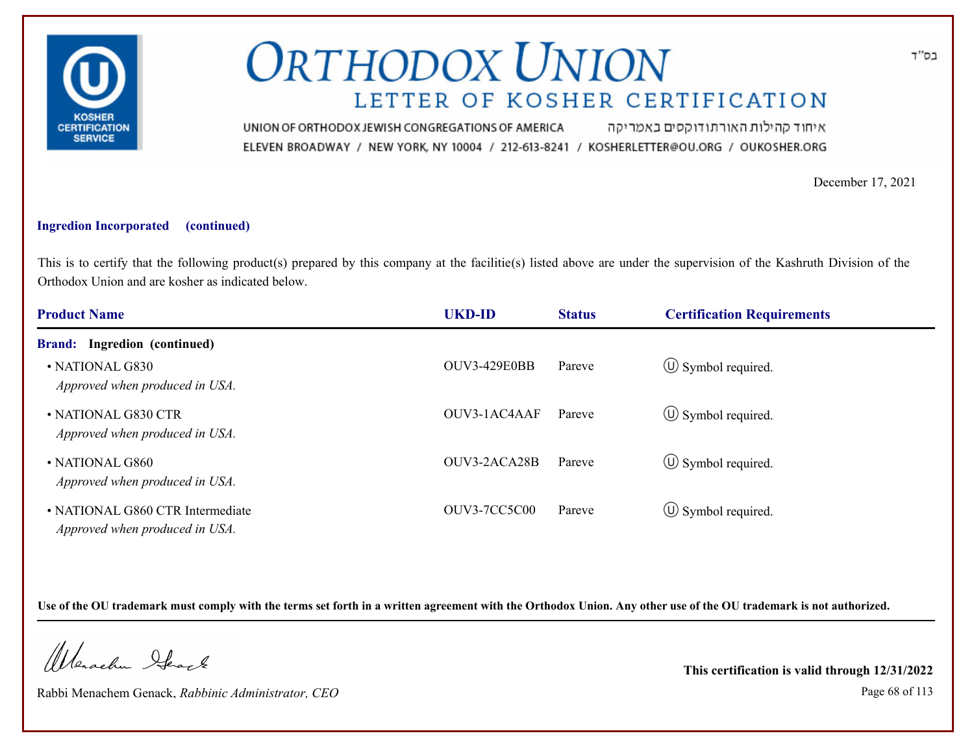

איחוד קהילות האורתודוקסים באמריקה UNION OF ORTHODOX JEWISH CONGREGATIONS OF AMERICA ELEVEN BROADWAY / NEW YORK, NY 10004 / 212-613-8241 / KOSHERLETTER@OU.ORG / OUKOSHER.ORG

December 17, 2021

#### **Ingredion Incorporated (continued)**

This is to certify that the following product(s) prepared by this company at the facilitie(s) listed above are under the supervision of the Kashruth Division of the Orthodox Union and are kosher as indicated below.

| <b>Product Name</b>                                                | <b>UKD-ID</b>       | <b>Status</b> | <b>Certification Requirements</b> |  |
|--------------------------------------------------------------------|---------------------|---------------|-----------------------------------|--|
| <b>Brand:</b> Ingredion (continued)                                |                     |               |                                   |  |
| • NATIONAL G830<br>Approved when produced in USA.                  | <b>OUV3-429E0BB</b> | Pareve        | $\circled{1}$ Symbol required.    |  |
| • NATIONAL G830 CTR<br>Approved when produced in USA.              | OUV3-1AC4AAF        | Pareve        | $\circled{1}$ Symbol required.    |  |
| • NATIONAL G860<br>Approved when produced in USA.                  | OUV3-2ACA28B        | Pareve        | $\circled{1}$ Symbol required.    |  |
| • NATIONAL G860 CTR Intermediate<br>Approved when produced in USA. | <b>OUV3-7CC5C00</b> | Pareve        | $\circled{1}$ Symbol required.    |  |

**Use of the OU trademark must comply with the terms set forth in a written agreement with the Orthodox Union. Any other use of the OU trademark is not authorized.**

Werachen Stack

Rabbi Menachem Genack, *Rabbinic Administrator, CEO* Page 68 of 113

**This certification is valid through 12/31/2022**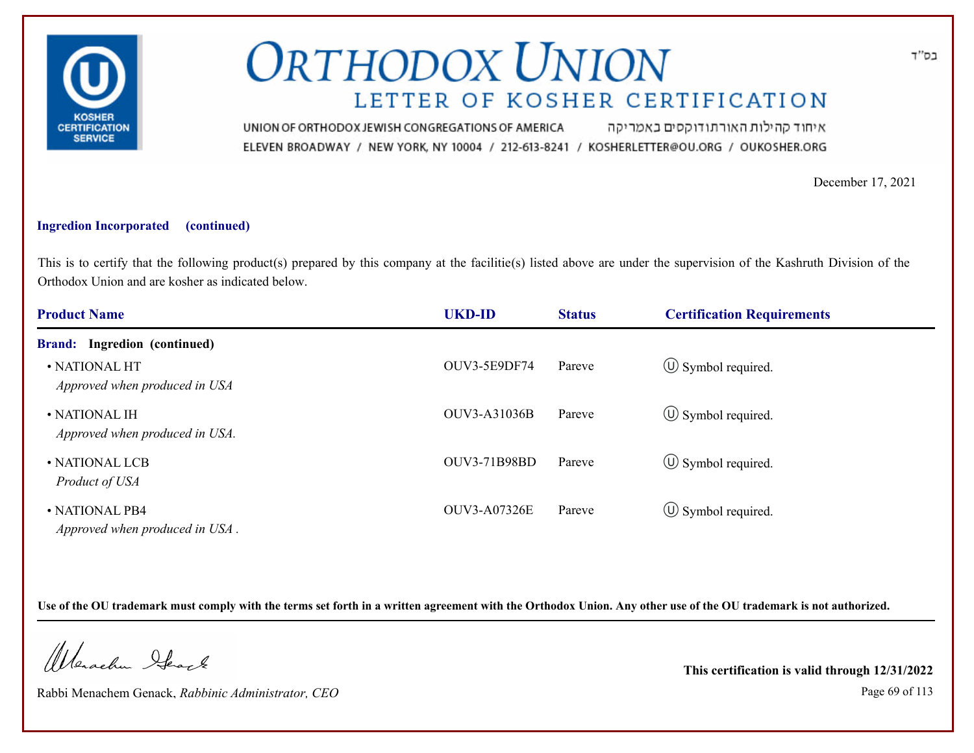

איחוד קהילות האורתודוקסים באמריקה UNION OF ORTHODOX JEWISH CONGREGATIONS OF AMERICA ELEVEN BROADWAY / NEW YORK, NY 10004 / 212-613-8241 / KOSHERLETTER@OU.ORG / OUKOSHER.ORG

December 17, 2021

#### **Ingredion Incorporated (continued)**

This is to certify that the following product(s) prepared by this company at the facilitie(s) listed above are under the supervision of the Kashruth Division of the Orthodox Union and are kosher as indicated below.

| <b>Product Name</b>                              | <b>UKD-ID</b>       | <b>Status</b> | <b>Certification Requirements</b> |  |
|--------------------------------------------------|---------------------|---------------|-----------------------------------|--|
| <b>Brand:</b> Ingredion (continued)              |                     |               |                                   |  |
| • NATIONAL HT<br>Approved when produced in USA   | OUV3-5E9DF74        | Pareve        | $\circled{1}$ Symbol required.    |  |
| • NATIONAL IH<br>Approved when produced in USA.  | OUV3-A31036B        | Pareve        | $\circled{1}$ Symbol required.    |  |
| • NATIONAL LCB<br>Product of USA                 | <b>OUV3-71B98BD</b> | Pareve        | $\circled{1}$ Symbol required.    |  |
| • NATIONAL PB4<br>Approved when produced in USA. | OUV3-A07326E        | Pareve        | $\circled{1}$ Symbol required.    |  |

**Use of the OU trademark must comply with the terms set forth in a written agreement with the Orthodox Union. Any other use of the OU trademark is not authorized.**

Werachen Stack

Rabbi Menachem Genack, *Rabbinic Administrator, CEO* Page 69 of 113

**This certification is valid through 12/31/2022**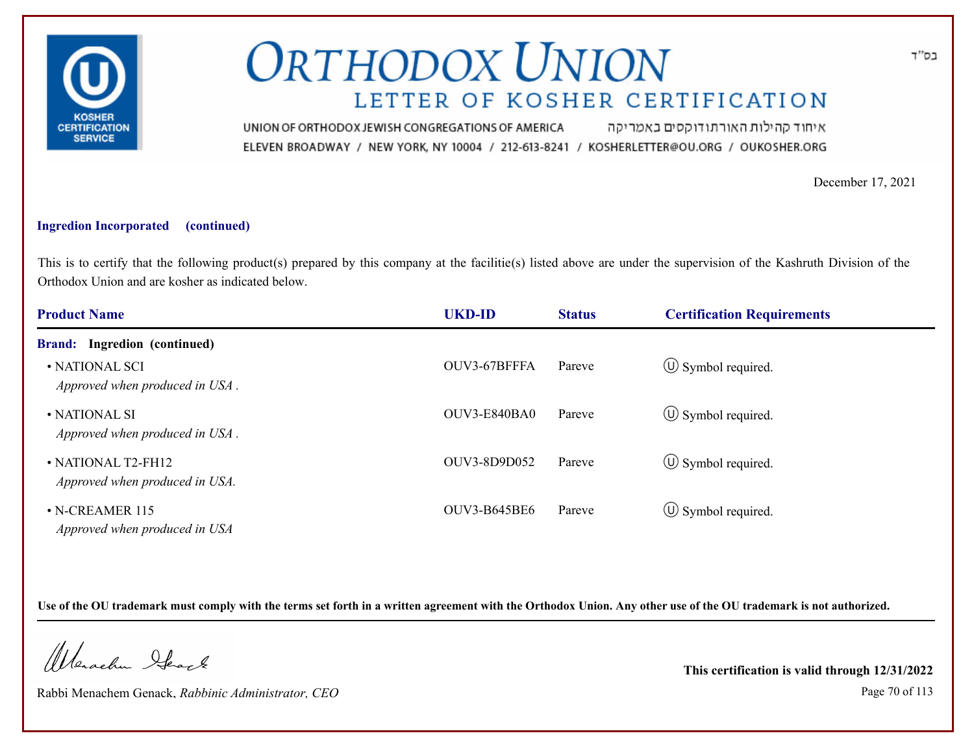

איחוד קהילות האורתודוקסים באמריקה UNION OF ORTHODOX JEWISH CONGREGATIONS OF AMERICA ELEVEN BROADWAY / NEW YORK, NY 10004 / 212-613-8241 / KOSHERLETTER@OU.ORG / OUKOSHER.ORG

December 17, 2021

#### **Ingredion Incorporated (continued)**

This is to certify that the following product(s) prepared by this company at the facilitie(s) listed above are under the supervision of the Kashruth Division of the Orthodox Union and are kosher as indicated below.

| <b>Product Name</b>                                  | <b>UKD-ID</b>       | <b>Status</b> | <b>Certification Requirements</b> |
|------------------------------------------------------|---------------------|---------------|-----------------------------------|
| <b>Brand:</b> Ingredion (continued)                  |                     |               |                                   |
| • NATIONAL SCI<br>Approved when produced in USA.     | OUV3-67BFFFA        | Pareve        | $\circled{1}$ Symbol required.    |
| • NATIONAL SI<br>Approved when produced in USA.      | <b>OUV3-E840BA0</b> | Pareve        | $\circled{1}$ Symbol required.    |
| • NATIONAL T2-FH12<br>Approved when produced in USA. | OUV3-8D9D052        | Pareve        | $\circled{1}$ Symbol required.    |
| • N-CREAMER 115<br>Approved when produced in USA     | <b>OUV3-B645BE6</b> | Pareve        | $\circled{1}$ Symbol required.    |

**Use of the OU trademark must comply with the terms set forth in a written agreement with the Orthodox Union. Any other use of the OU trademark is not authorized.**

Werachen Stack

Rabbi Menachem Genack, *Rabbinic Administrator, CEO* Page 70 of 113

**This certification is valid through 12/31/2022**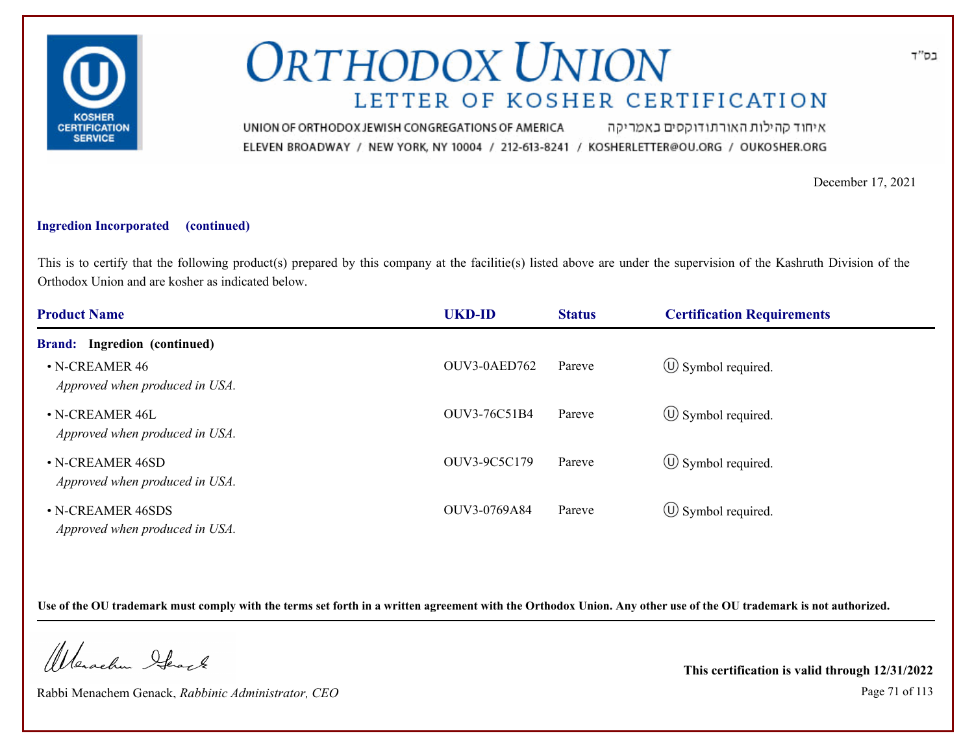

איחוד קהילות האורתודוקסים באמריקה UNION OF ORTHODOX JEWISH CONGREGATIONS OF AMERICA ELEVEN BROADWAY / NEW YORK, NY 10004 / 212-613-8241 / KOSHERLETTER@OU.ORG / OUKOSHER.ORG

December 17, 2021

#### **Ingredion Incorporated (continued)**

This is to certify that the following product(s) prepared by this company at the facilitie(s) listed above are under the supervision of the Kashruth Division of the Orthodox Union and are kosher as indicated below.

| <b>Product Name</b>                                 | <b>UKD-ID</b> | <b>Status</b> | <b>Certification Requirements</b> |  |
|-----------------------------------------------------|---------------|---------------|-----------------------------------|--|
| <b>Brand:</b> Ingredion (continued)                 |               |               |                                   |  |
| • N-CREAMER 46<br>Approved when produced in USA.    | OUV3-0AED762  | Pareve        | $\circled{1}$ Symbol required.    |  |
| • N-CREAMER 46L<br>Approved when produced in USA.   | OUV3-76C51B4  | Pareve        | $\circled{1}$ Symbol required.    |  |
| • N-CREAMER 46SD<br>Approved when produced in USA.  | OUV3-9C5C179  | Pareve        | $\circled{1}$ Symbol required.    |  |
| • N-CREAMER 46SDS<br>Approved when produced in USA. | OUV3-0769A84  | Pareve        | $\circled{1}$ Symbol required.    |  |

**Use of the OU trademark must comply with the terms set forth in a written agreement with the Orthodox Union. Any other use of the OU trademark is not authorized.**

Werachen Stack

Rabbi Menachem Genack, *Rabbinic Administrator, CEO* Page 71 of 113

**This certification is valid through 12/31/2022**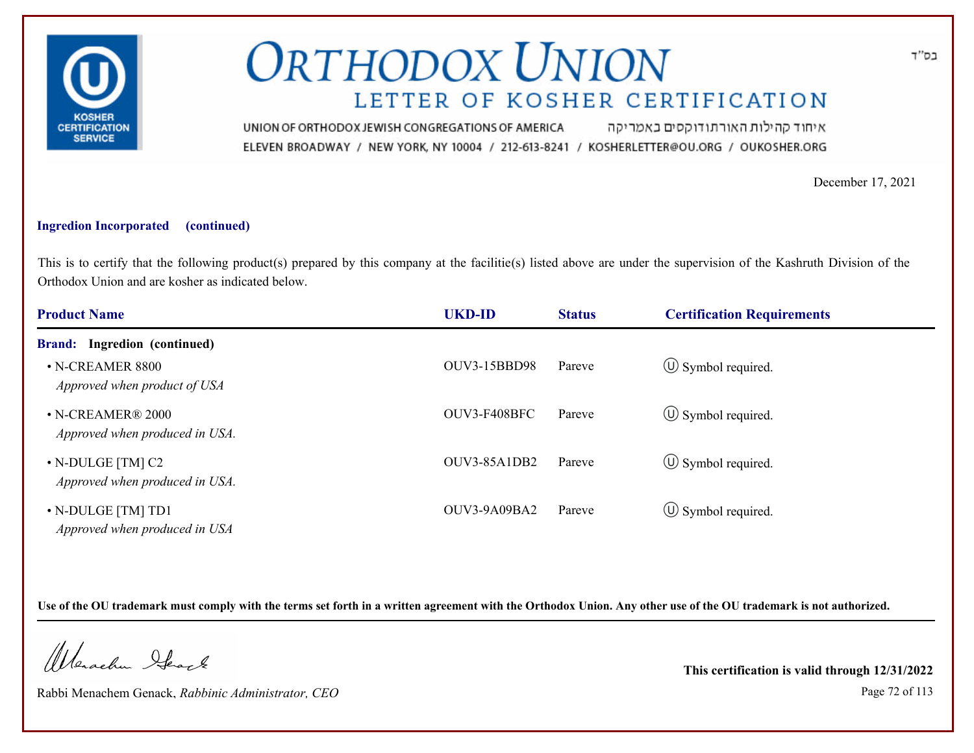

איחוד קהילות האורתודוקסים באמריקה UNION OF ORTHODOX JEWISH CONGREGATIONS OF AMERICA ELEVEN BROADWAY / NEW YORK, NY 10004 / 212-613-8241 / KOSHERLETTER@OU.ORG / OUKOSHER.ORG

December 17, 2021

#### **Ingredion Incorporated (continued)**

This is to certify that the following product(s) prepared by this company at the facilitie(s) listed above are under the supervision of the Kashruth Division of the Orthodox Union and are kosher as indicated below.

| <b>Product Name</b>                                         | <b>UKD-ID</b>       | <b>Status</b> | <b>Certification Requirements</b> |  |
|-------------------------------------------------------------|---------------------|---------------|-----------------------------------|--|
| <b>Brand:</b> Ingredion (continued)                         |                     |               |                                   |  |
| • N-CREAMER 8800<br>Approved when product of USA            | <b>OUV3-15BBD98</b> | Pareve        | $\circled{1}$ Symbol required.    |  |
| • N-CREAMER® 2000<br>Approved when produced in USA.         | OUV3-F408BFC        | Pareve        | $\circled{1}$ Symbol required.    |  |
| $\bullet$ N-DULGE [TM] C2<br>Approved when produced in USA. | OUV3-85A1DB2        | Pareve        | $\circled{1}$ Symbol required.    |  |
| • N-DULGE [TM] TD1<br>Approved when produced in USA         | OUV3-9A09BA2        | Pareve        | $\circled{1}$ Symbol required.    |  |

**Use of the OU trademark must comply with the terms set forth in a written agreement with the Orthodox Union. Any other use of the OU trademark is not authorized.**

Werachen Stack

Rabbi Menachem Genack, *Rabbinic Administrator, CEO* Page 72 of 113

**This certification is valid through 12/31/2022**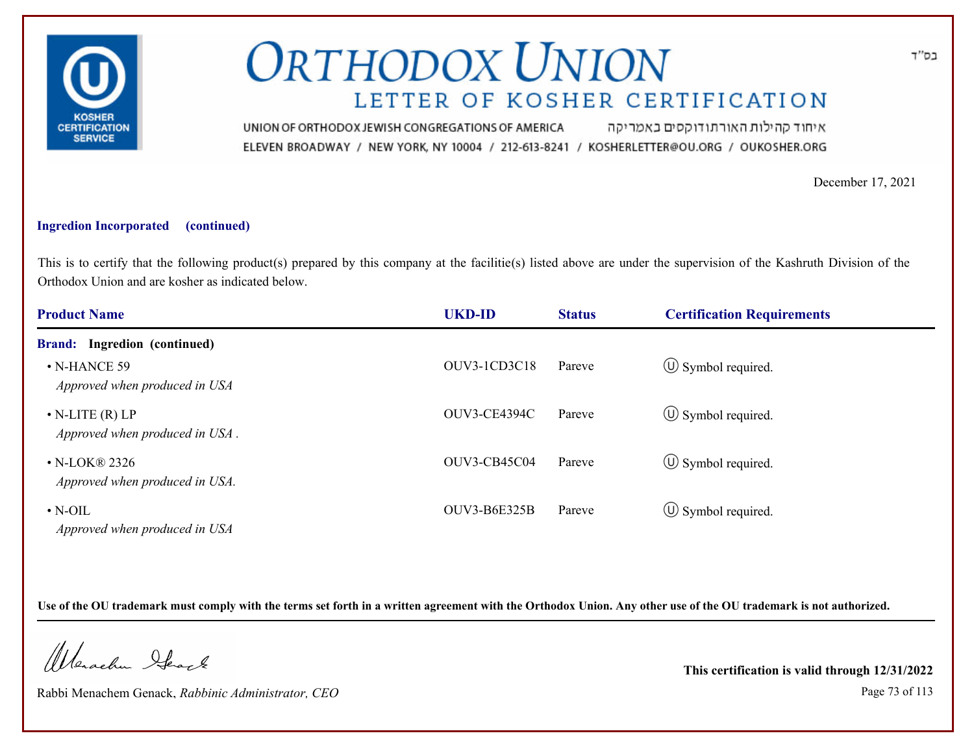

איחוד קהילות האורתודוקסים באמריקה UNION OF ORTHODOX JEWISH CONGREGATIONS OF AMERICA ELEVEN BROADWAY / NEW YORK, NY 10004 / 212-613-8241 / KOSHERLETTER@OU.ORG / OUKOSHER.ORG

December 17, 2021

### **Ingredion Incorporated (continued)**

This is to certify that the following product(s) prepared by this company at the facilitie(s) listed above are under the supervision of the Kashruth Division of the Orthodox Union and are kosher as indicated below.

| <b>Product Name</b>                                       | <b>UKD-ID</b>       | <b>Status</b> | <b>Certification Requirements</b> |  |
|-----------------------------------------------------------|---------------------|---------------|-----------------------------------|--|
| <b>Brand:</b> Ingredion (continued)                       |                     |               |                                   |  |
| $\cdot$ N-HANCE 59<br>Approved when produced in USA       | OUV3-1CD3C18        | Pareve        | $\circled{1}$ Symbol required.    |  |
| $\bullet$ N-LITE (R) LP<br>Approved when produced in USA. | <b>OUV3-CE4394C</b> | Pareve        | $\circled{1}$ Symbol required.    |  |
| $\cdot$ N-LOK® 2326<br>Approved when produced in USA.     | OUV3-CB45C04        | Pareve        | $\circled{1}$ Symbol required.    |  |
| $\cdot$ N-OIL<br>Approved when produced in USA            | <b>OUV3-B6E325B</b> | Pareve        | $\circled{1}$ Symbol required.    |  |

**Use of the OU trademark must comply with the terms set forth in a written agreement with the Orthodox Union. Any other use of the OU trademark is not authorized.**

Werachen Stack

Rabbi Menachem Genack, *Rabbinic Administrator, CEO* Page 73 of 113

**This certification is valid through 12/31/2022**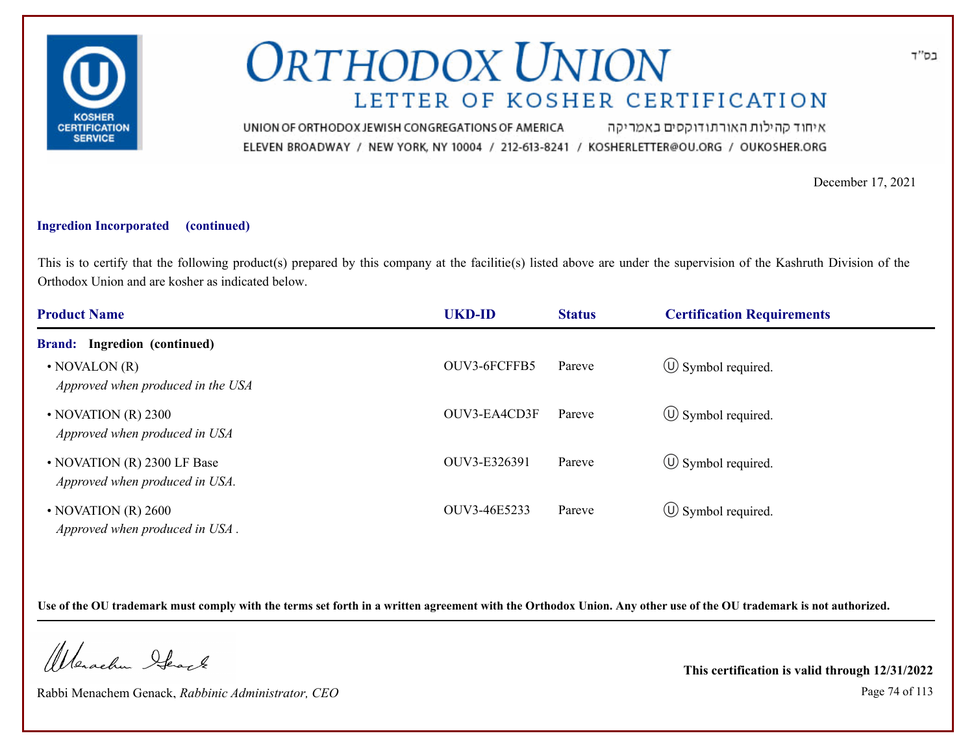

איחוד קהילות האורתודוקסים באמריקה UNION OF ORTHODOX JEWISH CONGREGATIONS OF AMERICA ELEVEN BROADWAY / NEW YORK, NY 10004 / 212-613-8241 / KOSHERLETTER@OU.ORG / OUKOSHER.ORG

December 17, 2021

### **Ingredion Incorporated (continued)**

This is to certify that the following product(s) prepared by this company at the facilitie(s) listed above are under the supervision of the Kashruth Division of the Orthodox Union and are kosher as indicated below.

| <b>Product Name</b>                                                   | <b>UKD-ID</b> | <b>Status</b> | <b>Certification Requirements</b> |  |
|-----------------------------------------------------------------------|---------------|---------------|-----------------------------------|--|
| <b>Brand:</b> Ingredion (continued)                                   |               |               |                                   |  |
| $\cdot$ NOVALON $(R)$<br>Approved when produced in the USA            | OUV3-6FCFFB5  | Pareve        | $\circ$ Symbol required.          |  |
| $\cdot$ NOVATION (R) 2300<br>Approved when produced in USA            | OUV3-EA4CD3F  | Pareve        | $\circled{1}$ Symbol required.    |  |
| $\bullet$ NOVATION (R) 2300 LF Base<br>Approved when produced in USA. | OUV3-E326391  | Pareve        | $\circled{0}$ Symbol required.    |  |
| $\cdot$ NOVATION (R) 2600<br>Approved when produced in USA.           | OUV3-46E5233  | Pareve        | $\circled{1}$ Symbol required.    |  |

**Use of the OU trademark must comply with the terms set forth in a written agreement with the Orthodox Union. Any other use of the OU trademark is not authorized.**

Werachen Stack

Rabbi Menachem Genack, *Rabbinic Administrator, CEO* Page 74 of 113

**This certification is valid through 12/31/2022**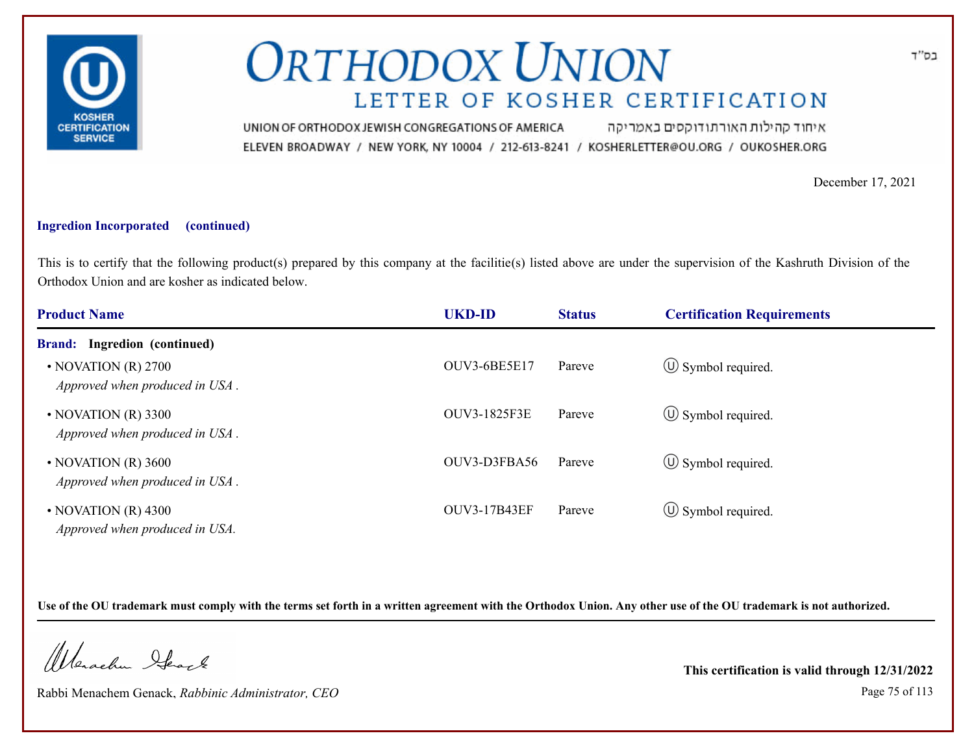

איחוד קהילות האורתודוקסים באמריקה UNION OF ORTHODOX JEWISH CONGREGATIONS OF AMERICA ELEVEN BROADWAY / NEW YORK, NY 10004 / 212-613-8241 / KOSHERLETTER@OU.ORG / OUKOSHER.ORG

December 17, 2021

### **Ingredion Incorporated (continued)**

This is to certify that the following product(s) prepared by this company at the facilitie(s) listed above are under the supervision of the Kashruth Division of the Orthodox Union and are kosher as indicated below.

| <b>Product Name</b>                                         | <b>UKD-ID</b>       | <b>Status</b> | <b>Certification Requirements</b> |  |
|-------------------------------------------------------------|---------------------|---------------|-----------------------------------|--|
| <b>Brand:</b> Ingredion (continued)                         |                     |               |                                   |  |
| $\cdot$ NOVATION (R) 2700<br>Approved when produced in USA. | OUV3-6BE5E17        | Pareve        | $\circ$ Symbol required.          |  |
| $\cdot$ NOVATION (R) 3300<br>Approved when produced in USA. | OUV3-1825F3E        | Pareve        | $\circled{1}$ Symbol required.    |  |
| $\cdot$ NOVATION (R) 3600<br>Approved when produced in USA. | OUV3-D3FBA56        | Pareve        | $\circled{0}$ Symbol required.    |  |
| $\cdot$ NOVATION (R) 4300<br>Approved when produced in USA. | <b>OUV3-17B43EF</b> | Pareve        | $\circled{1}$ Symbol required.    |  |

**Use of the OU trademark must comply with the terms set forth in a written agreement with the Orthodox Union. Any other use of the OU trademark is not authorized.**

Werachen Stack

Rabbi Menachem Genack, *Rabbinic Administrator, CEO* Page 75 of 113

**This certification is valid through 12/31/2022**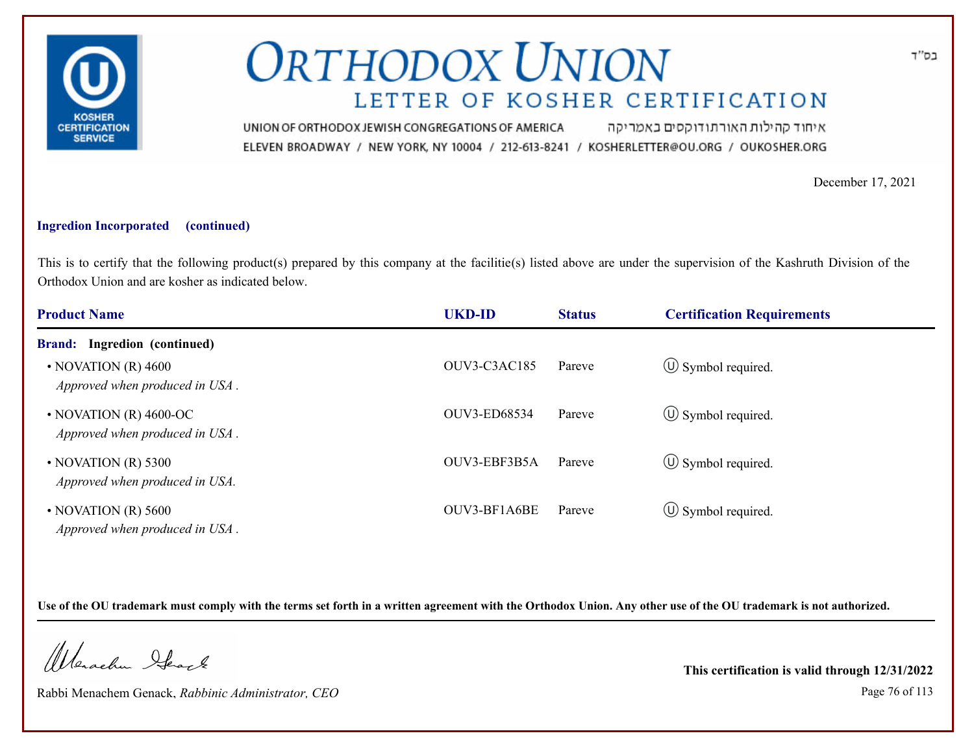

איחוד קהילות האורתודוקסים באמריקה UNION OF ORTHODOX JEWISH CONGREGATIONS OF AMERICA ELEVEN BROADWAY / NEW YORK, NY 10004 / 212-613-8241 / KOSHERLETTER@OU.ORG / OUKOSHER.ORG

December 17, 2021

### **Ingredion Incorporated (continued)**

This is to certify that the following product(s) prepared by this company at the facilitie(s) listed above are under the supervision of the Kashruth Division of the Orthodox Union and are kosher as indicated below.

| <b>Product Name</b>                                              | <b>UKD-ID</b> | <b>Status</b> | <b>Certification Requirements</b> |  |
|------------------------------------------------------------------|---------------|---------------|-----------------------------------|--|
| <b>Brand:</b> Ingredion (continued)                              |               |               |                                   |  |
| $\cdot$ NOVATION (R) 4600<br>Approved when produced in USA.      | OUV3-C3AC185  | Pareve        | $\circ$ Symbol required.          |  |
| $\bullet$ NOVATION (R) 4600-OC<br>Approved when produced in USA. | OUV3-ED68534  | Pareve        | $\circled{1}$ Symbol required.    |  |
| $\cdot$ NOVATION (R) 5300<br>Approved when produced in USA.      | OUV3-EBF3B5A  | Pareve        | $\circled{0}$ Symbol required.    |  |
| $\cdot$ NOVATION (R) 5600<br>Approved when produced in USA.      | OUV3-BF1A6BE  | Pareve        | $\circled{1}$ Symbol required.    |  |

**Use of the OU trademark must comply with the terms set forth in a written agreement with the Orthodox Union. Any other use of the OU trademark is not authorized.**

Werachen Stack

Rabbi Menachem Genack, *Rabbinic Administrator, CEO* Page 76 of 113

**This certification is valid through 12/31/2022**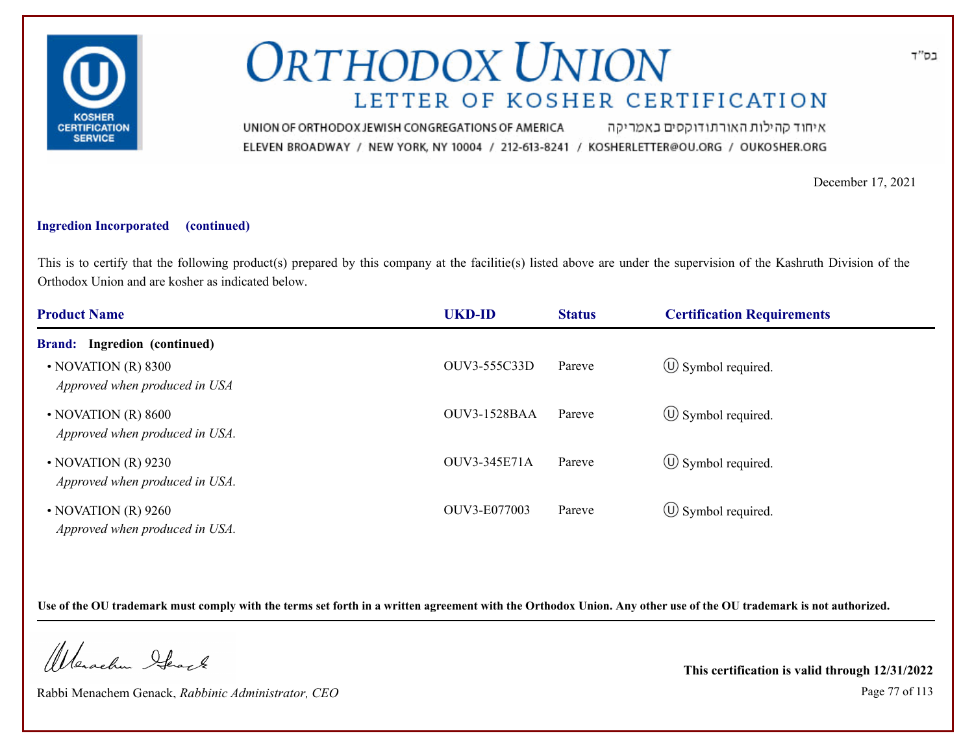

איחוד קהילות האורתודוקסים באמריקה UNION OF ORTHODOX JEWISH CONGREGATIONS OF AMERICA ELEVEN BROADWAY / NEW YORK, NY 10004 / 212-613-8241 / KOSHERLETTER@OU.ORG / OUKOSHER.ORG

December 17, 2021

### **Ingredion Incorporated (continued)**

This is to certify that the following product(s) prepared by this company at the facilitie(s) listed above are under the supervision of the Kashruth Division of the Orthodox Union and are kosher as indicated below.

| <b>Product Name</b>                                          | <b>UKD-ID</b>       | <b>Status</b> | <b>Certification Requirements</b> |
|--------------------------------------------------------------|---------------------|---------------|-----------------------------------|
| <b>Brand:</b> Ingredion (continued)                          |                     |               |                                   |
| $\bullet$ NOVATION (R) 8300<br>Approved when produced in USA | OUV3-555C33D        | Pareve        | $\circled{1}$ Symbol required.    |
| $\cdot$ NOVATION (R) 8600<br>Approved when produced in USA.  | <b>OUV3-1528BAA</b> | Pareve        | $\circled{1}$ Symbol required.    |
| $\cdot$ NOVATION (R) 9230<br>Approved when produced in USA.  | OUV3-345E71A        | Pareve        | $\circled{1}$ Symbol required.    |
| $\cdot$ NOVATION (R) 9260<br>Approved when produced in USA.  | OUV3-E077003        | Pareve        | $\circled{1}$ Symbol required.    |

**Use of the OU trademark must comply with the terms set forth in a written agreement with the Orthodox Union. Any other use of the OU trademark is not authorized.**

Werachen Stack

Rabbi Menachem Genack, *Rabbinic Administrator, CEO* Page 77 of 113

**This certification is valid through 12/31/2022**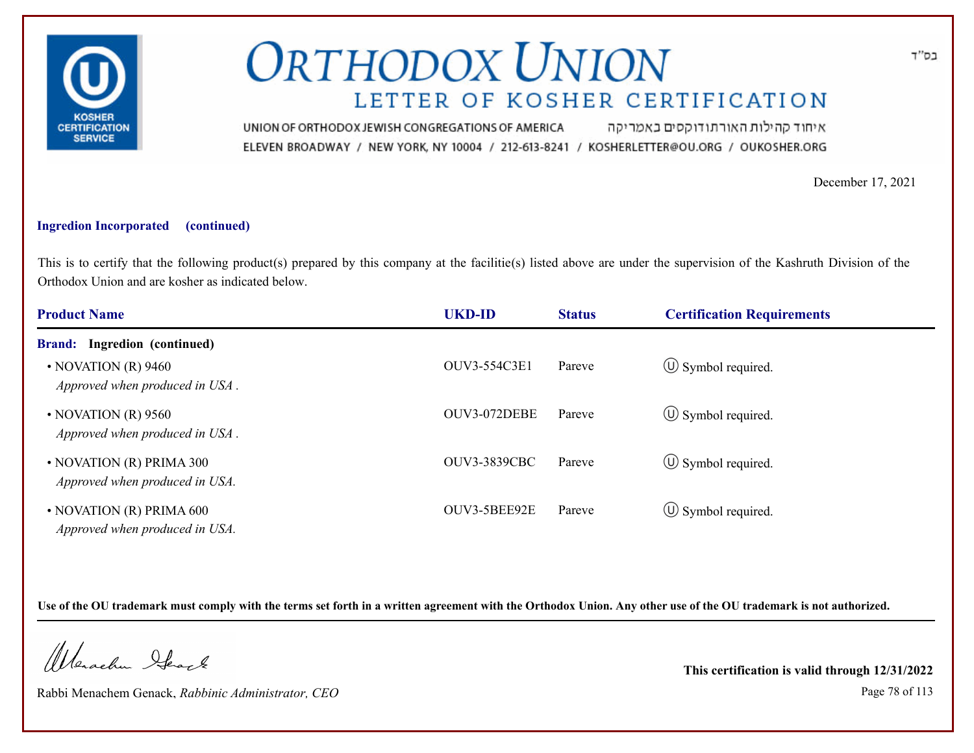

איחוד קהילות האורתודוקסים באמריקה UNION OF ORTHODOX JEWISH CONGREGATIONS OF AMERICA ELEVEN BROADWAY / NEW YORK, NY 10004 / 212-613-8241 / KOSHERLETTER@OU.ORG / OUKOSHER.ORG

December 17, 2021

### **Ingredion Incorporated (continued)**

This is to certify that the following product(s) prepared by this company at the facilitie(s) listed above are under the supervision of the Kashruth Division of the Orthodox Union and are kosher as indicated below.

| <b>Product Name</b>                                         | <b>UKD-ID</b>       | <b>Status</b> | <b>Certification Requirements</b> |  |
|-------------------------------------------------------------|---------------------|---------------|-----------------------------------|--|
| <b>Brand:</b> Ingredion (continued)                         |                     |               |                                   |  |
| $\cdot$ NOVATION (R) 9460<br>Approved when produced in USA. | OUV3-554C3E1        | Pareve        | $\circled{1}$ Symbol required.    |  |
| $\cdot$ NOVATION (R) 9560<br>Approved when produced in USA. | OUV3-072DEBE        | Pareve        | $\circled{0}$ Symbol required.    |  |
| • NOVATION (R) PRIMA 300<br>Approved when produced in USA.  | <b>OUV3-3839CBC</b> | Pareve        | $\circled{1}$ Symbol required.    |  |
| • NOVATION (R) PRIMA 600<br>Approved when produced in USA.  | OUV3-5BEE92E        | Pareve        | $\circled{1}$ Symbol required.    |  |

**Use of the OU trademark must comply with the terms set forth in a written agreement with the Orthodox Union. Any other use of the OU trademark is not authorized.**

Werachen Stack

Rabbi Menachem Genack, *Rabbinic Administrator, CEO* Page 78 of 113

**This certification is valid through 12/31/2022**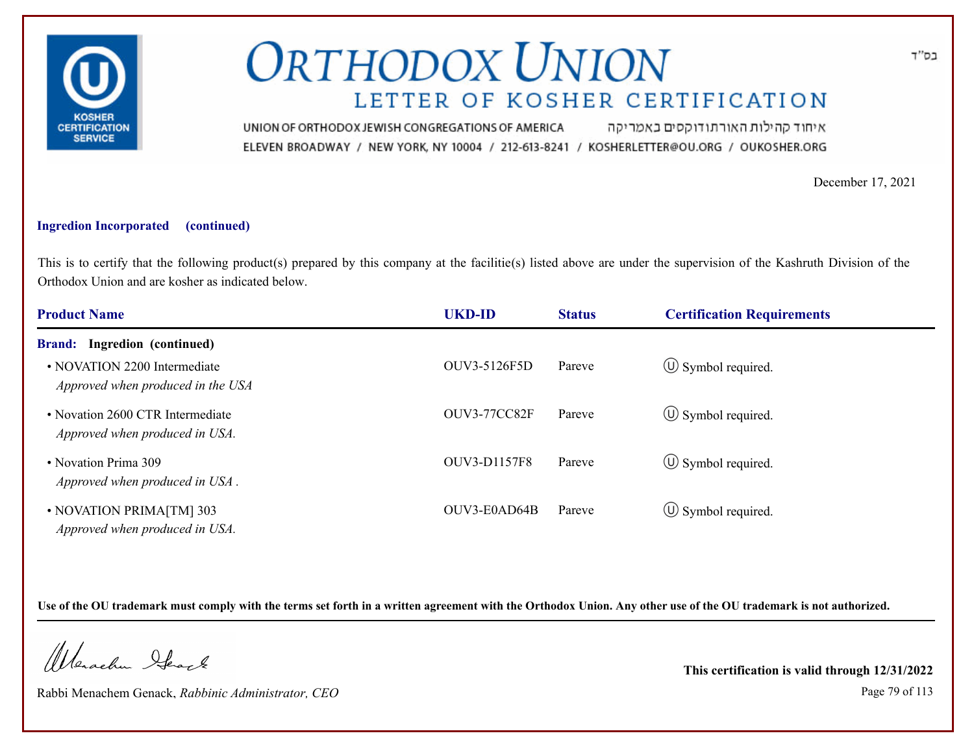

איחוד קהילות האורתודוקסים באמריקה UNION OF ORTHODOX JEWISH CONGREGATIONS OF AMERICA ELEVEN BROADWAY / NEW YORK, NY 10004 / 212-613-8241 / KOSHERLETTER@OU.ORG / OUKOSHER.ORG

December 17, 2021

### **Ingredion Incorporated (continued)**

This is to certify that the following product(s) prepared by this company at the facilitie(s) listed above are under the supervision of the Kashruth Division of the Orthodox Union and are kosher as indicated below.

| <b>Product Name</b>                                                | <b>UKD-ID</b>       | <b>Status</b> | <b>Certification Requirements</b> |
|--------------------------------------------------------------------|---------------------|---------------|-----------------------------------|
| <b>Brand:</b> Ingredion (continued)                                |                     |               |                                   |
| • NOVATION 2200 Intermediate<br>Approved when produced in the USA  | OUV3-5126F5D        | Pareve        | $\circled{1}$ Symbol required.    |
| • Novation 2600 CTR Intermediate<br>Approved when produced in USA. | OUV3-77CC82F        | Pareve        | $\circled{1}$ Symbol required.    |
| • Novation Prima 309<br>Approved when produced in USA.             | <b>OUV3-D1157F8</b> | Pareve        | $\circled{1}$ Symbol required.    |
| • NOVATION PRIMA[TM] 303<br>Approved when produced in USA.         | OUV3-E0AD64B        | Pareve        | $\circled{1}$ Symbol required.    |

**Use of the OU trademark must comply with the terms set forth in a written agreement with the Orthodox Union. Any other use of the OU trademark is not authorized.**

Werachen Stack

Rabbi Menachem Genack, *Rabbinic Administrator, CEO* Page 79 of 113

**This certification is valid through 12/31/2022**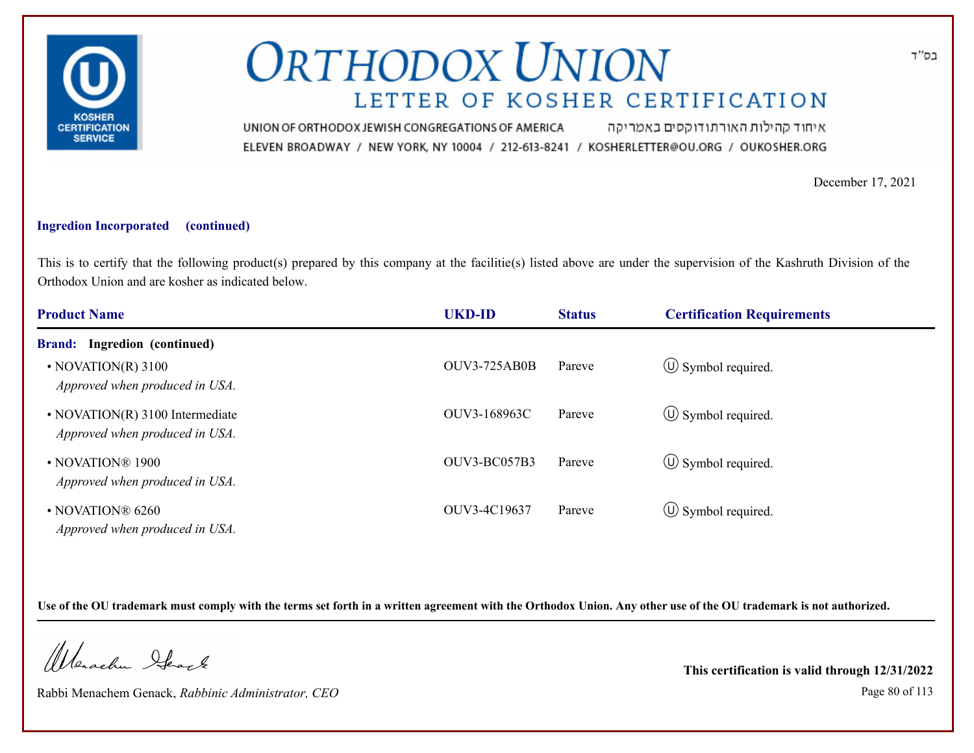

איחוד קהילות האורתודוקסים באמריקה UNION OF ORTHODOX JEWISH CONGREGATIONS OF AMERICA ELEVEN BROADWAY / NEW YORK, NY 10004 / 212-613-8241 / KOSHERLETTER@OU.ORG / OUKOSHER.ORG

December 17, 2021

### **Ingredion Incorporated (continued)**

This is to certify that the following product(s) prepared by this company at the facilitie(s) listed above are under the supervision of the Kashruth Division of the Orthodox Union and are kosher as indicated below.

| <b>Product Name</b>                                                     | <b>UKD-ID</b>       | <b>Status</b> | <b>Certification Requirements</b> |  |
|-------------------------------------------------------------------------|---------------------|---------------|-----------------------------------|--|
| <b>Brand:</b> Ingredion (continued)                                     |                     |               |                                   |  |
| $\cdot$ NOVATION(R) 3100<br>Approved when produced in USA.              | <b>OUV3-725AB0B</b> | Pareve        | $\circ$ Symbol required.          |  |
| $\cdot$ NOVATION(R) 3100 Intermediate<br>Approved when produced in USA. | OUV3-168963C        | Pareve        | $\circled{1}$ Symbol required.    |  |
| • NOVATION® 1900<br>Approved when produced in USA.                      | OUV3-BC057B3        | Pareve        | $\circled{0}$ Symbol required.    |  |
| • NOVATION® 6260<br>Approved when produced in USA.                      | OUV3-4C19637        | Pareve        | $\circled{1}$ Symbol required.    |  |

**Use of the OU trademark must comply with the terms set forth in a written agreement with the Orthodox Union. Any other use of the OU trademark is not authorized.**

Werachen Stack

Rabbi Menachem Genack, *Rabbinic Administrator, CEO* Page 80 of 113

**This certification is valid through 12/31/2022**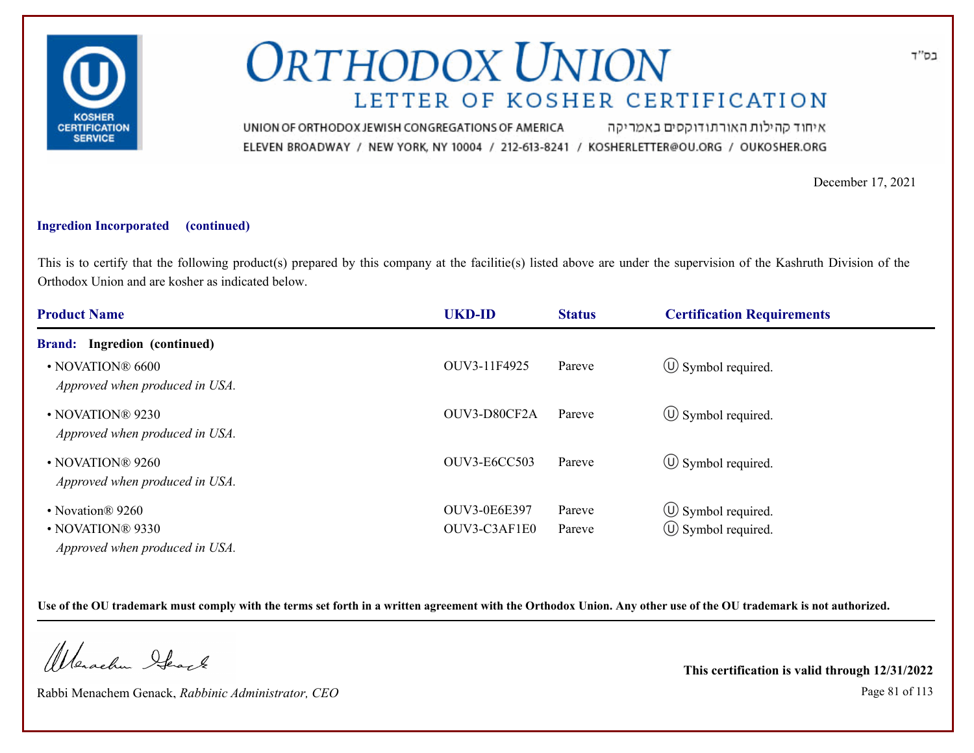

איחוד קהילות האורתודוקסים באמריקה UNION OF ORTHODOX JEWISH CONGREGATIONS OF AMERICA ELEVEN BROADWAY / NEW YORK, NY 10004 / 212-613-8241 / KOSHERLETTER@OU.ORG / OUKOSHER.ORG

December 17, 2021

### **Ingredion Incorporated (continued)**

This is to certify that the following product(s) prepared by this company at the facilitie(s) listed above are under the supervision of the Kashruth Division of the Orthodox Union and are kosher as indicated below.

| <b>Product Name</b>                                | <b>UKD-ID</b>       | <b>Status</b> | <b>Certification Requirements</b> |
|----------------------------------------------------|---------------------|---------------|-----------------------------------|
| <b>Brand:</b> Ingredion (continued)                |                     |               |                                   |
| • NOVATION® 6600<br>Approved when produced in USA. | OUV3-11F4925        | Pareve        | $\circled{1}$ Symbol required.    |
| • NOVATION® 9230<br>Approved when produced in USA. | OUV3-D80CF2A        | Pareve        | $\circled{0}$ Symbol required.    |
| • NOVATION® 9260<br>Approved when produced in USA. | <b>OUV3-E6CC503</b> | Pareve        | $\circled{1}$ Symbol required.    |
| • Novation <sup>®</sup> 9260                       | OUV3-0E6E397        | Pareve        | $\circled{1}$ Symbol required.    |
| • NOVATION® 9330<br>Approved when produced in USA. | OUV3-C3AF1E0        | Pareve        | $\circled{0}$ Symbol required.    |

**Use of the OU trademark must comply with the terms set forth in a written agreement with the Orthodox Union. Any other use of the OU trademark is not authorized.**

Werachen Ifeart

Rabbi Menachem Genack, *Rabbinic Administrator, CEO* Page 81 of 113

**This certification is valid through 12/31/2022**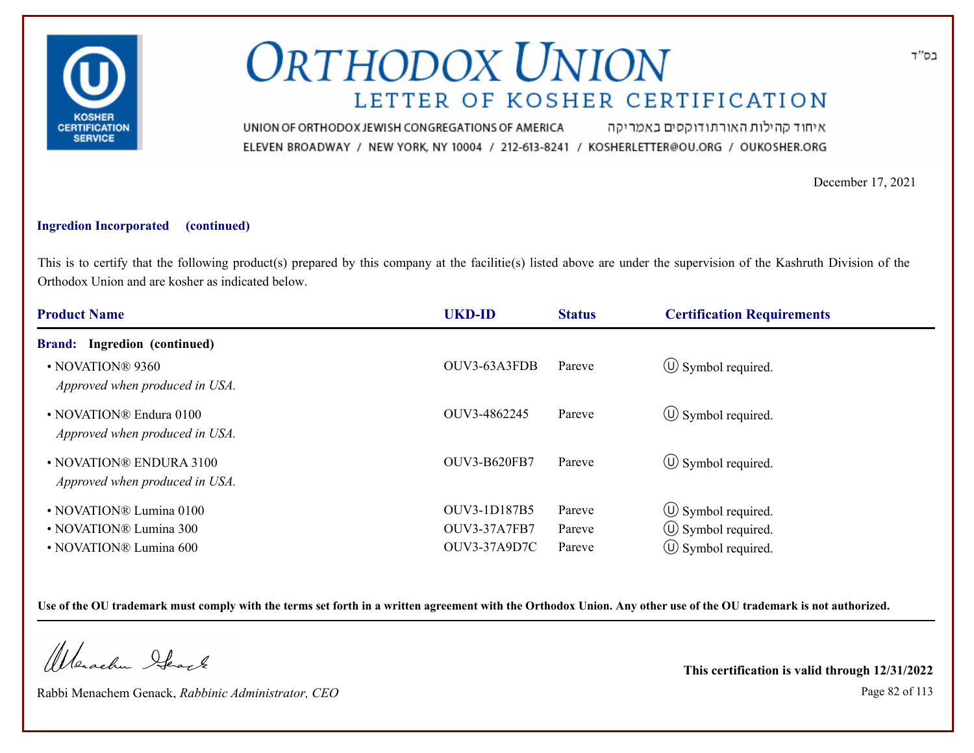

איחוד קהילות האורתודוקסים באמריקה UNION OF ORTHODOX JEWISH CONGREGATIONS OF AMERICA ELEVEN BROADWAY / NEW YORK, NY 10004 / 212-613-8241 / KOSHERLETTER@OU.ORG / OUKOSHER.ORG

December 17, 2021

### **Ingredion Incorporated (continued)**

This is to certify that the following product(s) prepared by this company at the facilitie(s) listed above are under the supervision of the Kashruth Division of the Orthodox Union and are kosher as indicated below.

| <b>Brand:</b> Ingredion (continued)<br>$\circled{1}$ Symbol required.<br>OUV3-63A3FDB<br>Pareve<br>• NOVATION® 9360<br>Approved when produced in USA.<br>OUV3-4862245 |  |
|-----------------------------------------------------------------------------------------------------------------------------------------------------------------------|--|
|                                                                                                                                                                       |  |
|                                                                                                                                                                       |  |
| $\circled{1}$ Symbol required.<br>Pareve<br>• NOVATION® Endura 0100<br>Approved when produced in USA.                                                                 |  |
| $\circ$ Symbol required.<br><b>OUV3-B620FB7</b><br>Pareve<br>• NOVATION® ENDURA 3100<br>Approved when produced in USA.                                                |  |
| $\circled{1}$ Symbol required.<br>OUV3-1D187B5<br>• NOVATION® Lumina 0100<br>Pareve                                                                                   |  |
| $\circled{1}$ Symbol required.<br>OUV3-37A7FB7<br>• NOVATION® Lumina 300<br>Pareve                                                                                    |  |
| $\circ$ Symbol required.<br><b>OUV3-37A9D7C</b><br>Pareve<br>• NOVATION® Lumina 600                                                                                   |  |

**Use of the OU trademark must comply with the terms set forth in a written agreement with the Orthodox Union. Any other use of the OU trademark is not authorized.**

Werachen Stack

Rabbi Menachem Genack, *Rabbinic Administrator, CEO* Page 82 of 113

**This certification is valid through 12/31/2022**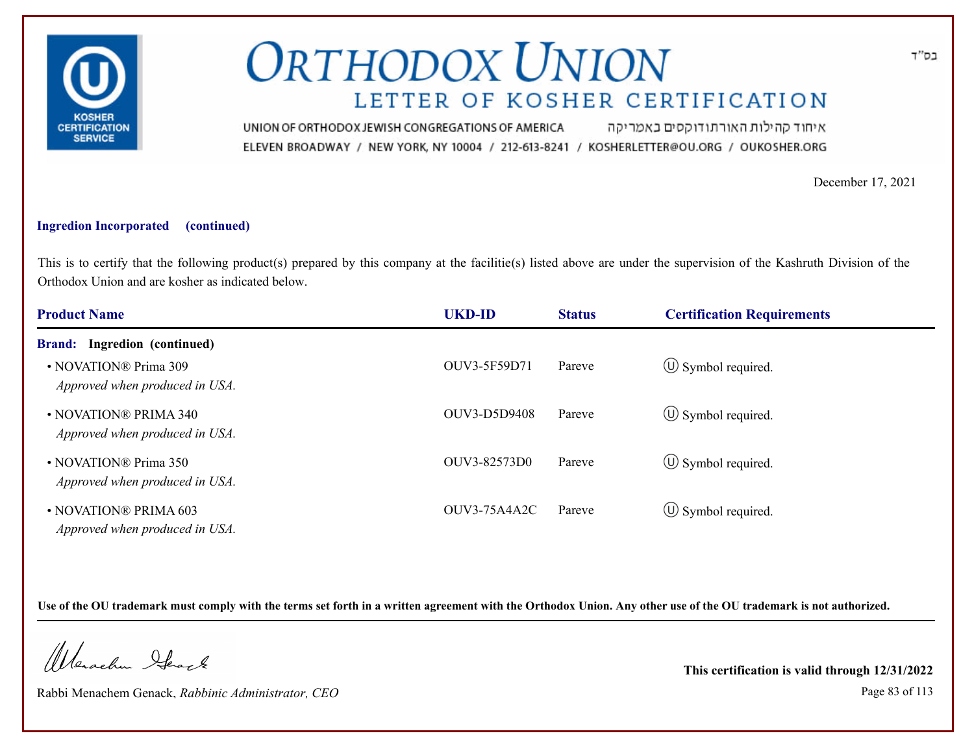

איחוד קהילות האורתודוקסים באמריקה UNION OF ORTHODOX JEWISH CONGREGATIONS OF AMERICA ELEVEN BROADWAY / NEW YORK, NY 10004 / 212-613-8241 / KOSHERLETTER@OU.ORG / OUKOSHER.ORG

December 17, 2021

### **Ingredion Incorporated (continued)**

This is to certify that the following product(s) prepared by this company at the facilitie(s) listed above are under the supervision of the Kashruth Division of the Orthodox Union and are kosher as indicated below.

| <b>Product Name</b>                                     | <b>UKD-ID</b>       | <b>Status</b> | <b>Certification Requirements</b> |  |
|---------------------------------------------------------|---------------------|---------------|-----------------------------------|--|
| <b>Brand:</b> Ingredion (continued)                     |                     |               |                                   |  |
| • NOVATION® Prima 309<br>Approved when produced in USA. | OUV3-5F59D71        | Pareve        | $\circ$ Symbol required.          |  |
| • NOVATION® PRIMA 340<br>Approved when produced in USA. | OUV3-D5D9408        | Pareve        | $\circled{1}$ Symbol required.    |  |
| • NOVATION® Prima 350<br>Approved when produced in USA. | OUV3-82573D0        | Pareve        | $\circled{0}$ Symbol required.    |  |
| • NOVATION® PRIMA 603<br>Approved when produced in USA. | <b>OUV3-75A4A2C</b> | Pareve        | $\circled{1}$ Symbol required.    |  |

**Use of the OU trademark must comply with the terms set forth in a written agreement with the Orthodox Union. Any other use of the OU trademark is not authorized.**

Werachen Stack

Rabbi Menachem Genack, *Rabbinic Administrator, CEO* Page 83 of 113

**This certification is valid through 12/31/2022**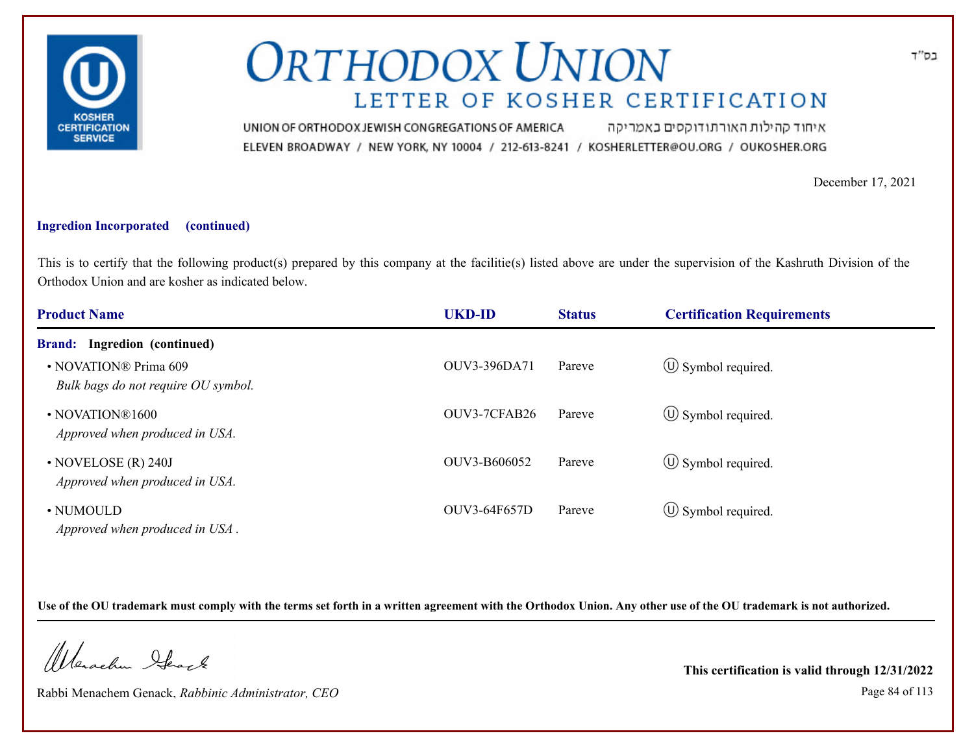

איחוד קהילות האורתודוקסים באמריקה UNION OF ORTHODOX JEWISH CONGREGATIONS OF AMERICA ELEVEN BROADWAY / NEW YORK, NY 10004 / 212-613-8241 / KOSHERLETTER@OU.ORG / OUKOSHER.ORG

December 17, 2021

### **Ingredion Incorporated (continued)**

This is to certify that the following product(s) prepared by this company at the facilitie(s) listed above are under the supervision of the Kashruth Division of the Orthodox Union and are kosher as indicated below.

| <b>Product Name</b>                                          | <b>UKD-ID</b> | <b>Status</b> | <b>Certification Requirements</b> |  |
|--------------------------------------------------------------|---------------|---------------|-----------------------------------|--|
| <b>Brand:</b> Ingredion (continued)                          |               |               |                                   |  |
| • NOVATION® Prima 609<br>Bulk bags do not require OU symbol. | OUV3-396DA71  | Pareve        | $\circled{1}$ Symbol required.    |  |
| • NOVATION®1600<br>Approved when produced in USA.            | OUV3-7CFAB26  | Pareve        | $\circled{1}$ Symbol required.    |  |
| $\cdot$ NOVELOSE (R) 240J<br>Approved when produced in USA.  | OUV3-B606052  | Pareve        | $\circled{1}$ Symbol required.    |  |
| • NUMOULD<br>Approved when produced in USA.                  | OUV3-64F657D  | Pareve        | $\circled{1}$ Symbol required.    |  |

**Use of the OU trademark must comply with the terms set forth in a written agreement with the Orthodox Union. Any other use of the OU trademark is not authorized.**

Werachen Stack

Rabbi Menachem Genack, *Rabbinic Administrator, CEO* Page 84 of 113

**This certification is valid through 12/31/2022**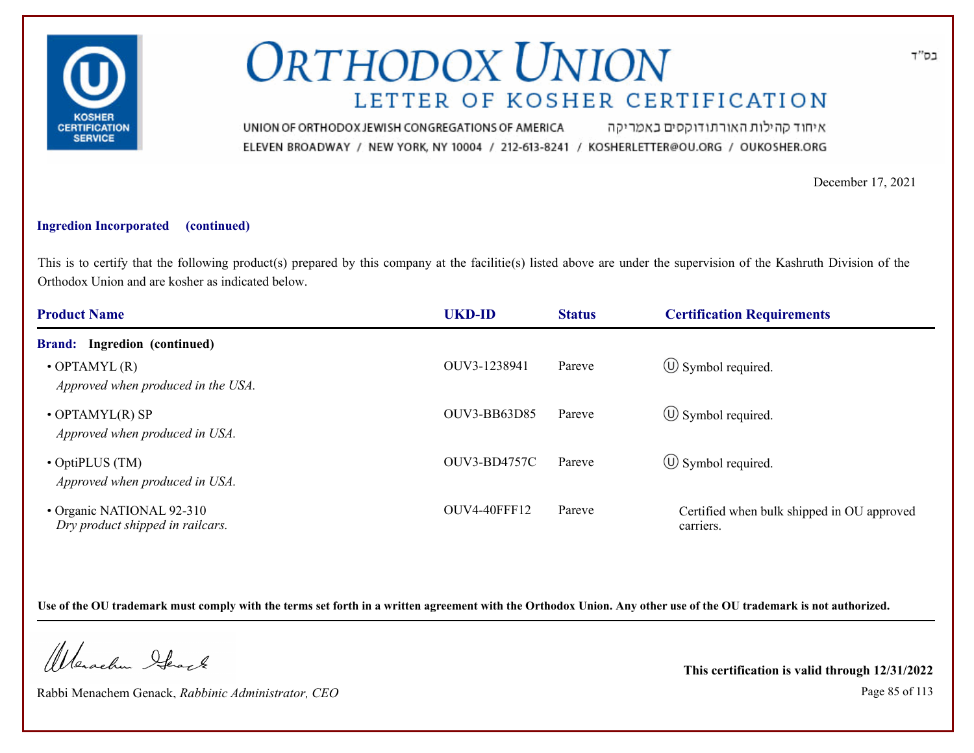

איחוד קהילות האורתודוקסים באמריקה UNION OF ORTHODOX JEWISH CONGREGATIONS OF AMERICA ELEVEN BROADWAY / NEW YORK, NY 10004 / 212-613-8241 / KOSHERLETTER@OU.ORG / OUKOSHER.ORG

December 17, 2021

### **Ingredion Incorporated (continued)**

This is to certify that the following product(s) prepared by this company at the facilitie(s) listed above are under the supervision of the Kashruth Division of the Orthodox Union and are kosher as indicated below.

| <b>Product Name</b>                                           | <b>UKD-ID</b> | <b>Status</b> | <b>Certification Requirements</b>                       |
|---------------------------------------------------------------|---------------|---------------|---------------------------------------------------------|
| <b>Brand:</b> Ingredion (continued)                           |               |               |                                                         |
| $\cdot$ OPTAMYL $(R)$<br>Approved when produced in the USA.   | OUV3-1238941  | Pareve        | $\circ$ Symbol required.                                |
| $\cdot$ OPTAMYL(R) SP<br>Approved when produced in USA.       | OUV3-BB63D85  | Pareve        | $\circ$ Symbol required.                                |
| $\bullet$ OptiPLUS (TM)<br>Approved when produced in USA.     | OUV3-BD4757C  | Pareve        | $\circled{0}$ Symbol required.                          |
| • Organic NATIONAL 92-310<br>Dry product shipped in railcars. | OUV4-40FFF12  | Pareve        | Certified when bulk shipped in OU approved<br>carriers. |

**Use of the OU trademark must comply with the terms set forth in a written agreement with the Orthodox Union. Any other use of the OU trademark is not authorized.**

Werachen Stack

Rabbi Menachem Genack, *Rabbinic Administrator, CEO* Page 85 of 113

**This certification is valid through 12/31/2022**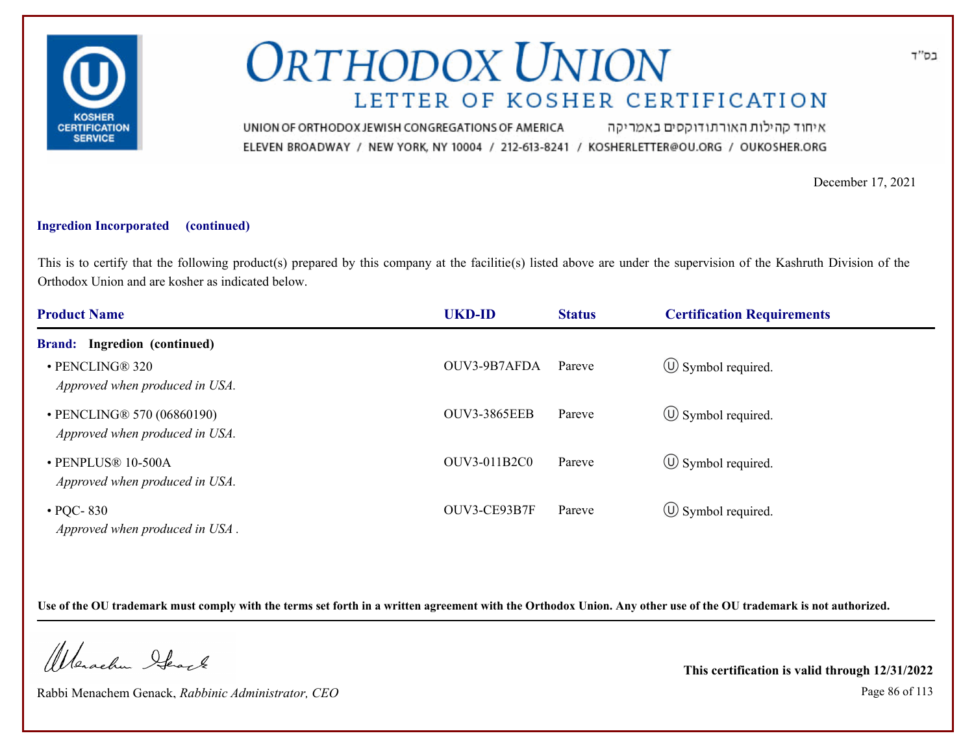

איחוד קהילות האורתודוקסים באמריקה UNION OF ORTHODOX JEWISH CONGREGATIONS OF AMERICA ELEVEN BROADWAY / NEW YORK, NY 10004 / 212-613-8241 / KOSHERLETTER@OU.ORG / OUKOSHER.ORG

December 17, 2021

### **Ingredion Incorporated (continued)**

This is to certify that the following product(s) prepared by this company at the facilitie(s) listed above are under the supervision of the Kashruth Division of the Orthodox Union and are kosher as indicated below.

| <b>Product Name</b>                                          | <b>UKD-ID</b>       | <b>Status</b> | <b>Certification Requirements</b> |  |
|--------------------------------------------------------------|---------------------|---------------|-----------------------------------|--|
| <b>Brand:</b> Ingredion (continued)                          |                     |               |                                   |  |
| • PENCLING® 320<br>Approved when produced in USA.            | OUV3-9B7AFDA        | Pareve        | $\circled{1}$ Symbol required.    |  |
| • PENCLING® 570 (06860190)<br>Approved when produced in USA. | <b>OUV3-3865EEB</b> | Pareve        | $\circled{1}$ Symbol required.    |  |
| · PENPLUS® 10-500A<br>Approved when produced in USA.         | OUV3-011B2C0        | Pareve        | $\circled{1}$ Symbol required.    |  |
| $\cdot$ PQC-830<br>Approved when produced in USA.            | OUV3-CE93B7F        | Pareve        | $\circled{1}$ Symbol required.    |  |

**Use of the OU trademark must comply with the terms set forth in a written agreement with the Orthodox Union. Any other use of the OU trademark is not authorized.**

Werachen Stack

Rabbi Menachem Genack, *Rabbinic Administrator, CEO* Page 86 of 113

**This certification is valid through 12/31/2022**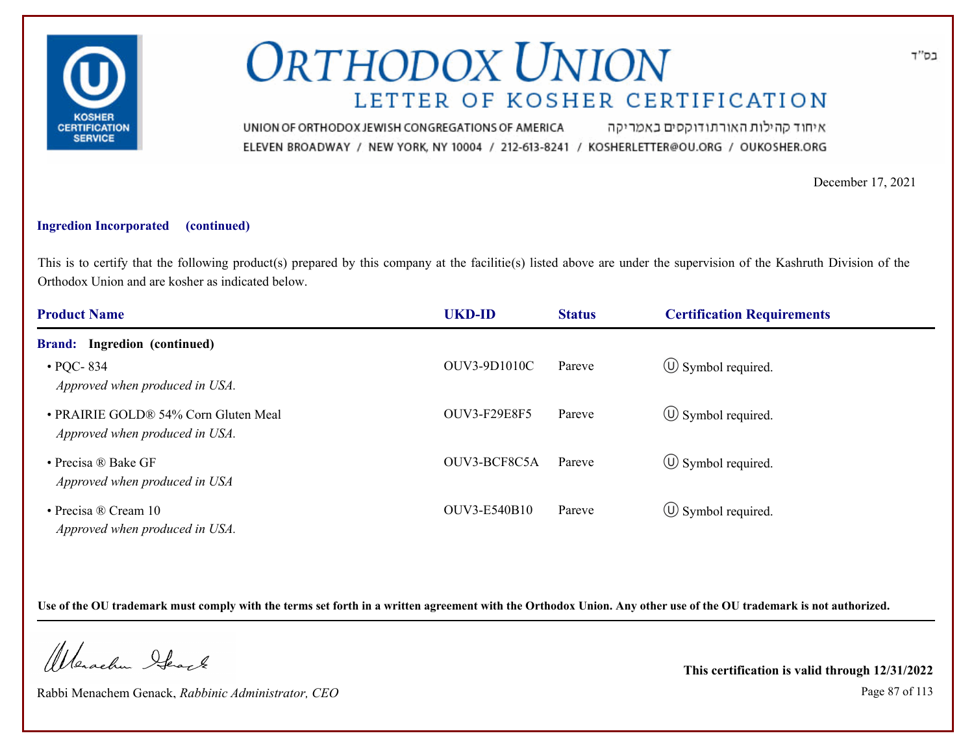

איחוד קהילות האורתודוקסים באמריקה UNION OF ORTHODOX JEWISH CONGREGATIONS OF AMERICA ELEVEN BROADWAY / NEW YORK, NY 10004 / 212-613-8241 / KOSHERLETTER@OU.ORG / OUKOSHER.ORG

December 17, 2021

### **Ingredion Incorporated (continued)**

This is to certify that the following product(s) prepared by this company at the facilitie(s) listed above are under the supervision of the Kashruth Division of the Orthodox Union and are kosher as indicated below.

| <b>Product Name</b>                                                    | <b>UKD-ID</b>       | <b>Status</b> | <b>Certification Requirements</b> |
|------------------------------------------------------------------------|---------------------|---------------|-----------------------------------|
| <b>Brand:</b> Ingredion (continued)                                    |                     |               |                                   |
| $\cdot$ PQC-834<br>Approved when produced in USA.                      | OUV3-9D1010C        | Pareve        | $\circled{1}$ Symbol required.    |
| • PRAIRIE GOLD® 54% Corn Gluten Meal<br>Approved when produced in USA. | <b>OUV3-F29E8F5</b> | Pareve        | $\circled{0}$ Symbol required.    |
| • Precisa ® Bake GF<br>Approved when produced in USA                   | OUV3-BCF8C5A        | Pareve        | $\circled{1}$ Symbol required.    |
| • Precisa ® Cream 10<br>Approved when produced in USA.                 | <b>OUV3-E540B10</b> | Pareve        | $\circled{1}$ Symbol required.    |

**Use of the OU trademark must comply with the terms set forth in a written agreement with the Orthodox Union. Any other use of the OU trademark is not authorized.**

Werachen Stack

Rabbi Menachem Genack, *Rabbinic Administrator, CEO* Page 87 of 113

**This certification is valid through 12/31/2022**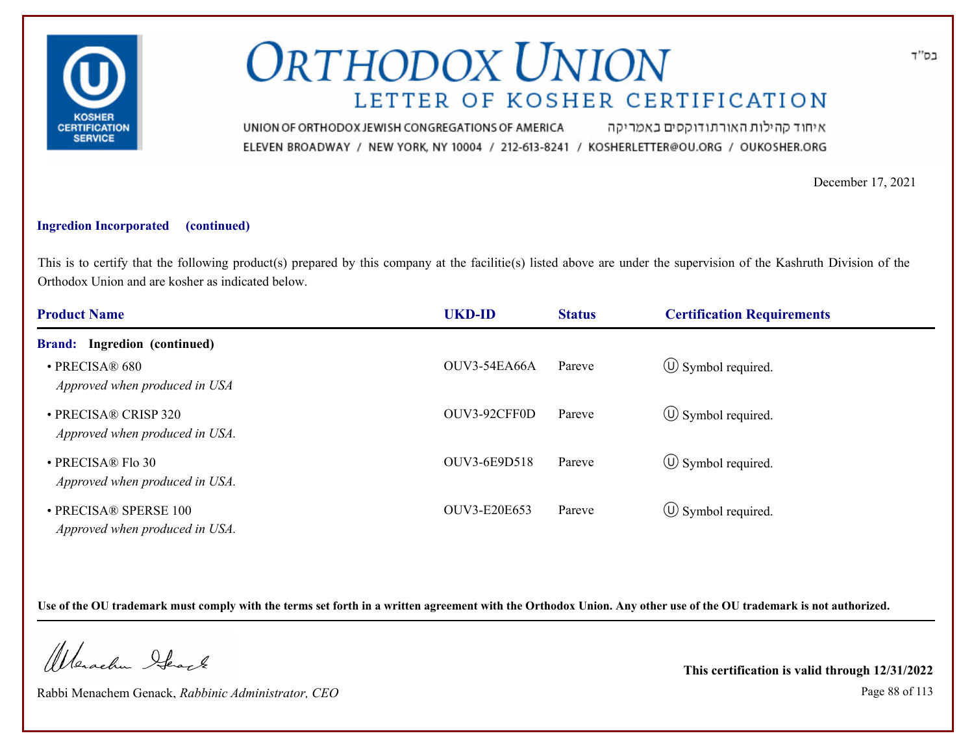

איחוד קהילות האורתודוקסים באמריקה UNION OF ORTHODOX JEWISH CONGREGATIONS OF AMERICA ELEVEN BROADWAY / NEW YORK, NY 10004 / 212-613-8241 / KOSHERLETTER@OU.ORG / OUKOSHER.ORG

December 17, 2021

### **Ingredion Incorporated (continued)**

This is to certify that the following product(s) prepared by this company at the facilitie(s) listed above are under the supervision of the Kashruth Division of the Orthodox Union and are kosher as indicated below.

| <b>Product Name</b>                                     | <b>UKD-ID</b> | <b>Status</b> | <b>Certification Requirements</b> |
|---------------------------------------------------------|---------------|---------------|-----------------------------------|
| <b>Brand:</b> Ingredion (continued)                     |               |               |                                   |
| • PRECISA® 680<br>Approved when produced in USA         | OUV3-54EA66A  | Pareve        | $\circled{1}$ Symbol required.    |
| • PRECISA® CRISP 320<br>Approved when produced in USA.  | OUV3-92CFF0D  | Pareve        | $\circled{1}$ Symbol required.    |
| • PRECISA® Flo 30<br>Approved when produced in USA.     | OUV3-6E9D518  | Pareve        | $\circled{1}$ Symbol required.    |
| · PRECISA® SPERSE 100<br>Approved when produced in USA. | OUV3-E20E653  | Pareve        | $\circled{1}$ Symbol required.    |

**Use of the OU trademark must comply with the terms set forth in a written agreement with the Orthodox Union. Any other use of the OU trademark is not authorized.**

Werachen Stack

Rabbi Menachem Genack, *Rabbinic Administrator, CEO* Page 88 of 113

**This certification is valid through 12/31/2022**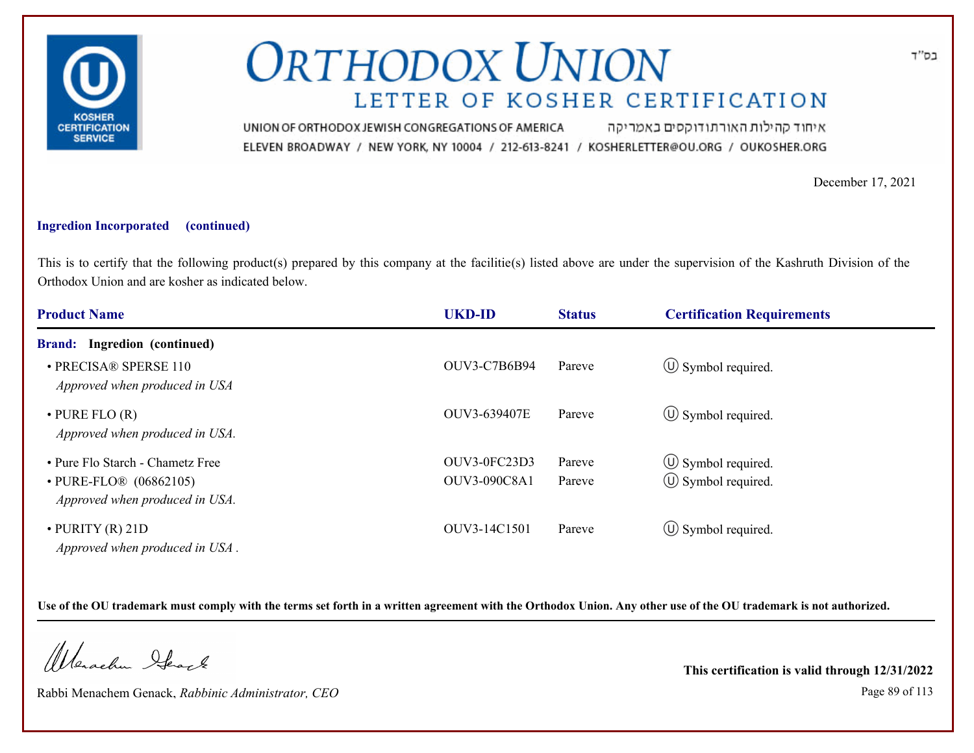

איחוד קהילות האורתודוקסים באמריקה UNION OF ORTHODOX JEWISH CONGREGATIONS OF AMERICA ELEVEN BROADWAY / NEW YORK, NY 10004 / 212-613-8241 / KOSHERLETTER@OU.ORG / OUKOSHER.ORG

December 17, 2021

### **Ingredion Incorporated (continued)**

This is to certify that the following product(s) prepared by this company at the facilitie(s) listed above are under the supervision of the Kashruth Division of the Orthodox Union and are kosher as indicated below.

| <b>Product Name</b>                                                        | <b>UKD-ID</b>       | <b>Status</b> | <b>Certification Requirements</b> |
|----------------------------------------------------------------------------|---------------------|---------------|-----------------------------------|
| <b>Brand:</b> Ingredion (continued)                                        |                     |               |                                   |
| · PRECISA® SPERSE 110<br>Approved when produced in USA                     | <b>OUV3-C7B6B94</b> | Pareve        | $\circled{1}$ Symbol required.    |
| $\cdot$ PURE FLO $(R)$<br>Approved when produced in USA.                   | OUV3-639407E        | Pareve        | $\circled{0}$ Symbol required.    |
| • Pure Flo Starch - Chametz Free                                           | OUV3-0FC23D3        | Pareve        | $\circled{1}$ Symbol required.    |
| $\cdot$ PURE-FLO <sup>®</sup> (06862105)<br>Approved when produced in USA. | OUV3-090C8A1        | Pareve        | $\circled{1}$ Symbol required.    |
| $\cdot$ PURITY (R) 21D<br>Approved when produced in USA.                   | OUV3-14C1501        | Pareve        | $\circled{1}$ Symbol required.    |

**Use of the OU trademark must comply with the terms set forth in a written agreement with the Orthodox Union. Any other use of the OU trademark is not authorized.**

Werachen Stack

Rabbi Menachem Genack, *Rabbinic Administrator, CEO* Page 89 of 113

**This certification is valid through 12/31/2022**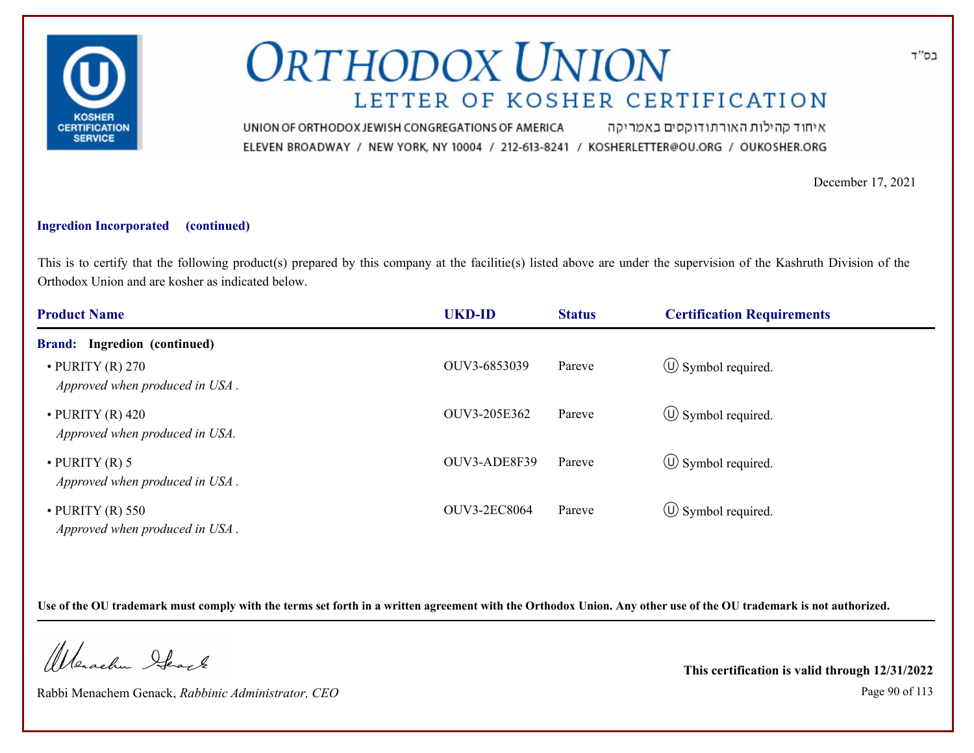

איחוד קהילות האורתודוקסים באמריקה UNION OF ORTHODOX JEWISH CONGREGATIONS OF AMERICA ELEVEN BROADWAY / NEW YORK, NY 10004 / 212-613-8241 / KOSHERLETTER@OU.ORG / OUKOSHER.ORG

December 17, 2021

### **Ingredion Incorporated (continued)**

This is to certify that the following product(s) prepared by this company at the facilitie(s) listed above are under the supervision of the Kashruth Division of the Orthodox Union and are kosher as indicated below.

| <b>Product Name</b>                                      | <b>UKD-ID</b>       | <b>Status</b> | <b>Certification Requirements</b> |  |
|----------------------------------------------------------|---------------------|---------------|-----------------------------------|--|
| <b>Brand:</b> Ingredion (continued)                      |                     |               |                                   |  |
| $\cdot$ PURITY (R) 270<br>Approved when produced in USA. | OUV3-6853039        | Pareve        | $\circ$ Symbol required.          |  |
| $\cdot$ PURITY (R) 420<br>Approved when produced in USA. | OUV3-205E362        | Pareve        | $\circled{1}$ Symbol required.    |  |
| $\cdot$ PURITY (R) 5<br>Approved when produced in USA.   | OUV3-ADE8F39        | Pareve        | $\circled{0}$ Symbol required.    |  |
| $\cdot$ PURITY (R) 550<br>Approved when produced in USA. | <b>OUV3-2EC8064</b> | Pareve        | $\circ$ Symbol required.          |  |

**Use of the OU trademark must comply with the terms set forth in a written agreement with the Orthodox Union. Any other use of the OU trademark is not authorized.**

Werachen Stack

Rabbi Menachem Genack, *Rabbinic Administrator, CEO* Page 90 of 113

**This certification is valid through 12/31/2022**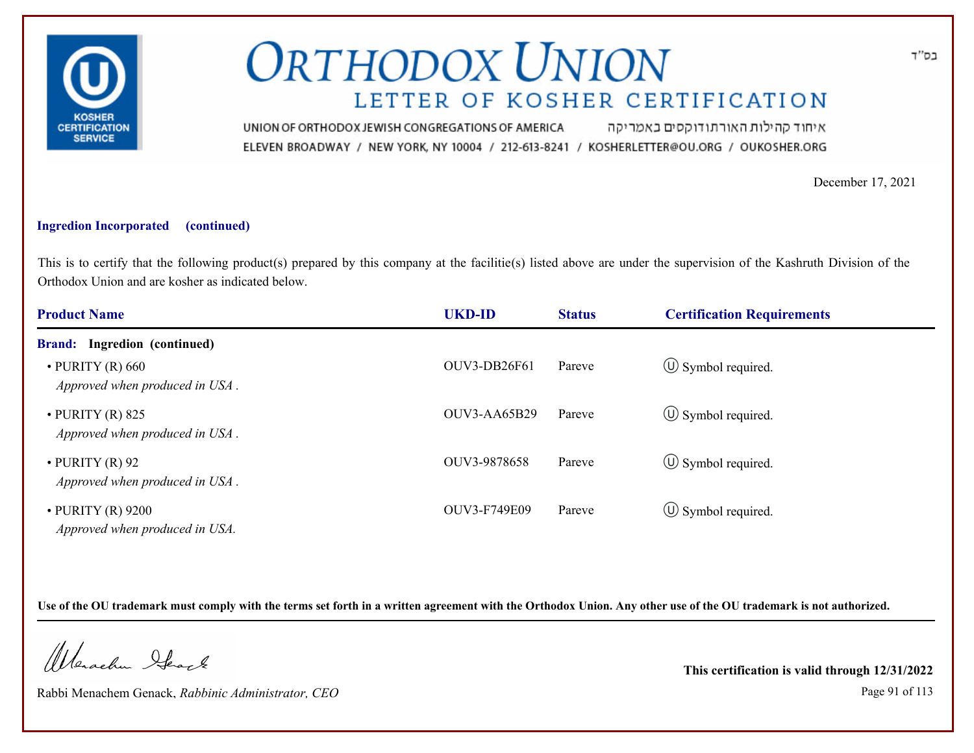

איחוד קהילות האורתודוקסים באמריקה UNION OF ORTHODOX JEWISH CONGREGATIONS OF AMERICA ELEVEN BROADWAY / NEW YORK, NY 10004 / 212-613-8241 / KOSHERLETTER@OU.ORG / OUKOSHER.ORG

December 17, 2021

### **Ingredion Incorporated (continued)**

This is to certify that the following product(s) prepared by this company at the facilitie(s) listed above are under the supervision of the Kashruth Division of the Orthodox Union and are kosher as indicated below.

| <b>Product Name</b>                                       | <b>UKD-ID</b>  | <b>Status</b> | <b>Certification Requirements</b> |
|-----------------------------------------------------------|----------------|---------------|-----------------------------------|
| <b>Brand:</b> Ingredion (continued)                       |                |               |                                   |
| $\cdot$ PURITY (R) 660<br>Approved when produced in USA.  | OUV3-DB26F61   | Pareve        | $\circled{0}$ Symbol required.    |
| $\cdot$ PURITY (R) 825<br>Approved when produced in USA.  | $OUV3-AA65B29$ | Pareve        | $\circled{1}$ Symbol required.    |
| $\cdot$ PURITY (R) 92<br>Approved when produced in USA.   | OUV3-9878658   | Pareve        | $\circled{1}$ Symbol required.    |
| $\cdot$ PURITY (R) 9200<br>Approved when produced in USA. | OUV3-F749E09   | Pareve        | $\circled{1}$ Symbol required.    |

**Use of the OU trademark must comply with the terms set forth in a written agreement with the Orthodox Union. Any other use of the OU trademark is not authorized.**

Werachen Stack

Rabbi Menachem Genack, *Rabbinic Administrator, CEO* Page 91 of 113

**This certification is valid through 12/31/2022**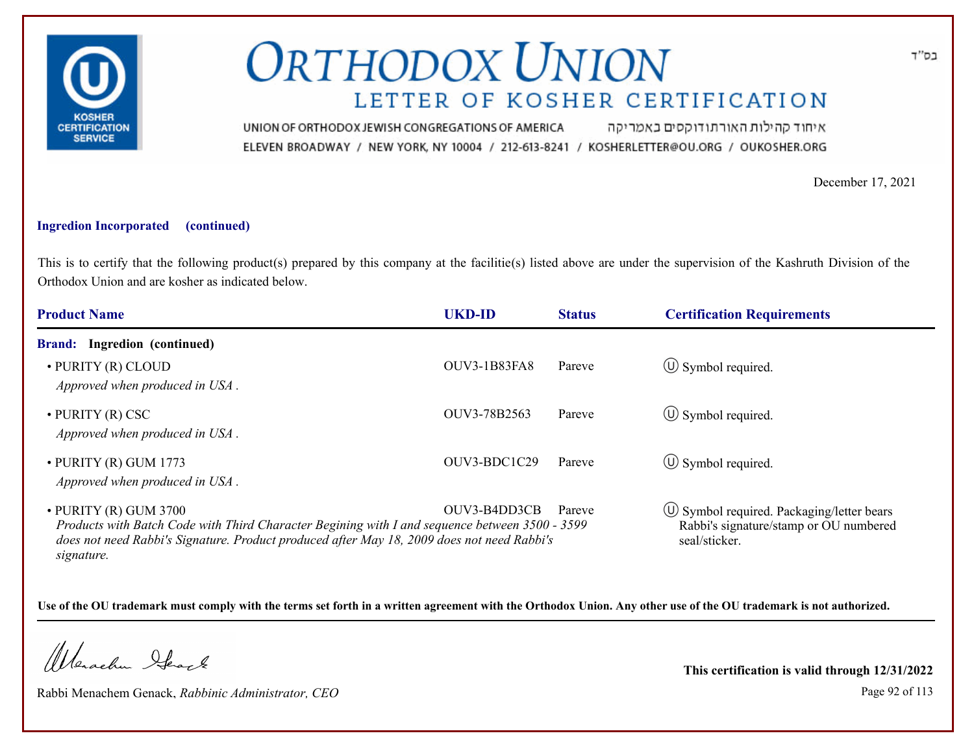

איחוד קהילות האורתודוקסים באמריקה UNION OF ORTHODOX JEWISH CONGREGATIONS OF AMERICA ELEVEN BROADWAY / NEW YORK, NY 10004 / 212-613-8241 / KOSHERLETTER@OU.ORG / OUKOSHER.ORG

December 17, 2021

### **Ingredion Incorporated (continued)**

This is to certify that the following product(s) prepared by this company at the facilitie(s) listed above are under the supervision of the Kashruth Division of the Orthodox Union and are kosher as indicated below.

| <b>Product Name</b>                                                                                                                                                                                                                       | <b>UKD-ID</b>       | <b>Status</b> | <b>Certification Requirements</b>                                                                          |
|-------------------------------------------------------------------------------------------------------------------------------------------------------------------------------------------------------------------------------------------|---------------------|---------------|------------------------------------------------------------------------------------------------------------|
| <b>Ingredion</b> (continued)<br><b>Brand:</b>                                                                                                                                                                                             |                     |               |                                                                                                            |
| $\cdot$ PURITY (R) CLOUD<br>Approved when produced in USA.                                                                                                                                                                                | <b>OUV3-1B83FA8</b> | Pareve        | $\circled{1}$ Symbol required.                                                                             |
| $\bullet$ PURITY (R) CSC<br>Approved when produced in USA.                                                                                                                                                                                | OUV3-78B2563        | Pareve        | $\circled{1}$ Symbol required.                                                                             |
| $\cdot$ PURITY (R) GUM 1773<br>Approved when produced in USA.                                                                                                                                                                             | OUV3-BDC1C29        | Pareve        | $\circled{1}$ Symbol required.                                                                             |
| $\cdot$ PURITY (R) GUM 3700<br>Products with Batch Code with Third Character Begining with I and sequence between 3500 - 3599<br>does not need Rabbi's Signature. Product produced after May 18, 2009 does not need Rabbi's<br>signature. | OUV3-B4DD3CB Pareve |               | $\circ$ Symbol required. Packaging/letter bears<br>Rabbi's signature/stamp or OU numbered<br>seal/sticker. |

**Use of the OU trademark must comply with the terms set forth in a written agreement with the Orthodox Union. Any other use of the OU trademark is not authorized.**

Werachen Stack

Rabbi Menachem Genack, *Rabbinic Administrator, CEO* Page 92 of 113

**This certification is valid through 12/31/2022**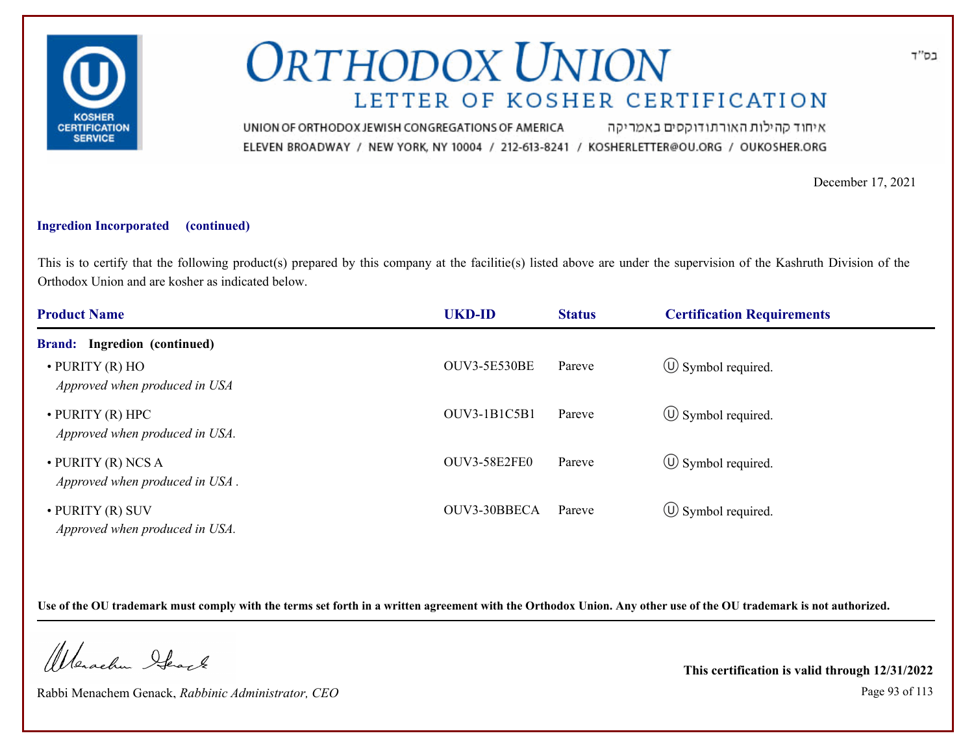

איחוד קהילות האורתודוקסים באמריקה UNION OF ORTHODOX JEWISH CONGREGATIONS OF AMERICA ELEVEN BROADWAY / NEW YORK, NY 10004 / 212-613-8241 / KOSHERLETTER@OU.ORG / OUKOSHER.ORG

December 17, 2021

### **Ingredion Incorporated (continued)**

This is to certify that the following product(s) prepared by this company at the facilitie(s) listed above are under the supervision of the Kashruth Division of the Orthodox Union and are kosher as indicated below.

| <b>Product Name</b>                                          | <b>UKD-ID</b>       | <b>Status</b> | <b>Certification Requirements</b> |  |
|--------------------------------------------------------------|---------------------|---------------|-----------------------------------|--|
| <b>Brand:</b> Ingredion (continued)                          |                     |               |                                   |  |
| $\cdot$ PURITY (R) HO<br>Approved when produced in USA       | <b>OUV3-5E530BE</b> | Pareve        | $\circled{1}$ Symbol required.    |  |
| $\bullet$ PURITY (R) HPC<br>Approved when produced in USA.   | OUV3-1B1C5B1        | Pareve        | $\circled{1}$ Symbol required.    |  |
| $\bullet$ PURITY (R) NCS A<br>Approved when produced in USA. | <b>OUV3-58E2FE0</b> | Pareve        | $\circled{1}$ Symbol required.    |  |
| $\cdot$ PURITY (R) SUV<br>Approved when produced in USA.     | OUV3-30BBECA        | Pareve        | $\circled{1}$ Symbol required.    |  |

**Use of the OU trademark must comply with the terms set forth in a written agreement with the Orthodox Union. Any other use of the OU trademark is not authorized.**

Werachen Stack

Rabbi Menachem Genack, *Rabbinic Administrator, CEO* Page 93 of 113

**This certification is valid through 12/31/2022**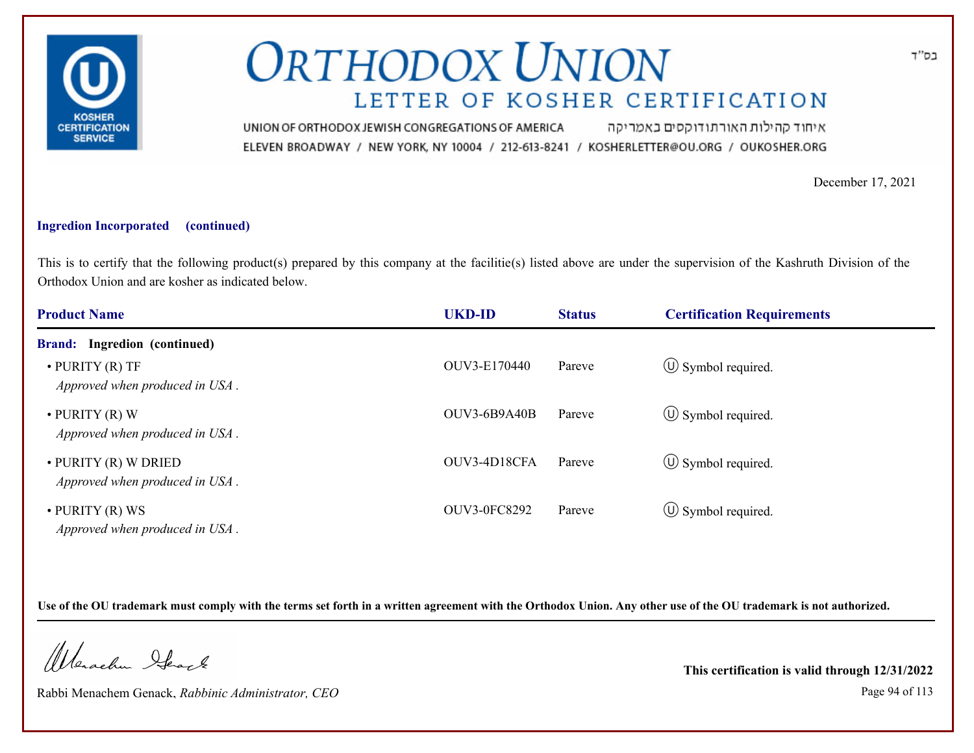

איחוד קהילות האורתודוקסים באמריקה UNION OF ORTHODOX JEWISH CONGREGATIONS OF AMERICA ELEVEN BROADWAY / NEW YORK, NY 10004 / 212-613-8241 / KOSHERLETTER@OU.ORG / OUKOSHER.ORG

December 17, 2021

### **Ingredion Incorporated (continued)**

This is to certify that the following product(s) prepared by this company at the facilitie(s) listed above are under the supervision of the Kashruth Division of the Orthodox Union and are kosher as indicated below.

| <b>Product Name</b>                                            | <b>UKD-ID</b>       | <b>Status</b> | <b>Certification Requirements</b> |  |
|----------------------------------------------------------------|---------------------|---------------|-----------------------------------|--|
| <b>Brand:</b> Ingredion (continued)                            |                     |               |                                   |  |
| $\cdot$ PURITY (R) TF<br>Approved when produced in USA.        | OUV3-E170440        | Pareve        | $\circ$ Symbol required.          |  |
| $\cdot$ PURITY (R) W<br>Approved when produced in USA.         | OUV3-6B9A40B        | Pareve        | $\circled{1}$ Symbol required.    |  |
| $\bullet$ PURITY (R) W DRIED<br>Approved when produced in USA. | OUV3-4D18CFA        | Pareve        | $\circled{0}$ Symbol required.    |  |
| $\cdot$ PURITY (R) WS<br>Approved when produced in USA.        | <b>OUV3-0FC8292</b> | Pareve        | $\circ$ Symbol required.          |  |

**Use of the OU trademark must comply with the terms set forth in a written agreement with the Orthodox Union. Any other use of the OU trademark is not authorized.**

Werachen Stack

Rabbi Menachem Genack, *Rabbinic Administrator, CEO* Page 94 of 113

**This certification is valid through 12/31/2022**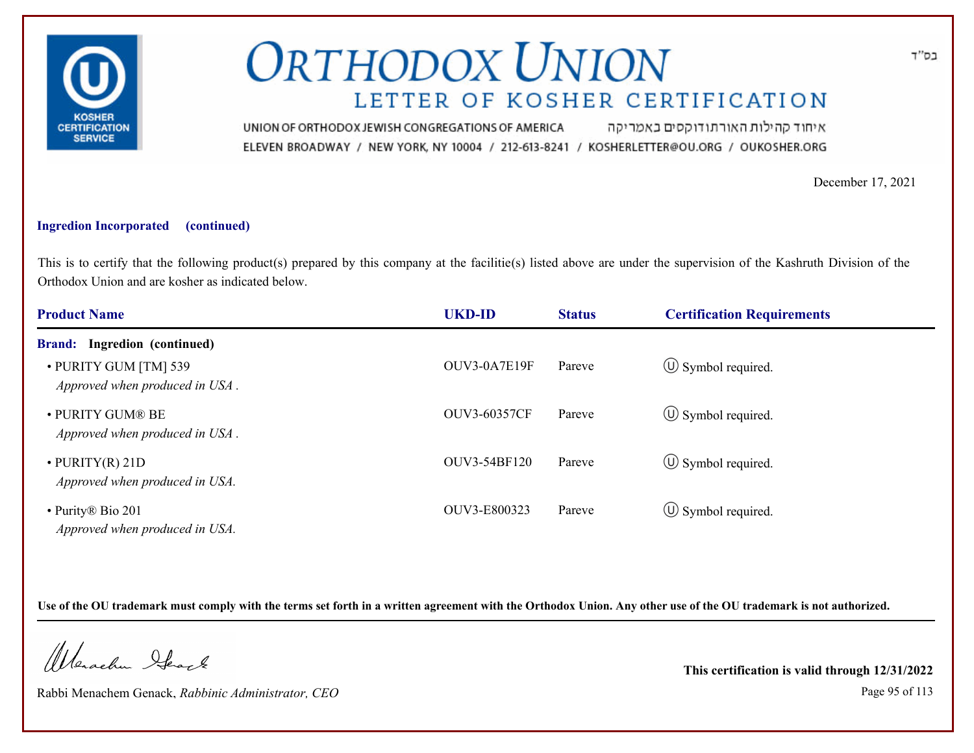

איחוד קהילות האורתודוקסים באמריקה UNION OF ORTHODOX JEWISH CONGREGATIONS OF AMERICA ELEVEN BROADWAY / NEW YORK, NY 10004 / 212-613-8241 / KOSHERLETTER@OU.ORG / OUKOSHER.ORG

December 17, 2021

### **Ingredion Incorporated (continued)**

This is to certify that the following product(s) prepared by this company at the facilitie(s) listed above are under the supervision of the Kashruth Division of the Orthodox Union and are kosher as indicated below.

| <b>Product Name</b>                                     | <b>UKD-ID</b> | <b>Status</b> | <b>Certification Requirements</b> |  |
|---------------------------------------------------------|---------------|---------------|-----------------------------------|--|
| <b>Brand:</b> Ingredion (continued)                     |               |               |                                   |  |
| • PURITY GUM [TM] 539<br>Approved when produced in USA. | OUV3-0A7E19F  | Pareve        | $\circ$ Symbol required.          |  |
| • PURITY GUM® BE<br>Approved when produced in USA.      | OUV3-60357CF  | Pareve        | $\circled{1}$ Symbol required.    |  |
| $\cdot$ PURITY(R) 21D<br>Approved when produced in USA. | OUV3-54BF120  | Pareve        | $\circled{0}$ Symbol required.    |  |
| • Purity® Bio 201<br>Approved when produced in USA.     | OUV3-E800323  | Pareve        | $\circled{1}$ Symbol required.    |  |

**Use of the OU trademark must comply with the terms set forth in a written agreement with the Orthodox Union. Any other use of the OU trademark is not authorized.**

Werachen Stack

Rabbi Menachem Genack, *Rabbinic Administrator, CEO* Page 95 of 113

**This certification is valid through 12/31/2022**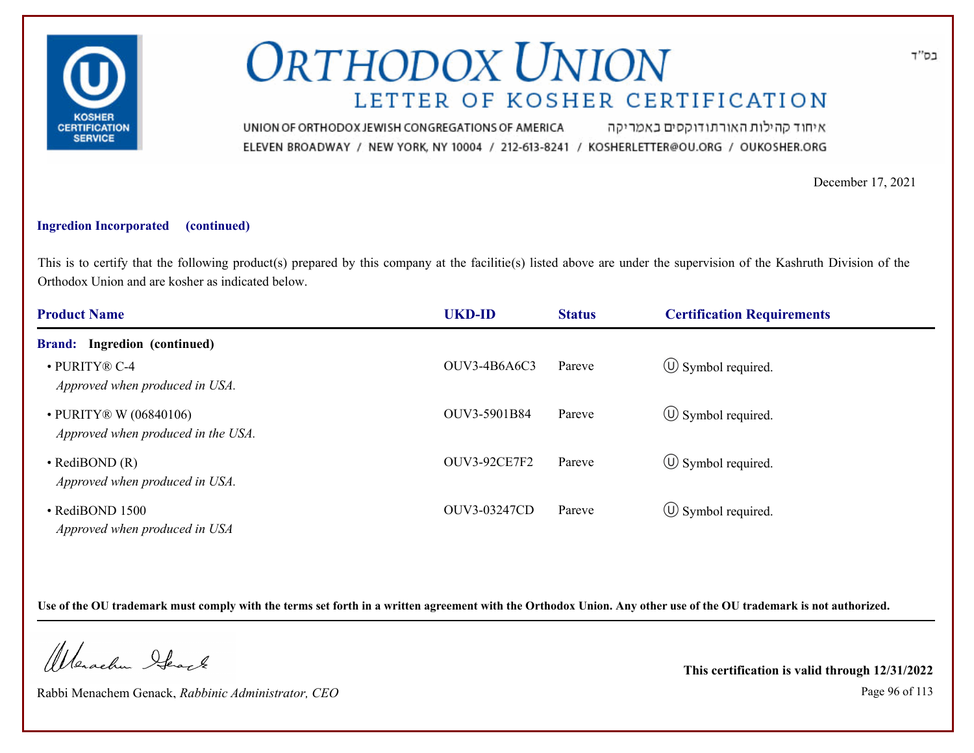

איחוד קהילות האורתודוקסים באמריקה UNION OF ORTHODOX JEWISH CONGREGATIONS OF AMERICA ELEVEN BROADWAY / NEW YORK, NY 10004 / 212-613-8241 / KOSHERLETTER@OU.ORG / OUKOSHER.ORG

December 17, 2021

### **Ingredion Incorporated (continued)**

This is to certify that the following product(s) prepared by this company at the facilitie(s) listed above are under the supervision of the Kashruth Division of the Orthodox Union and are kosher as indicated below.

| <b>Product Name</b>                                                | <b>UKD-ID</b>       | <b>Status</b> | <b>Certification Requirements</b> |  |
|--------------------------------------------------------------------|---------------------|---------------|-----------------------------------|--|
| <b>Brand:</b> Ingredion (continued)                                |                     |               |                                   |  |
| • PURITY® C-4<br>Approved when produced in USA.                    | OUV3-4B6A6C3        | Pareve        | $\circled{1}$ Symbol required.    |  |
| $\cdot$ PURITY® W (06840106)<br>Approved when produced in the USA. | OUV3-5901B84        | Pareve        | $\circled{1}$ Symbol required.    |  |
| $\cdot$ RediBOND (R)<br>Approved when produced in USA.             | <b>OUV3-92CE7F2</b> | Pareve        | $\circled{1}$ Symbol required.    |  |
| • RediBOND 1500<br>Approved when produced in USA                   | OUV3-03247CD        | Pareve        | $\circled{1}$ Symbol required.    |  |

**Use of the OU trademark must comply with the terms set forth in a written agreement with the Orthodox Union. Any other use of the OU trademark is not authorized.**

Werachen Stack

Rabbi Menachem Genack, *Rabbinic Administrator, CEO* Page 96 of 113

**This certification is valid through 12/31/2022**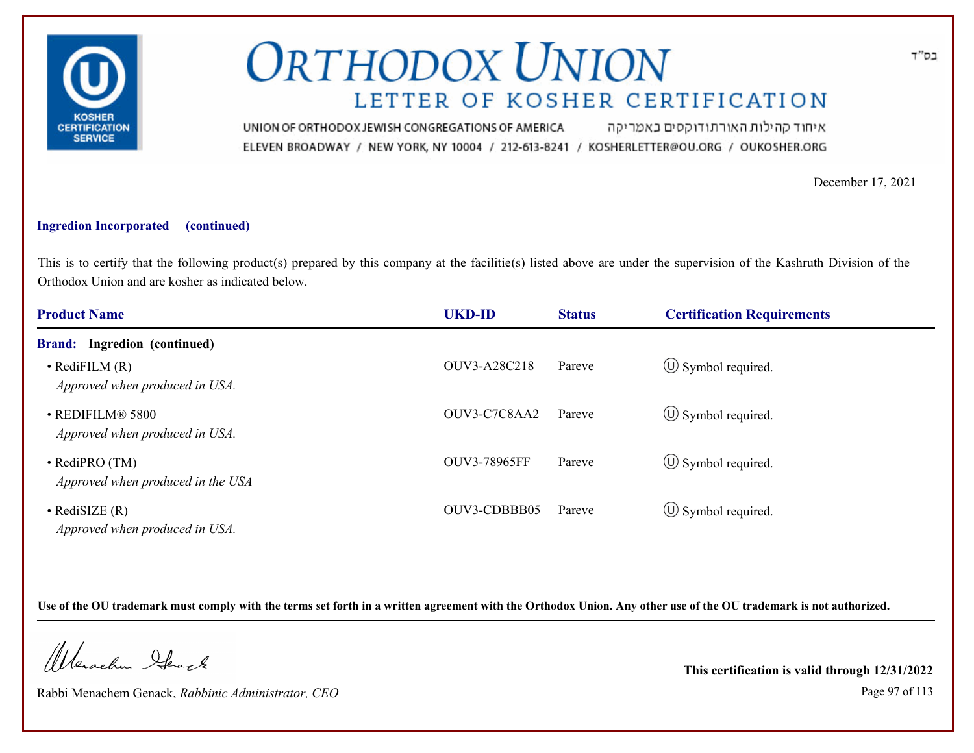

איחוד קהילות האורתודוקסים באמריקה UNION OF ORTHODOX JEWISH CONGREGATIONS OF AMERICA ELEVEN BROADWAY / NEW YORK, NY 10004 / 212-613-8241 / KOSHERLETTER@OU.ORG / OUKOSHER.ORG

December 17, 2021

### **Ingredion Incorporated (continued)**

This is to certify that the following product(s) prepared by this company at the facilitie(s) listed above are under the supervision of the Kashruth Division of the Orthodox Union and are kosher as indicated below.

| <b>Product Name</b>                                         | <b>UKD-ID</b> | <b>Status</b> | <b>Certification Requirements</b> |  |
|-------------------------------------------------------------|---------------|---------------|-----------------------------------|--|
| <b>Brand:</b> Ingredion (continued)                         |               |               |                                   |  |
| $\bullet$ RediFILM $(R)$<br>Approved when produced in USA.  | OUV3-A28C218  | Pareve        | $\circled{1}$ Symbol required.    |  |
| · REDIFILM® 5800<br>Approved when produced in USA.          | OUV3-C7C8AA2  | Pareve        | $\circled{1}$ Symbol required.    |  |
| $\bullet$ RediPRO (TM)<br>Approved when produced in the USA | OUV3-78965FF  | Pareve        | $\circled{1}$ Symbol required.    |  |
| $\cdot$ RediSIZE (R)<br>Approved when produced in USA.      | OUV3-CDBBB05  | Pareve        | $\circled{1}$ Symbol required.    |  |

**Use of the OU trademark must comply with the terms set forth in a written agreement with the Orthodox Union. Any other use of the OU trademark is not authorized.**

Werachen Stack

Rabbi Menachem Genack, *Rabbinic Administrator, CEO* Page 97 of 113

**This certification is valid through 12/31/2022**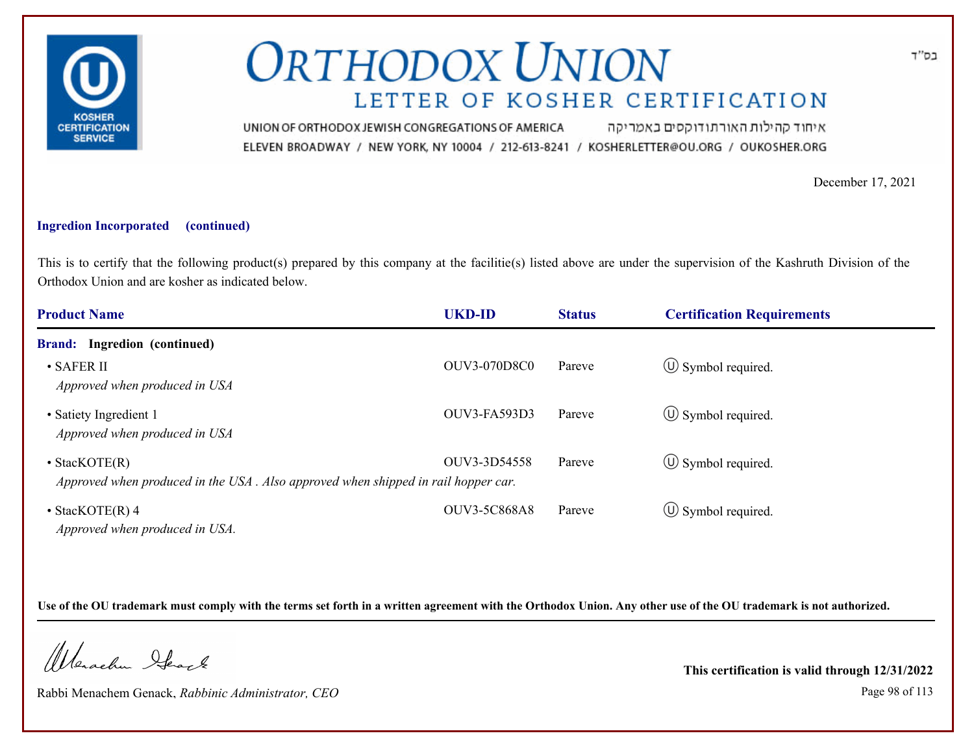

איחוד קהילות האורתודוקסים באמריקה UNION OF ORTHODOX JEWISH CONGREGATIONS OF AMERICA ELEVEN BROADWAY / NEW YORK, NY 10004 / 212-613-8241 / KOSHERLETTER@OU.ORG / OUKOSHER.ORG

December 17, 2021

### **Ingredion Incorporated (continued)**

This is to certify that the following product(s) prepared by this company at the facilitie(s) listed above are under the supervision of the Kashruth Division of the Orthodox Union and are kosher as indicated below.

| <b>Product Name</b>                                                                                      | <b>UKD-ID</b>       | <b>Status</b> | <b>Certification Requirements</b> |  |
|----------------------------------------------------------------------------------------------------------|---------------------|---------------|-----------------------------------|--|
| <b>Brand:</b> Ingredion (continued)                                                                      |                     |               |                                   |  |
| $\cdot$ SAFER II<br>Approved when produced in USA                                                        | <b>OUV3-070D8C0</b> | Pareve        | $\circ$ Symbol required.          |  |
| • Satiety Ingredient 1<br>Approved when produced in USA                                                  | OUV3-FA593D3        | Pareve        | $\circled{1}$ Symbol required.    |  |
| $\cdot$ StacKOTE(R)<br>Approved when produced in the USA. Also approved when shipped in rail hopper car. | OUV3-3D54558        | Pareve        | $\circ$ Symbol required.          |  |
| $\bullet$ StacKOTE(R) 4<br>Approved when produced in USA.                                                | OUV3-5C868A8        | Pareve        | $\circ$ Symbol required.          |  |

**Use of the OU trademark must comply with the terms set forth in a written agreement with the Orthodox Union. Any other use of the OU trademark is not authorized.**

Werschn Stack

Rabbi Menachem Genack, *Rabbinic Administrator, CEO* Page 98 of 113

**This certification is valid through 12/31/2022**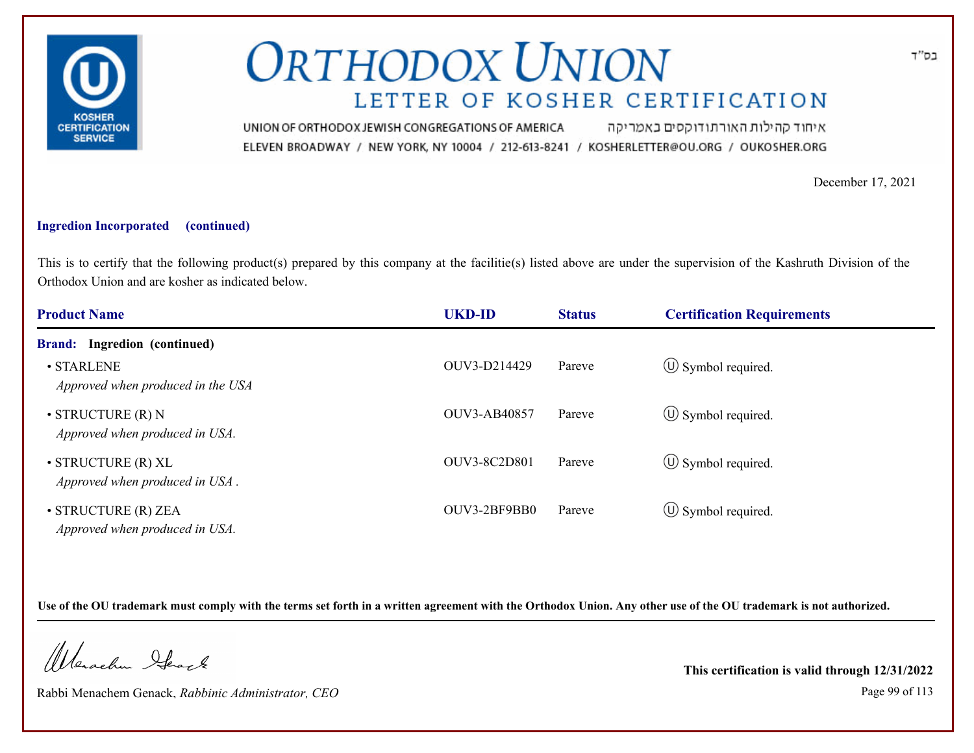

איחוד קהילות האורתודוקסים באמריקה UNION OF ORTHODOX JEWISH CONGREGATIONS OF AMERICA ELEVEN BROADWAY / NEW YORK, NY 10004 / 212-613-8241 / KOSHERLETTER@OU.ORG / OUKOSHER.ORG

December 17, 2021

### **Ingredion Incorporated (continued)**

This is to certify that the following product(s) prepared by this company at the facilitie(s) listed above are under the supervision of the Kashruth Division of the Orthodox Union and are kosher as indicated below.

| <b>Product Name</b>                                       | <b>UKD-ID</b> | <b>Status</b> | <b>Certification Requirements</b> |  |
|-----------------------------------------------------------|---------------|---------------|-----------------------------------|--|
| <b>Brand:</b> Ingredion (continued)                       |               |               |                                   |  |
| • STARLENE<br>Approved when produced in the USA           | OUV3-D214429  | Pareve        | $\circ$ Symbol required.          |  |
| $\cdot$ STRUCTURE (R) N<br>Approved when produced in USA. | OUV3-AB40857  | Pareve        | $\circled{1}$ Symbol required.    |  |
| • STRUCTURE (R) XL<br>Approved when produced in USA.      | OUV3-8C2D801  | Pareve        | $\circled{0}$ Symbol required.    |  |
| • STRUCTURE (R) ZEA<br>Approved when produced in USA.     | OUV3-2BF9BB0  | Pareve        | $\circled{1}$ Symbol required.    |  |

**Use of the OU trademark must comply with the terms set forth in a written agreement with the Orthodox Union. Any other use of the OU trademark is not authorized.**

Werachen Stack

Rabbi Menachem Genack, *Rabbinic Administrator, CEO* Page 99 of 113

**This certification is valid through 12/31/2022**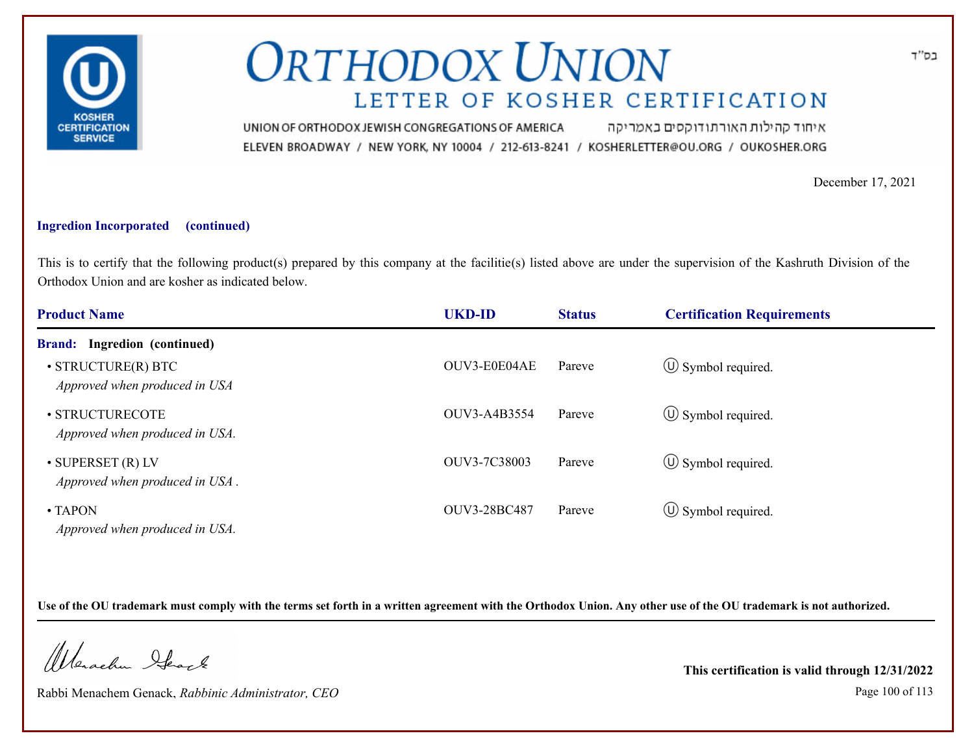

איחוד קהילות האורתודוקסים באמריקה UNION OF ORTHODOX JEWISH CONGREGATIONS OF AMERICA ELEVEN BROADWAY / NEW YORK, NY 10004 / 212-613-8241 / KOSHERLETTER@OU.ORG / OUKOSHER.ORG

December 17, 2021

### **Ingredion Incorporated (continued)**

This is to certify that the following product(s) prepared by this company at the facilitie(s) listed above are under the supervision of the Kashruth Division of the Orthodox Union and are kosher as indicated below.

| <b>Product Name</b>                                         | <b>UKD-ID</b> | <b>Status</b> | <b>Certification Requirements</b> |
|-------------------------------------------------------------|---------------|---------------|-----------------------------------|
| <b>Brand:</b> Ingredion (continued)                         |               |               |                                   |
| $\bullet$ STRUCTURE(R) BTC<br>Approved when produced in USA | OUV3-E0E04AE  | Pareve        | $\circled{1}$ Symbol required.    |
| · STRUCTURECOTE<br>Approved when produced in USA.           | OUV3-A4B3554  | Pareve        | $\circled{1}$ Symbol required.    |
| $\bullet$ SUPERSET (R) LV<br>Approved when produced in USA. | OUV3-7C38003  | Pareve        | $\circled{1}$ Symbol required.    |
| $\cdot$ TAPON<br>Approved when produced in USA.             | OUV3-28BC487  | Pareve        | $\circled{1}$ Symbol required.    |

**Use of the OU trademark must comply with the terms set forth in a written agreement with the Orthodox Union. Any other use of the OU trademark is not authorized.**

Werachen Stack

Rabbi Menachem Genack, *Rabbinic Administrator, CEO* Page 100 of 113

**This certification is valid through 12/31/2022**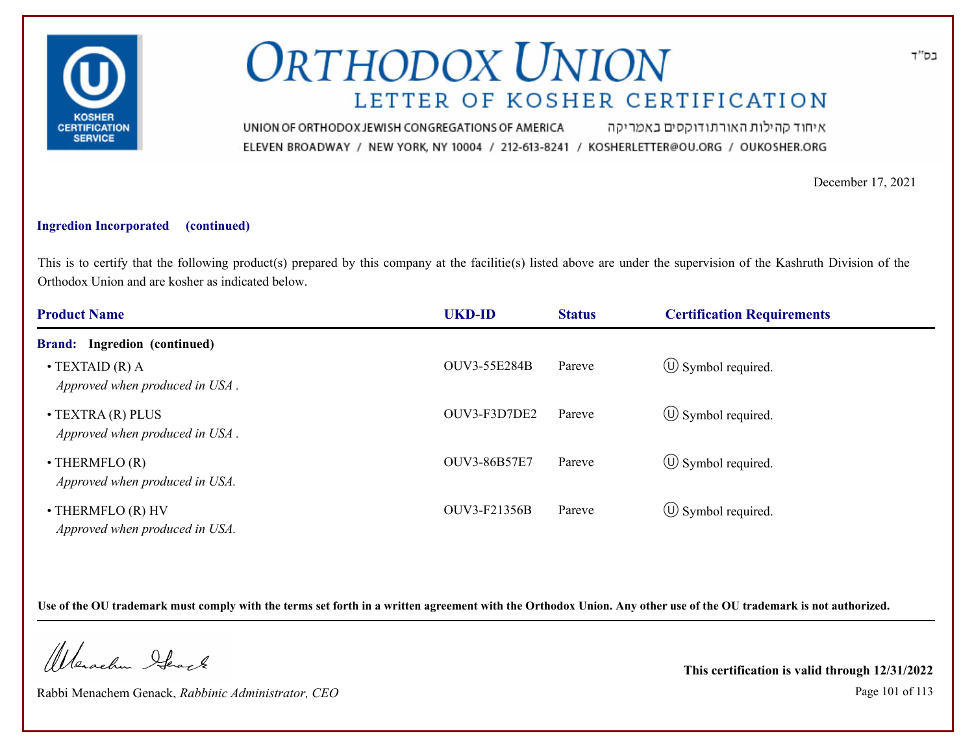

איחוד קהילות האורתודוקסים באמריקה UNION OF ORTHODOX JEWISH CONGREGATIONS OF AMERICA ELEVEN BROADWAY / NEW YORK, NY 10004 / 212-613-8241 / KOSHERLETTER@OU.ORG / OUKOSHER.ORG

December 17, 2021

### **Ingredion Incorporated (continued)**

This is to certify that the following product(s) prepared by this company at the facilitie(s) listed above are under the supervision of the Kashruth Division of the Orthodox Union and are kosher as indicated below.

| <b>Product Name</b>                                       | <b>UKD-ID</b>       | <b>Status</b> | <b>Certification Requirements</b> |  |
|-----------------------------------------------------------|---------------------|---------------|-----------------------------------|--|
| <b>Brand:</b> Ingredion (continued)                       |                     |               |                                   |  |
| $\bullet$ TEXTAID (R) A<br>Approved when produced in USA. | <b>OUV3-55E284B</b> | Pareve        | $\circled{1}$ Symbol required.    |  |
| $\cdot$ TEXTRA (R) PLUS<br>Approved when produced in USA. | OUV3-F3D7DE2        | Pareve        | $\circled{1}$ Symbol required.    |  |
| $\cdot$ THERMFLO (R)<br>Approved when produced in USA.    | <b>OUV3-86B57E7</b> | Pareve        | $\circled{1}$ Symbol required.    |  |
| • THERMFLO (R) HV<br>Approved when produced in USA.       | OUV3-F21356B        | Pareve        | $\circled{1}$ Symbol required.    |  |

**Use of the OU trademark must comply with the terms set forth in a written agreement with the Orthodox Union. Any other use of the OU trademark is not authorized.**

Werachen Stack

Rabbi Menachem Genack, *Rabbinic Administrator, CEO* Page 101 of 113

**This certification is valid through 12/31/2022**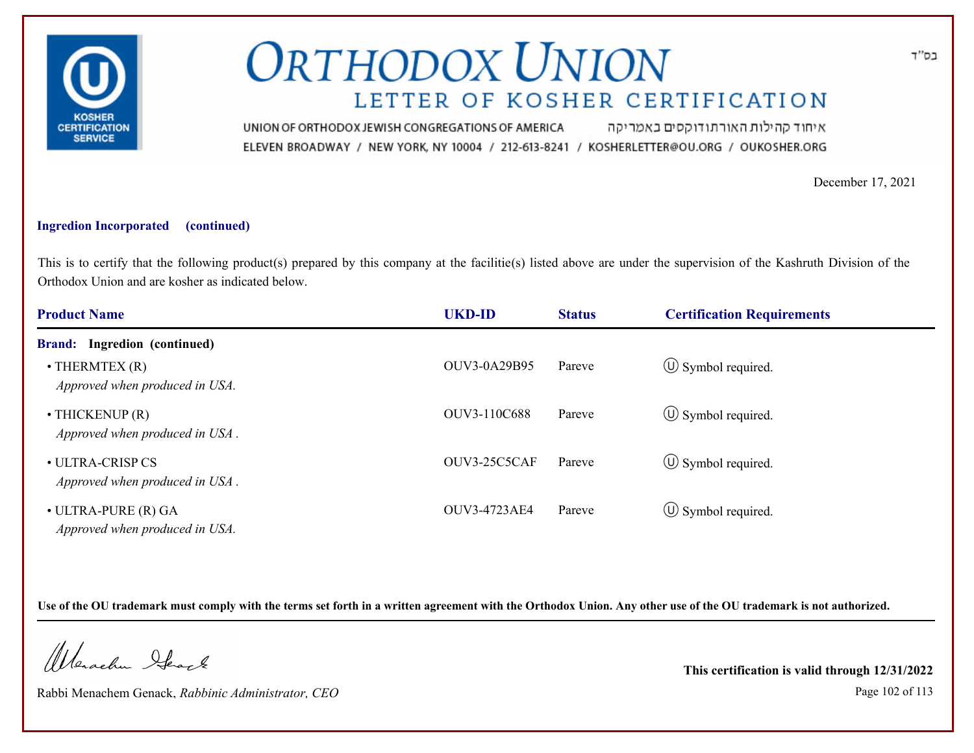

איחוד קהילות האורתודוקסים באמריקה UNION OF ORTHODOX JEWISH CONGREGATIONS OF AMERICA ELEVEN BROADWAY / NEW YORK, NY 10004 / 212-613-8241 / KOSHERLETTER@OU.ORG / OUKOSHER.ORG

December 17, 2021

### **Ingredion Incorporated (continued)**

This is to certify that the following product(s) prepared by this company at the facilitie(s) listed above are under the supervision of the Kashruth Division of the Orthodox Union and are kosher as indicated below.

| <b>Product Name</b>                                           | <b>UKD-ID</b> | <b>Status</b> | <b>Certification Requirements</b> |  |
|---------------------------------------------------------------|---------------|---------------|-----------------------------------|--|
| <b>Brand:</b> Ingredion (continued)                           |               |               |                                   |  |
| $\cdot$ THERMTEX $(R)$<br>Approved when produced in USA.      | OUV3-0A29B95  | Pareve        | $\circ$ Symbol required.          |  |
| $\cdot$ THICKENUP (R)<br>Approved when produced in USA.       | OUV3-110C688  | Pareve        | $\circled{1}$ Symbol required.    |  |
| • ULTRA-CRISP CS<br>Approved when produced in USA.            | OUV3-25C5CAF  | Pareve        | $\circled{0}$ Symbol required.    |  |
| $\bullet$ ULTRA-PURE (R) GA<br>Approved when produced in USA. | OUV3-4723AE4  | Pareve        | $\circled{1}$ Symbol required.    |  |

**Use of the OU trademark must comply with the terms set forth in a written agreement with the Orthodox Union. Any other use of the OU trademark is not authorized.**

Werachen Stack

Rabbi Menachem Genack, *Rabbinic Administrator, CEO* Page 102 of 113

**This certification is valid through 12/31/2022**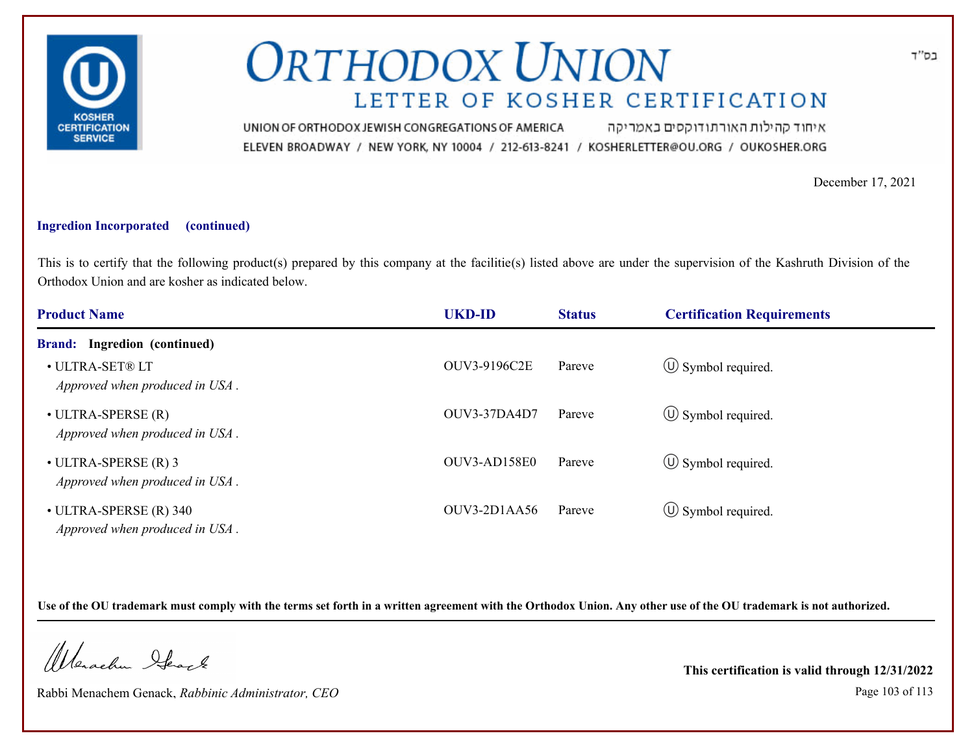

איחוד קהילות האורתודוקסים באמריקה UNION OF ORTHODOX JEWISH CONGREGATIONS OF AMERICA ELEVEN BROADWAY / NEW YORK, NY 10004 / 212-613-8241 / KOSHERLETTER@OU.ORG / OUKOSHER.ORG

December 17, 2021

### **Ingredion Incorporated (continued)**

This is to certify that the following product(s) prepared by this company at the facilitie(s) listed above are under the supervision of the Kashruth Division of the Orthodox Union and are kosher as indicated below.

| <b>Product Name</b>                                            | <b>UKD-ID</b>       | <b>Status</b> | <b>Certification Requirements</b> |  |
|----------------------------------------------------------------|---------------------|---------------|-----------------------------------|--|
| <b>Brand:</b> Ingredion (continued)                            |                     |               |                                   |  |
| · ULTRA-SET® LT<br>Approved when produced in USA.              | OUV3-9196C2E        | Pareve        | $\circ$ Symbol required.          |  |
| $\cdot$ ULTRA-SPERSE (R)<br>Approved when produced in USA.     | OUV3-37DA4D7        | Pareve        | $\circ$ Symbol required.          |  |
| $\cdot$ ULTRA-SPERSE (R) 3<br>Approved when produced in USA.   | <b>OUV3-AD158E0</b> | Pareve        | $\circ$ Symbol required.          |  |
| $\cdot$ ULTRA-SPERSE (R) 340<br>Approved when produced in USA. | OUV3-2D1AA56        | Pareve        | $\circled{1}$ Symbol required.    |  |

**Use of the OU trademark must comply with the terms set forth in a written agreement with the Orthodox Union. Any other use of the OU trademark is not authorized.**

Werachen Stack

Rabbi Menachem Genack, *Rabbinic Administrator, CEO* Page 103 of 113

**This certification is valid through 12/31/2022**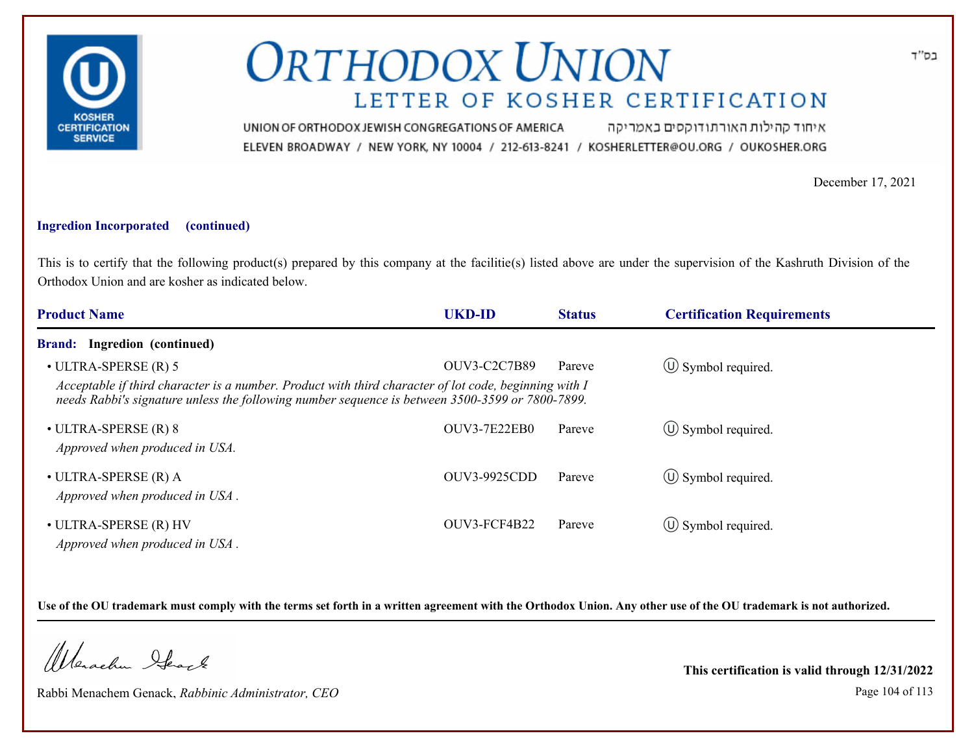

איחוד קהילות האורתודוקסים באמריקה UNION OF ORTHODOX JEWISH CONGREGATIONS OF AMERICA ELEVEN BROADWAY / NEW YORK, NY 10004 / 212-613-8241 / KOSHERLETTER@OU.ORG / OUKOSHER.ORG

December 17, 2021

### **Ingredion Incorporated (continued)**

This is to certify that the following product(s) prepared by this company at the facilitie(s) listed above are under the supervision of the Kashruth Division of the Orthodox Union and are kosher as indicated below.

| <b>Product Name</b>                                                                                                                                                                                                                    | <b>UKD-ID</b>       | <b>Status</b> | <b>Certification Requirements</b> |  |
|----------------------------------------------------------------------------------------------------------------------------------------------------------------------------------------------------------------------------------------|---------------------|---------------|-----------------------------------|--|
| <b>Brand:</b> Ingredion (continued)                                                                                                                                                                                                    |                     |               |                                   |  |
| $\cdot$ ULTRA-SPERSE (R) 5<br>Acceptable if third character is a number. Product with third character of lot code, beginning with I<br>needs Rabbi's signature unless the following number sequence is between 3500-3599 or 7800-7899. | <b>OUV3-C2C7B89</b> | Pareve        | $\circ$ Symbol required.          |  |
| $\cdot$ ULTRA-SPERSE (R) 8<br>Approved when produced in USA.                                                                                                                                                                           | <b>OUV3-7E22EB0</b> | Pareve        | $\circ$ Symbol required.          |  |
| $\cdot$ ULTRA-SPERSE (R) A<br>Approved when produced in USA.                                                                                                                                                                           | OUV3-9925CDD        | Pareve        | $\circ$ Symbol required.          |  |
| • ULTRA-SPERSE (R) HV<br>Approved when produced in USA.                                                                                                                                                                                | OUV3-FCF4B22        | Pareve        | $\circled{1}$ Symbol required.    |  |

**Use of the OU trademark must comply with the terms set forth in a written agreement with the Orthodox Union. Any other use of the OU trademark is not authorized.**

Werachen Stack

Rabbi Menachem Genack, *Rabbinic Administrator, CEO* Page 104 of 113

**This certification is valid through 12/31/2022**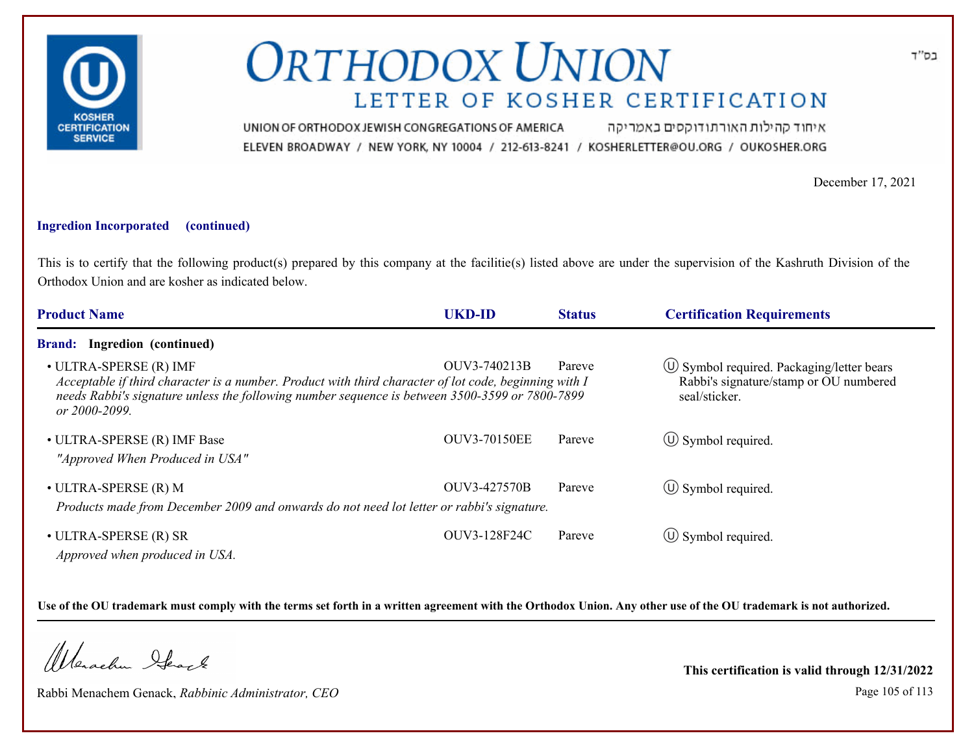

איחוד קהילות האורתודוקסים באמריקה UNION OF ORTHODOX JEWISH CONGREGATIONS OF AMERICA ELEVEN BROADWAY / NEW YORK, NY 10004 / 212-613-8241 / KOSHERLETTER@OU.ORG / OUKOSHER.ORG

December 17, 2021

### **Ingredion Incorporated (continued)**

This is to certify that the following product(s) prepared by this company at the facilitie(s) listed above are under the supervision of the Kashruth Division of the Orthodox Union and are kosher as indicated below.

| <b>Product Name</b>                                                                                                                                                                                                                                | <b>UKD-ID</b>       | <b>Status</b> | <b>Certification Requirements</b>                                                                          |
|----------------------------------------------------------------------------------------------------------------------------------------------------------------------------------------------------------------------------------------------------|---------------------|---------------|------------------------------------------------------------------------------------------------------------|
| Ingredion (continued)<br><b>Brand:</b>                                                                                                                                                                                                             |                     |               |                                                                                                            |
| • ULTRA-SPERSE (R) IMF<br>Acceptable if third character is a number. Product with third character of lot code, beginning with I<br>needs Rabbi's signature unless the following number sequence is between 3500-3599 or 7800-7899<br>or 2000-2099. | OUV3-740213B        | Pareve        | $\circ$ Symbol required. Packaging/letter bears<br>Rabbi's signature/stamp or OU numbered<br>seal/sticker. |
| • ULTRA-SPERSE (R) IMF Base<br>"Approved When Produced in USA"                                                                                                                                                                                     | <b>OUV3-70150EE</b> | Pareve        | $\circled{1}$ Symbol required.                                                                             |
| $\bullet$ ULTRA-SPERSE (R) M<br>Products made from December 2009 and onwards do not need lot letter or rabbi's signature.                                                                                                                          | OUV3-427570B        | Pareve        | $\circ$ Symbol required.                                                                                   |
| • ULTRA-SPERSE (R) SR<br>Approved when produced in USA.                                                                                                                                                                                            | OUV3-128F24C        | Pareve        | $\circ$ Symbol required.                                                                                   |

**Use of the OU trademark must comply with the terms set forth in a written agreement with the Orthodox Union. Any other use of the OU trademark is not authorized.**

Werachen Ifeart

Rabbi Menachem Genack, *Rabbinic Administrator, CEO* Page 105 of 113

**This certification is valid through 12/31/2022**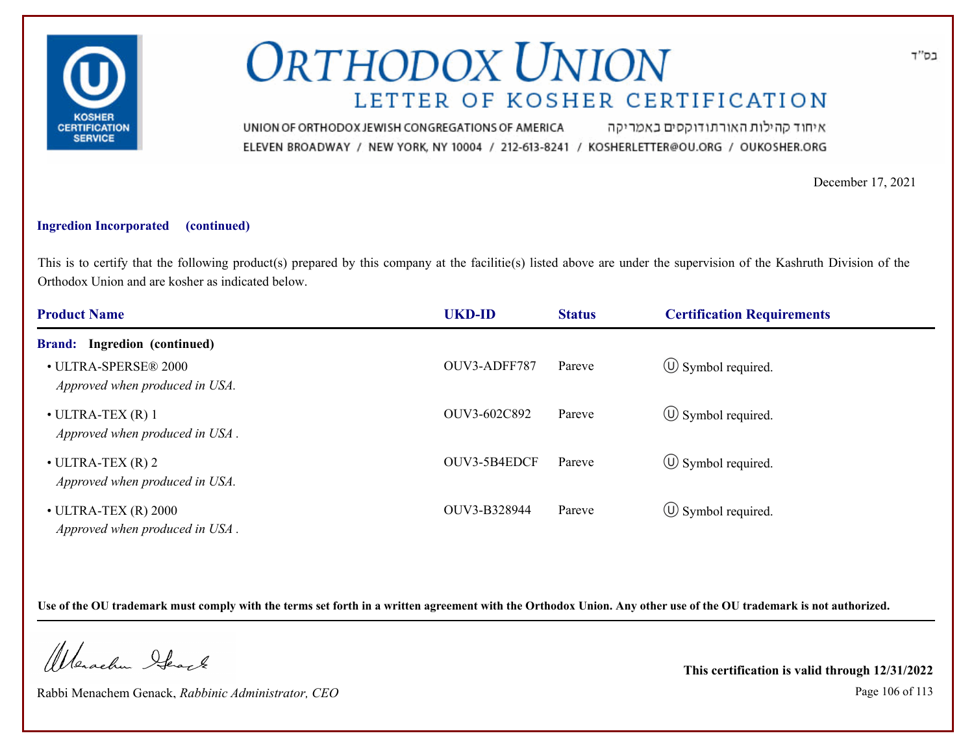

איחוד קהילות האורתודוקסים באמריקה UNION OF ORTHODOX JEWISH CONGREGATIONS OF AMERICA ELEVEN BROADWAY / NEW YORK, NY 10004 / 212-613-8241 / KOSHERLETTER@OU.ORG / OUKOSHER.ORG

December 17, 2021

### **Ingredion Incorporated (continued)**

This is to certify that the following product(s) prepared by this company at the facilitie(s) listed above are under the supervision of the Kashruth Division of the Orthodox Union and are kosher as indicated below.

| <b>Product Name</b>                                            | <b>UKD-ID</b> | <b>Status</b> | <b>Certification Requirements</b> |  |
|----------------------------------------------------------------|---------------|---------------|-----------------------------------|--|
| <b>Brand:</b> Ingredion (continued)                            |               |               |                                   |  |
| • ULTRA-SPERSE® 2000<br>Approved when produced in USA.         | OUV3-ADFF787  | Pareve        | $\circled{1}$ Symbol required.    |  |
| $\bullet$ ULTRA-TEX (R) 1<br>Approved when produced in USA.    | OUV3-602C892  | Pareve        | $\circled{1}$ Symbol required.    |  |
| $\cdot$ ULTRA-TEX (R) 2<br>Approved when produced in USA.      | OUV3-5B4EDCF  | Pareve        | $\circled{1}$ Symbol required.    |  |
| $\bullet$ ULTRA-TEX (R) 2000<br>Approved when produced in USA. | OUV3-B328944  | Pareve        | $\circled{1}$ Symbol required.    |  |

**Use of the OU trademark must comply with the terms set forth in a written agreement with the Orthodox Union. Any other use of the OU trademark is not authorized.**

Werachen Stack

Rabbi Menachem Genack, *Rabbinic Administrator, CEO* Page 106 of 113

**This certification is valid through 12/31/2022**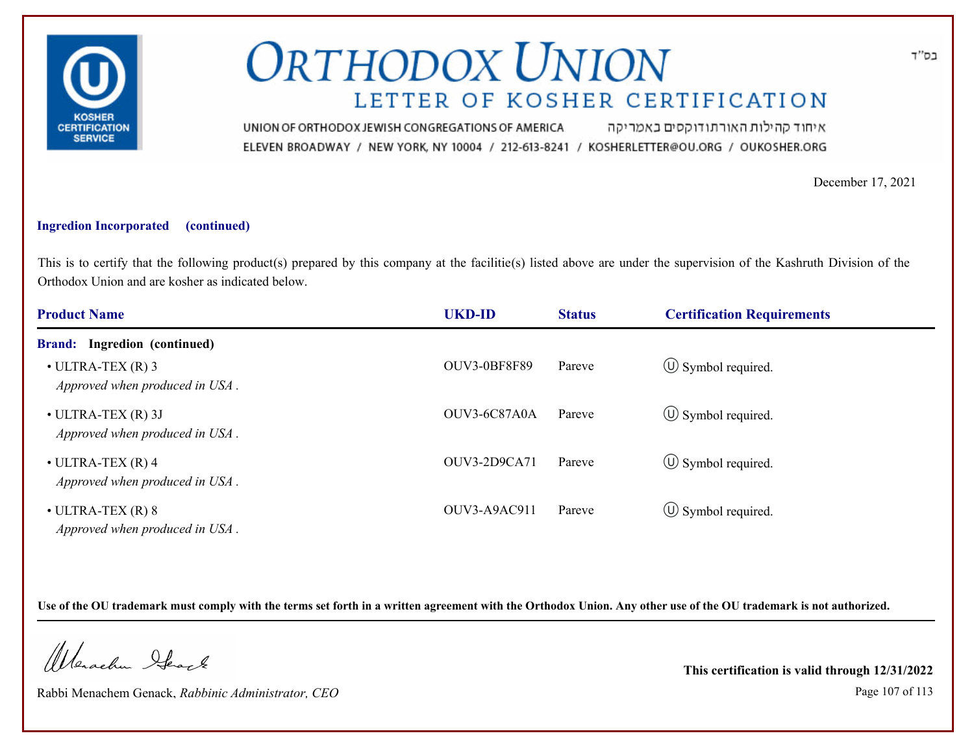

איחוד קהילות האורתודוקסים באמריקה UNION OF ORTHODOX JEWISH CONGREGATIONS OF AMERICA ELEVEN BROADWAY / NEW YORK, NY 10004 / 212-613-8241 / KOSHERLETTER@OU.ORG / OUKOSHER.ORG

December 17, 2021

### **Ingredion Incorporated (continued)**

This is to certify that the following product(s) prepared by this company at the facilitie(s) listed above are under the supervision of the Kashruth Division of the Orthodox Union and are kosher as indicated below.

| <b>Product Name</b>                                          | <b>UKD-ID</b>       | <b>Status</b> | <b>Certification Requirements</b> |  |
|--------------------------------------------------------------|---------------------|---------------|-----------------------------------|--|
| <b>Brand:</b> Ingredion (continued)                          |                     |               |                                   |  |
| $\cdot$ ULTRA-TEX (R) 3<br>Approved when produced in USA.    | <b>OUV3-0BF8F89</b> | Pareve        | $\circled{1}$ Symbol required.    |  |
| $\bullet$ ULTRA-TEX (R) 3J<br>Approved when produced in USA. | <b>OUV3-6C87A0A</b> | Pareve        | $\circled{0}$ Symbol required.    |  |
| $\cdot$ ULTRA-TEX (R) 4<br>Approved when produced in USA.    | OUV3-2D9CA71        | Pareve        | $\circled{1}$ Symbol required.    |  |
| $\bullet$ ULTRA-TEX (R) 8<br>Approved when produced in USA.  | OUV3-A9AC911        | Pareve        | $\circled{1}$ Symbol required.    |  |

**Use of the OU trademark must comply with the terms set forth in a written agreement with the Orthodox Union. Any other use of the OU trademark is not authorized.**

Werachen Stack

Rabbi Menachem Genack, *Rabbinic Administrator, CEO* Page 107 of 113

**This certification is valid through 12/31/2022**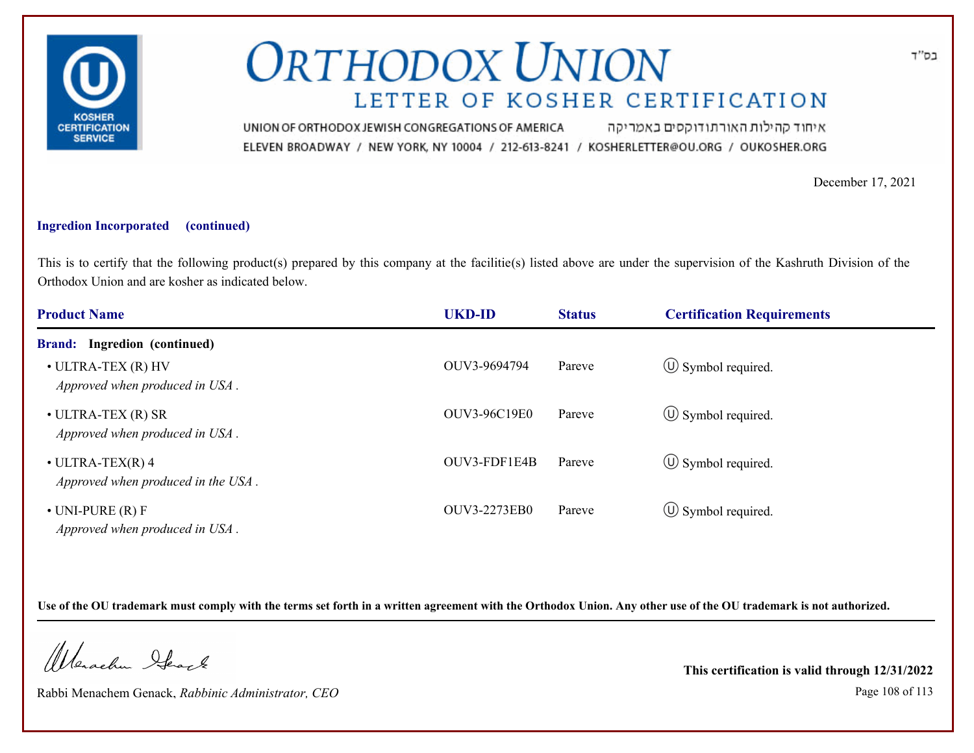

איחוד קהילות האורתודוקסים באמריקה UNION OF ORTHODOX JEWISH CONGREGATIONS OF AMERICA ELEVEN BROADWAY / NEW YORK, NY 10004 / 212-613-8241 / KOSHERLETTER@OU.ORG / OUKOSHER.ORG

December 17, 2021

### **Ingredion Incorporated (continued)**

This is to certify that the following product(s) prepared by this company at the facilitie(s) listed above are under the supervision of the Kashruth Division of the Orthodox Union and are kosher as indicated below.

| <b>Product Name</b>                                          | <b>UKD-ID</b>       | <b>Status</b> | <b>Certification Requirements</b> |  |
|--------------------------------------------------------------|---------------------|---------------|-----------------------------------|--|
| <b>Brand:</b> Ingredion (continued)                          |                     |               |                                   |  |
| $\bullet$ ULTRA-TEX (R) HV<br>Approved when produced in USA. | OUV3-9694794        | Pareve        | $\circ$ Symbol required.          |  |
| $\bullet$ ULTRA-TEX (R) SR<br>Approved when produced in USA. | <b>OUV3-96C19E0</b> | Pareve        | $\circled{1}$ Symbol required.    |  |
| $\cdot$ ULTRA-TEX(R) 4<br>Approved when produced in the USA. | OUV3-FDF1E4B        | Pareve        | $\circled{0}$ Symbol required.    |  |
| $\bullet$ UNI-PURE (R) F<br>Approved when produced in USA.   | <b>OUV3-2273EB0</b> | Pareve        | $\circled{1}$ Symbol required.    |  |

**Use of the OU trademark must comply with the terms set forth in a written agreement with the Orthodox Union. Any other use of the OU trademark is not authorized.**

Werachen Stack

Rabbi Menachem Genack, *Rabbinic Administrator, CEO* Page 108 of 113

**This certification is valid through 12/31/2022**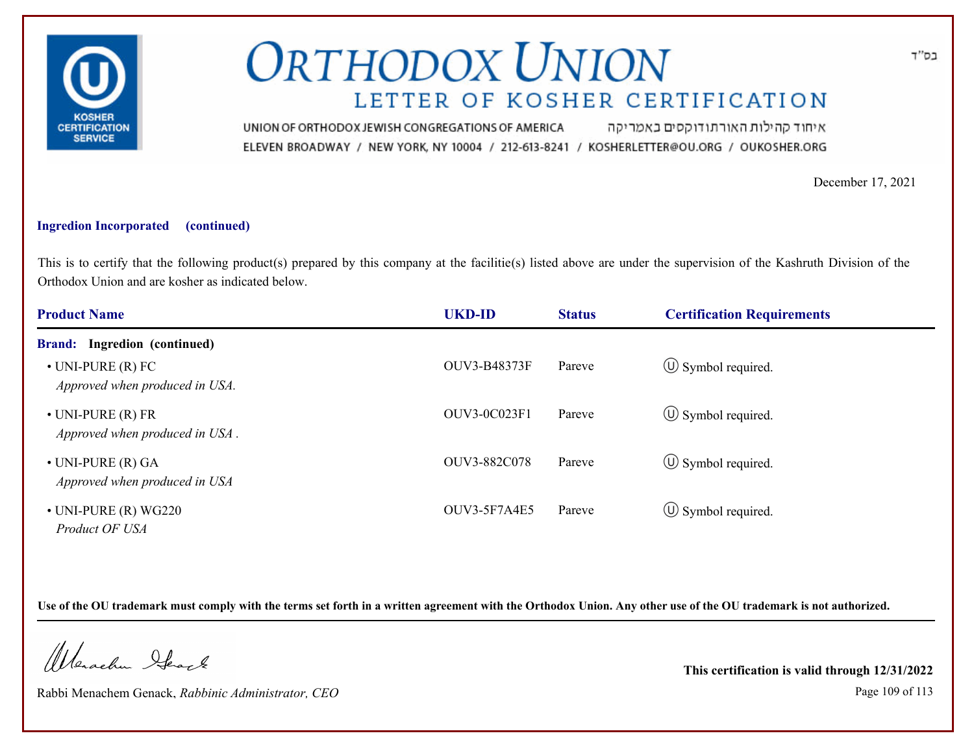

איחוד קהילות האורתודוקסים באמריקה UNION OF ORTHODOX JEWISH CONGREGATIONS OF AMERICA ELEVEN BROADWAY / NEW YORK, NY 10004 / 212-613-8241 / KOSHERLETTER@OU.ORG / OUKOSHER.ORG

December 17, 2021

#### **Ingredion Incorporated (continued)**

This is to certify that the following product(s) prepared by this company at the facilitie(s) listed above are under the supervision of the Kashruth Division of the Orthodox Union and are kosher as indicated below.

| <b>Product Name</b>                                         | <b>UKD-ID</b> | <b>Status</b> | <b>Certification Requirements</b> |  |
|-------------------------------------------------------------|---------------|---------------|-----------------------------------|--|
| <b>Brand:</b> Ingredion (continued)                         |               |               |                                   |  |
| $\bullet$ UNI-PURE (R) FC<br>Approved when produced in USA. | OUV3-B48373F  | Pareve        | $\circ$ Symbol required.          |  |
| $\bullet$ UNI-PURE (R) FR<br>Approved when produced in USA. | OUV3-0C023F1  | Pareve        | $\circled{1}$ Symbol required.    |  |
| $\bullet$ UNI-PURE (R) GA<br>Approved when produced in USA  | OUV3-882C078  | Pareve        | $\circled{0}$ Symbol required.    |  |
| $\bullet$ UNI-PURE (R) WG220<br>Product OF USA              | OUV3-5F7A4E5  | Pareve        | $\circled{1}$ Symbol required.    |  |

**Use of the OU trademark must comply with the terms set forth in a written agreement with the Orthodox Union. Any other use of the OU trademark is not authorized.**

Werachen Stack

Rabbi Menachem Genack, *Rabbinic Administrator, CEO* Page 109 of 113

**This certification is valid through 12/31/2022**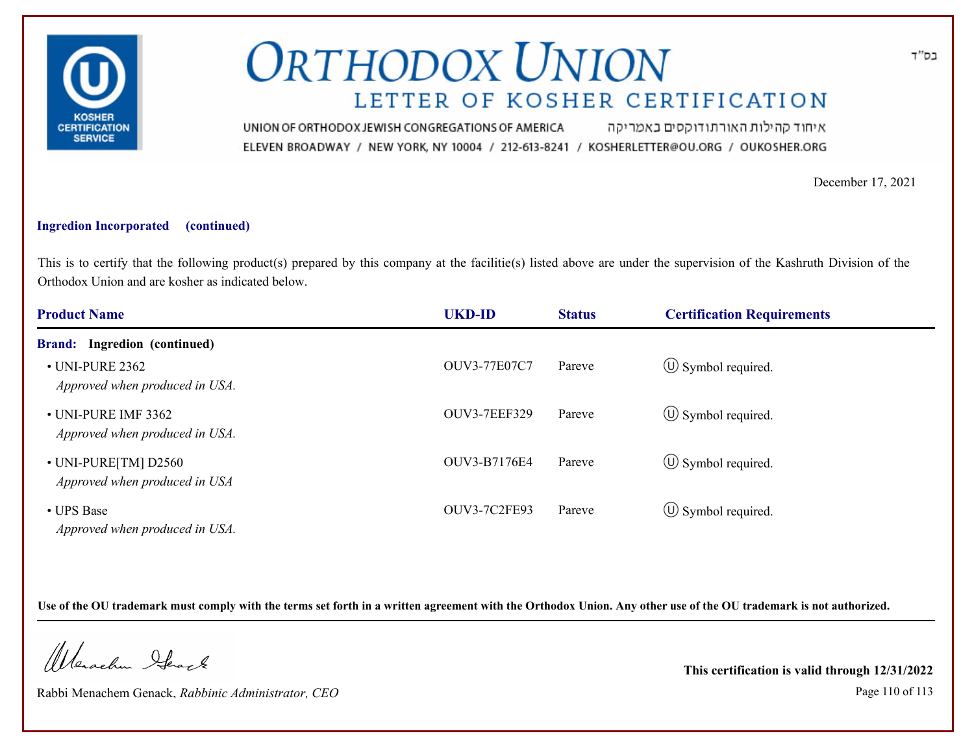

איחוד קהילות האורתודוקסים באמריקה UNION OF ORTHODOX JEWISH CONGREGATIONS OF AMERICA ELEVEN BROADWAY / NEW YORK, NY 10004 / 212-613-8241 / KOSHERLETTER@OU.ORG / OUKOSHER.ORG

December 17, 2021

#### **Ingredion Incorporated (continued)**

This is to certify that the following product(s) prepared by this company at the facilitie(s) listed above are under the supervision of the Kashruth Division of the Orthodox Union and are kosher as indicated below.

| <b>Product Name</b>                                     | <b>UKD-ID</b>       | <b>Status</b> | <b>Certification Requirements</b> |  |
|---------------------------------------------------------|---------------------|---------------|-----------------------------------|--|
| <b>Brand:</b> Ingredion (continued)                     |                     |               |                                   |  |
| $\cdot$ UNI-PURE 2362<br>Approved when produced in USA. | OUV3-77E07C7        | Pareve        | $\circled{1}$ Symbol required.    |  |
| • UNI-PURE IMF 3362<br>Approved when produced in USA.   | <b>OUV3-7EEF329</b> | Pareve        | $\circled{1}$ Symbol required.    |  |
| • UNI-PURE[TM] D2560<br>Approved when produced in USA   | OUV3-B7176E4        | Pareve        | $\circled{1}$ Symbol required.    |  |
| • UPS Base<br>Approved when produced in USA.            | <b>OUV3-7C2FE93</b> | Pareve        | $\circled{1}$ Symbol required.    |  |

**Use of the OU trademark must comply with the terms set forth in a written agreement with the Orthodox Union. Any other use of the OU trademark is not authorized.**

Werachen Stack

Rabbi Menachem Genack, *Rabbinic Administrator, CEO* Page 110 of 113

**This certification is valid through 12/31/2022**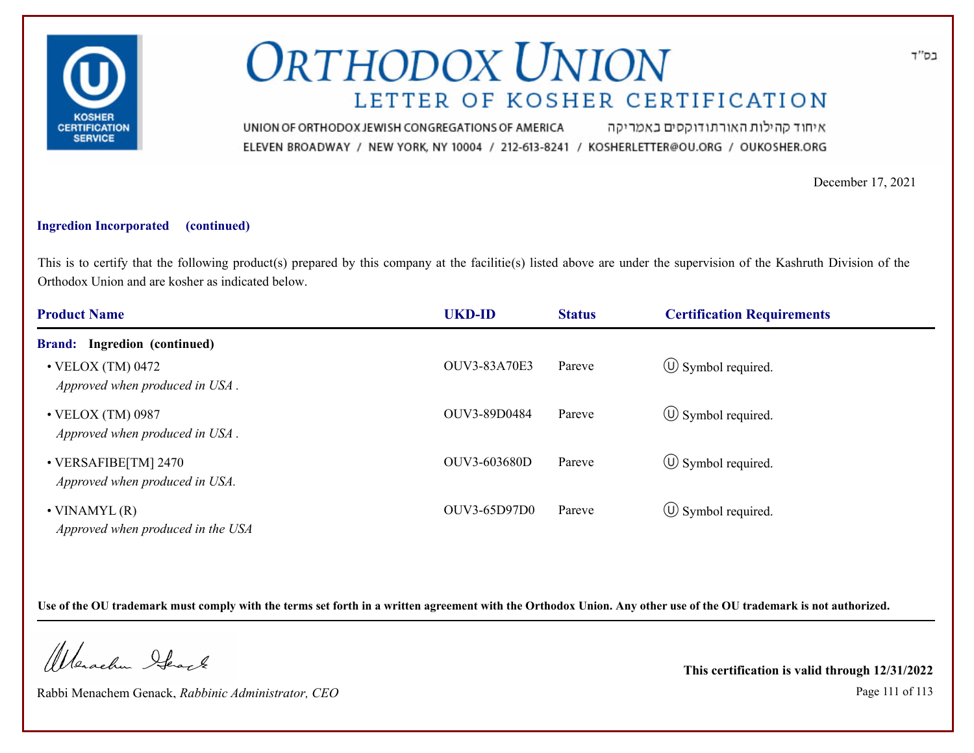

איחוד קהילות האורתודוקסים באמריקה UNION OF ORTHODOX JEWISH CONGREGATIONS OF AMERICA ELEVEN BROADWAY / NEW YORK, NY 10004 / 212-613-8241 / KOSHERLETTER@OU.ORG / OUKOSHER.ORG

December 17, 2021

#### **Ingredion Incorporated (continued)**

This is to certify that the following product(s) prepared by this company at the facilitie(s) listed above are under the supervision of the Kashruth Division of the Orthodox Union and are kosher as indicated below.

| <b>Product Name</b>                                        | <b>UKD-ID</b>       | <b>Status</b> | <b>Certification Requirements</b> |  |
|------------------------------------------------------------|---------------------|---------------|-----------------------------------|--|
| <b>Brand:</b> Ingredion (continued)                        |                     |               |                                   |  |
| $\cdot$ VELOX (TM) 0472<br>Approved when produced in USA.  | <b>OUV3-83A70E3</b> | Pareve        | $\circled{1}$ Symbol required.    |  |
| $\cdot$ VELOX (TM) 0987<br>Approved when produced in USA.  | OUV3-89D0484        | Pareve        | $\circled{1}$ Symbol required.    |  |
| • VERSAFIBE[TM] 2470<br>Approved when produced in USA.     | OUV3-603680D        | Pareve        | $\circled{1}$ Symbol required.    |  |
| $\cdot$ VINAMYL $(R)$<br>Approved when produced in the USA | OUV3-65D97D0        | Pareve        | $\circled{1}$ Symbol required.    |  |

**Use of the OU trademark must comply with the terms set forth in a written agreement with the Orthodox Union. Any other use of the OU trademark is not authorized.**

Werachen Stack

Rabbi Menachem Genack, *Rabbinic Administrator, CEO* Page 111 of 113

**This certification is valid through 12/31/2022**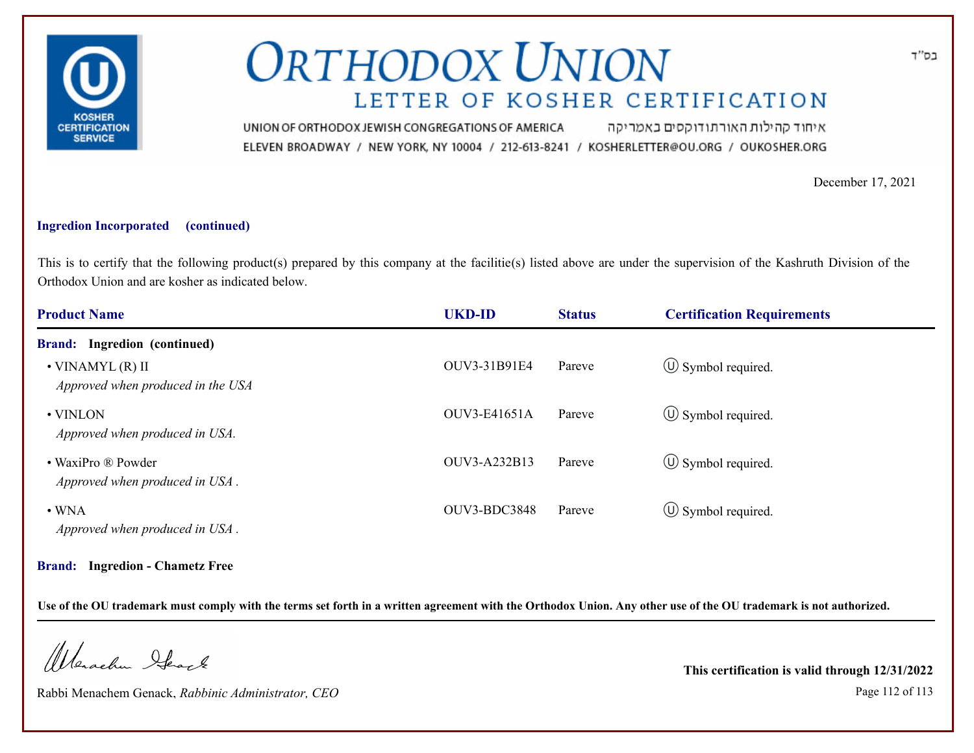

איחוד קהילות האורתודוקסים באמריקה UNION OF ORTHODOX JEWISH CONGREGATIONS OF AMERICA ELEVEN BROADWAY / NEW YORK, NY 10004 / 212-613-8241 / KOSHERLETTER@OU.ORG / OUKOSHER.ORG

December 17, 2021

### **Ingredion Incorporated (continued)**

This is to certify that the following product(s) prepared by this company at the facilitie(s) listed above are under the supervision of the Kashruth Division of the Orthodox Union and are kosher as indicated below.

| <b>Product Name</b>                                           | <b>UKD-ID</b> | <b>Status</b> | <b>Certification Requirements</b> |
|---------------------------------------------------------------|---------------|---------------|-----------------------------------|
| <b>Brand:</b> Ingredion (continued)                           |               |               |                                   |
| $\cdot$ VINAMYL $(R)$ II<br>Approved when produced in the USA | OUV3-31B91E4  | Pareve        | $\circled{1}$ Symbol required.    |
| $\cdot$ VINLON<br>Approved when produced in USA.              | OUV3-E41651A  | Pareve        | $\circled{1}$ Symbol required.    |
| • WaxiPro ® Powder<br>Approved when produced in USA.          | OUV3-A232B13  | Pareve        | $\circled{1}$ Symbol required.    |
| $\cdot$ WNA<br>Approved when produced in USA.                 | OUV3-BDC3848  | Pareve        | $\circled{1}$ Symbol required.    |
|                                                               |               |               |                                   |

#### **Brand: Ingredion - Chametz Free**

**Use of the OU trademark must comply with the terms set forth in a written agreement with the Orthodox Union. Any other use of the OU trademark is not authorized.**

Werachen Stack

Rabbi Menachem Genack, *Rabbinic Administrator, CEO* Page 112 of 113

**This certification is valid through 12/31/2022**